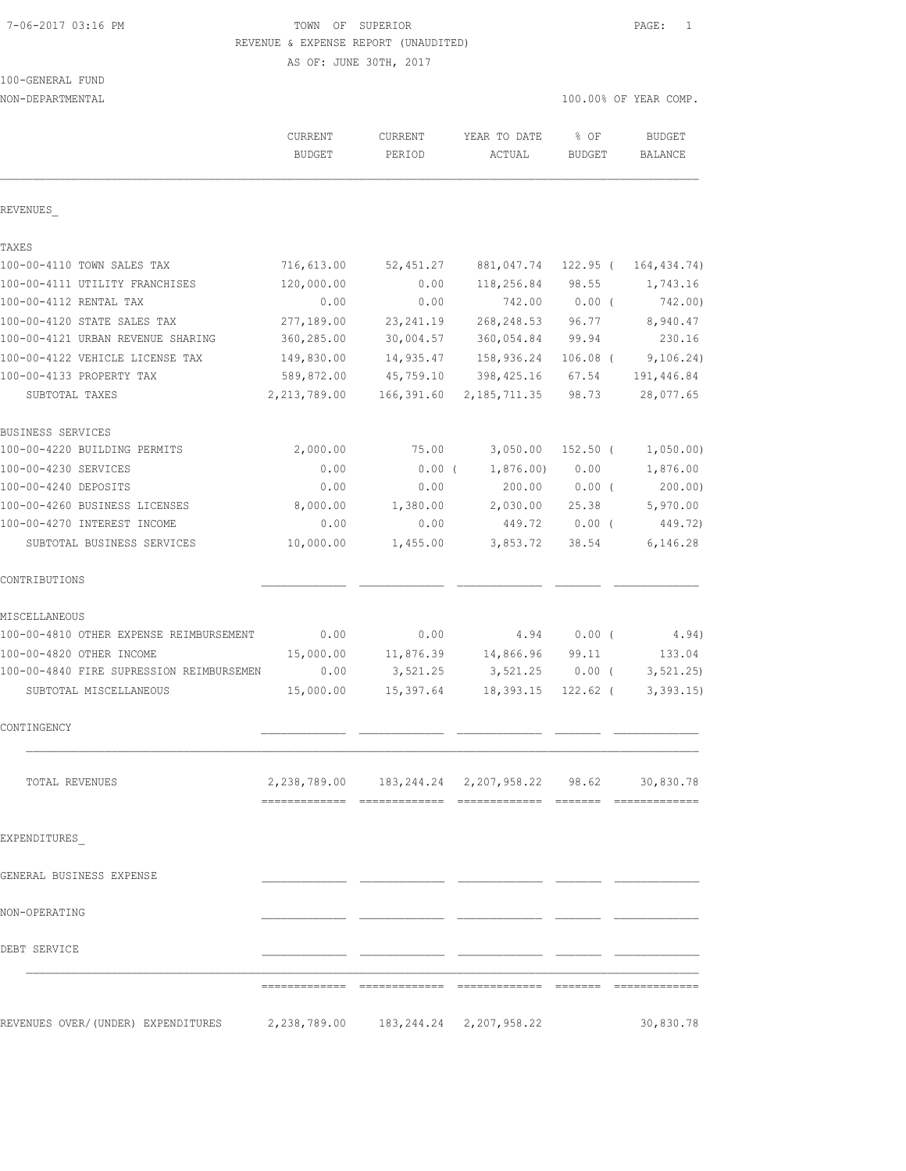#### 7-06-2017 03:16 PM TOWN OF SUPERIOR PAGE: 1 REVENUE & EXPENSE REPORT (UNAUDITED)

AS OF: JUNE 30TH, 2017

| 100-GENERAL FUND |  |
|------------------|--|
|                  |  |

NON-DEPARTMENTAL 100.00% OF YEAR COMP.

|                                          | <b>CURRENT</b><br><b>BUDGET</b>      | <b>CURRENT</b><br>PERIOD | YEAR TO DATE<br>ACTUAL                        | % OF<br><b>BUDGET</b> | <b>BUDGET</b><br>BALANCE |
|------------------------------------------|--------------------------------------|--------------------------|-----------------------------------------------|-----------------------|--------------------------|
| REVENUES                                 |                                      |                          |                                               |                       |                          |
| TAXES                                    |                                      |                          |                                               |                       |                          |
| 100-00-4110 TOWN SALES TAX               | 716,613.00                           | 52,451.27                | 881,047.74                                    | 122.95 (              | 164, 434.74)             |
| 100-00-4111 UTILITY FRANCHISES           | 120,000.00                           | 0.00                     | 118,256.84                                    | 98.55                 | 1,743.16                 |
| 100-00-4112 RENTAL TAX                   | 0.00                                 | 0.00                     | 742.00                                        | $0.00$ (              | 742.00)                  |
| 100-00-4120 STATE SALES TAX              | 277,189.00                           | 23, 241.19               | 268, 248.53                                   | 96.77                 | 8,940.47                 |
| 100-00-4121 URBAN REVENUE SHARING        | 360,285.00                           | 30,004.57                | 360,054.84                                    | 99.94                 | 230.16                   |
| 100-00-4122 VEHICLE LICENSE TAX          | 149,830.00                           | 14,935.47                | 158,936.24                                    | $106.08$ (            | 9,106.24)                |
| 100-00-4133 PROPERTY TAX                 | 589,872.00                           | 45,759.10                | 398,425.16                                    | 67.54                 | 191,446.84               |
| SUBTOTAL TAXES                           | 2,213,789.00                         | 166,391.60               | 2, 185, 711.35                                | 98.73                 | 28,077.65                |
| BUSINESS SERVICES                        |                                      |                          |                                               |                       |                          |
| 100-00-4220 BUILDING PERMITS             | 2,000.00                             | 75.00                    | 3,050.00                                      | $152.50$ (            | 1,050.00)                |
| 100-00-4230 SERVICES                     | 0.00                                 | 0.00(                    | 1,876.00                                      | 0.00                  | 1,876.00                 |
| 100-00-4240 DEPOSITS                     | 0.00                                 | 0.00                     | 200.00                                        | $0.00$ (              | 200.00)                  |
| 100-00-4260 BUSINESS LICENSES            | 8,000.00                             | 1,380.00                 | 2,030.00                                      | 25.38                 | 5,970.00                 |
| 100-00-4270 INTEREST INCOME              | 0.00                                 | 0.00                     | 449.72                                        | $0.00$ (              | 449.72)                  |
| SUBTOTAL BUSINESS SERVICES               | 10,000.00                            | 1,455.00                 | 3,853.72                                      | 38.54                 | 6,146.28                 |
| CONTRIBUTIONS                            |                                      |                          |                                               |                       |                          |
| MISCELLANEOUS                            |                                      |                          |                                               |                       |                          |
| 100-00-4810 OTHER EXPENSE REIMBURSEMENT  | 0.00                                 | 0.00                     | 4.94                                          | $0.00$ (              | 4.94)                    |
| 100-00-4820 OTHER INCOME                 | 15,000.00                            | 11,876.39                | 14,866.96                                     | 99.11                 | 133.04                   |
| 100-00-4840 FIRE SUPRESSION REIMBURSEMEN | 0.00                                 | 3,521.25                 | 3,521.25                                      | $0.00$ (              | 3, 521.25                |
| SUBTOTAL MISCELLANEOUS                   | 15,000.00                            | 15,397.64                | 18,393.15                                     | $122.62$ (            | 3, 393.15                |
| CONTINGENCY                              |                                      |                          |                                               |                       |                          |
| TOTAL REVENUES                           |                                      |                          | 2,238,789.00  183,244.24  2,207,958.22  98.62 |                       | 30,830.78                |
| EXPENDITURES                             |                                      |                          |                                               |                       |                          |
|                                          |                                      |                          |                                               |                       |                          |
| GENERAL BUSINESS EXPENSE                 |                                      |                          |                                               |                       |                          |
| NON-OPERATING                            |                                      |                          |                                               |                       |                          |
| DEBT SERVICE                             |                                      |                          |                                               |                       |                          |
|                                          |                                      |                          |                                               |                       |                          |
| REVENUES OVER/(UNDER) EXPENDITURES       | 2,238,789.00 183,244.24 2,207,958.22 |                          |                                               |                       | 30,830.78                |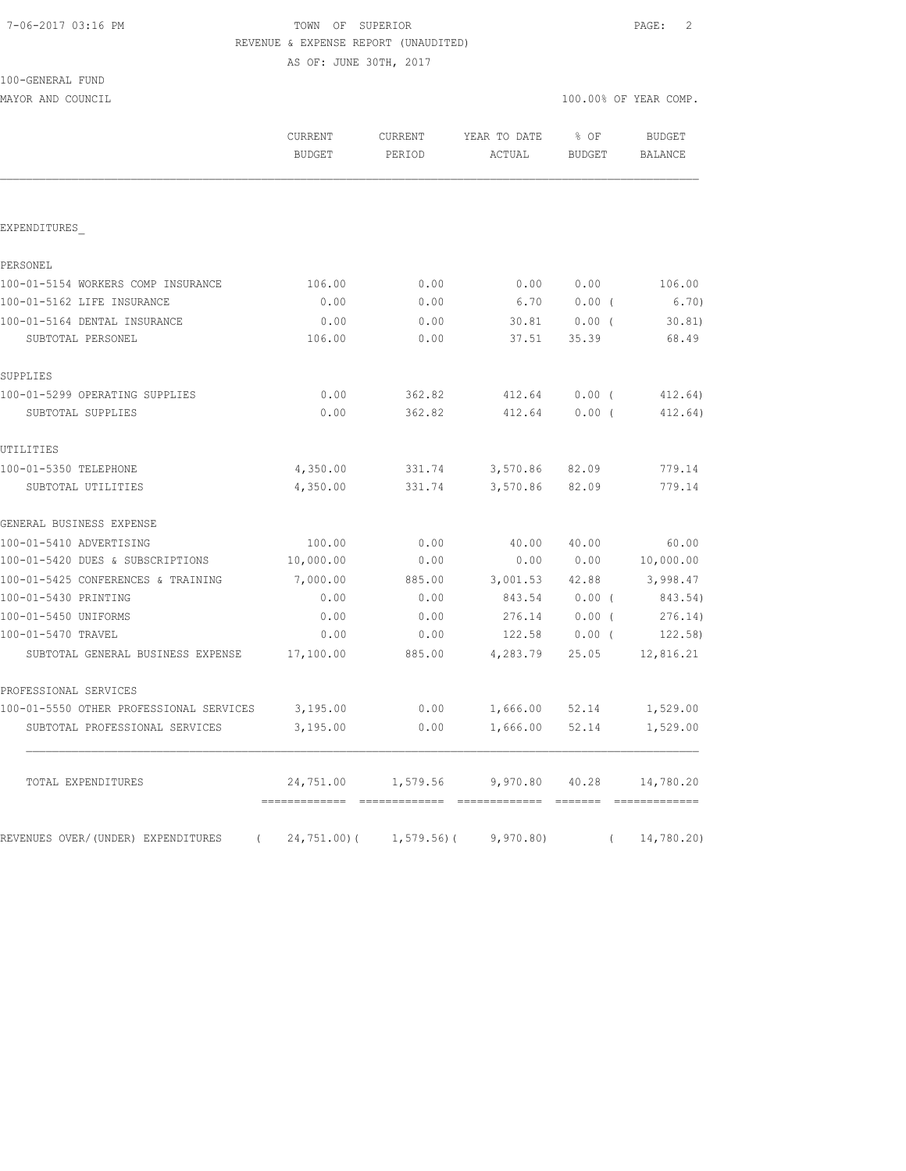#### TOWN OF SUPERIOR **PAGE:** 2 REVENUE & EXPENSE REPORT (UNAUDITED)

AS OF: JUNE 30TH, 2017

| 100-GENERAL FUND |  |
|------------------|--|
|                  |  |

MAYOR AND COUNCIL COUNCIL COUNCIL COMP.

|                                                  | CURRENT<br><b>BUDGET</b> | CURRENT<br>PERIOD            | YEAR TO DATE<br>ACTUAL | % OF<br>BUDGET | <b>BUDGET</b><br><b>BALANCE</b> |
|--------------------------------------------------|--------------------------|------------------------------|------------------------|----------------|---------------------------------|
|                                                  |                          |                              |                        |                |                                 |
| EXPENDITURES                                     |                          |                              |                        |                |                                 |
| PERSONEL                                         |                          |                              |                        |                |                                 |
| 100-01-5154 WORKERS COMP INSURANCE               | 106.00                   | 0.00                         | 0.00                   | 0.00           | 106.00                          |
| 100-01-5162 LIFE INSURANCE                       | 0.00                     | 0.00                         | 6.70                   | $0.00$ (       | 6.70)                           |
| 100-01-5164 DENTAL INSURANCE                     | 0.00                     | 0.00                         | 30.81                  | $0.00$ (       | 30.81)                          |
| SUBTOTAL PERSONEL                                | 106.00                   | 0.00                         | 37.51                  | 35.39          | 68.49                           |
| SUPPLIES                                         |                          |                              |                        |                |                                 |
| 100-01-5299 OPERATING SUPPLIES                   | 0.00                     | 362.82                       | 412.64                 | 0.00(          | 412.64)                         |
| SUBTOTAL SUPPLIES                                | 0.00                     | 362.82                       | 412.64                 | $0.00$ (       | 412.64)                         |
| UTILITIES                                        |                          |                              |                        |                |                                 |
| 100-01-5350 TELEPHONE                            | 4,350.00                 | 331.74                       | 3,570.86               | 82.09          | 779.14                          |
| SUBTOTAL UTILITIES                               | 4,350.00                 | 331.74                       | 3,570.86               | 82.09          | 779.14                          |
| GENERAL BUSINESS EXPENSE                         |                          |                              |                        |                |                                 |
| 100-01-5410 ADVERTISING                          | 100.00                   | 0.00                         | 40.00                  | 40.00          | 60.00                           |
| 100-01-5420 DUES & SUBSCRIPTIONS                 | 10,000.00                | 0.00                         | 0.00                   | 0.00           | 10,000.00                       |
| 100-01-5425 CONFERENCES & TRAINING               | 7,000.00                 | 885.00                       | 3,001.53               | 42.88          | 3,998.47                        |
| 100-01-5430 PRINTING                             | 0.00                     | 0.00                         | 843.54                 | $0.00$ (       | 843.54)                         |
| 100-01-5450 UNIFORMS                             | 0.00                     | 0.00                         | 276.14                 | $0.00$ (       | 276.14)                         |
| 100-01-5470 TRAVEL                               | 0.00                     | 0.00                         | 122.58                 | $0.00$ (       | 122.58                          |
| SUBTOTAL GENERAL BUSINESS EXPENSE                | 17,100.00                | 885.00                       | 4,283.79               | 25.05          | 12,816.21                       |
| PROFESSIONAL SERVICES                            |                          |                              |                        |                |                                 |
| 100-01-5550 OTHER PROFESSIONAL SERVICES          | 3,195.00                 | 0.00                         | 1,666.00 52.14         |                | 1,529.00                        |
| SUBTOTAL PROFESSIONAL SERVICES                   | 3,195.00                 | 0.00                         | 1,666.00               | 52.14          | 1,529.00                        |
| TOTAL EXPENDITURES                               | 24,751.00                | 1,579.56                     | 9,970.80               | 40.28          | 14,780.20                       |
| REVENUES OVER/(UNDER) EXPENDITURES<br>$\sqrt{2}$ |                          | $24, 751.00$ ( $1, 579.56$ ( | 9,970.80               | $\left($       | 14,780.20)                      |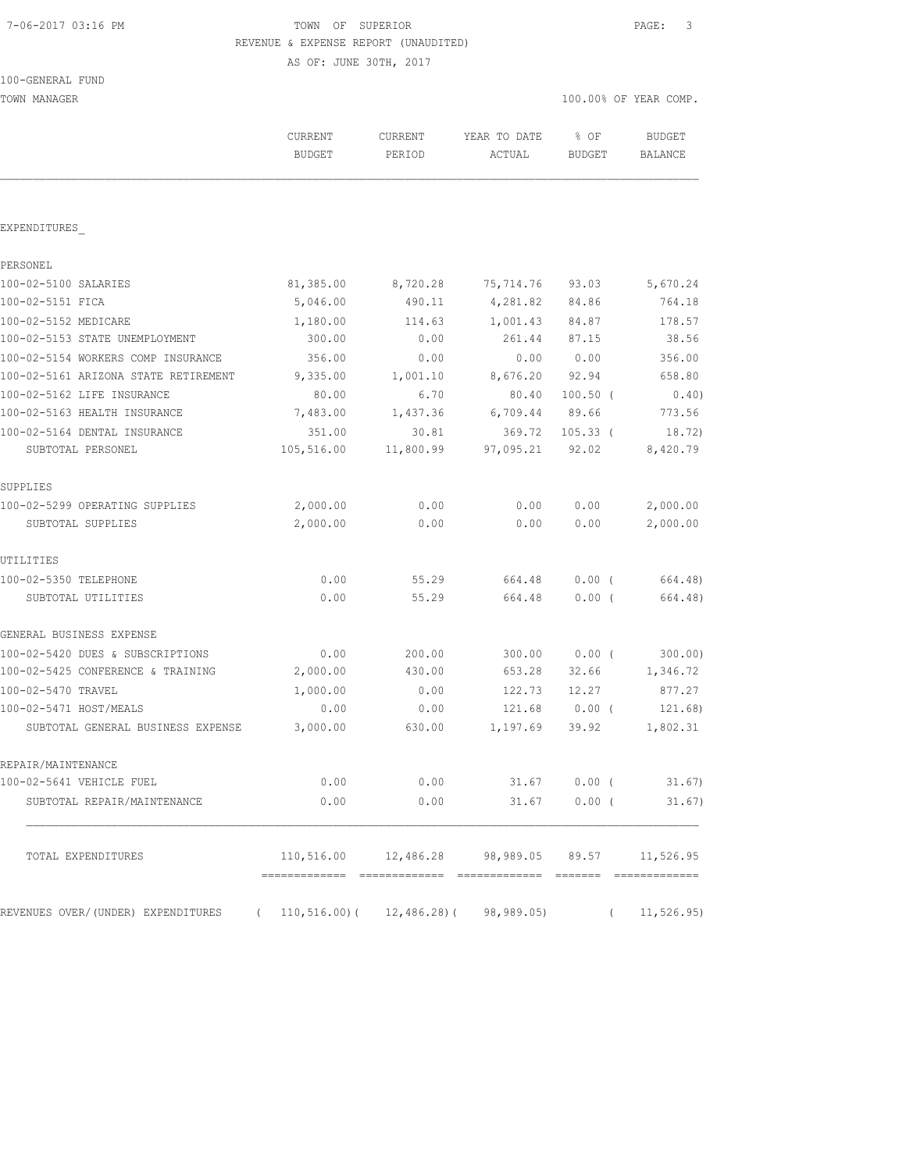#### 7-06-2017 03:16 PM TOWN OF SUPERIOR PAGE: 3 REVENUE & EXPENSE REPORT (UNAUDITED)

AS OF: JUNE 30TH, 2017

| 100-GENERAL FUND |  |
|------------------|--|
|------------------|--|

TOWN MANAGER 100.00% OF YEAR COMP.

|                                      | CURRENT<br><b>BUDGET</b>                                      | CURRENT<br>PERIOD | YEAR TO DATE<br>ACTUAL               | $8$ OF<br>BUDGET | <b>BUDGET</b><br>BALANCE |
|--------------------------------------|---------------------------------------------------------------|-------------------|--------------------------------------|------------------|--------------------------|
| EXPENDITURES                         |                                                               |                   |                                      |                  |                          |
| PERSONEL                             |                                                               |                   |                                      |                  |                          |
| 100-02-5100 SALARIES                 | 81,385.00                                                     | 8,720.28          | 75,714.76                            | 93.03            | 5,670.24                 |
| 100-02-5151 FICA                     | 5,046.00                                                      | 490.11            | 4,281.82                             | 84.86            | 764.18                   |
| 100-02-5152 MEDICARE                 | 1,180.00                                                      | 114.63            | 1,001.43                             | 84.87            | 178.57                   |
| 100-02-5153 STATE UNEMPLOYMENT       | 300.00                                                        | 0.00              | 261.44                               | 87.15            | 38.56                    |
| 100-02-5154 WORKERS COMP INSURANCE   | 356.00                                                        | 0.00              | 0.00                                 | 0.00             | 356.00                   |
| 100-02-5161 ARIZONA STATE RETIREMENT | 9,335.00                                                      | 1,001.10          | 8,676.20                             | 92.94            | 658.80                   |
| 100-02-5162 LIFE INSURANCE           | 80.00                                                         | 6.70              | 80.40                                | $100.50$ (       | 0.40)                    |
| 100-02-5163 HEALTH INSURANCE         | 7,483.00                                                      | 1,437.36          | 6,709.44                             | 89.66            | 773.56                   |
| 100-02-5164 DENTAL INSURANCE         | 351.00                                                        | 30.81             | 369.72                               | $105.33$ $($     | 18.72)                   |
| SUBTOTAL PERSONEL                    | 105,516.00                                                    | 11,800.99         | 97,095.21                            | 92.02            | 8,420.79                 |
| SUPPLIES                             |                                                               |                   |                                      |                  |                          |
| 100-02-5299 OPERATING SUPPLIES       | 2,000.00                                                      | 0.00              | 0.00                                 | 0.00             | 2,000.00                 |
| SUBTOTAL SUPPLIES                    | 2,000.00                                                      | 0.00              | 0.00                                 | 0.00             | 2,000.00                 |
| UTILITIES                            |                                                               |                   |                                      |                  |                          |
| 100-02-5350 TELEPHONE                | 0.00                                                          | 55.29             | 664.48                               | $0.00$ (         | 664.48)                  |
| SUBTOTAL UTILITIES                   | 0.00                                                          | 55.29             | 664.48                               | 0.00(            | 664.48)                  |
| GENERAL BUSINESS EXPENSE             |                                                               |                   |                                      |                  |                          |
| 100-02-5420 DUES & SUBSCRIPTIONS     | 0.00                                                          | 200.00            | 300.00                               | 0.00(            | 300.00)                  |
| 100-02-5425 CONFERENCE & TRAINING    | 2,000.00                                                      | 430.00            | 653.28                               | 32.66            | 1,346.72                 |
| 100-02-5470 TRAVEL                   | 1,000.00                                                      | 0.00              | 122.73                               | 12.27            | 877.27                   |
| 100-02-5471 HOST/MEALS               | 0.00                                                          | 0.00              | 121.68                               | $0.00$ (         | 121.68)                  |
| SUBTOTAL GENERAL BUSINESS EXPENSE    | 3,000.00                                                      | 630.00            | 1,197.69                             | 39.92            | 1,802.31                 |
| REPAIR/MAINTENANCE                   |                                                               |                   |                                      |                  |                          |
| 100-02-5641 VEHICLE FUEL             | 0.00                                                          | 0.00              | 31.67                                | $0.00$ (         | 31.67)                   |
| SUBTOTAL REPAIR/MAINTENANCE          | 0.00                                                          | 0.00              |                                      | $31.67$ 0.00 (   | 31.67)                   |
| TOTAL EXPENDITURES                   |                                                               |                   | 110,516.00 12,486.28 98,989.05 89.57 |                  | 11,526.95                |
| REVENUES OVER/(UNDER) EXPENDITURES   | $110, 516.00$ ( $12, 486.28$ ) ( $98, 989.05$ )<br>$\sqrt{2}$ |                   |                                      | $\left($         | 11, 526.95)              |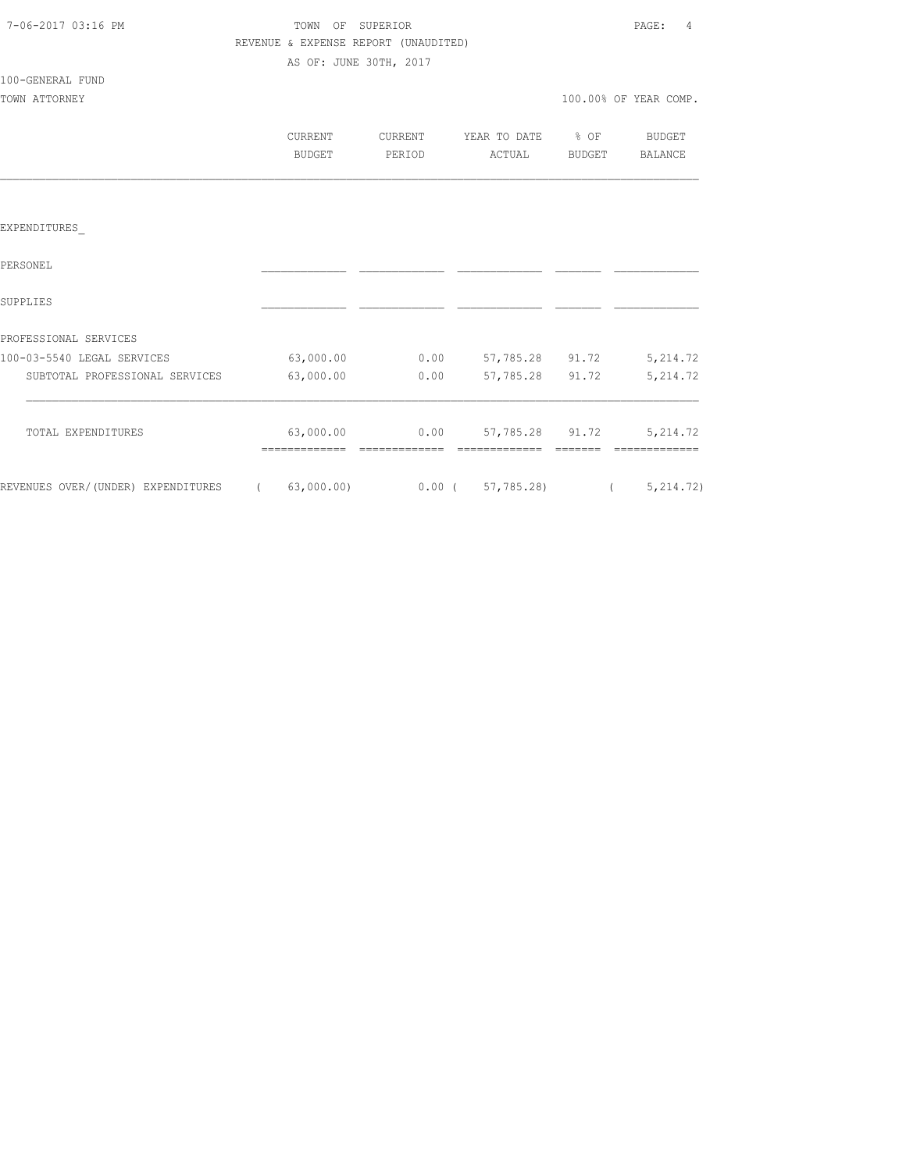| 7-06-2017 03:16 PM |  |
|--------------------|--|
|                    |  |

TOWN OF SUPERIOR **PAGE:** 4 REVENUE & EXPENSE REPORT (UNAUDITED) AS OF: JUNE 30TH, 2017

# 100-GENERAL FUND

| TOWN ATTORNEY |                   |                   |                             |        | 100.00% OF YEAR COMP. |
|---------------|-------------------|-------------------|-----------------------------|--------|-----------------------|
|               | CURRENT<br>BUDGET | CURRENT<br>PERIOD | YEAR TO DATE % OF<br>ACTUAL | BUDGET | BUDGET<br>BALANCE     |
|               |                   |                   |                             |        |                       |

#### EXPENDITURES\_

| PERSONEL                           |            |          |            |       |             |
|------------------------------------|------------|----------|------------|-------|-------------|
| SUPPLIES                           |            |          |            |       |             |
| PROFESSIONAL SERVICES              |            |          |            |       |             |
| 100-03-5540 LEGAL SERVICES         | 63,000.00  | 0.00     | 57,785.28  | 91.72 | 5, 214.72   |
| SUBTOTAL PROFESSIONAL SERVICES     | 63,000.00  | 0.00     | 57,785.28  | 91.72 | 5, 214.72   |
| TOTAL EXPENDITURES                 | 63,000.00  | 0.00     | 57,785.28  | 91.72 | 5, 214.72   |
| REVENUES OVER/(UNDER) EXPENDITURES | 63,000.00) | $0.00$ ( | 57,785.28) |       | 5, 214, 72) |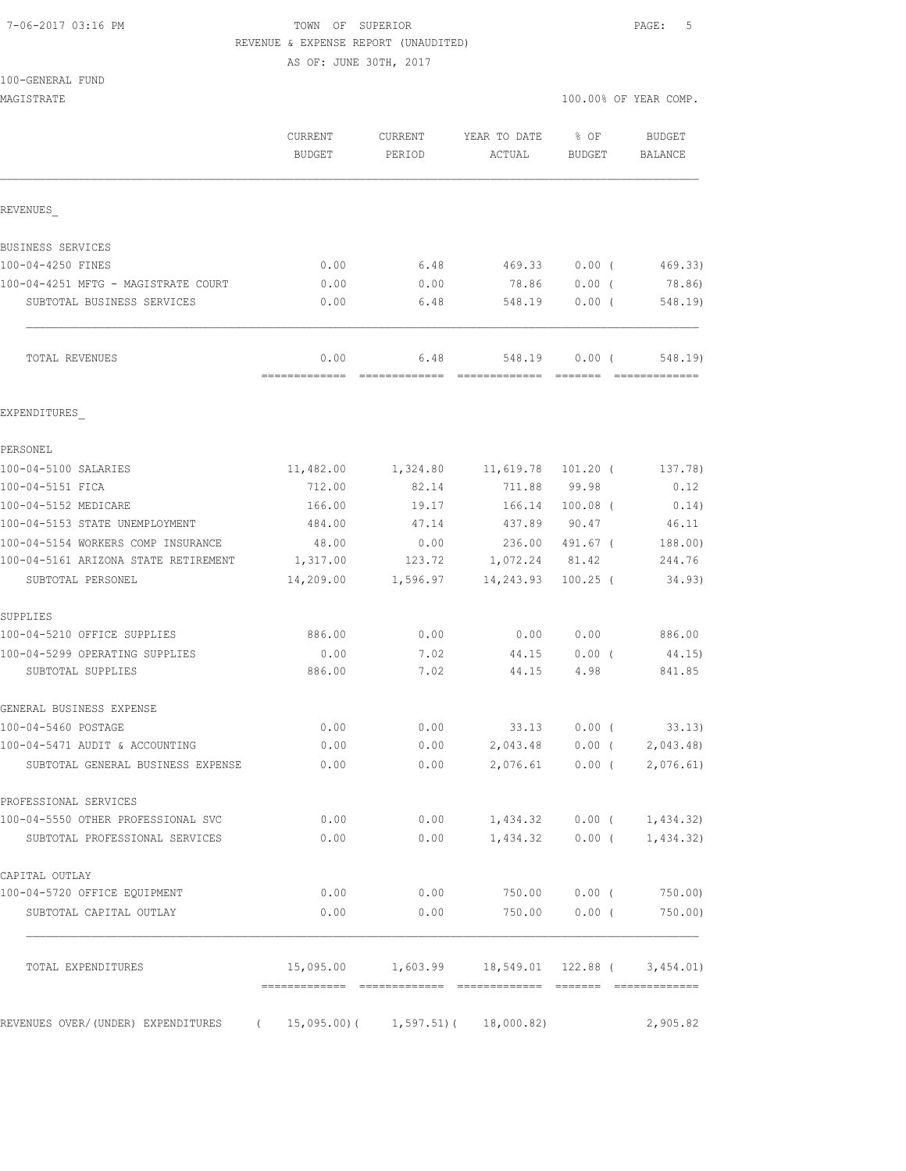#### 7-06-2017 03:16 PM TOWN OF SUPERIOR PAGE: 5 REVENUE & EXPENSE REPORT (UNAUDITED)

AS OF: JUNE 30TH, 2017

| 100-GENERAL FUND                     |                       |          |                                      |                    |                             |
|--------------------------------------|-----------------------|----------|--------------------------------------|--------------------|-----------------------------|
| MAGISTRATE                           |                       |          |                                      |                    | 100.00% OF YEAR COMP.       |
|                                      | CURRENT               | CURRENT  | YEAR TO DATE                         | $8$ OF             | BUDGET                      |
|                                      | <b>BUDGET</b>         | PERIOD   | ACTUAL                               | <b>BUDGET</b>      | <b>BALANCE</b>              |
|                                      |                       |          |                                      |                    |                             |
| REVENUES                             |                       |          |                                      |                    |                             |
| BUSINESS SERVICES                    |                       |          |                                      |                    |                             |
| 100-04-4250 FINES                    | 0.00                  | 6.48     | 469.33                               | 0.00(              | 469.33)                     |
| 100-04-4251 MFTG - MAGISTRATE COURT  | 0.00                  | 0.00     | 78.86                                | $0.00$ (           | 78.86)                      |
| SUBTOTAL BUSINESS SERVICES           | 0.00                  | 6.48     | 548.19                               | $0.00$ (           | 548.19)                     |
| TOTAL REVENUES                       | 0.00<br>============= | 6.48     | 548.19<br>=======================    | 0.00(              | 548.19)                     |
| EXPENDITURES                         |                       |          |                                      |                    |                             |
| PERSONEL                             |                       |          |                                      |                    |                             |
| 100-04-5100 SALARIES                 | 11,482.00             |          | 1,324.80    11,619.78    101.20    ( |                    | 137.78)                     |
| 100-04-5151 FICA                     | 712.00                | 82.14    | 711.88                               | 99.98              | 0.12                        |
| 100-04-5152 MEDICARE                 | 166.00                | 19.17    | 166.14                               | $100.08$ (         | 0.14)                       |
| 100-04-5153 STATE UNEMPLOYMENT       | 484.00                | 47.14    | 437.89                               | 90.47              | 46.11                       |
| 100-04-5154 WORKERS COMP INSURANCE   | 48.00                 | 0.00     |                                      | 236.00 491.67 (    | 188.00)                     |
| 100-04-5161 ARIZONA STATE RETIREMENT | 1,317.00              | 123.72   | 1,072.24 81.42                       |                    | 244.76                      |
| SUBTOTAL PERSONEL                    | 14,209.00             | 1,596.97 | 14,243.93                            | $100.25$ (         | 34.93)                      |
| SUPPLIES                             |                       |          |                                      |                    |                             |
| 100-04-5210 OFFICE SUPPLIES          | 886.00                | 0.00     | 0.00                                 | 0.00               | 886.00                      |
| 100-04-5299 OPERATING SUPPLIES       | 0.00                  | 7.02     | 44.15                                | $0.00$ (           | 44.15)                      |
| SUBTOTAL SUPPLIES                    | 886.00                | 7.02     | 44.15                                | 4.98               | 841.85                      |
| GENERAL BUSINESS EXPENSE             |                       |          |                                      |                    |                             |
| 100-04-5460 POSTAGE                  | 0.00                  | 0.00     | 33.13                                | $0.00$ (           | 33.13)                      |
| 100-04-5471 AUDIT & ACCOUNTING       | 0.00                  | 0.00     |                                      | 2,043.48 0.00 (    | 2,043.48)                   |
| SUBTOTAL GENERAL BUSINESS EXPENSE    | 0.00                  | 0.00     |                                      | $2,076.61$ 0.00 (  | 2,076.61)                   |
| PROFESSIONAL SERVICES                |                       |          |                                      |                    |                             |
| 100-04-5550 OTHER PROFESSIONAL SVC   | 0.00                  | 0.00     |                                      |                    | $1,434.32$ 0.00 ( 1,434.32) |
| SUBTOTAL PROFESSIONAL SERVICES       | 0.00                  | 0.00     | 1,434.32                             | $0.00$ (           | 1,434.32)                   |
| CAPITAL OUTLAY                       |                       |          |                                      |                    |                             |
| 100-04-5720 OFFICE EQUIPMENT         | 0.00                  | 0.00     | 750.00                               | $0.00$ (           | 750.00)                     |
| SUBTOTAL CAPITAL OUTLAY              | 0.00                  | 0.00     | 750.00                               | $0.00$ (           | 750.00)                     |
| TOTAL EXPENDITURES                   | 15,095.00             | 1,603.99 |                                      | 18,549.01 122.88 ( | 3,454.01)                   |

REVENUES OVER/(UNDER) EXPENDITURES ( 15,095.00)( 1,597.51)( 18,000.82) 2,905.82

============= ============= ============= ======= =============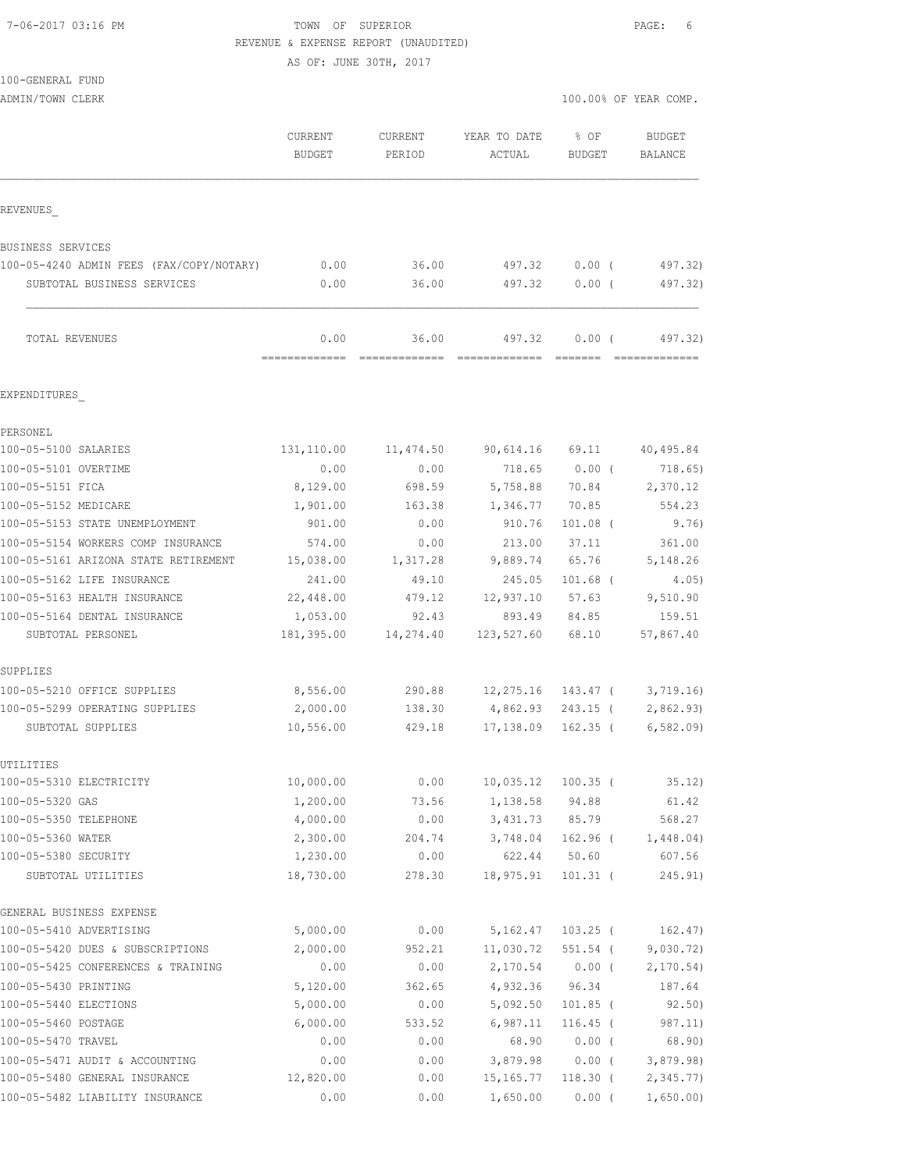#### 7-06-2017 03:16 PM TOWN OF SUPERIOR PAGE: 6 REVENUE & EXPENSE REPORT (UNAUDITED)

AS OF: JUNE 30TH, 2017

| 100-GENERAL FUND                                                       |                       |                                                                                                                                                                                                                                                                                                                                                                                                                                                                                                 |                        |                       |                         |
|------------------------------------------------------------------------|-----------------------|-------------------------------------------------------------------------------------------------------------------------------------------------------------------------------------------------------------------------------------------------------------------------------------------------------------------------------------------------------------------------------------------------------------------------------------------------------------------------------------------------|------------------------|-----------------------|-------------------------|
| ADMIN/TOWN CLERK                                                       |                       |                                                                                                                                                                                                                                                                                                                                                                                                                                                                                                 |                        |                       | 100.00% OF YEAR COMP.   |
|                                                                        | CURRENT<br>BUDGET     | CURRENT<br>PERIOD                                                                                                                                                                                                                                                                                                                                                                                                                                                                               | YEAR TO DATE<br>ACTUAL | % OF<br><b>BUDGET</b> | BUDGET<br>BALANCE       |
| REVENUES                                                               |                       |                                                                                                                                                                                                                                                                                                                                                                                                                                                                                                 |                        |                       |                         |
|                                                                        |                       |                                                                                                                                                                                                                                                                                                                                                                                                                                                                                                 |                        |                       |                         |
| BUSINESS SERVICES                                                      | 0.00                  | 36.00                                                                                                                                                                                                                                                                                                                                                                                                                                                                                           | 497.32                 | $0.00$ (              | 497.32)                 |
| 100-05-4240 ADMIN FEES (FAX/COPY/NOTARY)                               |                       |                                                                                                                                                                                                                                                                                                                                                                                                                                                                                                 |                        |                       |                         |
| SUBTOTAL BUSINESS SERVICES                                             | 0.00                  | 36.00                                                                                                                                                                                                                                                                                                                                                                                                                                                                                           | 497.32                 | $0.00$ (              | 497.32)                 |
| TOTAL REVENUES                                                         | 0.00<br>------------- | 36.00<br>$\begin{array}{cccccccccc} \multicolumn{2}{c}{} & \multicolumn{2}{c}{} & \multicolumn{2}{c}{} & \multicolumn{2}{c}{} & \multicolumn{2}{c}{} & \multicolumn{2}{c}{} & \multicolumn{2}{c}{} & \multicolumn{2}{c}{} & \multicolumn{2}{c}{} & \multicolumn{2}{c}{} & \multicolumn{2}{c}{} & \multicolumn{2}{c}{} & \multicolumn{2}{c}{} & \multicolumn{2}{c}{} & \multicolumn{2}{c}{} & \multicolumn{2}{c}{} & \multicolumn{2}{c}{} & \multicolumn{2}{c}{} & \multicolumn{2}{c}{} & \mult$ | 497.32                 | $0.00$ (              | 497.32)                 |
| EXPENDITURES                                                           |                       |                                                                                                                                                                                                                                                                                                                                                                                                                                                                                                 |                        |                       |                         |
| PERSONEL                                                               |                       |                                                                                                                                                                                                                                                                                                                                                                                                                                                                                                 |                        |                       |                         |
| 100-05-5100 SALARIES                                                   | 131,110.00            | 11,474.50                                                                                                                                                                                                                                                                                                                                                                                                                                                                                       | 90,614.16              | 69.11                 | 40,495.84               |
| 100-05-5101 OVERTIME                                                   | 0.00                  | 0.00                                                                                                                                                                                                                                                                                                                                                                                                                                                                                            | 718.65                 | $0.00$ (              | 718.65)                 |
| 100-05-5151 FICA                                                       | 8,129.00              | 698.59                                                                                                                                                                                                                                                                                                                                                                                                                                                                                          | 5,758.88               | 70.84                 | 2,370.12                |
| 100-05-5152 MEDICARE                                                   | 1,901.00              | 163.38                                                                                                                                                                                                                                                                                                                                                                                                                                                                                          | 1,346.77               | 70.85                 | 554.23                  |
| 100-05-5153 STATE UNEMPLOYMENT                                         | 901.00                | 0.00                                                                                                                                                                                                                                                                                                                                                                                                                                                                                            | 910.76                 | $101.08$ (            | 9.76)                   |
| 100-05-5154 WORKERS COMP INSURANCE                                     | 574.00                | 0.00                                                                                                                                                                                                                                                                                                                                                                                                                                                                                            | 213.00                 | 37.11                 | 361.00                  |
| 100-05-5161 ARIZONA STATE RETIREMENT                                   | 15,038.00             | 1,317.28                                                                                                                                                                                                                                                                                                                                                                                                                                                                                        | 9,889.74               | 65.76                 | 5,148.26                |
| 100-05-5162 LIFE INSURANCE                                             | 241.00                | 49.10                                                                                                                                                                                                                                                                                                                                                                                                                                                                                           | 245.05                 | $101.68$ (            | 4.05)                   |
| 100-05-5163 HEALTH INSURANCE                                           | 22,448.00             | 479.12                                                                                                                                                                                                                                                                                                                                                                                                                                                                                          | 12,937.10              | 57.63                 | 9,510.90                |
| 100-05-5164 DENTAL INSURANCE                                           | 1,053.00              | 92.43                                                                                                                                                                                                                                                                                                                                                                                                                                                                                           | 893.49                 | 84.85                 | 159.51                  |
| SUBTOTAL PERSONEL                                                      | 181,395.00            | 14,274.40                                                                                                                                                                                                                                                                                                                                                                                                                                                                                       | 123,527.60             | 68.10                 | 57,867.40               |
| SUPPLIES                                                               |                       |                                                                                                                                                                                                                                                                                                                                                                                                                                                                                                 |                        |                       |                         |
| 100-05-5210 OFFICE SUPPLIES                                            | 8,556.00              | 290.88                                                                                                                                                                                                                                                                                                                                                                                                                                                                                          | 12,275.16              | 143.47 (              | 3,719.16)               |
| 100-05-5299 OPERATING SUPPLIES                                         | 2,000.00              | 138.30                                                                                                                                                                                                                                                                                                                                                                                                                                                                                          | 4,862.93               | $243.15$ (            | 2,862.93                |
| SUBTOTAL SUPPLIES                                                      | 10,556.00             | 429.18                                                                                                                                                                                                                                                                                                                                                                                                                                                                                          | 17,138.09              | $162.35$ (            | 6, 582.09               |
| UTILITIES                                                              |                       |                                                                                                                                                                                                                                                                                                                                                                                                                                                                                                 |                        |                       |                         |
| 100-05-5310 ELECTRICITY                                                | 10,000.00             | 0.00                                                                                                                                                                                                                                                                                                                                                                                                                                                                                            | 10,035.12              | $100.35$ (            | 35.12)                  |
| 100-05-5320 GAS                                                        | 1,200.00              | 73.56                                                                                                                                                                                                                                                                                                                                                                                                                                                                                           | 1,138.58               | 94.88                 | 61.42                   |
| 100-05-5350 TELEPHONE                                                  | 4,000.00              | 0.00                                                                                                                                                                                                                                                                                                                                                                                                                                                                                            | 3,431.73               | 85.79                 | 568.27                  |
| 100-05-5360 WATER<br>100-05-5380 SECURITY                              | 2,300.00<br>1,230.00  | 204.74                                                                                                                                                                                                                                                                                                                                                                                                                                                                                          | 3,748.04<br>622.44     | $162.96$ (<br>50.60   | 1,448.04)               |
| SUBTOTAL UTILITIES                                                     | 18,730.00             | 0.00<br>278.30                                                                                                                                                                                                                                                                                                                                                                                                                                                                                  | 18,975.91              | $101.31$ (            | 607.56<br>245.91)       |
|                                                                        |                       |                                                                                                                                                                                                                                                                                                                                                                                                                                                                                                 |                        |                       |                         |
| GENERAL BUSINESS EXPENSE                                               |                       |                                                                                                                                                                                                                                                                                                                                                                                                                                                                                                 |                        |                       |                         |
| 100-05-5410 ADVERTISING                                                | 5,000.00              | 0.00                                                                                                                                                                                                                                                                                                                                                                                                                                                                                            | 5,162.47               | $103.25$ (            | 162.47)                 |
| 100-05-5420 DUES & SUBSCRIPTIONS<br>100-05-5425 CONFERENCES & TRAINING | 2,000.00<br>0.00      | 952.21<br>0.00                                                                                                                                                                                                                                                                                                                                                                                                                                                                                  | 11,030.72<br>2,170.54  | 551.54 (<br>$0.00$ (  | 9,030.72)<br>2, 170.54) |
| 100-05-5430 PRINTING                                                   | 5,120.00              | 362.65                                                                                                                                                                                                                                                                                                                                                                                                                                                                                          | 4,932.36               | 96.34                 | 187.64                  |
| 100-05-5440 ELECTIONS                                                  | 5,000.00              | 0.00                                                                                                                                                                                                                                                                                                                                                                                                                                                                                            | 5,092.50               | $101.85$ (            | 92.50)                  |
| 100-05-5460 POSTAGE                                                    | 6,000.00              | 533.52                                                                                                                                                                                                                                                                                                                                                                                                                                                                                          | 6,987.11               | $116.45$ (            | 987.11)                 |
| 100-05-5470 TRAVEL                                                     | 0.00                  | 0.00                                                                                                                                                                                                                                                                                                                                                                                                                                                                                            | 68.90                  | $0.00$ (              | 68.90)                  |

100-05-5471 AUDIT & ACCOUNTING 0.00 0.00 3,879.98 0.00 ( 3,879.98) 100-05-5480 GENERAL INSURANCE 12,820.00 0.00 15,165.77 118.30 ( 2,345.77) 100-05-5482 LIABILITY INSURANCE 0.00 0.00 1,650.00 0.00 ( 1,650.00)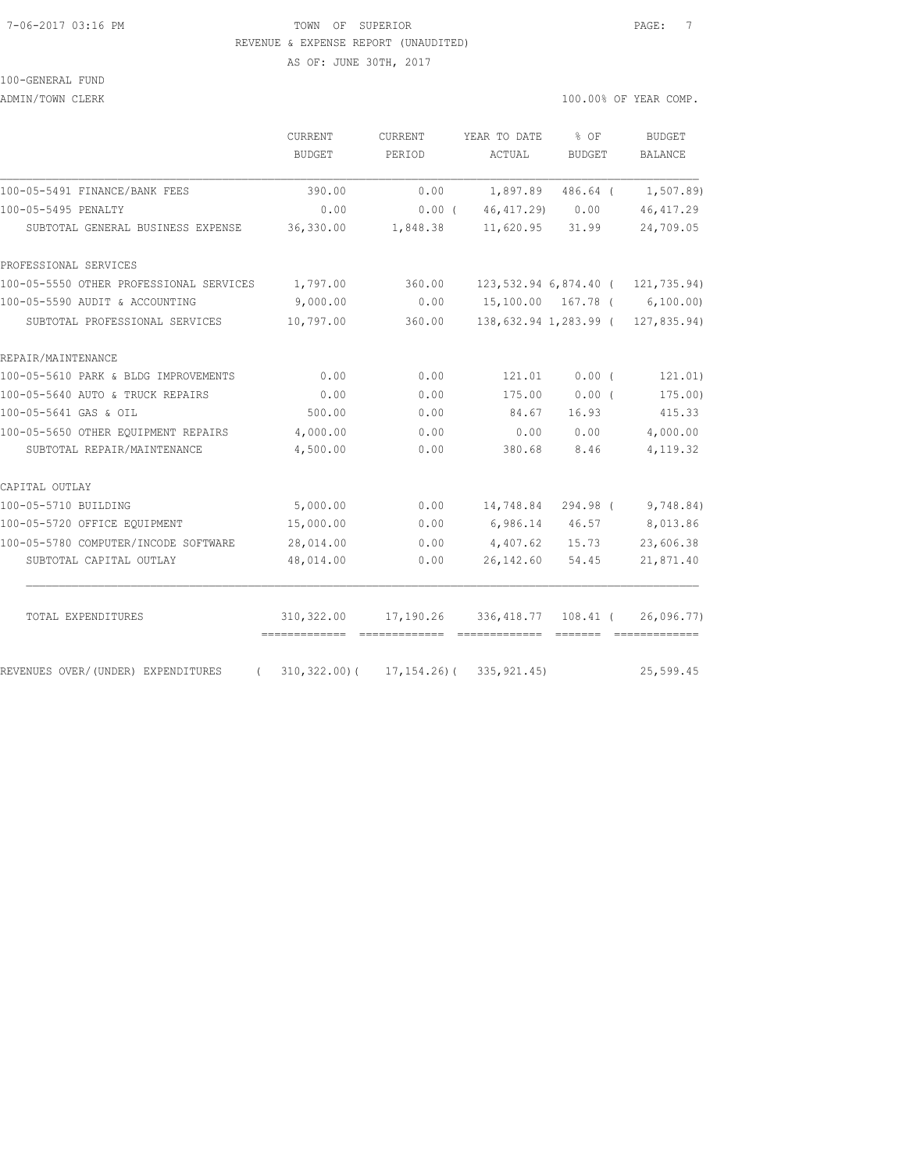#### 7-06-2017 03:16 PM TOWN OF SUPERIOR PAGE: 7 REVENUE & EXPENSE REPORT (UNAUDITED)

AS OF: JUNE 30TH, 2017

#### 100-GENERAL FUND

ADMIN/TOWN CLERK 100.00% OF YEAR COMP.

|                                                | <b>CURRENT</b><br>BUDGET | <b>CURRENT</b><br>PERIOD                       | YEAR TO DATE<br>ACTUAL | $8$ OF<br><b>BUDGET</b> | <b>BUDGET</b><br><b>BALANCE</b>      |
|------------------------------------------------|--------------------------|------------------------------------------------|------------------------|-------------------------|--------------------------------------|
| 100-05-5491 FINANCE/BANK FEES                  | 390.00                   | 0.00                                           | 1,897.89               | 486.64 (                | 1,507.89)                            |
| 100-05-5495 PENALTY                            | 0.00                     | $0.00$ (                                       | 46, 417, 29) 0.00      |                         | 46, 417.29                           |
| SUBTOTAL GENERAL BUSINESS EXPENSE              | 36,330.00                | 1,848.38                                       | $11,620.95$ $31.99$    |                         | 24,709.05                            |
| PROFESSIONAL SERVICES                          |                          |                                                |                        |                         |                                      |
| 100-05-5550 OTHER PROFESSIONAL SERVICES        | 1,797.00                 | 360.00                                         |                        |                         | 123, 532.94 6, 874.40 ( 121, 735.94) |
| 100-05-5590 AUDIT & ACCOUNTING                 | 9,000.00                 | 0.00                                           |                        |                         | 15,100.00 167.78 ( 6,100.00)         |
| SUBTOTAL PROFESSIONAL SERVICES                 | 10,797.00                | 360.00                                         |                        |                         | 138,632.94 1,283.99 ( 127,835.94)    |
| REPAIR/MAINTENANCE                             |                          |                                                |                        |                         |                                      |
| 100-05-5610 PARK & BLDG IMPROVEMENTS           | 0.00                     | 0.00                                           | 121.01                 | 0.00(                   | 121.01)                              |
| 100-05-5640 AUTO & TRUCK REPAIRS               | 0.00                     | 0.00                                           | 175.00                 | 0.00(                   | 175.00)                              |
| 100-05-5641 GAS & OIL                          | 500.00                   | 0.00                                           | 84.67                  | 16.93                   | 415.33                               |
| 100-05-5650 OTHER EQUIPMENT REPAIRS            | 4,000.00                 | 0.00                                           | 0.00                   | 0.00                    | 4,000.00                             |
| SUBTOTAL REPAIR/MAINTENANCE                    | 4,500.00                 | 0.00                                           | 380.68                 | 8.46                    | 4,119.32                             |
| CAPITAL OUTLAY                                 |                          |                                                |                        |                         |                                      |
| 100-05-5710 BUILDING                           | 5,000.00                 | 0.00                                           | 14,748.84              |                         | 294.98 ( 9,748.84)                   |
| 100-05-5720 OFFICE EQUIPMENT                   | 15,000.00                | 0.00                                           |                        | 6,986.14 46.57          | 8,013.86                             |
| 100-05-5780 COMPUTER/INCODE SOFTWARE           | 28,014.00                | 0.00                                           | 4,407.62               | 15.73                   | 23,606.38                            |
| SUBTOTAL CAPITAL OUTLAY                        | 48,014.00                | 0.00                                           | 26,142.60              | 54.45                   | 21,871.40                            |
| TOTAL EXPENDITURES                             | 310,322.00               | 17,190.26 336,418.77 108.41 (                  |                        |                         | 26,096.77                            |
| REVENUES OVER/(UNDER) EXPENDITURES<br>$\left($ |                          | $310, 322.00$ ( $17, 154.26$ ( $335, 921.45$ ) |                        |                         | 25,599.45                            |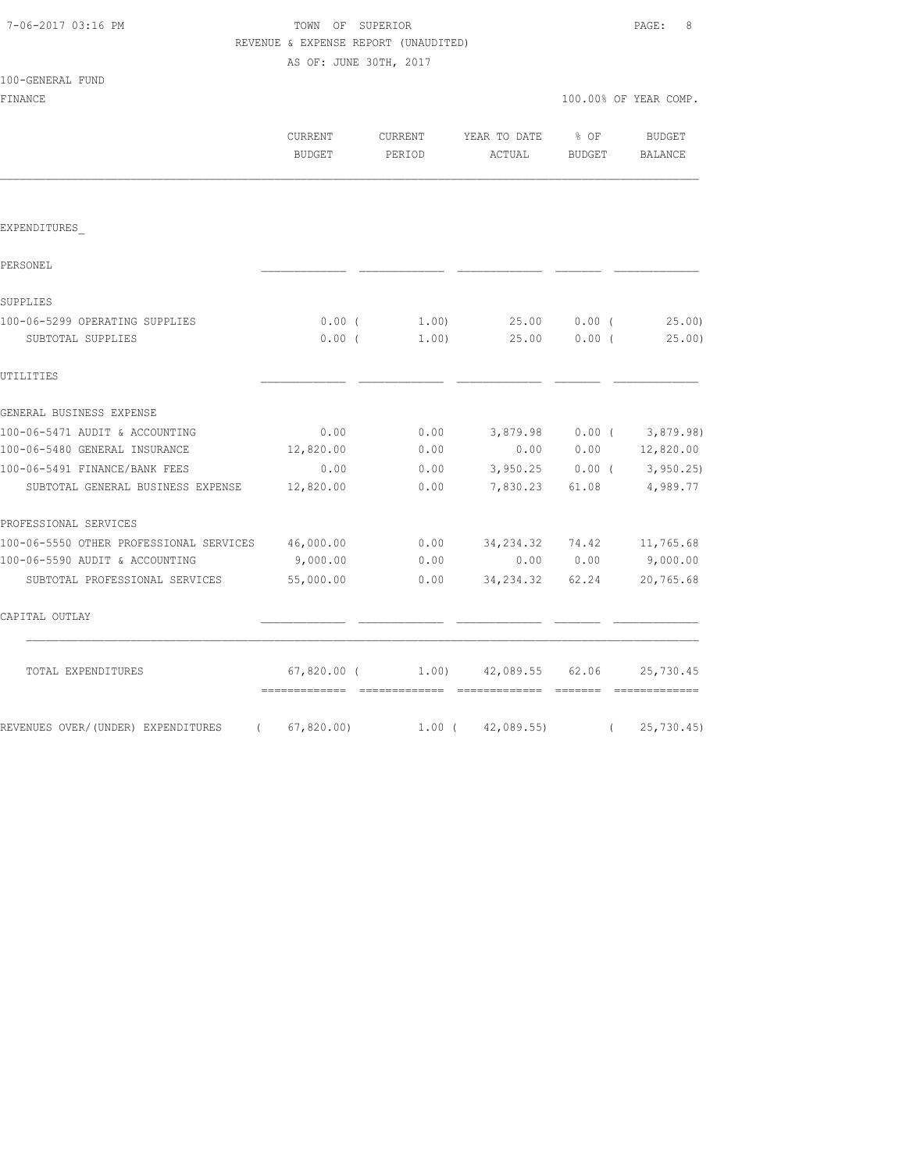| 7-06-2017 03:16 PM |  |
|--------------------|--|
|                    |  |

### TOWN OF SUPERIOR **PAGE:** 8 REVENUE & EXPENSE REPORT (UNAUDITED)

AS OF: JUNE 30TH, 2017

| 100-GENERAL FUND                               |                          |                   |                        |                                    |                             |
|------------------------------------------------|--------------------------|-------------------|------------------------|------------------------------------|-----------------------------|
| FINANCE                                        |                          |                   |                        |                                    | 100.00% OF YEAR COMP.       |
|                                                | CURRENT<br><b>BUDGET</b> | CURRENT<br>PERIOD | YEAR TO DATE<br>ACTUAL | $\frac{8}{10}$ OF<br><b>BUDGET</b> | BUDGET<br><b>BALANCE</b>    |
|                                                |                          |                   |                        |                                    |                             |
| EXPENDITURES                                   |                          |                   |                        |                                    |                             |
| PERSONEL                                       |                          |                   |                        |                                    |                             |
| SUPPLIES                                       |                          |                   |                        |                                    |                             |
| 100-06-5299 OPERATING SUPPLIES                 | $0.00$ (                 | 1.00)             | 25.00                  | $0.00$ (                           | 25.00                       |
| SUBTOTAL SUPPLIES                              | $0.00$ (                 | 1.00)             | 25.00                  | $0.00$ (                           | 25.00                       |
| UTILITIES                                      |                          |                   |                        |                                    |                             |
| GENERAL BUSINESS EXPENSE                       |                          |                   |                        |                                    |                             |
| 100-06-5471 AUDIT & ACCOUNTING                 | 0.00                     | 0.00              | 3,879.98               | $0.00$ (                           | 3,879.98)                   |
| 100-06-5480 GENERAL INSURANCE                  | 12,820.00                | 0.00              | 0.00                   |                                    | $0.00$ 12,820.00            |
| 100-06-5491 FINANCE/BANK FEES                  | 0.00                     | 0.00              |                        |                                    | $3,950.25$ 0.00 ( 3,950.25) |
| SUBTOTAL GENERAL BUSINESS EXPENSE              | 12,820.00                | 0.00              | 7,830.23               | 61.08                              | 4,989.77                    |
| PROFESSIONAL SERVICES                          |                          |                   |                        |                                    |                             |
| 100-06-5550 OTHER PROFESSIONAL SERVICES        | 46,000.00                | 0.00              |                        | 34, 234.32 74.42                   | 11,765.68                   |
| 100-06-5590 AUDIT & ACCOUNTING                 | 9,000.00                 | 0.00              | 0.00                   | 0.00                               | 9,000.00                    |
| SUBTOTAL PROFESSIONAL SERVICES                 | 55,000.00                | 0.00              | 34, 234.32             | 62.24                              | 20,765.68                   |
| CAPITAL OUTLAY                                 |                          |                   |                        |                                    |                             |
| TOTAL EXPENDITURES                             | $67,820.00$ (            |                   | 1.00) 42,089.55 62.06  |                                    | 25,730.45<br>=============  |
| REVENUES OVER/(UNDER) EXPENDITURES<br>$\left($ | 67,820.00)               | $1.00$ (          | 42,089.55              | $\left($                           | 25,730.45                   |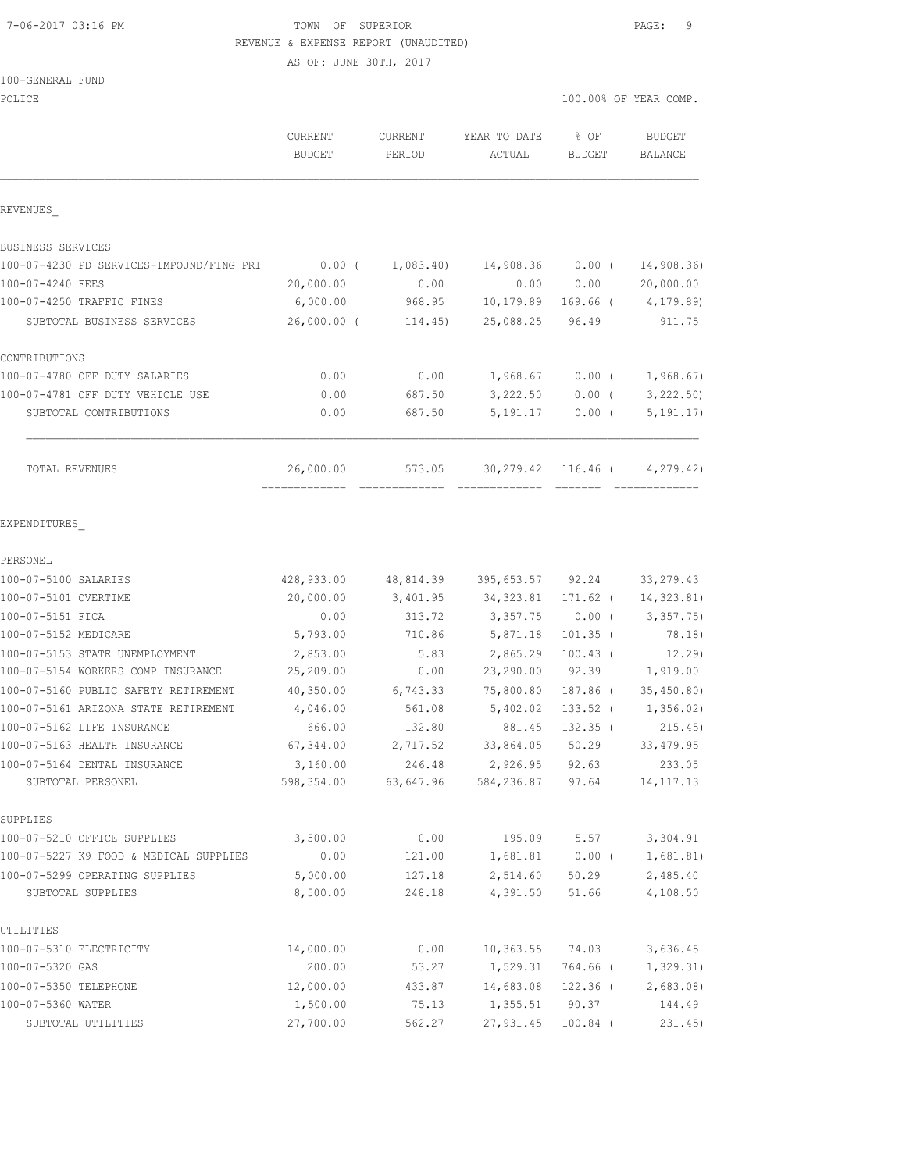#### 7-06-2017 03:16 PM TOWN OF SUPERIOR PAGE: 9 REVENUE & EXPENSE REPORT (UNAUDITED)

AS OF: JUNE 30TH, 2017

| 100-GENERAL FUND |  |
|------------------|--|
|------------------|--|

| POLICE                                   |                          |                   |                        |                       | 100.00% OF YEAR COMP.    |
|------------------------------------------|--------------------------|-------------------|------------------------|-----------------------|--------------------------|
|                                          | CURRENT<br><b>BUDGET</b> | CURRENT<br>PERIOD | YEAR TO DATE<br>ACTUAL | % OF<br><b>BUDGET</b> | <b>BUDGET</b><br>BALANCE |
| REVENUES                                 |                          |                   |                        |                       |                          |
| BUSINESS SERVICES                        |                          |                   |                        |                       |                          |
| 100-07-4230 PD SERVICES-IMPOUND/FING PRI | $0.00$ (                 | 1,083.40)         | 14,908.36              | $0.00$ (              | 14,908.36                |
| 100-07-4240 FEES                         | 20,000.00                | 0.00              | 0.00                   | 0.00                  | 20,000.00                |
| 100-07-4250 TRAFFIC FINES                | 6,000.00                 | 968.95            | 10,179.89              | $169.66$ (            | 4,179.89)                |
| SUBTOTAL BUSINESS SERVICES               | $26,000.00$ (            | 114.45)           | 25,088.25              | 96.49                 | 911.75                   |
| CONTRIBUTIONS                            |                          |                   |                        |                       |                          |
| 100-07-4780 OFF DUTY SALARIES            | 0.00                     | 0.00              | 1,968.67               | 0.00(                 | 1,968.67)                |
| 100-07-4781 OFF DUTY VEHICLE USE         | 0.00                     | 687.50            | 3,222.50               | $0.00$ (              | 3,222.50                 |
| SUBTOTAL CONTRIBUTIONS                   | 0.00                     | 687.50            | 5, 191. 17             | $0.00$ (              | 5, 191.17)               |
| TOTAL REVENUES                           | 26,000.00                | 573.05            | 30,279.42 116.46 (     |                       | 4,279.42)                |
| EXPENDITURES                             |                          |                   |                        |                       |                          |
| PERSONEL                                 |                          |                   |                        |                       |                          |
| 100-07-5100 SALARIES                     | 428,933.00               | 48,814.39         | 395,653.57 92.24       |                       | 33, 279.43               |
| 100-07-5101 OVERTIME                     | 20,000.00                | 3,401.95          | 34, 323.81             | 171.62 (              | 14,323.81)               |
| 100-07-5151 FICA                         | 0.00                     | 313.72            | 3,357.75               | $0.00$ (              | 3,357.75)                |
| 100-07-5152 MEDICARE                     | 5,793.00                 | 710.86            | 5,871.18               | $101.35$ (            | 78.18)                   |
| 100-07-5153 STATE UNEMPLOYMENT           | 2,853.00                 | 5.83              | 2,865.29               | $100.43$ (            | 12.29                    |
| 100-07-5154 WORKERS COMP INSURANCE       | 25,209.00                | 0.00              | 23,290.00              | 92.39                 | 1,919.00                 |
| 100-07-5160 PUBLIC SAFETY RETIREMENT     | 40,350.00                | 6,743.33          | 75,800.80              | 187.86 (              | 35,450.80)               |
| 100-07-5161 ARIZONA STATE RETIREMENT     | 4,046.00                 | 561.08            | 5,402.02               | $133.52$ (            | 1,356.02)                |
| 100-07-5162 LIFE INSURANCE               | 666.00                   | 132.80            | 881.45                 | $132.35$ (            | 215.45)                  |
| 100-07-5163 HEALTH INSURANCE             | 67,344.00                | 2,717.52          | 33,864.05              | 50.29                 | 33, 479.95               |
| 100-07-5164 DENTAL INSURANCE             | 3,160.00                 | 246.48            | 2,926.95               | 92.63                 | 233.05                   |
| SUBTOTAL PERSONEL                        | 598,354.00               | 63,647.96         | 584,236.87             | 97.64                 | 14, 117. 13              |
| SUPPLIES                                 |                          |                   |                        |                       |                          |
| 100-07-5210 OFFICE SUPPLIES              | 3,500.00                 | 0.00              | 195.09                 | 5.57                  | 3,304.91                 |
| 100-07-5227 K9 FOOD & MEDICAL SUPPLIES   | 0.00                     | 121.00            | 1,681.81               | $0.00$ (              | 1,681.81)                |
| 100-07-5299 OPERATING SUPPLIES           | 5,000.00                 | 127.18            | 2,514.60               | 50.29                 | 2,485.40                 |
| SUBTOTAL SUPPLIES                        | 8,500.00                 | 248.18            | 4,391.50               | 51.66                 | 4,108.50                 |
| UTILITIES                                |                          |                   |                        |                       |                          |
| 100-07-5310 ELECTRICITY                  | 14,000.00                | 0.00              | 10, 363.55             | 74.03                 | 3,636.45                 |
| 100-07-5320 GAS                          | 200.00                   | 53.27             | 1,529.31               | 764.66 (              | 1,329.31)                |
| 100-07-5350 TELEPHONE                    | 12,000.00                | 433.87            | 14,683.08              | $122.36$ (            | 2,683.08                 |
| 100-07-5360 WATER                        | 1,500.00                 | 75.13             | 1,355.51               | 90.37                 | 144.49                   |
| SUBTOTAL UTILITIES                       | 27,700.00                | 562.27            | 27,931.45              | $100.84$ (            | 231.45                   |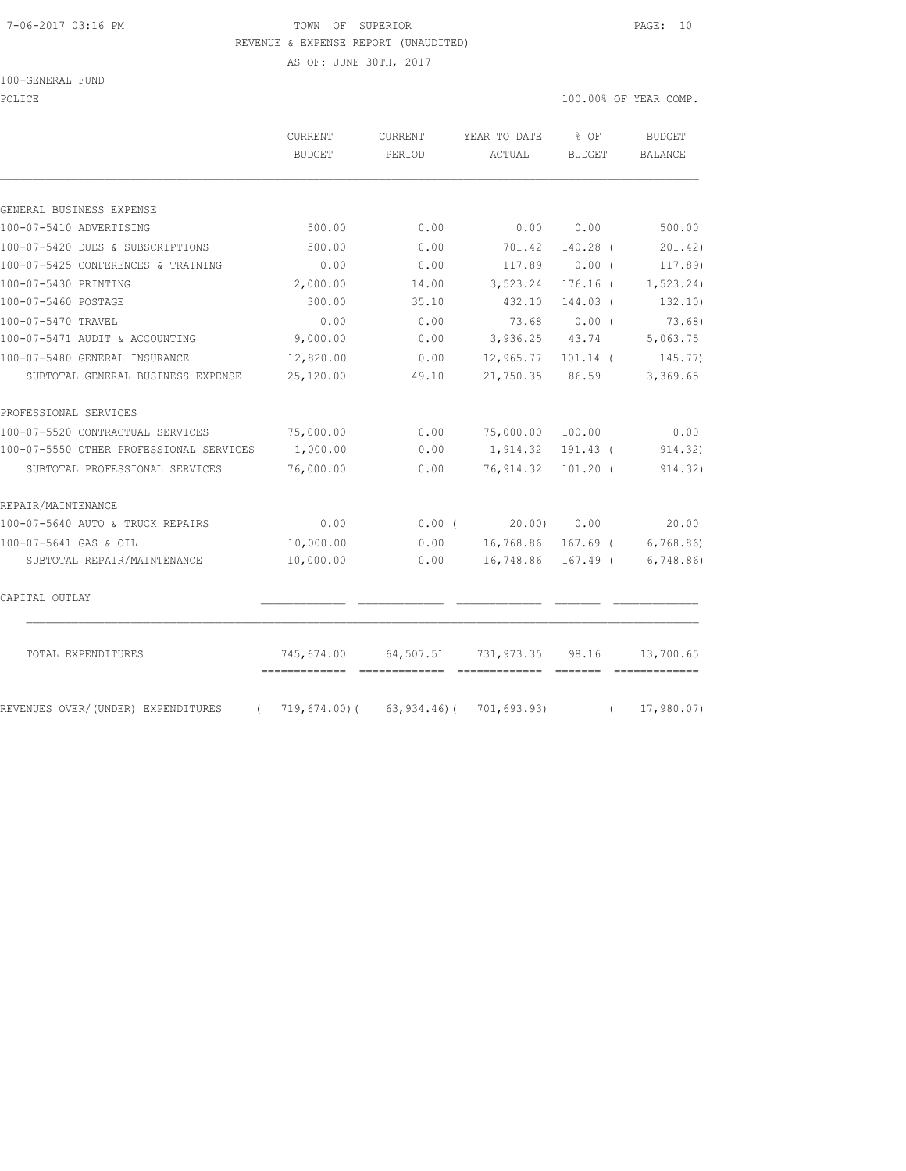#### 7-06-2017 03:16 PM TOWN OF SUPERIOR PAGE: 10 REVENUE & EXPENSE REPORT (UNAUDITED)

AS OF: JUNE 30TH, 2017

#### 100-GENERAL FUND

POLICE THE RIGHT OF POLICE THE RIGHT OF STREET ON THE SERVICE OF STREET ONLY A SERVICE OF STREET ONLY A SERVICE

|                                                   | CURRENT<br><b>BUDGET</b> | <b>CURRENT</b><br>PERIOD              | YEAR TO DATE<br>ACTUAL | $8$ OF<br><b>BUDGET</b> | <b>BUDGET</b><br>BALANCE                                                                                                                                                                                                                                                                                                                                                                                                                                                                            |
|---------------------------------------------------|--------------------------|---------------------------------------|------------------------|-------------------------|-----------------------------------------------------------------------------------------------------------------------------------------------------------------------------------------------------------------------------------------------------------------------------------------------------------------------------------------------------------------------------------------------------------------------------------------------------------------------------------------------------|
| GENERAL BUSINESS EXPENSE                          |                          |                                       |                        |                         |                                                                                                                                                                                                                                                                                                                                                                                                                                                                                                     |
| 100-07-5410 ADVERTISING                           | 500.00                   | 0.00                                  | 0.00                   | 0.00                    | 500.00                                                                                                                                                                                                                                                                                                                                                                                                                                                                                              |
| 100-07-5420 DUES & SUBSCRIPTIONS                  | 500.00                   | 0.00                                  | 701.42                 | 140.28 (                | 201.42)                                                                                                                                                                                                                                                                                                                                                                                                                                                                                             |
| 100-07-5425 CONFERENCES & TRAINING                | 0.00                     | 0.00                                  | 117.89                 | 0.00(                   | 117.89)                                                                                                                                                                                                                                                                                                                                                                                                                                                                                             |
| 100-07-5430 PRINTING                              | 2,000.00                 | 14.00                                 | 3,523.24               | $176.16$ (              | 1, 523.24)                                                                                                                                                                                                                                                                                                                                                                                                                                                                                          |
| 100-07-5460 POSTAGE                               | 300.00                   | 35.10                                 | 432.10                 | 144.03 (                | 132.10)                                                                                                                                                                                                                                                                                                                                                                                                                                                                                             |
| 100-07-5470 TRAVEL                                | 0.00                     | 0.00                                  | 73.68                  | 0.00(                   | 73.68)                                                                                                                                                                                                                                                                                                                                                                                                                                                                                              |
| 100-07-5471 AUDIT & ACCOUNTING                    | 9,000.00                 | 0.00                                  | 3,936.25 43.74         |                         | 5,063.75                                                                                                                                                                                                                                                                                                                                                                                                                                                                                            |
| 100-07-5480 GENERAL INSURANCE                     | 12,820.00                | 0.00                                  | 12,965.77 101.14 (     |                         | 145.77)                                                                                                                                                                                                                                                                                                                                                                                                                                                                                             |
| SUBTOTAL GENERAL BUSINESS EXPENSE                 | 25,120.00                | 49.10                                 | 21,750.35              | 86.59                   | 3,369.65                                                                                                                                                                                                                                                                                                                                                                                                                                                                                            |
| PROFESSIONAL SERVICES                             |                          |                                       |                        |                         |                                                                                                                                                                                                                                                                                                                                                                                                                                                                                                     |
| 100-07-5520 CONTRACTUAL SERVICES                  | 75,000.00                | 0.00                                  | 75,000.00              | 100.00                  | 0.00                                                                                                                                                                                                                                                                                                                                                                                                                                                                                                |
| 100-07-5550 OTHER PROFESSIONAL SERVICES           | 1,000.00                 | 0.00                                  | 1,914.32               | 191.43 (                | 914.32)                                                                                                                                                                                                                                                                                                                                                                                                                                                                                             |
| SUBTOTAL PROFESSIONAL SERVICES                    | 76,000.00                | 0.00                                  | 76,914.32              | $101.20$ (              | 914.32)                                                                                                                                                                                                                                                                                                                                                                                                                                                                                             |
| REPAIR/MAINTENANCE                                |                          |                                       |                        |                         |                                                                                                                                                                                                                                                                                                                                                                                                                                                                                                     |
| 100-07-5640 AUTO & TRUCK REPAIRS                  | 0.00                     | 0.00(                                 | 20.00)                 | 0.00                    | 20.00                                                                                                                                                                                                                                                                                                                                                                                                                                                                                               |
| 100-07-5641 GAS & OIL                             | 10,000.00                | 0.00                                  | 16,768.86 167.69 (     |                         | 6,768.86                                                                                                                                                                                                                                                                                                                                                                                                                                                                                            |
| SUBTOTAL REPAIR/MAINTENANCE                       | 10,000.00                | 0.00                                  | 16,748.86 167.49 (     |                         | 6,748.86                                                                                                                                                                                                                                                                                                                                                                                                                                                                                            |
| CAPITAL OUTLAY                                    |                          |                                       |                        |                         |                                                                                                                                                                                                                                                                                                                                                                                                                                                                                                     |
| TOTAL EXPENDITURES                                | 745,674.00               | 64,507.51                             | 731,973.35             | 98.16                   | 13,700.65<br>$\begin{array}{cccccccccc} \multicolumn{2}{c}{} & \multicolumn{2}{c}{} & \multicolumn{2}{c}{} & \multicolumn{2}{c}{} & \multicolumn{2}{c}{} & \multicolumn{2}{c}{} & \multicolumn{2}{c}{} & \multicolumn{2}{c}{} & \multicolumn{2}{c}{} & \multicolumn{2}{c}{} & \multicolumn{2}{c}{} & \multicolumn{2}{c}{} & \multicolumn{2}{c}{} & \multicolumn{2}{c}{} & \multicolumn{2}{c}{} & \multicolumn{2}{c}{} & \multicolumn{2}{c}{} & \multicolumn{2}{c}{} & \multicolumn{2}{c}{} & \mult$ |
| REVENUES OVER/ (UNDER) EXPENDITURES<br>$\sqrt{2}$ |                          | $719,674.00$ (63,934.46) (701,693.93) |                        |                         | 17,980.07)<br>$\sqrt{2}$                                                                                                                                                                                                                                                                                                                                                                                                                                                                            |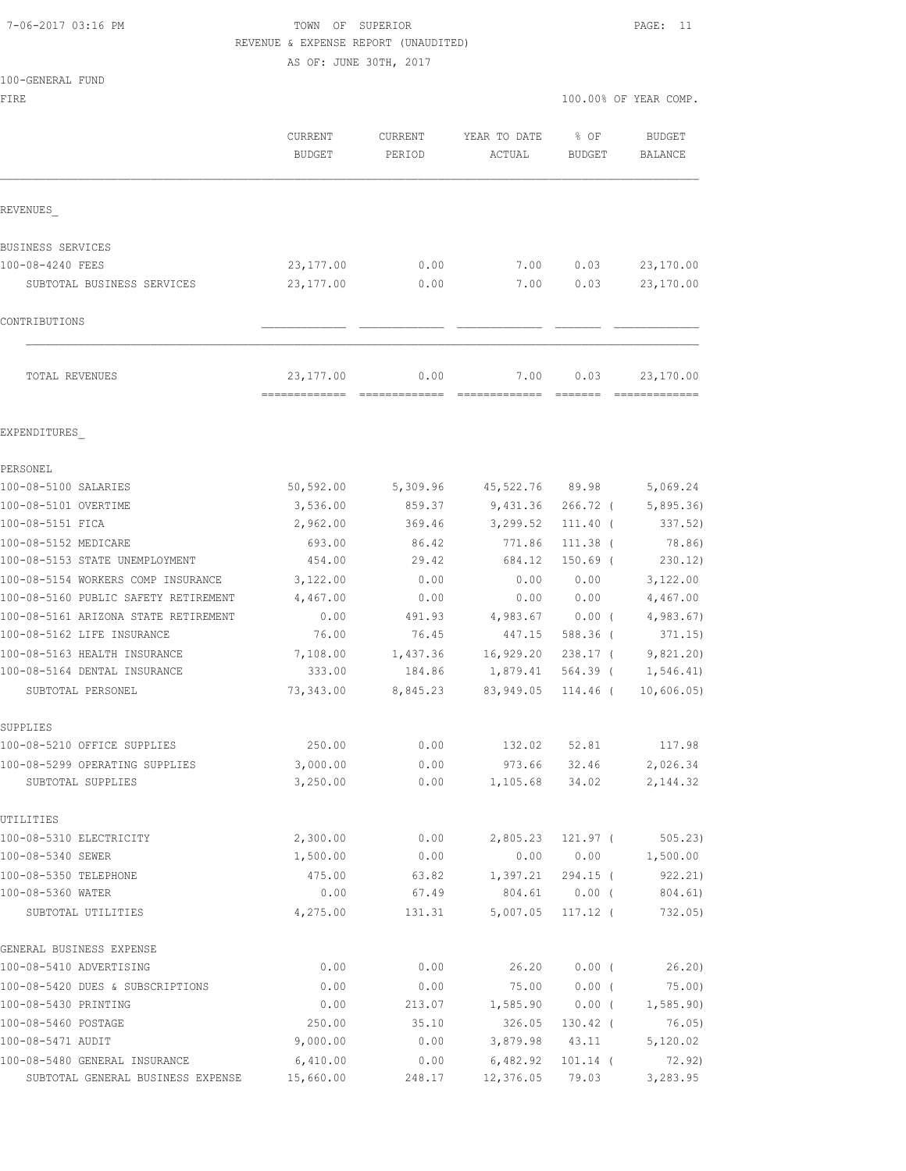#### 7-06-2017 03:16 PM TOWN OF SUPERIOR PAGE: 11 REVENUE & EXPENSE REPORT (UNAUDITED)

AS OF: JUNE 30TH, 2017

| 100-GENERAL FUND |  |
|------------------|--|
|                  |  |

|         |         |        |        | 100.00% OF YEAR COMP. |
|---------|---------|--------|--------|-----------------------|
| CURRENT | CURRENT |        |        | BUDGET                |
| BUDGET  | PERIOD  | ACTUAL | BUDGET | BALANCE               |
|         |         |        |        | YEAR TO DATE % OF     |

|  |  |  |  |  |  | 100.00% OF YEAR COMP |  |
|--|--|--|--|--|--|----------------------|--|
|--|--|--|--|--|--|----------------------|--|

|                                      | CURRENT<br><b>BUDGET</b>                   | <b>CURRENT</b><br>PERIOD | YEAR TO DATE<br>ACTUAL | % OF<br><b>BUDGET</b>                                               | <b>BUDGET</b><br>BALANCE |
|--------------------------------------|--------------------------------------------|--------------------------|------------------------|---------------------------------------------------------------------|--------------------------|
| REVENUES                             |                                            |                          |                        |                                                                     |                          |
| BUSINESS SERVICES                    |                                            |                          |                        |                                                                     |                          |
| 100-08-4240 FEES                     | 23, 177.00                                 | 0.00                     | 7.00                   | 0.03                                                                | 23,170.00                |
| SUBTOTAL BUSINESS SERVICES           | 23,177.00                                  | 0.00                     | 7.00                   | 0.03                                                                | 23,170.00                |
| CONTRIBUTIONS                        |                                            |                          |                        |                                                                     |                          |
| TOTAL REVENUES                       | 23, 177.00<br>-------------- ------------- | 0.00                     | 7.00<br>=============  | 0.03<br>$\begin{array}{cccccc} = & = & = & = & = & = & \end{array}$ | 23,170.00                |
| EXPENDITURES                         |                                            |                          |                        |                                                                     |                          |
| PERSONEL                             |                                            |                          |                        |                                                                     |                          |
| 100-08-5100 SALARIES                 | 50, 592.00                                 | 5,309.96                 | 45,522.76              | 89.98                                                               | 5,069.24                 |
| 100-08-5101 OVERTIME                 | 3,536.00                                   | 859.37                   | 9,431.36               | $266.72$ (                                                          | 5,895.36                 |
| 100-08-5151 FICA                     | 2,962.00                                   | 369.46                   | 3,299.52               | $111.40$ (                                                          | 337.52)                  |
| 100-08-5152 MEDICARE                 | 693.00                                     | 86.42                    | 771.86                 | $111.38$ (                                                          | 78.86)                   |
| 100-08-5153 STATE UNEMPLOYMENT       | 454.00                                     | 29.42                    | 684.12                 | $150.69$ (                                                          | 230.12)                  |
| 100-08-5154 WORKERS COMP INSURANCE   | 3,122.00                                   | 0.00                     | 0.00                   | 0.00                                                                | 3,122.00                 |
| 100-08-5160 PUBLIC SAFETY RETIREMENT | 4,467.00                                   | 0.00                     | 0.00                   | 0.00                                                                | 4,467.00                 |
| 100-08-5161 ARIZONA STATE RETIREMENT | 0.00                                       | 491.93                   | 4,983.67               | $0.00$ (                                                            | 4,983.67                 |
| 100-08-5162 LIFE INSURANCE           | 76.00                                      | 76.45                    | 447.15                 | 588.36 (                                                            | 371.15)                  |
| 100-08-5163 HEALTH INSURANCE         | 7,108.00                                   | 1,437.36                 | 16,929.20              | $238.17$ (                                                          | 9,821.20)                |
| 100-08-5164 DENTAL INSURANCE         | 333.00                                     | 184.86                   | 1,879.41               | 564.39 (                                                            | 1,546.41)                |
| SUBTOTAL PERSONEL                    | 73,343.00                                  | 8,845.23                 | 83,949.05              | 114.46 (                                                            | 10,606.05)               |
| SUPPLIES                             |                                            |                          |                        |                                                                     |                          |
| 100-08-5210 OFFICE SUPPLIES          | 250.00                                     | 0.00                     | 132.02                 | 52.81                                                               | 117.98                   |
| 100-08-5299 OPERATING SUPPLIES       | 3,000.00                                   | 0.00                     | 973.66                 | 32.46                                                               | 2,026.34                 |
| SUBTOTAL SUPPLIES                    | 3,250.00                                   | 0.00                     | 1,105.68               | 34.02                                                               | 2,144.32                 |
| UTILITIES                            |                                            |                          |                        |                                                                     |                          |
| 100-08-5310 ELECTRICITY              | 2,300.00                                   | 0.00                     | 2,805.23               | $121.97$ (                                                          | 505.23                   |
| 100-08-5340 SEWER                    | 1,500.00                                   | 0.00                     | 0.00                   | 0.00                                                                | 1,500.00                 |
| 100-08-5350 TELEPHONE                | 475.00                                     | 63.82                    | 1,397.21               | 294.15 (                                                            | 922.21)                  |
| 100-08-5360 WATER                    | 0.00                                       | 67.49                    | 804.61                 | $0.00$ (                                                            | 804.61)                  |
| SUBTOTAL UTILITIES                   | 4,275.00                                   | 131.31                   | 5,007.05               | $117.12$ (                                                          | 732.05)                  |
| GENERAL BUSINESS EXPENSE             |                                            |                          |                        |                                                                     |                          |
| 100-08-5410 ADVERTISING              | 0.00                                       | 0.00                     | 26.20                  | 0.00(                                                               | 26.20)                   |
| 100-08-5420 DUES & SUBSCRIPTIONS     | 0.00                                       | 0.00                     | 75.00                  | 0.00(                                                               | 75.00)                   |
| 100-08-5430 PRINTING                 | 0.00                                       | 213.07                   | 1,585.90               | $0.00$ (                                                            | 1, 585.90)               |
| 100-08-5460 POSTAGE                  | 250.00                                     | 35.10                    | 326.05                 | $130.42$ (                                                          | 76.05)                   |
| 100-08-5471 AUDIT                    | 9,000.00                                   | 0.00                     | 3,879.98               | 43.11                                                               | 5,120.02                 |
| 100-08-5480 GENERAL INSURANCE        | 6,410.00                                   | 0.00                     | 6,482.92               | $101.14$ (                                                          | 72.92)                   |

SUBTOTAL GENERAL BUSINESS EXPENSE 15,660.00 248.17 12,376.05 79.03 3,283.95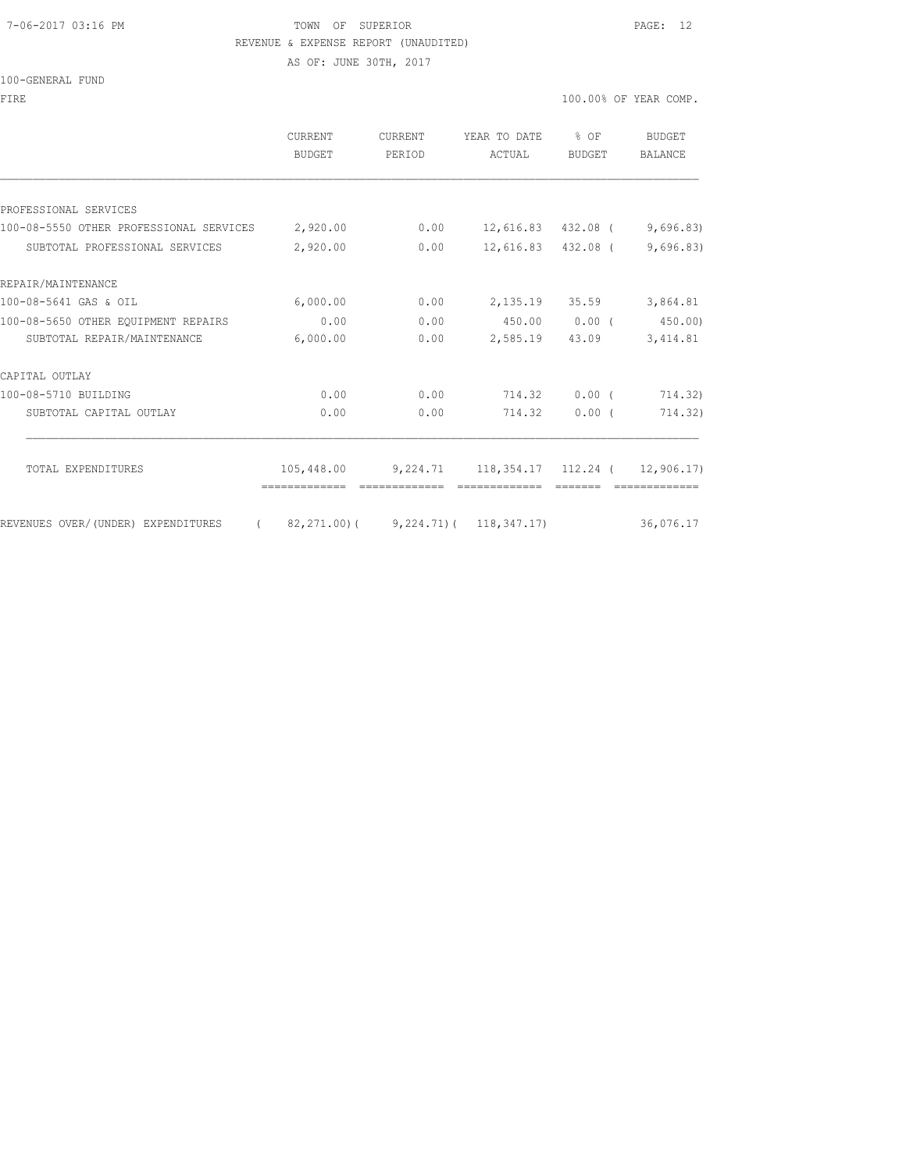## 7-06-2017 03:16 PM TOWN OF SUPERIOR PAGE: 12

REVENUE & EXPENSE REPORT (UNAUDITED)

AS OF: JUNE 30TH, 2017

|                                                  | CURRENT<br><b>BUDGET</b>                        | CURRENT<br>PERIOD | YEAR TO DATE<br>ACTUAL                             | % OF<br>BUDGET  | <b>BUDGET</b><br><b>BALANCE</b> |
|--------------------------------------------------|-------------------------------------------------|-------------------|----------------------------------------------------|-----------------|---------------------------------|
|                                                  |                                                 |                   |                                                    |                 |                                 |
| PROFESSIONAL SERVICES                            |                                                 |                   |                                                    |                 |                                 |
| 100-08-5550 OTHER PROFESSIONAL SERVICES 2,920.00 |                                                 | 0.00              | 12,616.83 432.08 (                                 |                 | 9,696.83                        |
| SUBTOTAL PROFESSIONAL SERVICES                   | 2,920.00                                        | 0.00              | 12,616.83 432.08 (                                 |                 | 9,696.83)                       |
| REPAIR/MAINTENANCE                               |                                                 |                   |                                                    |                 |                                 |
| 100-08-5641 GAS & OIL                            | 6,000.00                                        | 0.00              |                                                    | 2, 135.19 35.59 | 3,864.81                        |
| 100-08-5650 OTHER EQUIPMENT REPAIRS              | 0.00                                            | 0.00              | 450.00 0.00 (                                      |                 | 450.00                          |
| SUBTOTAL REPAIR/MAINTENANCE                      | 6,000.00                                        | 0.00              | 2,585.19                                           | 43.09           | 3, 414.81                       |
| CAPITAL OUTLAY                                   |                                                 |                   |                                                    |                 |                                 |
| 100-08-5710 BUILDING                             | 0.00                                            | 0.00              | 714.32 0.00 (                                      |                 | 714.32)                         |
| SUBTOTAL CAPITAL OUTLAY                          | 0.00                                            | 0.00              | 714.32                                             | 0.00(           | 714.32)                         |
| TOTAL EXPENDITURES                               |                                                 |                   | 105,448.00 9,224.71 118,354.17 112.24 ( 12,906.17) |                 |                                 |
| REVENUES OVER/(UNDER) EXPENDITURES               | $(82, 271, 00)$ $(9, 224, 71)$ $(118, 347, 17)$ |                   |                                                    |                 | 36,076.17                       |
|                                                  |                                                 |                   |                                                    |                 |                                 |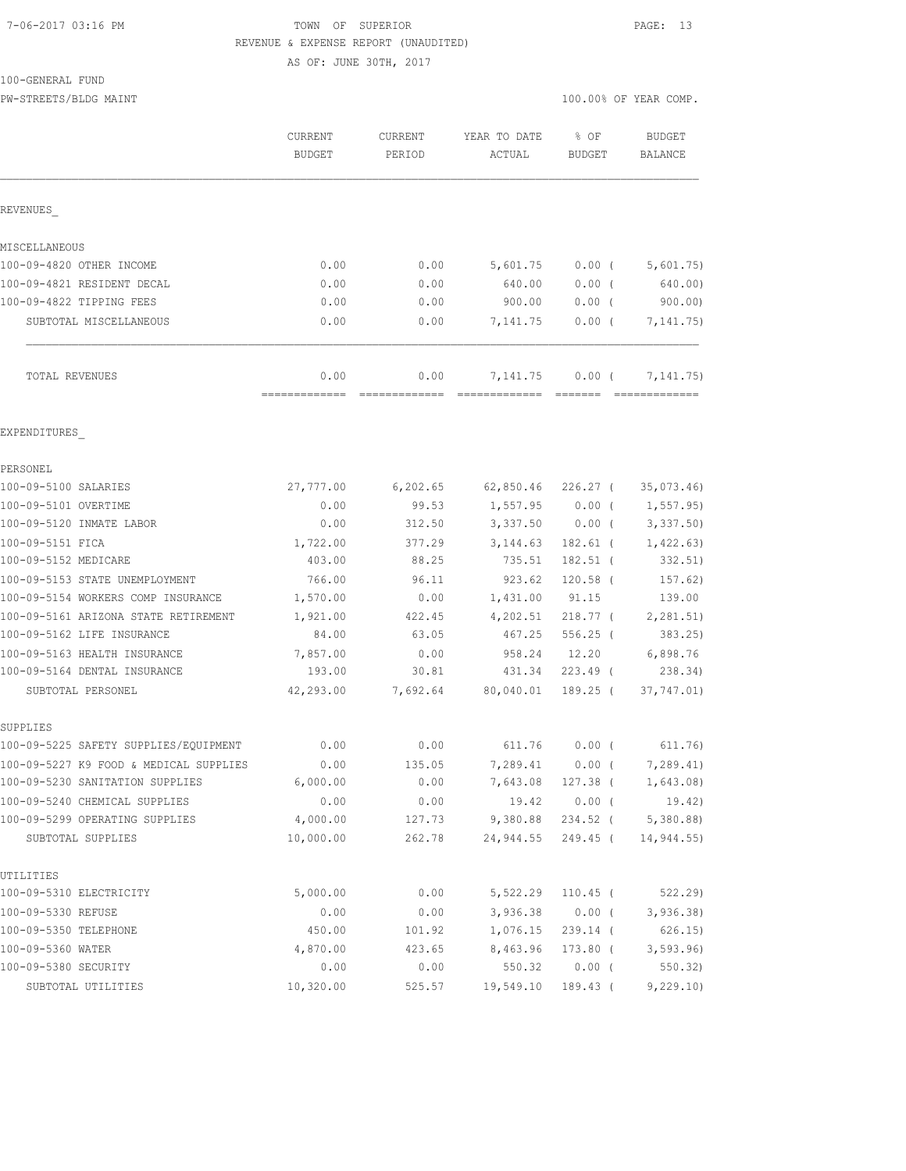#### 7-06-2017 03:16 PM TOWN OF SUPERIOR PAGE: 13 REVENUE & EXPENSE REPORT (UNAUDITED)

AS OF: JUNE 30TH, 2017

100-GENERAL FUND

PW-STREETS/BLDG MAINT 100.00% OF YEAR COMP.

|                                                                    | CURRENT<br><b>BUDGET</b> | CURRENT<br>PERIOD | YEAR TO DATE<br>ACTUAL | % OF<br><b>BUDGET</b>             | <b>BUDGET</b><br><b>BALANCE</b> |
|--------------------------------------------------------------------|--------------------------|-------------------|------------------------|-----------------------------------|---------------------------------|
| REVENUES                                                           |                          |                   |                        |                                   |                                 |
| MISCELLANEOUS                                                      |                          |                   |                        |                                   |                                 |
| 100-09-4820 OTHER INCOME                                           | 0.00                     | 0.00              | 5,601.75               | $0.00$ (                          | 5,601.75)                       |
| 100-09-4821 RESIDENT DECAL                                         | 0.00                     | 0.00              | 640.00                 | 0.00(                             | 640.00)                         |
| 100-09-4822 TIPPING FEES                                           | 0.00                     | 0.00              | 900.00                 | 0.00(                             | 900.00                          |
| SUBTOTAL MISCELLANEOUS                                             | 0.00                     | 0.00              | 7,141.75               | 0.00(                             | 7, 141.75)                      |
| TOTAL REVENUES                                                     | 0.00                     | 0.00              | 7,141.75               | 0.00(                             | 7, 141. 75)                     |
| EXPENDITURES                                                       |                          |                   |                        |                                   |                                 |
| PERSONEL                                                           |                          |                   |                        |                                   |                                 |
| 100-09-5100 SALARIES                                               | 27,777.00                | 6,202.65          | 62,850.46              | 226.27 (                          | 35,073.46                       |
| 100-09-5101 OVERTIME                                               | 0.00                     | 99.53             | 1,557.95               | $0.00$ (                          | 1, 557.95                       |
| 100-09-5120 INMATE LABOR                                           | 0.00                     | 312.50            | 3,337.50               | $0.00$ (                          | 3,337.50                        |
| 100-09-5151 FICA                                                   | 1,722.00                 | 377.29            | 3, 144.63              | $182.61$ (                        | 1,422.63)                       |
| 100-09-5152 MEDICARE                                               | 403.00                   | 88.25             | 735.51                 | $182.51$ (                        | 332.51)                         |
| 100-09-5153 STATE UNEMPLOYMENT                                     | 766.00                   | 96.11             | 923.62                 | $120.58$ (                        | 157.62)                         |
| 100-09-5154 WORKERS COMP INSURANCE                                 | 1,570.00                 | 0.00              | 1,431.00               | 91.15                             | 139.00                          |
| 100-09-5161 ARIZONA STATE RETIREMENT<br>100-09-5162 LIFE INSURANCE | 1,921.00<br>84.00        | 422.45<br>63.05   | 4,202.51<br>467.25     | 218.77 <sup>0</sup><br>$556.25$ ( | 2, 281.51)<br>383.25            |
| 100-09-5163 HEALTH INSURANCE                                       | 7,857.00                 | 0.00              | 958.24                 | 12.20                             | 6,898.76                        |
| 100-09-5164 DENTAL INSURANCE                                       | 193.00                   | 30.81             | 431.34                 | $223.49$ (                        | 238.34)                         |
| SUBTOTAL PERSONEL                                                  | 42,293.00                | 7,692.64          | 80,040.01              | $189.25$ (                        | 37,747.01)                      |
| SUPPLIES                                                           |                          |                   |                        |                                   |                                 |
| 100-09-5225 SAFETY SUPPLIES/EQUIPMENT                              | 0.00                     | 0.00              | 611.76                 | 0.00(                             | 611.76)                         |
| 100-09-5227 K9 FOOD & MEDICAL SUPPLIES                             | 0.00                     | 135.05            | 7,289.41               | $0.00$ (                          | 7,289.41)                       |
| 100-09-5230 SANITATION SUPPLIES                                    | 6,000.00                 | 0.00              |                        | 7,643.08 127.38 (                 | 1,643.08)                       |
| 100-09-5240 CHEMICAL SUPPLIES                                      | 0.00                     | 0.00              | 19.42                  | $0.00$ (                          | 19.42)                          |
| 100-09-5299 OPERATING SUPPLIES<br>SUBTOTAL SUPPLIES                | 4,000.00<br>10,000.00    | 127.73<br>262.78  | 9,380.88<br>24,944.55  | 234.52 (<br>249.45 (              | 5,380.88<br>14,944.55)          |
|                                                                    |                          |                   |                        |                                   |                                 |
| UTILITIES<br>100-09-5310 ELECTRICITY                               | 5,000.00                 | 0.00              | 5,522.29               | $110.45$ (                        | 522.29                          |
| 100-09-5330 REFUSE                                                 | 0.00                     | 0.00              | 3,936.38               | $0.00$ (                          | 3,936.38                        |
| 100-09-5350 TELEPHONE                                              | 450.00                   | 101.92            | 1,076.15               | 239.14 (                          | 626.15)                         |
| 100-09-5360 WATER                                                  | 4,870.00                 | 423.65            | 8,463.96               | $173.80$ (                        | 3, 593.96                       |
| 100-09-5380 SECURITY                                               | 0.00                     | 0.00              | 550.32                 | $0.00$ (                          | 550.32                          |
| SUBTOTAL UTILITIES                                                 | 10,320.00                | 525.57            | 19,549.10              | $189.43$ (                        | 9,229.10                        |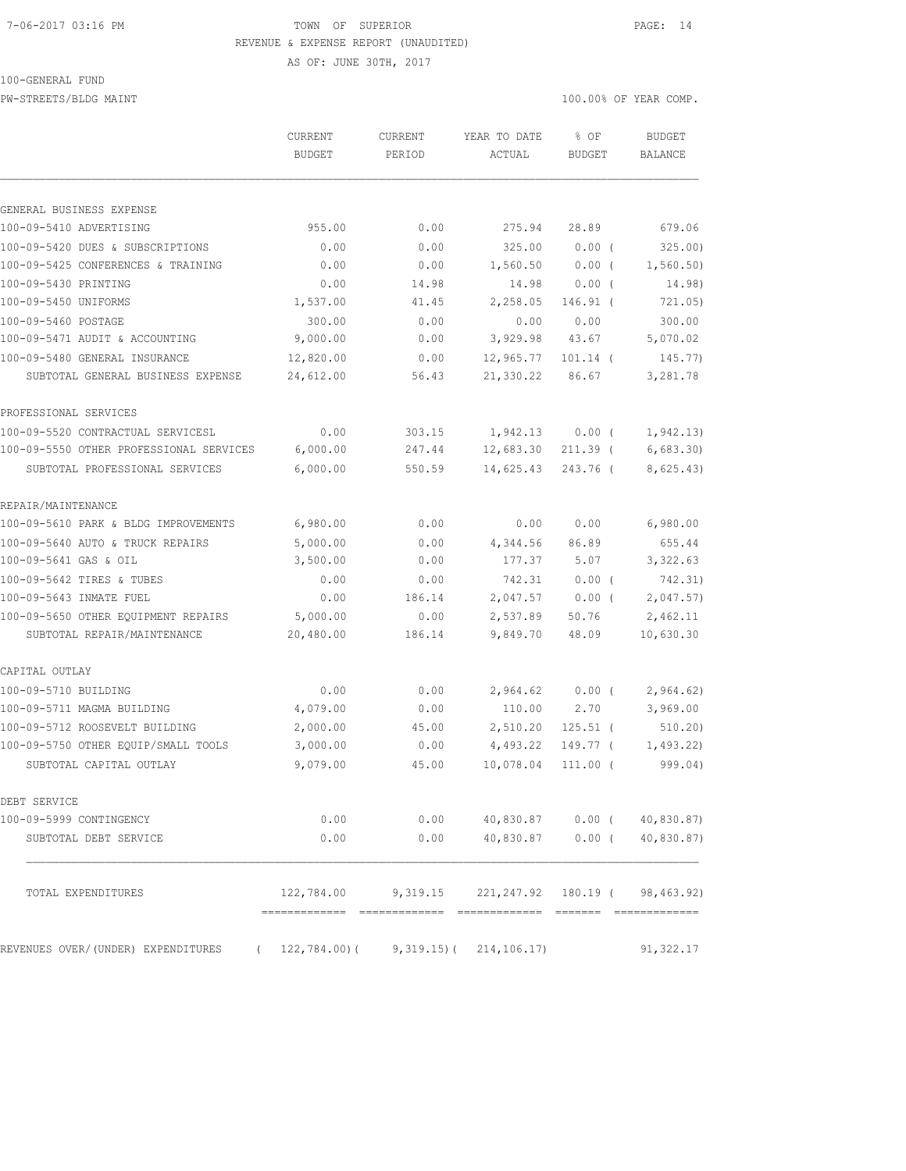#### 7-06-2017 03:16 PM TOWN OF SUPERIOR PAGE: 14 REVENUE & EXPENSE REPORT (UNAUDITED)

AS OF: JUNE 30TH, 2017

100-GENERAL FUND

PW-STREETS/BLDG MAINT 100.00% OF YEAR COMP.

|                                         | <b>CURRENT</b><br><b>BUDGET</b> | CURRENT<br>PERIOD | YEAR TO DATE<br>ACTUAL      | % OF<br><b>BUDGET</b> | <b>BUDGET</b><br><b>BALANCE</b> |
|-----------------------------------------|---------------------------------|-------------------|-----------------------------|-----------------------|---------------------------------|
|                                         |                                 |                   |                             |                       |                                 |
| GENERAL BUSINESS EXPENSE                |                                 |                   |                             |                       |                                 |
| 100-09-5410 ADVERTISING                 | 955.00                          | 0.00              | 275.94                      | 28.89                 | 679.06                          |
| 100-09-5420 DUES & SUBSCRIPTIONS        | 0.00                            | 0.00              | 325.00                      | $0.00$ (              | 325.00)                         |
| 100-09-5425 CONFERENCES & TRAINING      | 0.00                            | 0.00              | 1,560.50                    | $0.00$ (              | 1,560.50)                       |
| 100-09-5430 PRINTING                    | 0.00                            | 14.98             | 14.98                       | 0.00(                 | 14.98)                          |
| 100-09-5450 UNIFORMS                    | 1,537.00                        | 41.45             | 2,258.05                    | $146.91$ (            | 721.05)                         |
| 100-09-5460 POSTAGE                     | 300.00                          | 0.00              | 0.00                        | 0.00                  | 300.00                          |
| 100-09-5471 AUDIT & ACCOUNTING          | 9,000.00                        | 0.00              | 3,929.98                    | 43.67                 | 5,070.02                        |
| 100-09-5480 GENERAL INSURANCE           | 12,820.00                       | 0.00              | 12,965.77                   | $101.14$ (            | 145.77)                         |
| SUBTOTAL GENERAL BUSINESS EXPENSE       | 24,612.00                       | 56.43             | 21,330.22                   | 86.67                 | 3,281.78                        |
| PROFESSIONAL SERVICES                   |                                 |                   |                             |                       |                                 |
| 100-09-5520 CONTRACTUAL SERVICESL       | 0.00                            | 303.15            | 1,942.13                    | $0.00$ (              | 1, 942.13)                      |
| 100-09-5550 OTHER PROFESSIONAL SERVICES | 6,000.00                        | 247.44            | 12,683.30                   | $211.39$ (            | 6,683.30                        |
| SUBTOTAL PROFESSIONAL SERVICES          | 6,000.00                        | 550.59            | 14,625.43                   | 243.76 (              | 8,625.43)                       |
| REPAIR/MAINTENANCE                      |                                 |                   |                             |                       |                                 |
| 100-09-5610 PARK & BLDG IMPROVEMENTS    | 6,980.00                        | 0.00              | 0.00                        | 0.00                  | 6,980.00                        |
| 100-09-5640 AUTO & TRUCK REPAIRS        | 5,000.00                        | 0.00              | 4,344.56                    | 86.89                 | 655.44                          |
| 100-09-5641 GAS & OIL                   | 3,500.00                        | 0.00              | 177.37                      | 5.07                  | 3,322.63                        |
| 100-09-5642 TIRES & TUBES               | 0.00                            | 0.00              | 742.31                      | $0.00$ (              | 742.31)                         |
| 100-09-5643 INMATE FUEL                 | 0.00                            | 186.14            | 2,047.57                    | $0.00$ (              | 2,047.57)                       |
| 100-09-5650 OTHER EQUIPMENT REPAIRS     | 5,000.00                        | 0.00              | 2,537.89                    | 50.76                 | 2,462.11                        |
| SUBTOTAL REPAIR/MAINTENANCE             | 20,480.00                       | 186.14            | 9,849.70                    | 48.09                 | 10,630.30                       |
| CAPITAL OUTLAY                          |                                 |                   |                             |                       |                                 |
| 100-09-5710 BUILDING                    | 0.00                            | 0.00              | 2,964.62                    | 0.00(                 | 2,964.62)                       |
| 100-09-5711 MAGMA BUILDING              | 4,079.00                        | 0.00              | 110.00                      | 2.70                  | 3,969.00                        |
| 100-09-5712 ROOSEVELT BUILDING          | 2,000.00                        | 45.00             | 2,510.20                    | $125.51$ (            | 510.20)                         |
| 100-09-5750 OTHER EQUIP/SMALL TOOLS     | 3,000.00                        | 0.00              | 4,493.22                    | 149.77 (              | 1,493.22                        |
| SUBTOTAL CAPITAL OUTLAY                 | 9,079.00                        | 45.00             | 10,078.04                   | $111.00$ (            | 999.04)                         |
| DEBT SERVICE                            |                                 |                   |                             |                       |                                 |
| 100-09-5999 CONTINGENCY                 | 0.00                            | 0.00              | 40,830.87                   | $0.00$ (              | 40,830.87)                      |
| SUBTOTAL DEBT SERVICE                   | 0.00                            | 0.00              | 40,830.87                   | $0.00$ (              | 40,830.87)                      |
| TOTAL EXPENDITURES                      | 122,784.00                      | 9,319.15          | 221, 247.92                 | 180.19 (              | 98,463.92)                      |
| REVENUES OVER/(UNDER) EXPENDITURES      | 122,784.00)(                    |                   | $9,319.15$ ( $214,106.17$ ) |                       | 91,322.17                       |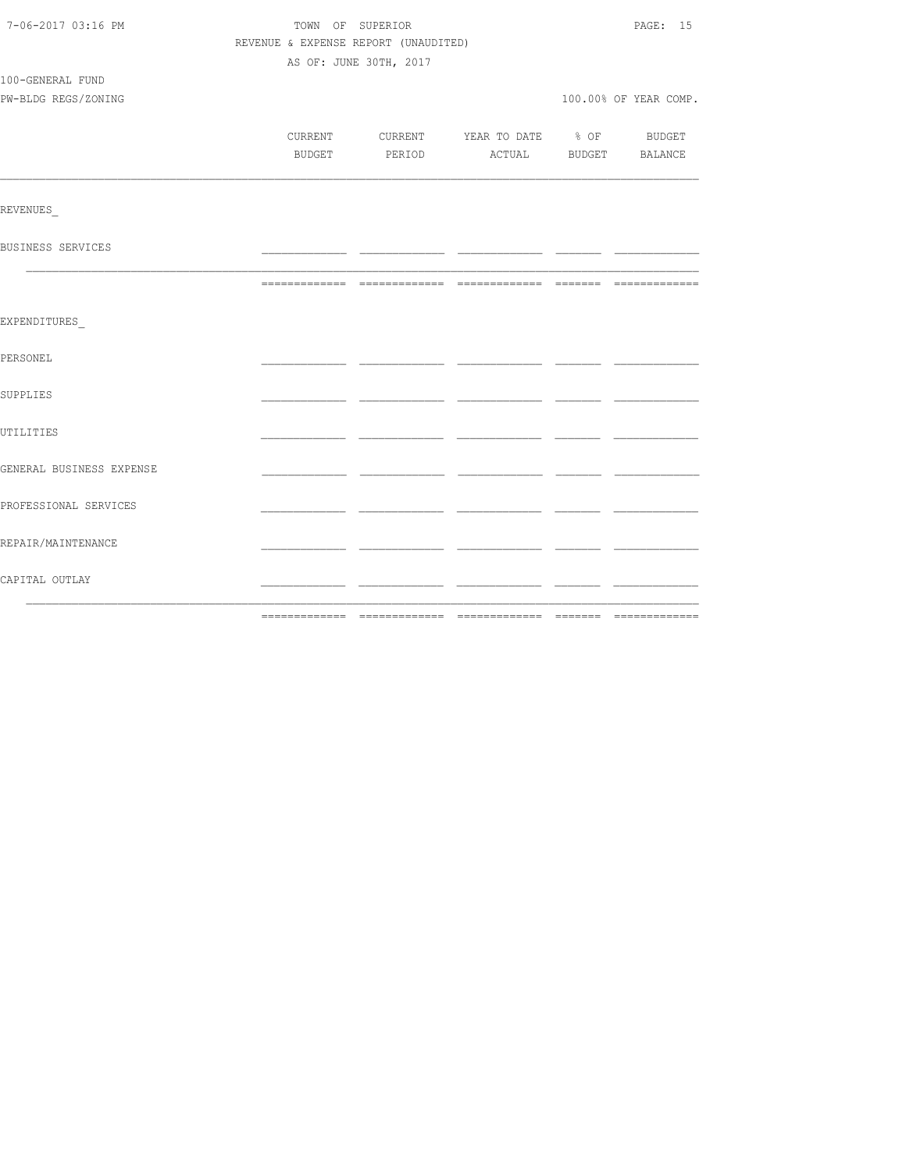| 7-06-2017 03:16 PM       | TOWN OF SUPERIOR                         |  | PAGE: 15              |
|--------------------------|------------------------------------------|--|-----------------------|
|                          | REVENUE & EXPENSE REPORT (UNAUDITED)     |  |                       |
|                          | AS OF: JUNE 30TH, 2017                   |  |                       |
| 100-GENERAL FUND         |                                          |  |                       |
| PW-BLDG REGS/ZONING      |                                          |  | 100.00% OF YEAR COMP. |
|                          |                                          |  |                       |
|                          | CURRENT CURRENT YEAR TO DATE % OF BUDGET |  |                       |
|                          | BUDGET PERIOD ACTUAL BUDGET BALANCE      |  |                       |
|                          |                                          |  |                       |
| REVENUES                 |                                          |  |                       |
| BUSINESS SERVICES        |                                          |  |                       |
|                          |                                          |  |                       |
| EXPENDITURES             |                                          |  |                       |
|                          |                                          |  |                       |
| PERSONEL                 |                                          |  |                       |
| SUPPLIES                 |                                          |  |                       |
|                          |                                          |  |                       |
| UTILITIES                |                                          |  |                       |
| GENERAL BUSINESS EXPENSE |                                          |  |                       |
| PROFESSIONAL SERVICES    |                                          |  |                       |
|                          |                                          |  |                       |
| REPAIR/MAINTENANCE       |                                          |  |                       |
| CAPITAL OUTLAY           |                                          |  |                       |
|                          |                                          |  |                       |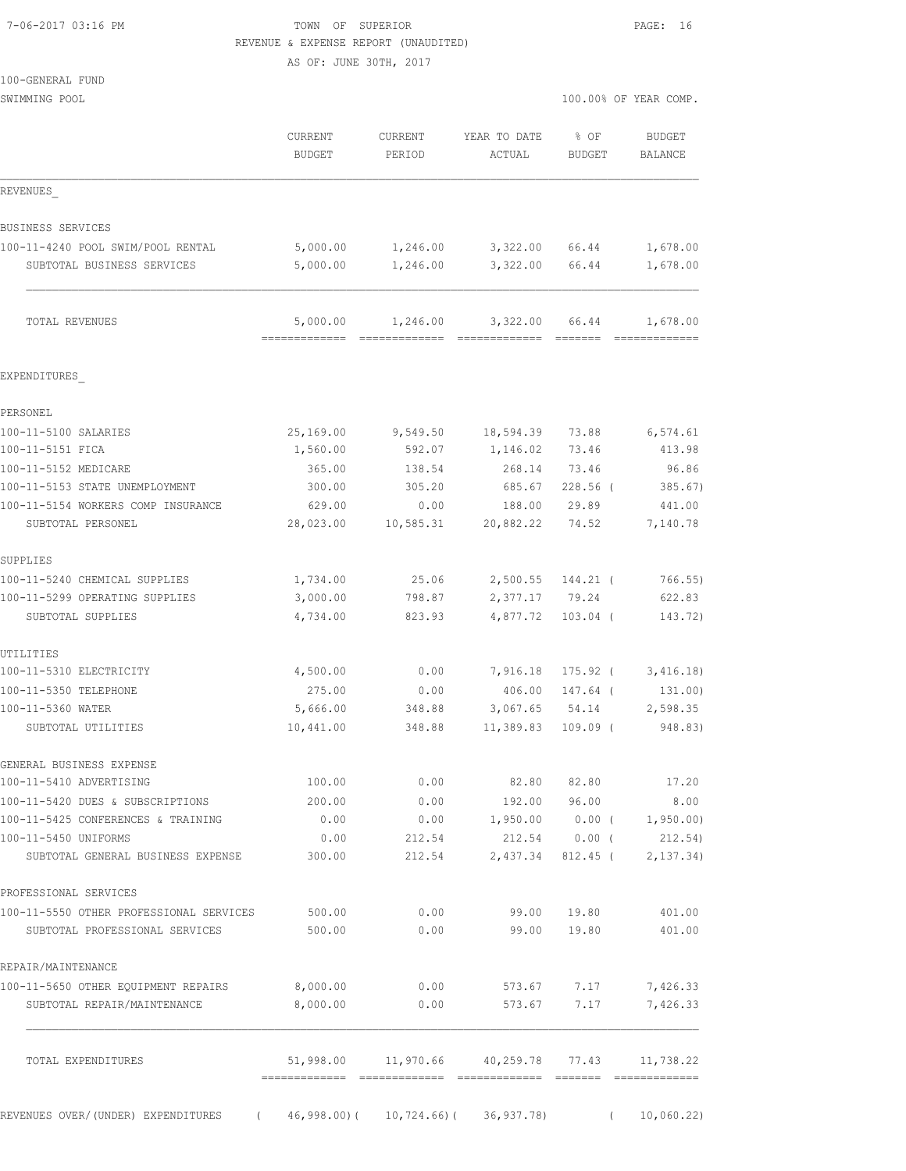#### 7-06-2017 03:16 PM TOWN OF SUPERIOR PAGE: 16 REVENUE & EXPENSE REPORT (UNAUDITED)

AS OF: JUNE 30TH, 2017

| 100-GENERAL FUND |  |  |
|------------------|--|--|
|                  |  |  |

| SWIMMING POOL                                                   |                       |                          |                                           |                     | 100.00% OF YEAR COMP.    |  |  |
|-----------------------------------------------------------------|-----------------------|--------------------------|-------------------------------------------|---------------------|--------------------------|--|--|
|                                                                 | CURRENT<br>BUDGET     | <b>CURRENT</b><br>PERIOD | YEAR TO DATE<br>ACTUAL                    | % OF<br>BUDGET      | <b>BUDGET</b><br>BALANCE |  |  |
| REVENUES                                                        |                       |                          |                                           |                     |                          |  |  |
| BUSINESS SERVICES                                               |                       |                          |                                           |                     |                          |  |  |
| 100-11-4240 POOL SWIM/POOL RENTAL<br>SUBTOTAL BUSINESS SERVICES | 5,000.00<br>5,000.00  | 1,246.00<br>1,246.00     | 3,322.00<br>3,322.00                      | 66.44<br>66.44      | 1,678.00<br>1,678.00     |  |  |
| TOTAL REVENUES                                                  | 5,000.00              | 1,246.00                 | 3,322.00                                  | 66.44               | 1,678.00                 |  |  |
| EXPENDITURES                                                    |                       |                          |                                           |                     |                          |  |  |
| PERSONEL                                                        |                       |                          |                                           |                     |                          |  |  |
| 100-11-5100 SALARIES                                            | 25,169.00             | 9,549.50                 | 18,594.39                                 | 73.88               | 6,574.61                 |  |  |
| 100-11-5151 FICA                                                | 1,560.00              | 592.07                   | 1,146.02                                  | 73.46               | 413.98                   |  |  |
| 100-11-5152 MEDICARE                                            | 365.00                | 138.54                   | 268.14                                    | 73.46               | 96.86                    |  |  |
| 100-11-5153 STATE UNEMPLOYMENT                                  | 300.00                | 305.20                   | 685.67                                    | $228.56$ (          | 385.67)                  |  |  |
| 100-11-5154 WORKERS COMP INSURANCE                              | 629.00                | 0.00                     | 188.00                                    | 29.89               | 441.00                   |  |  |
| SUBTOTAL PERSONEL                                               | 28,023.00             | 10,585.31                | 20,882.22                                 | 74.52               | 7,140.78                 |  |  |
| SUPPLIES                                                        |                       |                          |                                           |                     |                          |  |  |
| 100-11-5240 CHEMICAL SUPPLIES                                   | 1,734.00              | 25.06                    |                                           | 2,500.55 144.21 (   | 766.55)                  |  |  |
| 100-11-5299 OPERATING SUPPLIES                                  | 3,000.00              | 798.87                   | 2,377.17 79.24                            |                     | 622.83                   |  |  |
| SUBTOTAL SUPPLIES                                               | 4,734.00              | 823.93                   | 4,877.72                                  | $103.04$ (          | 143.72)                  |  |  |
| UTILITIES                                                       |                       |                          |                                           |                     |                          |  |  |
| 100-11-5310 ELECTRICITY                                         | 4,500.00              | 0.00                     |                                           | 7,916.18 175.92 (   | 3,416.18)                |  |  |
| 100-11-5350 TELEPHONE                                           | 275.00                | 0.00                     | 406.00                                    | 147.64 (            | 131.00)                  |  |  |
| 100-11-5360 WATER<br>SUBTOTAL UTILITIES                         | 5,666.00<br>10,441.00 | 348.88<br>348.88         | 3,067.65<br>11,389.83                     | 54.14<br>$109.09$ ( | 2,598.35<br>948.83)      |  |  |
|                                                                 |                       |                          |                                           |                     |                          |  |  |
| GENERAL BUSINESS EXPENSE<br>100-11-5410 ADVERTISING             | 100.00                | 0.00                     | 82.80                                     | 82.80               | 17.20                    |  |  |
| 100-11-5420 DUES & SUBSCRIPTIONS                                | 200.00                | 0.00                     | 192.00                                    | 96.00               | 8.00                     |  |  |
| 100-11-5425 CONFERENCES & TRAINING                              | 0.00                  | 0.00                     | 1,950.00                                  | $0.00$ (            | 1,950.00                 |  |  |
| 100-11-5450 UNIFORMS                                            | 0.00                  | 212.54                   |                                           | 212.54 0.00 (       | 212.54)                  |  |  |
| SUBTOTAL GENERAL BUSINESS EXPENSE                               | 300.00                | 212.54                   | 2,437.34                                  | $812.45$ (          | 2, 137.34)               |  |  |
| PROFESSIONAL SERVICES                                           |                       |                          |                                           |                     |                          |  |  |
| 100-11-5550 OTHER PROFESSIONAL SERVICES                         | 500.00                | 0.00                     | 99.00                                     | 19.80               | 401.00                   |  |  |
| SUBTOTAL PROFESSIONAL SERVICES                                  | 500.00                | 0.00                     | 99.00                                     | 19.80               | 401.00                   |  |  |
| REPAIR/MAINTENANCE                                              |                       |                          |                                           |                     |                          |  |  |
| 100-11-5650 OTHER EQUIPMENT REPAIRS                             | 8,000.00              | 0.00                     | 573.67                                    | 7.17                | 7,426.33                 |  |  |
| SUBTOTAL REPAIR/MAINTENANCE                                     | 8,000.00              | 0.00                     | 573.67                                    | 7.17                | 7,426.33                 |  |  |
| TOTAL EXPENDITURES                                              |                       |                          | 51,998.00 11,970.66 40,259.78 77.43       |                     | 11,738.22                |  |  |
| REVENUES OVER/(UNDER) EXPENDITURES<br>$\sqrt{2}$                |                       |                          | $46,998.00$ ( $10,724.66$ ( $36,937.78$ ) | $\left($            | 10,060.22)               |  |  |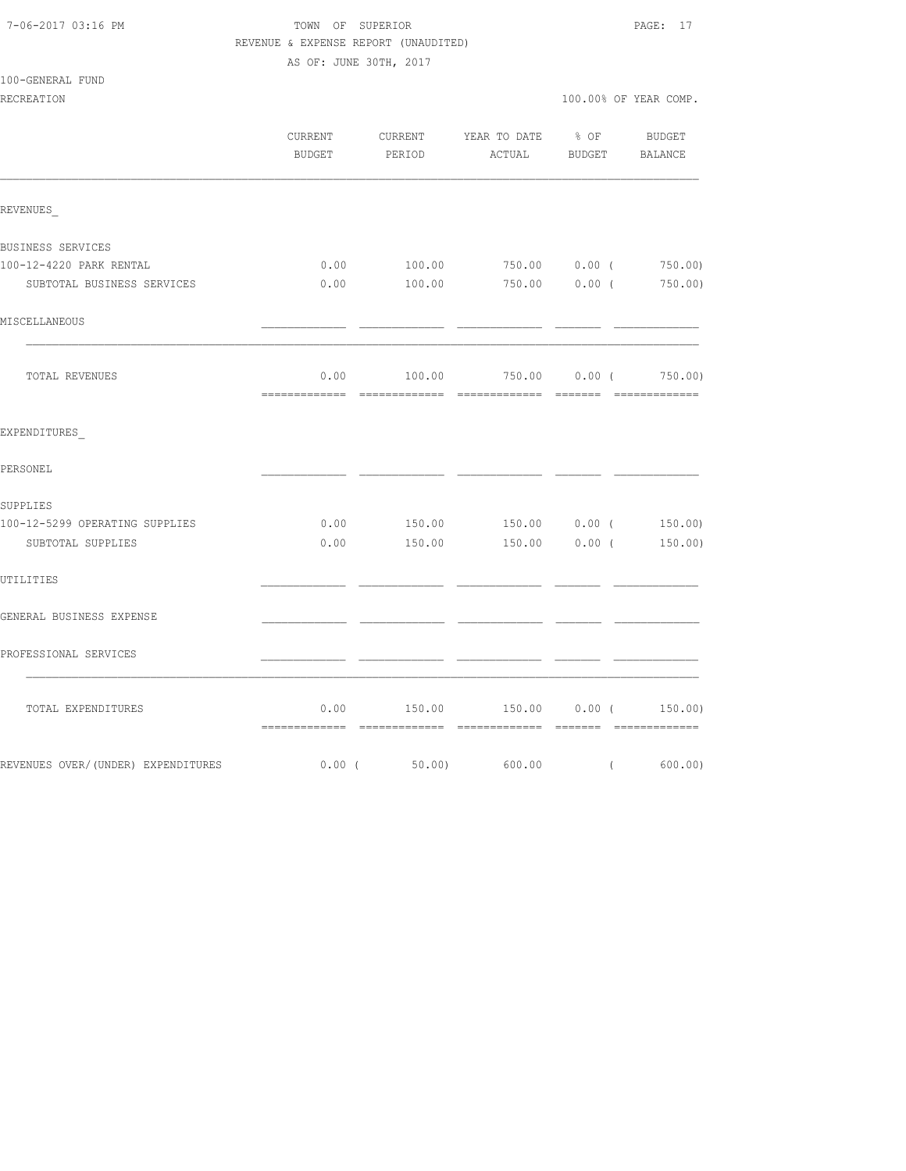#### 7-06-2017 03:16 PM TOWN OF SUPERIOR PAGE: 17 REVENUE & EXPENSE REPORT (UNAUDITED) AS OF: JUNE 30TH, 2017

| 100-GENERAL FUND |  |  |  |  |
|------------------|--|--|--|--|
|------------------|--|--|--|--|

|                                    | CURRENT  | BUDGET PERIOD | CURRENT YEAR TO DATE % OF BUDGET<br>ACTUAL BUDGET BALANCE |          |
|------------------------------------|----------|---------------|-----------------------------------------------------------|----------|
| REVENUES                           |          |               |                                                           |          |
| BUSINESS SERVICES                  |          |               |                                                           |          |
| 100-12-4220 PARK RENTAL            |          |               | $0.00$ 100.00 750.00 0.00 ( 750.00)                       |          |
| SUBTOTAL BUSINESS SERVICES         |          |               | $0.00$ 100.00 750.00 0.00 ( 750.00)                       |          |
| MISCELLANEOUS                      |          |               |                                                           |          |
| TOTAL REVENUES                     |          |               | $0.00$ $100.00$ $750.00$ $0.00$ $($ $750.00)$             |          |
| EXPENDITURES                       |          |               |                                                           |          |
| PERSONEL                           |          |               |                                                           |          |
| SUPPLIES                           |          |               |                                                           |          |
| 100-12-5299 OPERATING SUPPLIES     |          |               | $0.00$ $150.00$ $150.00$ $0.00$ $($ $150.00)$             |          |
| SUBTOTAL SUPPLIES                  |          |               | $0.00$ 150.00 150.00 0.00 ( 150.00)                       |          |
| UTILITIES                          |          |               |                                                           |          |
| GENERAL BUSINESS EXPENSE           |          |               |                                                           |          |
| PROFESSIONAL SERVICES              |          |               |                                                           |          |
| TOTAL EXPENDITURES                 |          |               | $0.00$ 150.00 150.00 0.00 ( 150.00)                       |          |
| REVENUES OVER/(UNDER) EXPENDITURES | $0.00$ ( | 50.00)        | 600.00                                                    | (600.00) |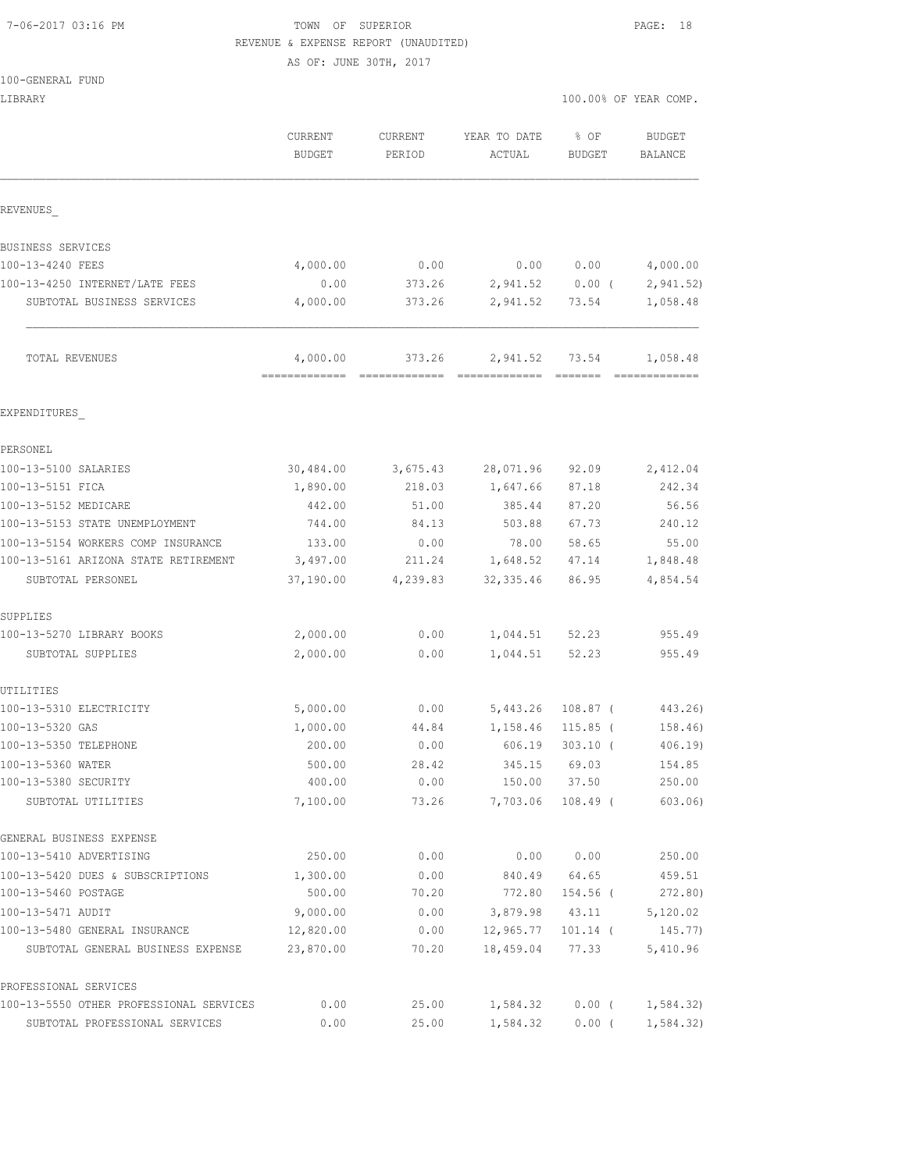#### 7-06-2017 03:16 PM TOWN OF SUPERIOR PAGE: 18 REVENUE & EXPENSE REPORT (UNAUDITED)

AS OF: JUNE 30TH, 2017

| 100-GENERAL FUND |  |
|------------------|--|
|------------------|--|

| LIBRARY                                    |                    |                   |                        | 100.00% OF YEAR COMP. |                           |
|--------------------------------------------|--------------------|-------------------|------------------------|-----------------------|---------------------------|
|                                            | CURRENT<br>BUDGET  | CURRENT<br>PERIOD | YEAR TO DATE<br>ACTUAL | % OF<br>BUDGET        | BUDGET<br>BALANCE         |
| REVENUES                                   |                    |                   |                        |                       |                           |
| BUSINESS SERVICES                          |                    |                   |                        |                       |                           |
| 100-13-4240 FEES                           | 4,000.00           | 0.00              |                        | 0.00 0.00             | 4,000.00                  |
| 100-13-4250 INTERNET/LATE FEES             | 0.00               | 373.26            |                        |                       | 2,941.52 0.00 ( 2,941.52) |
| SUBTOTAL BUSINESS SERVICES                 | 4,000.00           | 373.26            | 2,941.52               | 73.54                 | 1,058.48                  |
| TOTAL REVENUES                             | 4,000.00           | 373.26            | 2,941.52               | 73.54                 | 1,058.48                  |
| EXPENDITURES                               |                    |                   |                        |                       |                           |
| PERSONEL                                   |                    |                   |                        |                       |                           |
| 100-13-5100 SALARIES                       | 30,484.00          |                   | 3,675.43 28,071.96     | 92.09                 | 2,412.04                  |
| 100-13-5151 FICA                           | 1,890.00           | 218.03            | 1,647.66               | 87.18                 | 242.34                    |
| 100-13-5152 MEDICARE                       | 442.00             | 51.00             | 385.44                 | 87.20                 | 56.56                     |
| 100-13-5153 STATE UNEMPLOYMENT             | 744.00             | 84.13             | 503.88                 | 67.73                 | 240.12                    |
| 100-13-5154 WORKERS COMP INSURANCE         | 133.00             | 0.00              | 78.00                  | 58.65                 | 55.00                     |
| 100-13-5161 ARIZONA STATE RETIREMENT       | 3,497.00           |                   | 211.24 1,648.52        | 47.14                 | 1,848.48                  |
| SUBTOTAL PERSONEL                          | 37,190.00          | 4,239.83          | 32, 335.46             | 86.95                 | 4,854.54                  |
| SUPPLIES                                   |                    |                   |                        |                       |                           |
| 100-13-5270 LIBRARY BOOKS                  | 2,000.00           | 0.00              |                        | 1,044.51 52.23        | 955.49                    |
| SUBTOTAL SUPPLIES                          | 2,000.00           | 0.00              | 1,044.51               | 52.23                 | 955.49                    |
| UTILITIES                                  |                    |                   |                        |                       |                           |
| 100-13-5310 ELECTRICITY                    | 5,000.00           | 0.00              | 5,443.26               | 108.87 (              | 443.26)                   |
| 100-13-5320 GAS                            | 1,000.00           | 44.84             | 1,158.46               | $115.85$ (            | 158.46)                   |
| 100-13-5350 TELEPHONE                      | 200.00             | 0.00              | 606.19                 | $303.10$ (            | 406.19                    |
| 100-13-5360 WATER                          | 500.00             | 28.42             | 345.15                 | 69.03                 | 154.85                    |
| 100-13-5380 SECURITY<br>SUBTOTAL UTILITIES | 400.00<br>7,100.00 | 0.00<br>73.26     | 150.00<br>7,703.06     | 37.50<br>$108.49$ (   | 250.00<br>603.06          |
| GENERAL BUSINESS EXPENSE                   |                    |                   |                        |                       |                           |
| 100-13-5410 ADVERTISING                    | 250.00             | 0.00              | 0.00                   | 0.00                  | 250.00                    |
| 100-13-5420 DUES & SUBSCRIPTIONS           | 1,300.00           | 0.00              | 840.49                 | 64.65                 | 459.51                    |
| 100-13-5460 POSTAGE                        | 500.00             | 70.20             | 772.80                 | 154.56 (              | 272.80)                   |
| 100-13-5471 AUDIT                          | 9,000.00           | 0.00              | 3,879.98               | 43.11                 | 5,120.02                  |
| 100-13-5480 GENERAL INSURANCE              | 12,820.00          | 0.00              | 12,965.77              | $101.14$ (            | 145.77)                   |
| SUBTOTAL GENERAL BUSINESS EXPENSE          | 23,870.00          | 70.20             | 18,459.04              | 77.33                 | 5,410.96                  |
| PROFESSIONAL SERVICES                      |                    |                   |                        |                       |                           |
| 100-13-5550 OTHER PROFESSIONAL SERVICES    | 0.00               | 25.00             | 1,584.32               | $0.00$ (              | 1,584.32)                 |
| SUBTOTAL PROFESSIONAL SERVICES             | 0.00               | 25.00             | 1,584.32               | $0.00$ (              | 1,584.32)                 |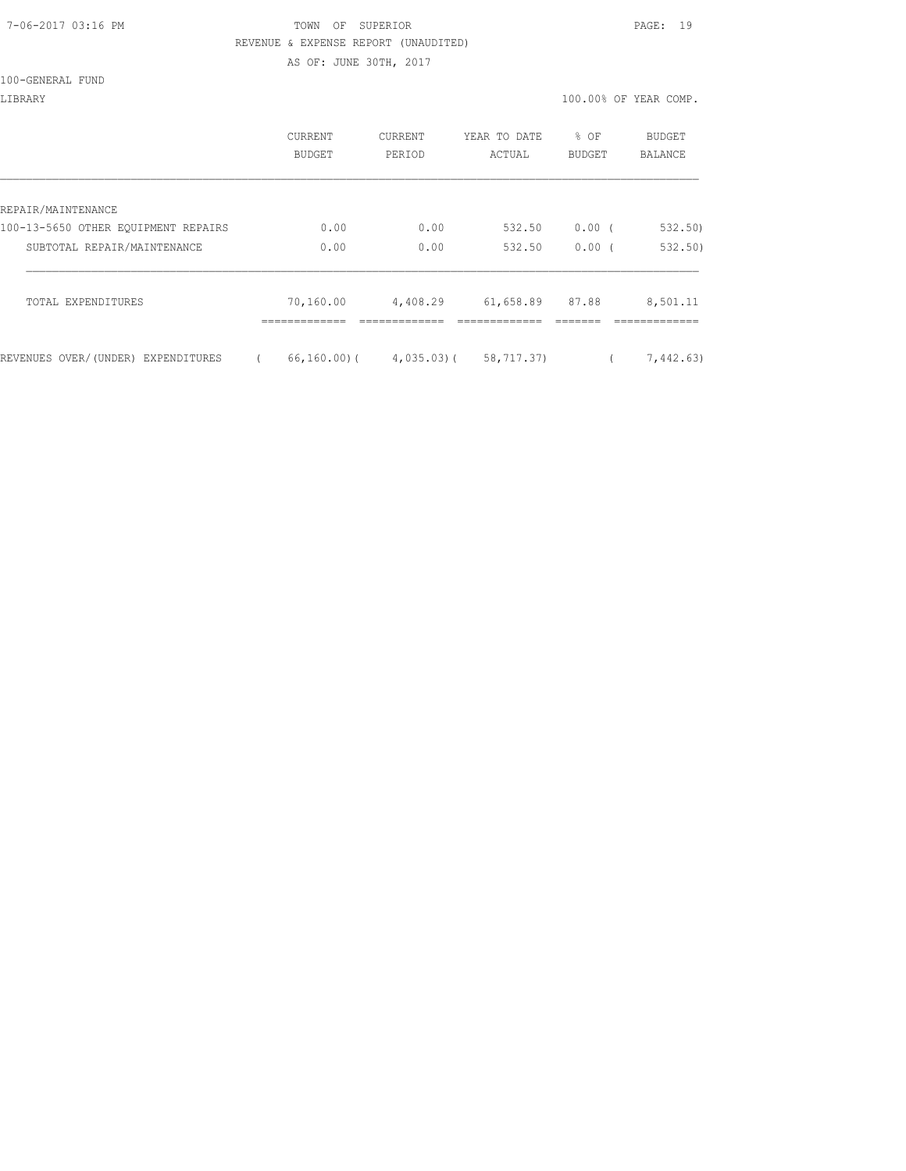#### 7-06-2017 03:16 PM TOWN OF SUPERIOR PAGE: 19 REVENUE & EXPENSE REPORT (UNAUDITED)

AS OF: JUNE 30TH, 2017

| 100-GENERAL FUND |
|------------------|
|------------------|

| LIBRARY                             |                          |                   |                        |                  | 100.00% OF YEAR COMP.    |
|-------------------------------------|--------------------------|-------------------|------------------------|------------------|--------------------------|
|                                     | <b>CURRENT</b><br>BUDGET | CURRENT<br>PERIOD | YEAR TO DATE<br>ACTUAL | $8$ OF<br>BUDGET | <b>BUDGET</b><br>BALANCE |
|                                     |                          |                   |                        |                  |                          |
| REPAIR/MAINTENANCE                  |                          |                   |                        |                  |                          |
| 100-13-5650 OTHER EQUIPMENT REPAIRS | 0.00                     | 0.00              | 532.50                 | 0.00(            | 532.50)                  |
| SUBTOTAL REPAIR/MAINTENANCE         | 0.00                     | 0.00              | 532.50                 | 0.00             | 532.50)                  |

| TOTAL EXPENDITURES                 | 70,160.00 | 4,408.29 | 61,658.89 87.88                   | 8,501.11  |
|------------------------------------|-----------|----------|-----------------------------------|-----------|
|                                    |           |          |                                   |           |
| REVENUES OVER/(UNDER) EXPENDITURES |           |          | 66,160,00) (4,035,03) (58,717,37) | 7,442,63) |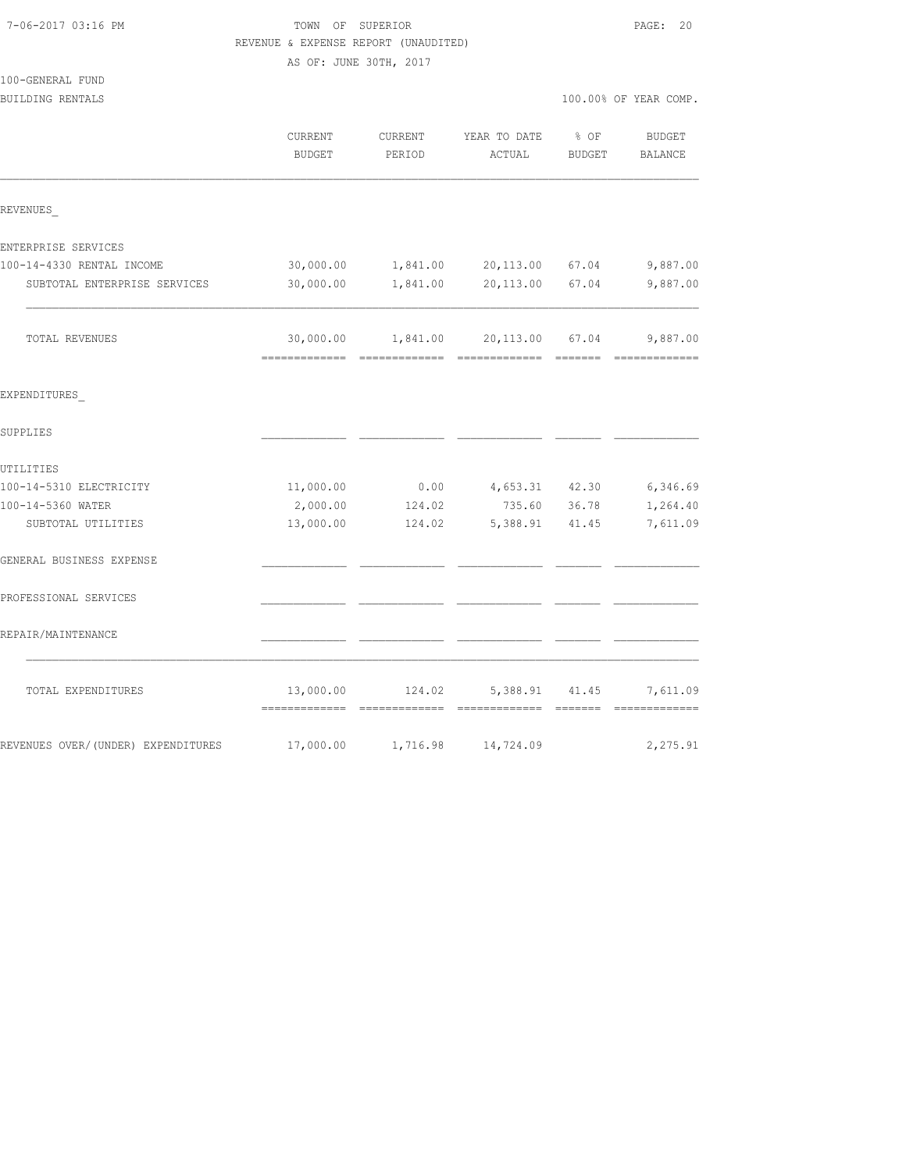| REVENUE & EXPENSE REPORT (UNAUDITED) |                        |          |                                          |        |                       |  |  |  |  |
|--------------------------------------|------------------------|----------|------------------------------------------|--------|-----------------------|--|--|--|--|
|                                      | AS OF: JUNE 30TH, 2017 |          |                                          |        |                       |  |  |  |  |
| 100-GENERAL FUND<br>BUILDING RENTALS |                        |          |                                          |        | 100.00% OF YEAR COMP. |  |  |  |  |
|                                      |                        |          |                                          |        |                       |  |  |  |  |
|                                      | CURRENT                | CURRENT  | YEAR TO DATE                             | $8$ OF | BUDGET                |  |  |  |  |
|                                      | <b>BUDGET</b>          | PERIOD   | ACTUAL                                   | BUDGET | BALANCE               |  |  |  |  |
| REVENUES                             |                        |          |                                          |        |                       |  |  |  |  |
| ENTERPRISE SERVICES                  |                        |          |                                          |        |                       |  |  |  |  |
| 100-14-4330 RENTAL INCOME            | 30,000.00              |          | 1,841.00 20,113.00 67.04                 |        | 9,887.00              |  |  |  |  |
| SUBTOTAL ENTERPRISE SERVICES         | 30,000.00              | 1,841.00 | 20,113.00 67.04                          |        | 9,887.00              |  |  |  |  |
| TOTAL REVENUES                       |                        |          | 30,000.00   1,841.00   20,113.00   67.04 |        | 9,887.00              |  |  |  |  |
| EXPENDITURES                         |                        |          |                                          |        |                       |  |  |  |  |
| SUPPLIES                             |                        |          |                                          |        |                       |  |  |  |  |
| UTILITIES                            |                        |          |                                          |        |                       |  |  |  |  |
| 100-14-5310 ELECTRICITY              | 11,000.00              |          | $0.00$ $4,653.31$ $42.30$                |        | 6,346.69              |  |  |  |  |
| 100-14-5360 WATER                    | 2,000.00               | 124.02   | 735.60                                   | 36.78  | 1,264.40              |  |  |  |  |
| SUBTOTAL UTILITIES                   | 13,000.00              | 124.02   | 5,388.91 41.45                           |        | 7,611.09              |  |  |  |  |
| GENERAL BUSINESS EXPENSE             |                        |          |                                          |        |                       |  |  |  |  |
| PROFESSIONAL SERVICES                |                        |          |                                          |        |                       |  |  |  |  |
| REPAIR/MAINTENANCE                   |                        |          |                                          |        |                       |  |  |  |  |
| TOTAL EXPENDITURES                   | 13,000.00              | 124.02   | 5,388.91                                 | 41.45  | 7,611.09              |  |  |  |  |
| REVENUES OVER/(UNDER) EXPENDITURES   | 17,000.00              | 1,716.98 | 14,724.09                                |        | 2,275.91              |  |  |  |  |

7-06-2017 03:16 PM TOWN OF SUPERIOR PAGE: 20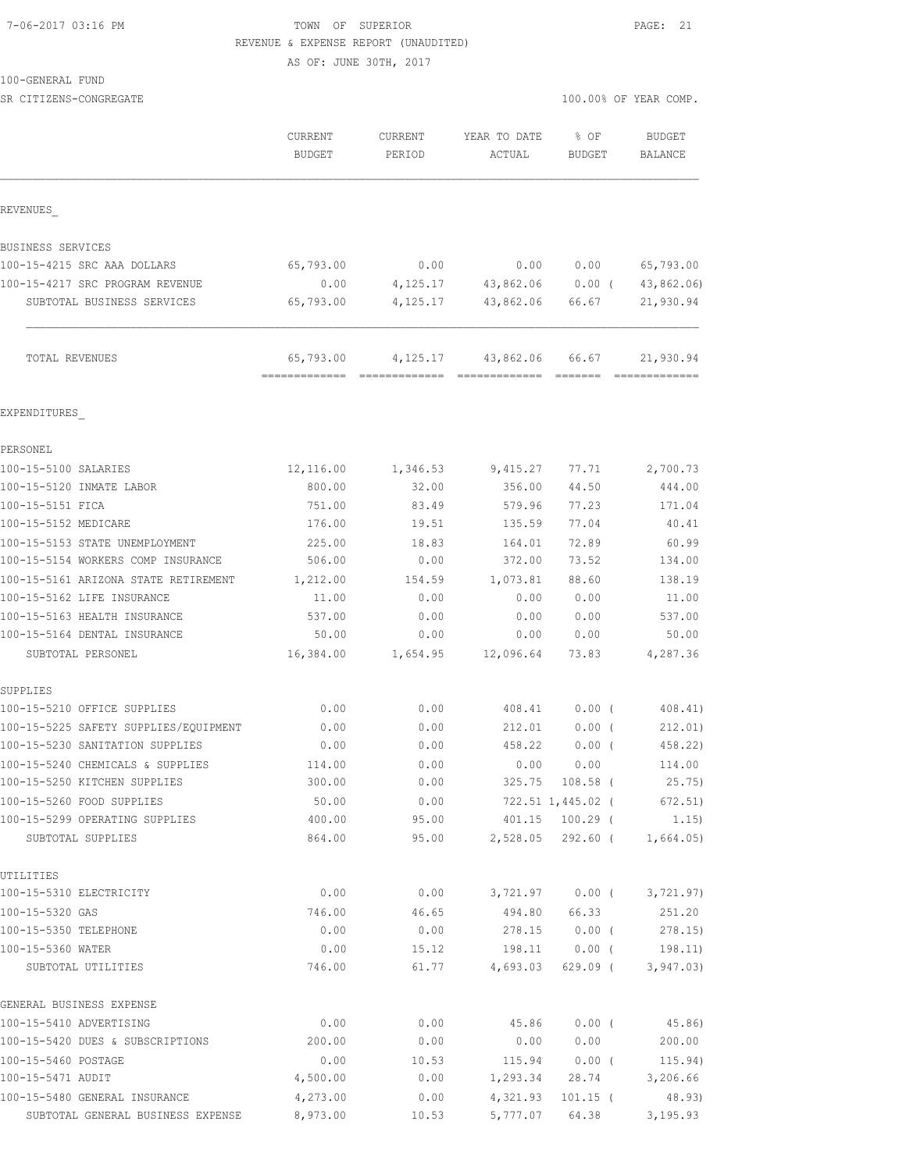#### 7-06-2017 03:16 PM TOWN OF SUPERIOR PAGE: 21 REVENUE & EXPENSE REPORT (UNAUDITED)

AS OF: JUNE 30TH, 2017

100-GENERAL FUND

SR CITIZENS-CONGREGATE SERVICES AND RESOLUTION OF SERVICES AND RESOLUTION OF SERVICES AND RESOLUTION OF SERVICES AND RESOLUTION OF SERVICES AND RESOLUTION OF SERVICES AND RESOLUTION OF SERVICES AND RESOLUTION OF SERVICES A

|                                                                          | CURRENT<br><b>BUDGET</b> | <b>CURRENT</b><br>PERIOD | YEAR TO DATE<br>ACTUAL                     | % OF<br>BUDGET       | <b>BUDGET</b><br>BALANCE   |
|--------------------------------------------------------------------------|--------------------------|--------------------------|--------------------------------------------|----------------------|----------------------------|
| REVENUES                                                                 |                          |                          |                                            |                      |                            |
|                                                                          |                          |                          |                                            |                      |                            |
| BUSINESS SERVICES<br>100-15-4215 SRC AAA DOLLARS                         |                          | 0.00                     | 0.00                                       |                      | 65,793.00                  |
|                                                                          | 65,793.00                |                          |                                            | 0.00                 |                            |
| 100-15-4217 SRC PROGRAM REVENUE<br>SUBTOTAL BUSINESS SERVICES            | 0.00<br>65,793.00        | 4,125.17                 | $4,125.17$ $43,862.06$ 0.00 (<br>43,862.06 | 66.67                | 43,862.06)<br>21,930.94    |
| TOTAL REVENUES                                                           | 65,793.00                | 4,125.17                 | 43,862.06                                  | 66.67                | 21,930.94<br>============= |
| EXPENDITURES                                                             |                          |                          |                                            |                      |                            |
| PERSONEL                                                                 |                          |                          |                                            |                      |                            |
| 100-15-5100 SALARIES                                                     | 12,116.00                | 1,346.53                 | 9,415.27                                   | 77.71                | 2,700.73                   |
| 100-15-5120 INMATE LABOR                                                 | 800.00                   | 32.00                    | 356.00                                     | 44.50                | 444.00                     |
| 100-15-5151 FICA                                                         | 751.00                   | 83.49                    | 579.96                                     | 77.23                | 171.04                     |
| 100-15-5152 MEDICARE                                                     | 176.00                   | 19.51                    | 135.59                                     | 77.04                | 40.41                      |
| 100-15-5153 STATE UNEMPLOYMENT                                           | 225.00                   | 18.83                    | 164.01                                     | 72.89                | 60.99                      |
| 100-15-5154 WORKERS COMP INSURANCE                                       | 506.00                   | 0.00                     | 372.00                                     | 73.52                | 134.00                     |
| 100-15-5161 ARIZONA STATE RETIREMENT                                     | 1,212.00                 | 154.59                   | 1,073.81                                   | 88.60                | 138.19                     |
| 100-15-5162 LIFE INSURANCE                                               | 11.00                    | 0.00                     | 0.00                                       | 0.00                 | 11.00                      |
| 100-15-5163 HEALTH INSURANCE                                             | 537.00                   | 0.00                     | 0.00                                       | 0.00                 | 537.00                     |
| 100-15-5164 DENTAL INSURANCE                                             | 50.00                    | 0.00                     | 0.00                                       | 0.00                 | 50.00                      |
| SUBTOTAL PERSONEL                                                        | 16,384.00                | 1,654.95                 | 12,096.64                                  | 73.83                | 4,287.36                   |
| SUPPLIES                                                                 | 0.00                     | 0.00                     | 408.41                                     | $0.00$ (             | 408.41)                    |
| 100-15-5210 OFFICE SUPPLIES                                              |                          |                          |                                            |                      |                            |
| 100-15-5225 SAFETY SUPPLIES/EQUIPMENT<br>100-15-5230 SANITATION SUPPLIES | 0.00<br>0.00             | 0.00<br>0.00             | 212.01<br>458.22                           | $0.00$ (<br>$0.00$ ( | 212.01)<br>458.22)         |
| 100-15-5240 CHEMICALS & SUPPLIES                                         | 114.00                   | 0.00                     | 0.00                                       | 0.00                 | 114.00                     |
| 100-15-5250 KITCHEN SUPPLIES                                             | 300.00                   | 0.00                     |                                            | 325.75 108.58 (      | 25.75)                     |
| 100-15-5260 FOOD SUPPLIES                                                | 50.00                    | 0.00                     |                                            | 722.51 1,445.02 (    | 672.51)                    |
| 100-15-5299 OPERATING SUPPLIES                                           | 400.00                   | 95.00                    |                                            | 401.15 100.29 (      | 1.15)                      |
| SUBTOTAL SUPPLIES                                                        | 864.00                   | 95.00                    |                                            | 2,528.05 292.60 (    | 1,664.05)                  |
| UTILITIES                                                                |                          |                          |                                            |                      |                            |
| 100-15-5310 ELECTRICITY                                                  | 0.00                     | 0.00                     |                                            | 3,721.97 0.00 (      | 3,721.97)                  |
| 100-15-5320 GAS                                                          | 746.00                   | 46.65                    |                                            | 494.80 66.33         | 251.20                     |
| 100-15-5350 TELEPHONE                                                    | 0.00                     | 0.00                     | 278.15                                     | $0.00$ (             | 278.15)                    |
| 100-15-5360 WATER<br>SUBTOTAL UTILITIES                                  | 0.00<br>746.00           | 15.12<br>61.77           | 198.11<br>4,693.03                         | $0.00$ (<br>629.09 ( | 198.11)<br>3, 947.03)      |
| GENERAL BUSINESS EXPENSE                                                 |                          |                          |                                            |                      |                            |
| 100-15-5410 ADVERTISING                                                  | 0.00                     | 0.00                     | 45.86                                      | $0.00$ (             | 45.86)                     |
| 100-15-5420 DUES & SUBSCRIPTIONS                                         | 200.00                   | 0.00                     | 0.00                                       | 0.00                 | 200.00                     |
| 100-15-5460 POSTAGE                                                      | 0.00                     | 10.53                    | 115.94                                     | $0.00$ (             | 115.94)                    |
| 100-15-5471 AUDIT                                                        | 4,500.00                 | 0.00                     | 1,293.34                                   | 28.74                | 3,206.66                   |
| 100-15-5480 GENERAL INSURANCE                                            | 4,273.00                 | 0.00                     | 4,321.93                                   | $101.15$ (           | 48.93)                     |
| SUBTOTAL GENERAL BUSINESS EXPENSE                                        | 8,973.00                 | 10.53                    | 5,777.07                                   | 64.38                | 3, 195.93                  |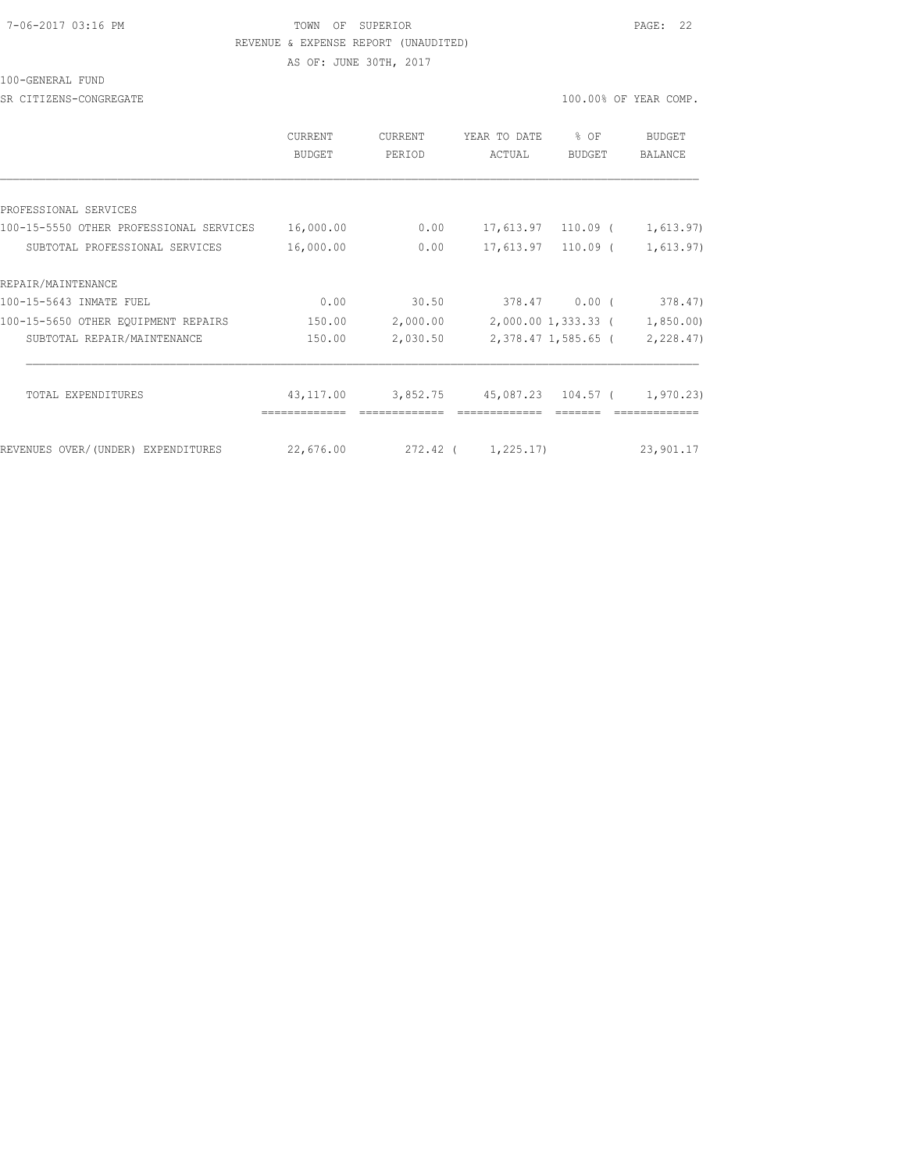#### 7-06-2017 03:16 PM TOWN OF SUPERIOR PAGE: 22 REVENUE & EXPENSE REPORT (UNAUDITED)

AS OF: JUNE 30TH, 2017

#### 100-GENERAL FUND

SR CITIZENS-CONGREGATE **100.000 OF YEAR COMP**.

| <b>CURRENT</b><br>BUDGET | <b>CURRENT</b><br>PERIOD | YEAR TO DATE<br>ACTUAL | % OF<br>BUDGET | <b>BUDGET</b><br><b>BALANCE</b>                                                                                                            |
|--------------------------|--------------------------|------------------------|----------------|--------------------------------------------------------------------------------------------------------------------------------------------|
|                          |                          |                        |                |                                                                                                                                            |
|                          |                          |                        |                |                                                                                                                                            |
| 16,000.00                | 0.00                     |                        |                | 1,613.97)                                                                                                                                  |
| 16,000.00                | 0.00                     |                        |                | 1,613.97)                                                                                                                                  |
|                          |                          |                        |                |                                                                                                                                            |
| 0.00                     | 30.50                    |                        |                | 378.47)                                                                                                                                    |
| 150.00                   | 2,000.00                 |                        |                | 1,850.00)                                                                                                                                  |
| 150.00                   | 2,030.50                 |                        |                | 2, 228.47                                                                                                                                  |
|                          |                          |                        |                |                                                                                                                                            |
|                          |                          |                        |                | 1,970.23)                                                                                                                                  |
| 22,676.00                |                          |                        |                | 23,901.17                                                                                                                                  |
|                          | 43,117.00                | 3,852.75               | 272.42 (       | 17,613.97 110.09 (<br>17,613.97 110.09 (<br>378.47 0.00 (<br>2,000.00 1,333.33 (<br>2,378.47 1,585.65 (<br>45,087.23 104.57 (<br>1,225.17) |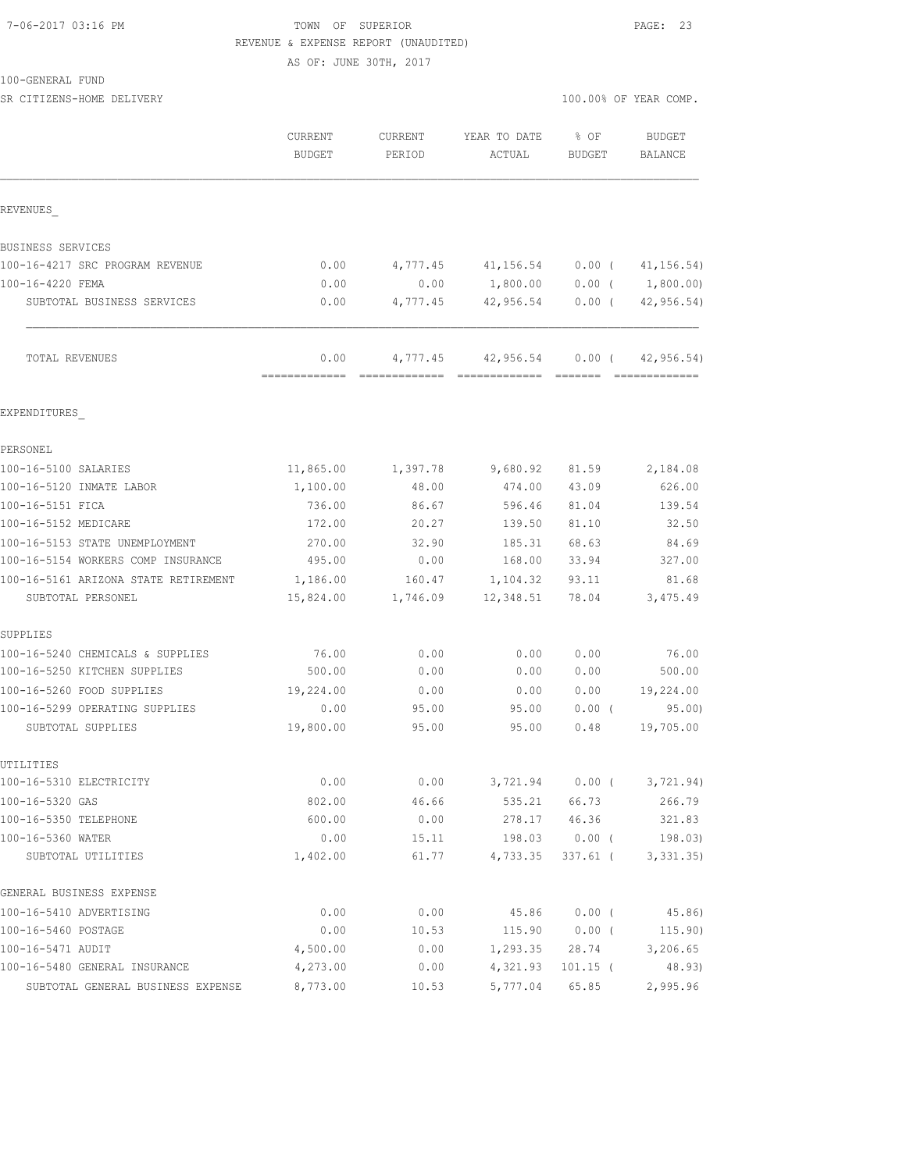#### 7-06-2017 03:16 PM TOWN OF SUPERIOR PAGE: 23 REVENUE & EXPENSE REPORT (UNAUDITED)

AS OF: JUNE 30TH, 2017

#### 100-GENERAL FUND

| SR CITIZENS-HOME DELIVERY            |                                 |                          |                                                   | 100.00% OF YEAR COMP. |                                 |  |
|--------------------------------------|---------------------------------|--------------------------|---------------------------------------------------|-----------------------|---------------------------------|--|
|                                      | <b>CURRENT</b><br><b>BUDGET</b> | <b>CURRENT</b><br>PERIOD | YEAR TO DATE<br>ACTUAL                            | % OF<br><b>BUDGET</b> | <b>BUDGET</b><br><b>BALANCE</b> |  |
| REVENUES                             |                                 |                          |                                                   |                       |                                 |  |
| BUSINESS SERVICES                    |                                 |                          |                                                   |                       |                                 |  |
| 100-16-4217 SRC PROGRAM REVENUE      | 0.00                            |                          | 4,777.45 41,156.54                                | $0.00$ (              | 41, 156.54)                     |  |
| 100-16-4220 FEMA                     | 0.00                            | 0.00                     | 1,800.00                                          | $0.00$ (              | 1,800.00)                       |  |
| SUBTOTAL BUSINESS SERVICES           | 0.00                            | 4,777.45                 | 42,956.54                                         | $0.00$ (              | 42,956.54)                      |  |
| TOTAL REVENUES                       | 0.00<br>=============           | 4,777.45                 | 42,956.54<br>-------------- -------------- ------ | $0.00$ (              | 42, 956.54)<br>=============    |  |
| EXPENDITURES                         |                                 |                          |                                                   |                       |                                 |  |
| PERSONEL                             |                                 |                          |                                                   |                       |                                 |  |
| 100-16-5100 SALARIES                 | 11,865.00                       | 1,397.78                 | 9,680.92                                          | 81.59                 | 2,184.08                        |  |
| 100-16-5120 INMATE LABOR             | 1,100.00                        | 48.00                    | 474.00                                            | 43.09                 | 626.00                          |  |
| 100-16-5151 FICA                     | 736.00                          | 86.67                    | 596.46                                            | 81.04                 | 139.54                          |  |
| 100-16-5152 MEDICARE                 | 172.00                          | 20.27                    | 139.50                                            | 81.10                 | 32.50                           |  |
| 100-16-5153 STATE UNEMPLOYMENT       | 270.00                          | 32.90                    | 185.31                                            | 68.63                 | 84.69                           |  |
| 100-16-5154 WORKERS COMP INSURANCE   | 495.00                          | 0.00                     | 168.00                                            | 33.94                 | 327.00                          |  |
| 100-16-5161 ARIZONA STATE RETIREMENT | 1,186.00                        | 160.47                   | 1,104.32                                          | 93.11                 | 81.68                           |  |
| SUBTOTAL PERSONEL                    | 15,824.00                       | 1,746.09                 | 12,348.51                                         | 78.04                 | 3,475.49                        |  |
| SUPPLIES                             |                                 |                          |                                                   |                       |                                 |  |
| 100-16-5240 CHEMICALS & SUPPLIES     | 76.00                           | 0.00                     | 0.00                                              | 0.00                  | 76.00                           |  |
| 100-16-5250 KITCHEN SUPPLIES         | 500.00                          | 0.00                     | 0.00                                              | 0.00                  | 500.00                          |  |
| 100-16-5260 FOOD SUPPLIES            | 19,224.00                       | 0.00                     | 0.00                                              | 0.00                  | 19,224.00                       |  |
| 100-16-5299 OPERATING SUPPLIES       | 0.00                            | 95.00                    | 95.00                                             | $0.00$ (              | 95.00                           |  |
| SUBTOTAL SUPPLIES                    | 19,800.00                       | 95.00                    | 95.00                                             | 0.48                  | 19,705.00                       |  |
| UTILITIES                            |                                 |                          |                                                   |                       |                                 |  |
| 100-16-5310 ELECTRICITY              | 0.00                            | 0.00                     | 3,721.94                                          | $0.00$ (              | 3,721.94)                       |  |
| 100-16-5320 GAS                      | 802.00                          | 46.66                    | 535.21                                            | 66.73                 | 266.79                          |  |
| 100-16-5350 TELEPHONE                | 600.00                          | 0.00                     | 278.17                                            | 46.36                 | 321.83                          |  |
| 100-16-5360 WATER                    | 0.00                            | 15.11                    | 198.03                                            | $0.00$ (              | 198.03)                         |  |
| SUBTOTAL UTILITIES                   | 1,402.00                        | 61.77                    | 4,733.35                                          | $337.61$ (            | 3,331.35)                       |  |
| GENERAL BUSINESS EXPENSE             |                                 |                          |                                                   |                       |                                 |  |
| 100-16-5410 ADVERTISING              | 0.00                            | 0.00                     | 45.86                                             | 0.00(                 | 45.86)                          |  |
| 100-16-5460 POSTAGE                  | 0.00                            | 10.53                    | 115.90                                            | $0.00$ (              | 115.90)                         |  |
| 100-16-5471 AUDIT                    | 4,500.00                        | 0.00                     | 1,293.35                                          | 28.74                 | 3,206.65                        |  |
| 100-16-5480 GENERAL INSURANCE        | 4,273.00                        | 0.00                     | 4,321.93                                          | $101.15$ (            | 48.93)                          |  |
| SUBTOTAL GENERAL BUSINESS EXPENSE    | 8,773.00                        | 10.53                    | 5,777.04                                          | 65.85                 | 2,995.96                        |  |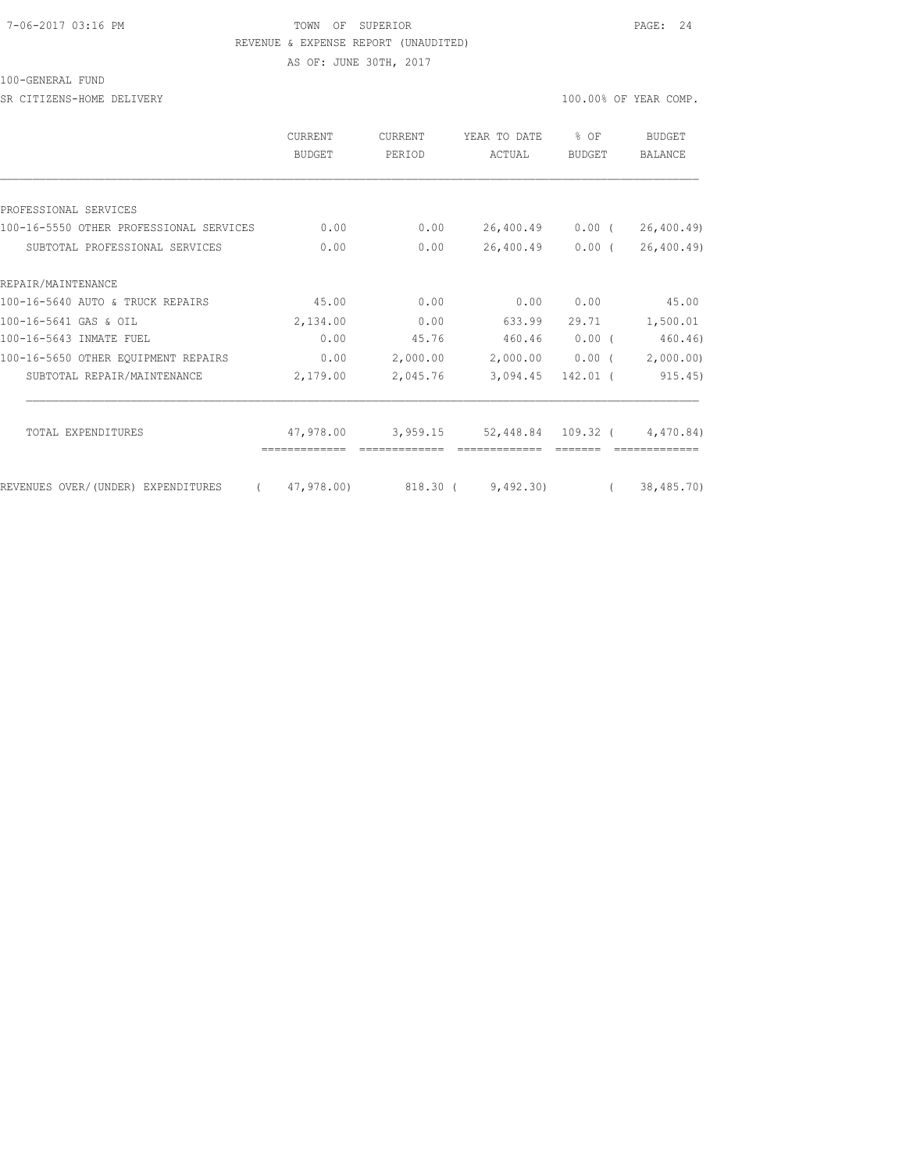#### 7-06-2017 03:16 PM TOWN OF SUPERIOR PAGE: 24 REVENUE & EXPENSE REPORT (UNAUDITED)

AS OF: JUNE 30TH, 2017

100-GENERAL FUND

SR CITIZENS-HOME DELIVERY 100.00% OF YEAR COMP.

|                                         | <b>CURRENT</b><br>BUDGET | <b>CURRENT</b><br>PERIOD | YEAR TO DATE<br>ACTUAL | $8$ OF<br>BUDGET | <b>BUDGET</b><br>BALANCE |
|-----------------------------------------|--------------------------|--------------------------|------------------------|------------------|--------------------------|
|                                         |                          |                          |                        |                  |                          |
| PROFESSIONAL SERVICES                   |                          |                          |                        |                  |                          |
| 100-16-5550 OTHER PROFESSIONAL SERVICES | 0.00                     | 0.00                     | 26,400.49 0.00 (       |                  | 26, 400.49               |
| SUBTOTAL PROFESSIONAL SERVICES          | 0.00                     | 0.00                     | 26,400.49              | $0.00$ (         | 26, 400.49               |
| REPAIR/MAINTENANCE                      |                          |                          |                        |                  |                          |
| 100-16-5640 AUTO & TRUCK REPAIRS        | 45.00                    | 0.00                     | 0.00                   | 0.00             | 45.00                    |
| 100-16-5641 GAS & OIL                   | 2,134.00                 | 0.00                     | 633.99                 | 29.71            | 1,500.01                 |
| 100-16-5643 INMATE FUEL                 | 0.00                     | 45.76                    | 460.46                 | $0.00$ (         | 460.46)                  |
| 100-16-5650 OTHER EQUIPMENT REPAIRS     | 0.00                     | 2,000.00                 | 2,000.00               | $0.00$ (         | 2,000.00)                |
| SUBTOTAL REPAIR/MAINTENANCE             | 2,179.00                 | 2,045.76                 | 3,094.45               | $142.01$ (       | 915.45)                  |
|                                         |                          |                          |                        |                  |                          |
| TOTAL EXPENDITURES                      | 47,978.00                | 3,959.15                 | 52,448.84 109.32 (     |                  | 4,470.84)                |
| REVENUES OVER/(UNDER) EXPENDITURES      | 47,978.00)               | 818.30 (                 | 9,492,30               |                  | 38,485.70)               |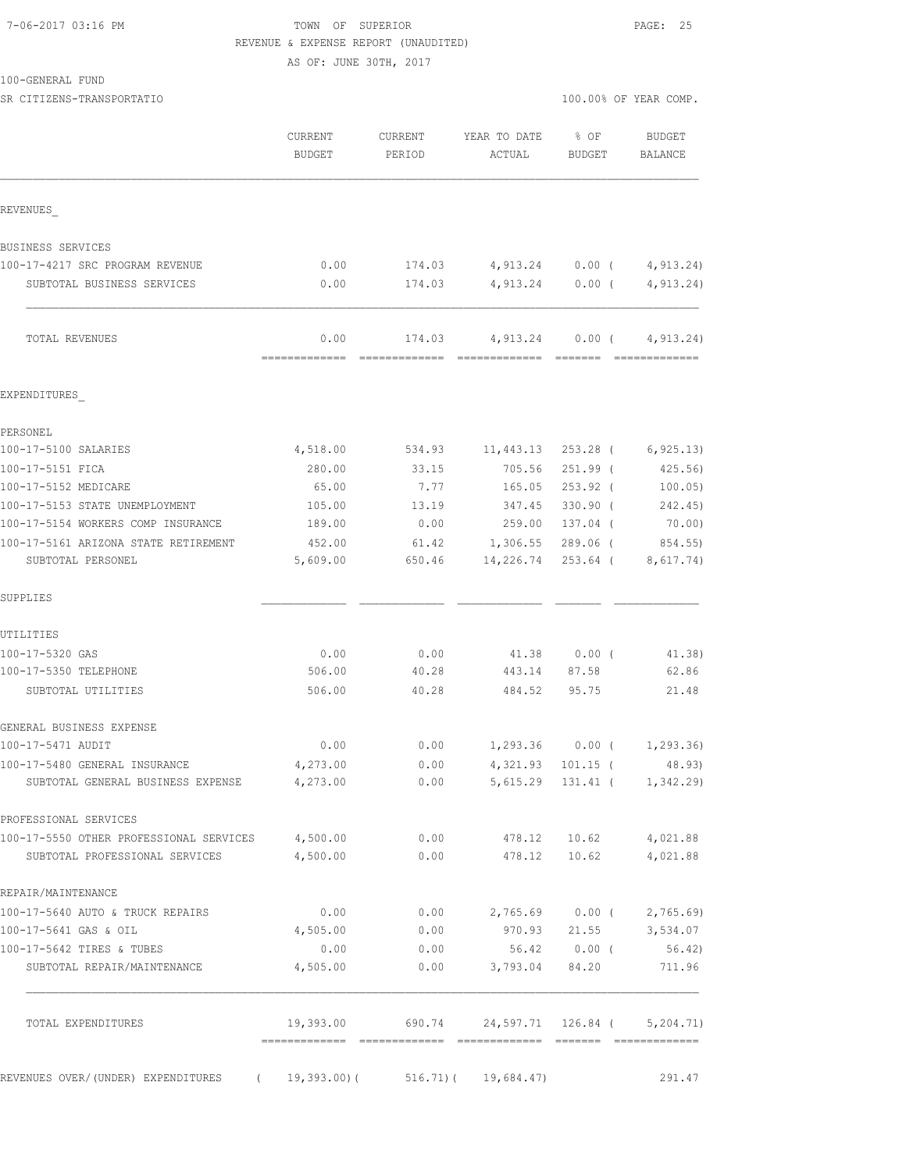#### 7-06-2017 03:16 PM TOWN OF SUPERIOR PAGE: 25 REVENUE & EXPENSE REPORT (UNAUDITED)

AS OF: JUNE 30TH, 2017

100-GENERAL FUND

SR CITIZENS-TRANSPORTATIO 100.00% OF YEAR COMP.

|                                                                   | CURRENT<br><b>BUDGET</b> | CURRENT<br>PERIOD | YEAR TO DATE<br>ACTUAL             | % OF<br>BUDGET         | BUDGET<br>BALANCE                |
|-------------------------------------------------------------------|--------------------------|-------------------|------------------------------------|------------------------|----------------------------------|
| REVENUES                                                          |                          |                   |                                    |                        |                                  |
| BUSINESS SERVICES                                                 |                          |                   |                                    |                        |                                  |
| 100-17-4217 SRC PROGRAM REVENUE                                   | 0.00                     | 174.03            |                                    | 4,913.24 0.00 (        | 4,913.24)                        |
| SUBTOTAL BUSINESS SERVICES                                        | 0.00                     | 174.03            |                                    | 4,913.24 0.00 (        | 4,913.24)                        |
| TOTAL REVENUES                                                    | 0.00                     | 174.03            | 4,913.24                           |                        | 0.00(4, 913.24)<br>============= |
| EXPENDITURES                                                      |                          |                   |                                    |                        |                                  |
| PERSONEL                                                          |                          |                   |                                    |                        |                                  |
| 100-17-5100 SALARIES                                              | 4,518.00                 | 534.93            | 11,443.13                          | 253.28 (               | 6, 925.13                        |
| 100-17-5151 FICA                                                  | 280.00                   | 33.15             | 705.56                             | $251.99$ (             | 425.56)                          |
| 100-17-5152 MEDICARE                                              | 65.00                    | 7.77              | 165.05                             | $253.92$ (             | 100.05)                          |
| 100-17-5153 STATE UNEMPLOYMENT                                    | 105.00                   | 13.19             | 347.45                             | $330.90$ (             | 242.45)                          |
| 100-17-5154 WORKERS COMP INSURANCE                                | 189.00                   | 0.00              | 259.00                             | 137.04 (               | 70.00)                           |
| 100-17-5161 ARIZONA STATE RETIREMENT<br>SUBTOTAL PERSONEL         | 452.00<br>5,609.00       | 61.42<br>650.46   | 1,306.55<br>14,226.74              | $289.06$ (<br>253.64 ( | 854.55)<br>8,617.74)             |
| SUPPLIES                                                          |                          |                   |                                    |                        |                                  |
| UTILITIES                                                         |                          |                   |                                    |                        |                                  |
| 100-17-5320 GAS                                                   | 0.00                     | 0.00              |                                    | 41.38 0.00 (           | 41.38)                           |
| 100-17-5350 TELEPHONE                                             | 506.00                   | 40.28             | 443.14                             | 87.58                  | 62.86                            |
| SUBTOTAL UTILITIES                                                | 506.00                   | 40.28             | 484.52                             | 95.75                  | 21.48                            |
| GENERAL BUSINESS EXPENSE                                          |                          |                   |                                    |                        |                                  |
| 100-17-5471 AUDIT                                                 | 0.00                     | 0.00              |                                    | 1,293.36 0.00 (        | 1,293.36)                        |
| 100-17-5480 GENERAL INSURANCE                                     | 4,273.00                 | 0.00              | 4,321.93                           | $101.15$ (             | 48.93)                           |
| SUBTOTAL GENERAL BUSINESS EXPENSE                                 | 4,273.00                 | 0.00              |                                    |                        | 5, 615.29 131.41 ( 1, 342.29)    |
| PROFESSIONAL SERVICES                                             |                          |                   |                                    |                        |                                  |
| 100-17-5550 OTHER PROFESSIONAL SERVICES 4,500.00                  |                          | 0.00              | 478.12                             |                        | 10.62 4,021.88                   |
| SUBTOTAL PROFESSIONAL SERVICES                                    | 4,500.00                 | 0.00              | 478.12                             |                        | 10.62 4,021.88                   |
| REPAIR/MAINTENANCE                                                |                          |                   |                                    |                        |                                  |
| 100-17-5640 AUTO & TRUCK REPAIRS                                  | 0.00                     | 0.00              |                                    |                        | 2,765.69 0.00 ( 2,765.69)        |
| 100-17-5641 GAS & OIL                                             | 4,505.00                 | 0.00              | 970.93                             | 21.55                  | 3,534.07                         |
| 100-17-5642 TIRES & TUBES<br>SUBTOTAL REPAIR/MAINTENANCE          | 0.00<br>4,505.00         | 0.00              | 56.42<br>$0.00$ $3,793.04$ $84.20$ | $0.00$ (               | 56.42)<br>711.96                 |
| TOTAL EXPENDITURES                                                | 19,393.00                | 690.74            |                                    |                        | 24,597.71 126.84 ( 5,204.71)     |
|                                                                   |                          |                   |                                    |                        |                                  |
| REVENUES OVER/(UNDER) EXPENDITURES (19,393.00)(516.71)(19,684.47) |                          |                   |                                    |                        | 291.47                           |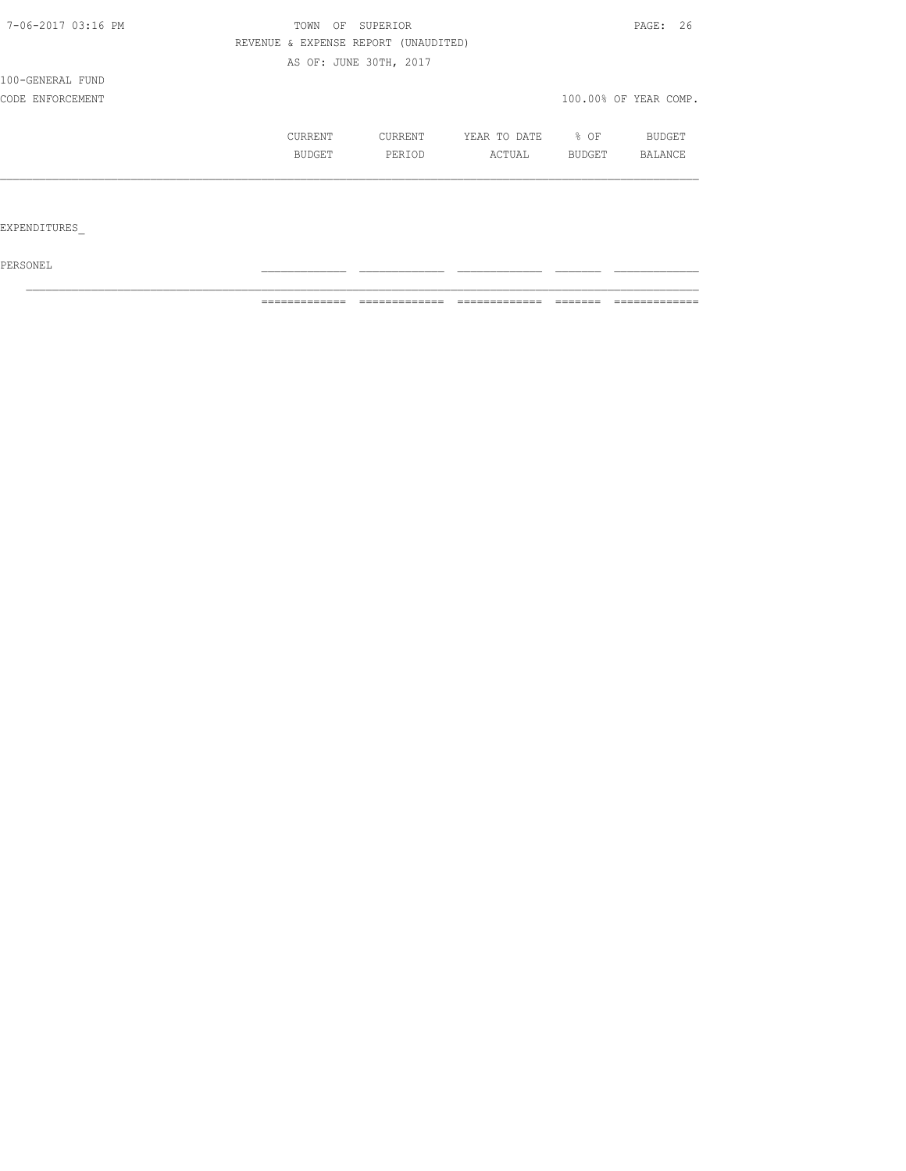| 7-06-2017 03:16 PM | TOWN    | OF<br>SUPERIOR                       |              |                  | PAGE: 26              |
|--------------------|---------|--------------------------------------|--------------|------------------|-----------------------|
|                    |         | REVENUE & EXPENSE REPORT (UNAUDITED) |              |                  |                       |
|                    |         | AS OF: JUNE 30TH, 2017               |              |                  |                       |
| 100-GENERAL FUND   |         |                                      |              |                  |                       |
| CODE ENFORCEMENT   |         |                                      |              |                  | 100.00% OF YEAR COMP. |
|                    | CURRENT | CURRENT                              | YEAR TO DATE | $\frac{8}{3}$ OF | BUDGET                |
|                    | BUDGET  | PERIOD                               | ACTUAL       | BUDGET           | BALANCE               |
|                    |         |                                      |              |                  |                       |
|                    |         |                                      |              |                  |                       |
|                    |         |                                      |              |                  |                       |

EXPENDITURES\_

 $PERSONEL$ 

============= ============= ============= ======= =============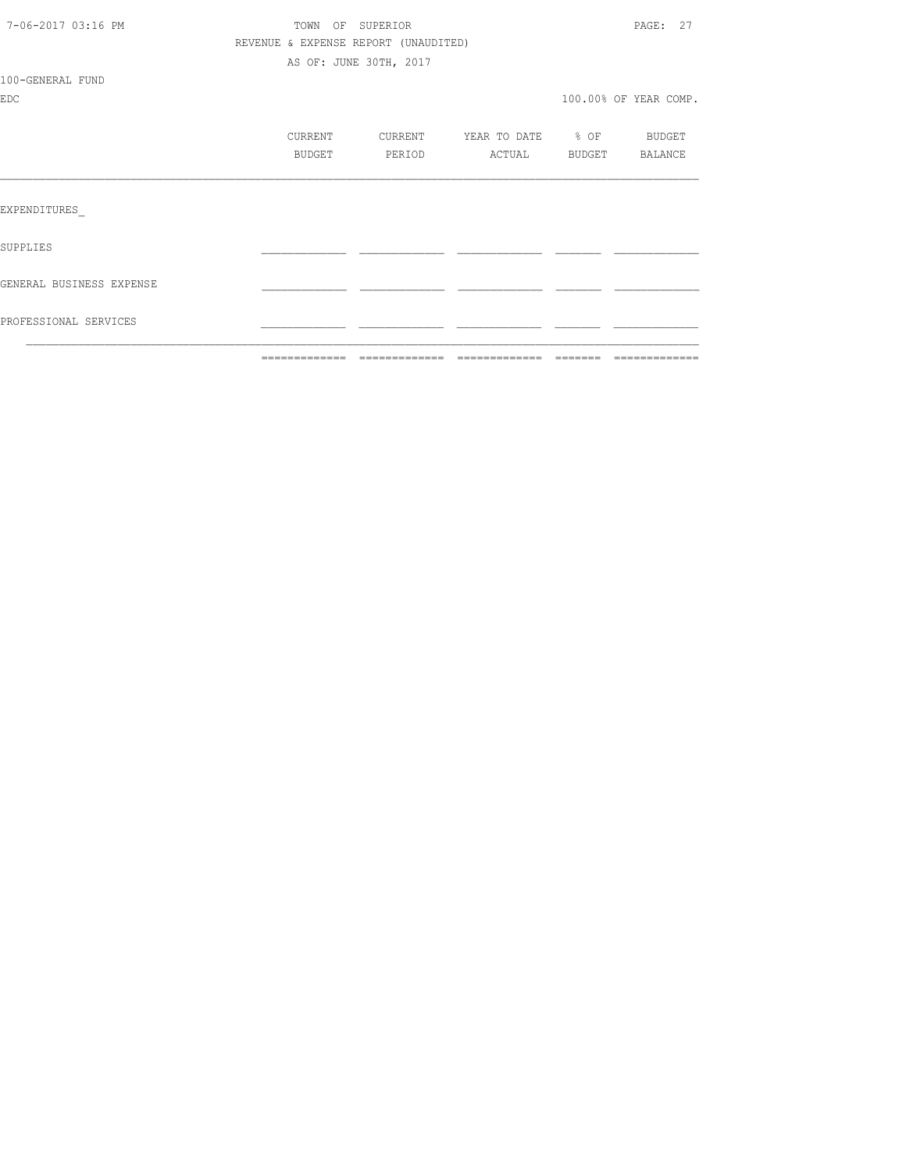|                          | ============= | =============                        | =============     | ======= |                       |
|--------------------------|---------------|--------------------------------------|-------------------|---------|-----------------------|
| PROFESSIONAL SERVICES    |               |                                      |                   |         |                       |
| GENERAL BUSINESS EXPENSE |               |                                      |                   |         |                       |
| SUPPLIES                 |               |                                      |                   |         |                       |
| EXPENDITURES             |               |                                      |                   |         |                       |
|                          | BUDGET        | PERIOD                               | ACTUAL            |         | BUDGET BALANCE        |
|                          | CURRENT       | CURRENT                              | YEAR TO DATE % OF |         | <b>BUDGET</b>         |
| <b>EDC</b>               |               |                                      |                   |         | 100.00% OF YEAR COMP. |
| 100-GENERAL FUND         |               |                                      |                   |         |                       |
|                          |               | AS OF: JUNE 30TH, 2017               |                   |         |                       |
|                          |               | REVENUE & EXPENSE REPORT (UNAUDITED) |                   |         |                       |
| 7-06-2017 03:16 PM       |               | TOWN OF SUPERIOR                     |                   |         | PAGE: 27              |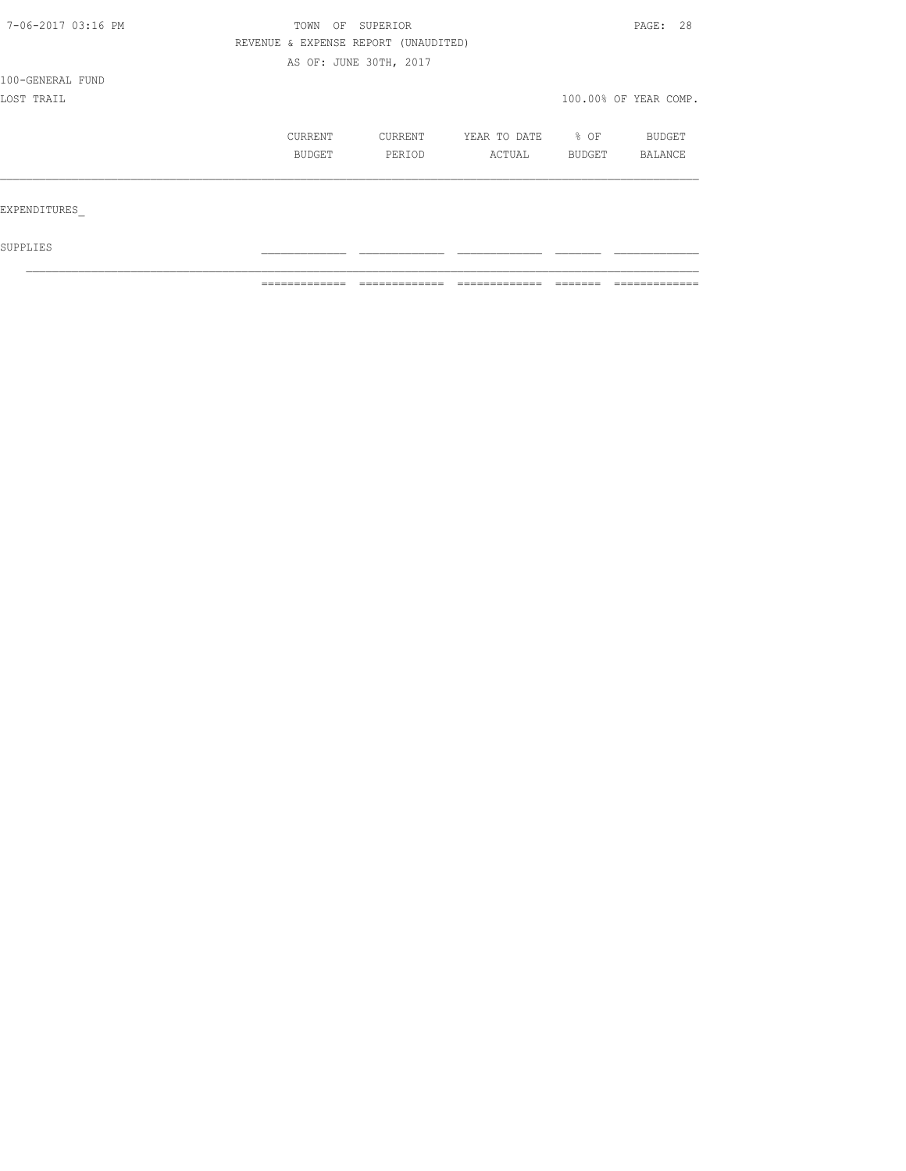| 7-06-2017 03:16 PM | TOWN                                 | OF SUPERIOR |              |        | PAGE: 28              |  |
|--------------------|--------------------------------------|-------------|--------------|--------|-----------------------|--|
|                    | REVENUE & EXPENSE REPORT (UNAUDITED) |             |              |        |                       |  |
|                    | AS OF: JUNE 30TH, 2017               |             |              |        |                       |  |
| 100-GENERAL FUND   |                                      |             |              |        |                       |  |
| LOST TRAIL         |                                      |             |              |        | 100.00% OF YEAR COMP. |  |
|                    | CURRENT                              | CURRENT     | YEAR TO DATE | % OF   | BUDGET                |  |
|                    | BUDGET                               | PERIOD      | ACTUAL       | BUDGET | BALANCE               |  |
|                    |                                      |             |              |        |                       |  |
| EXPENDITURES       |                                      |             |              |        |                       |  |
| SUPPLIES           |                                      |             |              |        |                       |  |

 $\mathcal{L}_\text{max}$ 

 $\blacksquare$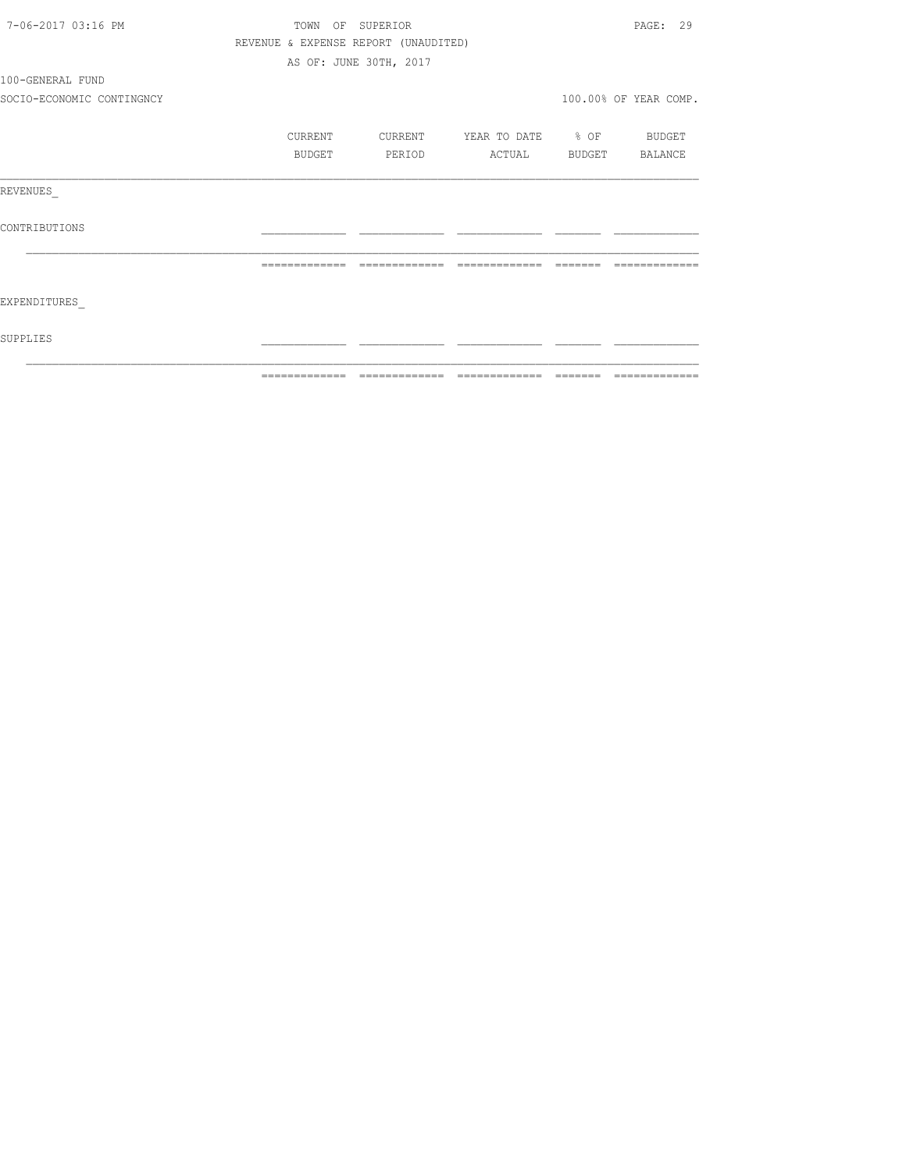| 7-06-2017 03:16 PM        |                                      | TOWN OF SUPERIOR       |                               |                         | PAGE: 29              |
|---------------------------|--------------------------------------|------------------------|-------------------------------|-------------------------|-----------------------|
|                           | REVENUE & EXPENSE REPORT (UNAUDITED) |                        |                               |                         |                       |
|                           |                                      | AS OF: JUNE 30TH, 2017 |                               |                         |                       |
| 100-GENERAL FUND          |                                      |                        |                               |                         |                       |
| SOCIO-ECONOMIC CONTINGNCY |                                      |                        |                               |                         | 100.00% OF YEAR COMP. |
|                           | CURRENT                              | CURRENT                | YEAR TO DATE % OF             |                         | BUDGET                |
|                           | BUDGET                               | PERIOD                 | ACTUAL BUDGET BALANCE         |                         |                       |
| REVENUES                  |                                      |                        |                               |                         |                       |
| CONTRIBUTIONS             |                                      |                        |                               |                         |                       |
|                           | =============                        |                        | -------------- -------------- | $=$ $=$ $=$ $=$ $=$ $=$ | -------------         |
| EXPENDITURES              |                                      |                        |                               |                         |                       |
| SUPPLIES                  |                                      |                        |                               |                         |                       |
|                           |                                      |                        |                               |                         |                       |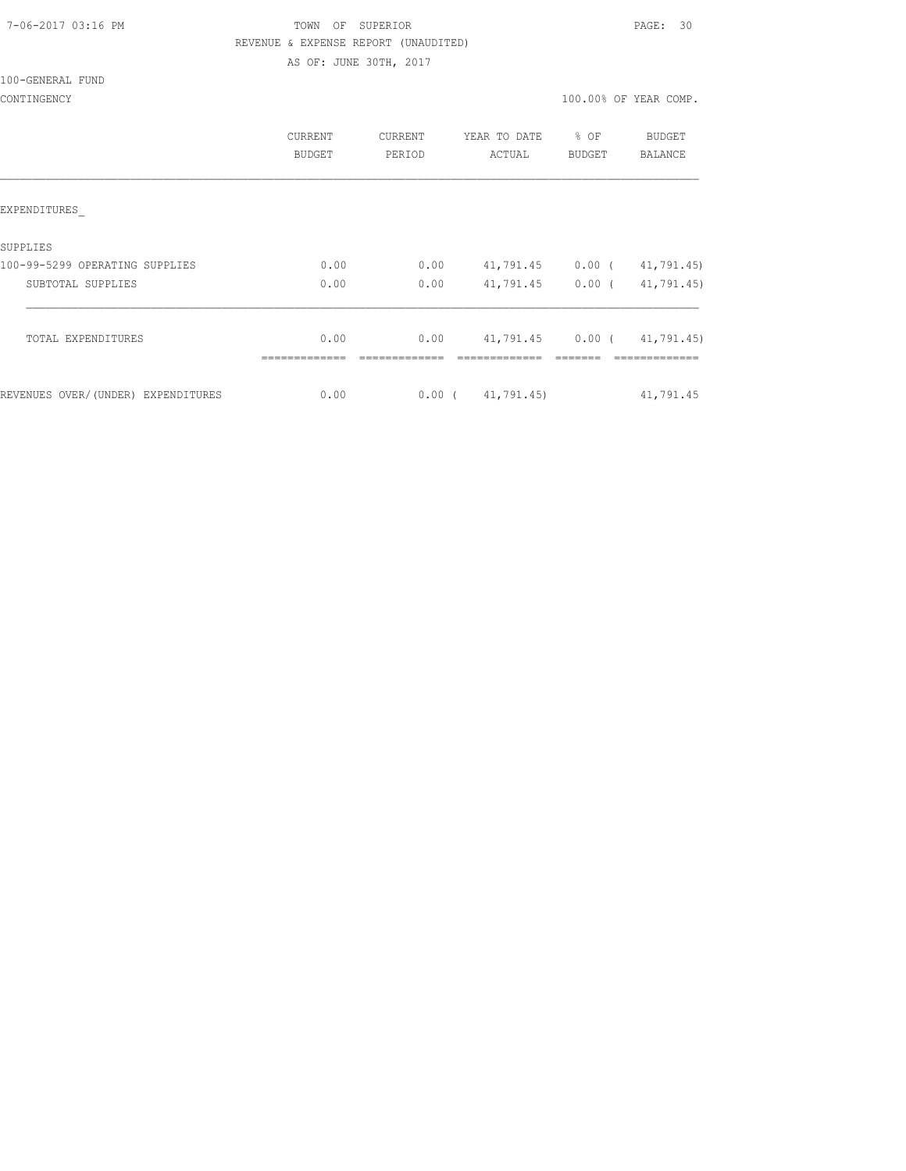#### 7-06-2017 03:16 PM TOWN OF SUPERIOR PAGE: 30 REVENUE & EXPENSE REPORT (UNAUDITED) AS OF: JUNE 30TH, 2017

100-GENERAL FUND

|                                    | <b>CURRENT</b><br>BUDGET | <b>CURRENT</b><br>PERIOD | YEAR TO DATE<br>ACTUAL | $8$ OF<br><b>BUDGET</b> | BUDGET<br>BALANCE |
|------------------------------------|--------------------------|--------------------------|------------------------|-------------------------|-------------------|
| EXPENDITURES                       |                          |                          |                        |                         |                   |
| SUPPLIES                           |                          |                          |                        |                         |                   |
| 100-99-5299 OPERATING SUPPLIES     | 0.00                     | 0.00                     | 41,791.45 0.00 (       |                         | 41,791.45)        |
| SUBTOTAL SUPPLIES                  | 0.00                     | 0.00                     | 41,791.45 0.00 (       |                         | 41,791.45)        |
| TOTAL EXPENDITURES                 | 0.00                     | 0.00                     |                        |                         |                   |
|                                    |                          |                          |                        |                         |                   |
| REVENUES OVER/(UNDER) EXPENDITURES | 0.00                     |                          | 0.00(41,791.45)        |                         | 41,791.45         |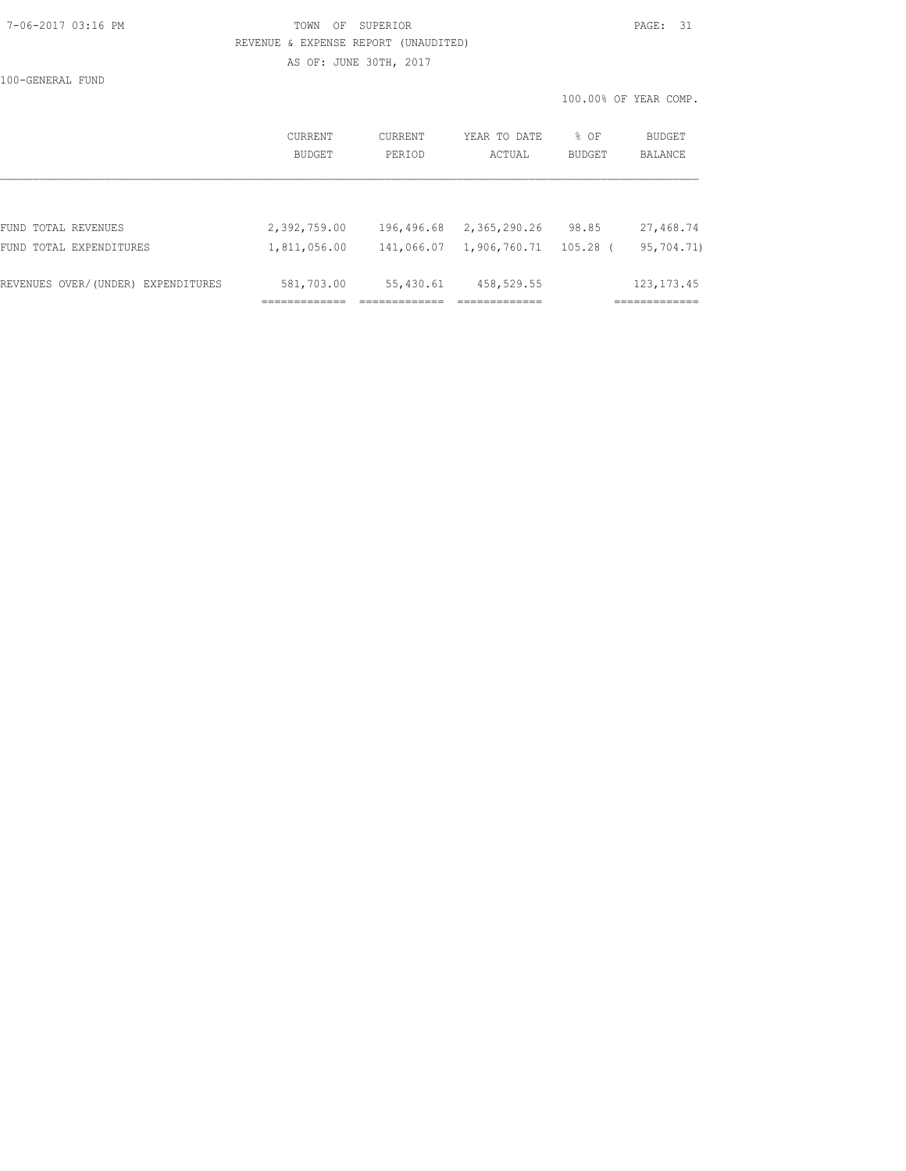#### 7-06-2017 03:16 PM TOWN OF SUPERIOR PAGE: 31 REVENUE & EXPENSE REPORT (UNAUDITED)

AS OF: JUNE 30TH, 2017

100-GENERAL FUND

100.00% OF YEAR COMP.

|                                    | CURRENT<br>BUDGET | CURRENT<br>PERIOD | YEAR TO DATE<br>ACTUAL | % OF<br><b>BUDGET</b> | BUDGET<br>BALANCE |
|------------------------------------|-------------------|-------------------|------------------------|-----------------------|-------------------|
|                                    |                   |                   |                        |                       |                   |
| FUND TOTAL REVENUES                | 2,392,759.00      | 196,496.68        | 2,365,290.26           | 98.85                 | 27,468.74         |
| FUND TOTAL EXPENDITURES            | 1,811,056.00      | 141,066.07        | 1,906,760.71           | 105.28                | 95,704.71)        |
| REVENUES OVER/(UNDER) EXPENDITURES | 581,703.00        | 55,430.61         | 458,529.55             |                       | 123, 173. 45      |
|                                    |                   |                   |                        |                       |                   |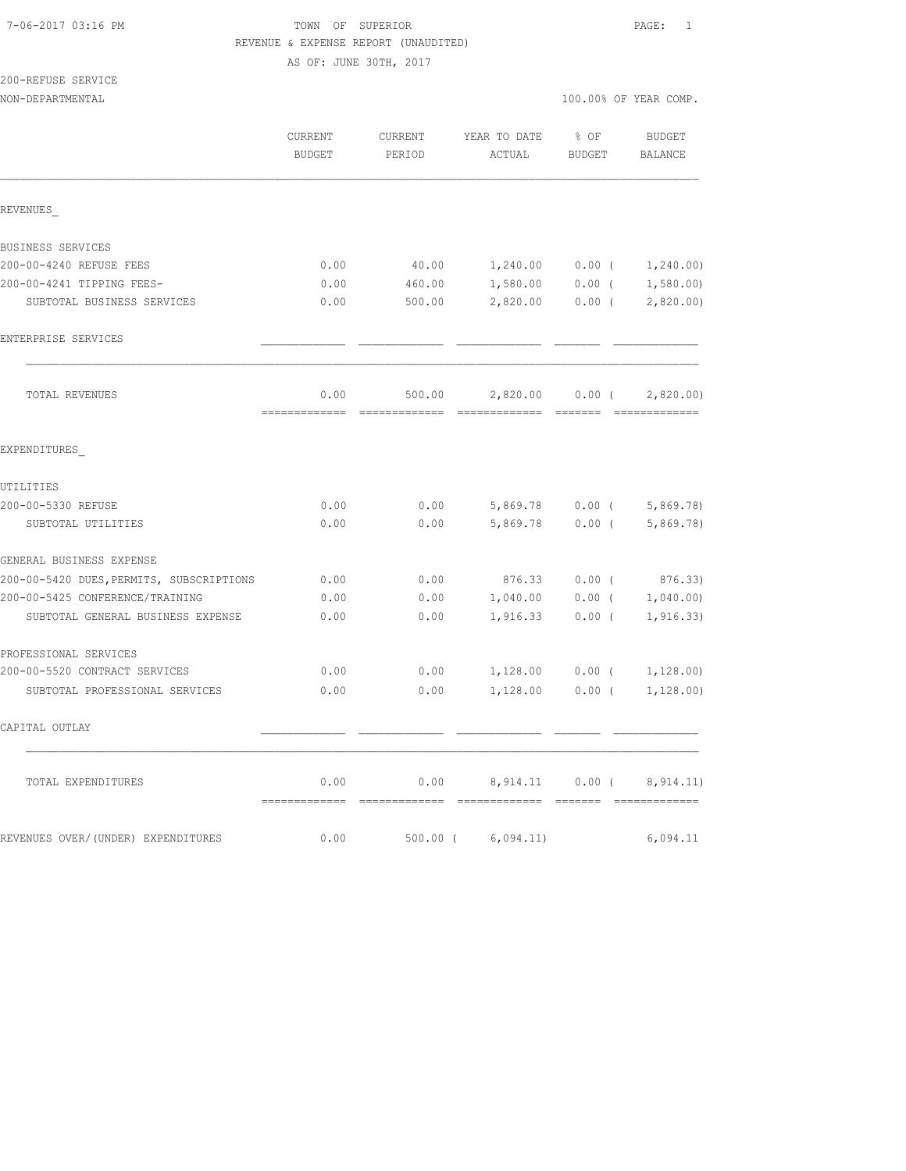#### 7-06-2017 03:16 PM TOWN OF SUPERIOR PAGE: 1 REVENUE & EXPENSE REPORT (UNAUDITED)

AS OF: JUNE 30TH, 2017

200-REFUSE SERVICE

|                                          | CURRENT<br>BUDGET | CURRENT<br>PERIOD | YEAR TO DATE<br>ACTUAL               | % OF<br>BUDGET          | <b>BUDGET</b><br>BALANCE    |
|------------------------------------------|-------------------|-------------------|--------------------------------------|-------------------------|-----------------------------|
| REVENUES                                 |                   |                   |                                      |                         |                             |
| BUSINESS SERVICES                        |                   |                   |                                      |                         |                             |
| 200-00-4240 REFUSE FEES                  | 0.00              |                   | 40.00   1,240.00   0.00 $1,240.00$   |                         |                             |
| 200-00-4241 TIPPING FEES-                | 0.00              | 460.00            | $1,580.00$ 0.00 ( 1,580.00)          |                         |                             |
| SUBTOTAL BUSINESS SERVICES               | 0.00              | 500.00            |                                      |                         | 2,820.00 0.00 (2,820.00)    |
| ENTERPRISE SERVICES                      |                   |                   |                                      |                         |                             |
| TOTAL REVENUES                           | 0.00              | 500.00            | 2,820.00                             | $0.00$ (<br>--- ------- | 2,820.00)                   |
| EXPENDITURES                             |                   |                   |                                      |                         |                             |
| UTILITIES                                |                   |                   |                                      |                         |                             |
| 200-00-5330 REFUSE                       | 0.00              | 0.00              |                                      |                         | $5,869.78$ 0.00 ( 5,869.78) |
| SUBTOTAL UTILITIES                       | 0.00              | 0.00              | 5,869.78                             | $0.00$ (                | 5,869.78)                   |
| GENERAL BUSINESS EXPENSE                 |                   |                   |                                      |                         |                             |
| 200-00-5420 DUES, PERMITS, SUBSCRIPTIONS | 0.00              | 0.00              | 876.33                               | $0.00$ (                | 876.33)                     |
| 200-00-5425 CONFERENCE/TRAINING          | 0.00              | 0.00              |                                      |                         | $1,040.00$ 0.00 ( 1,040.00) |
| SUBTOTAL GENERAL BUSINESS EXPENSE        | 0.00              | 0.00              | 1,916.33                             | $0.00$ (                | 1, 916.33)                  |
| PROFESSIONAL SERVICES                    |                   |                   |                                      |                         |                             |
| 200-00-5520 CONTRACT SERVICES            | 0.00              | 0.00              | 1,128.00 0.00 (                      |                         | 1,128.00)                   |
| SUBTOTAL PROFESSIONAL SERVICES           | 0.00              | 0.00              | $1,128.00$ 0.00 (                    |                         | 1,128.00)                   |
| CAPITAL OUTLAY                           |                   |                   |                                      |                         |                             |
| TOTAL EXPENDITURES                       | 0.00              | 0.00              | 8,914.11<br>======================== | $0.00$ (                | 8, 914.11)                  |
| REVENUES OVER/(UNDER) EXPENDITURES       | 0.00              | $500.00$ (        | 6,094.11)                            |                         | 6,094.11                    |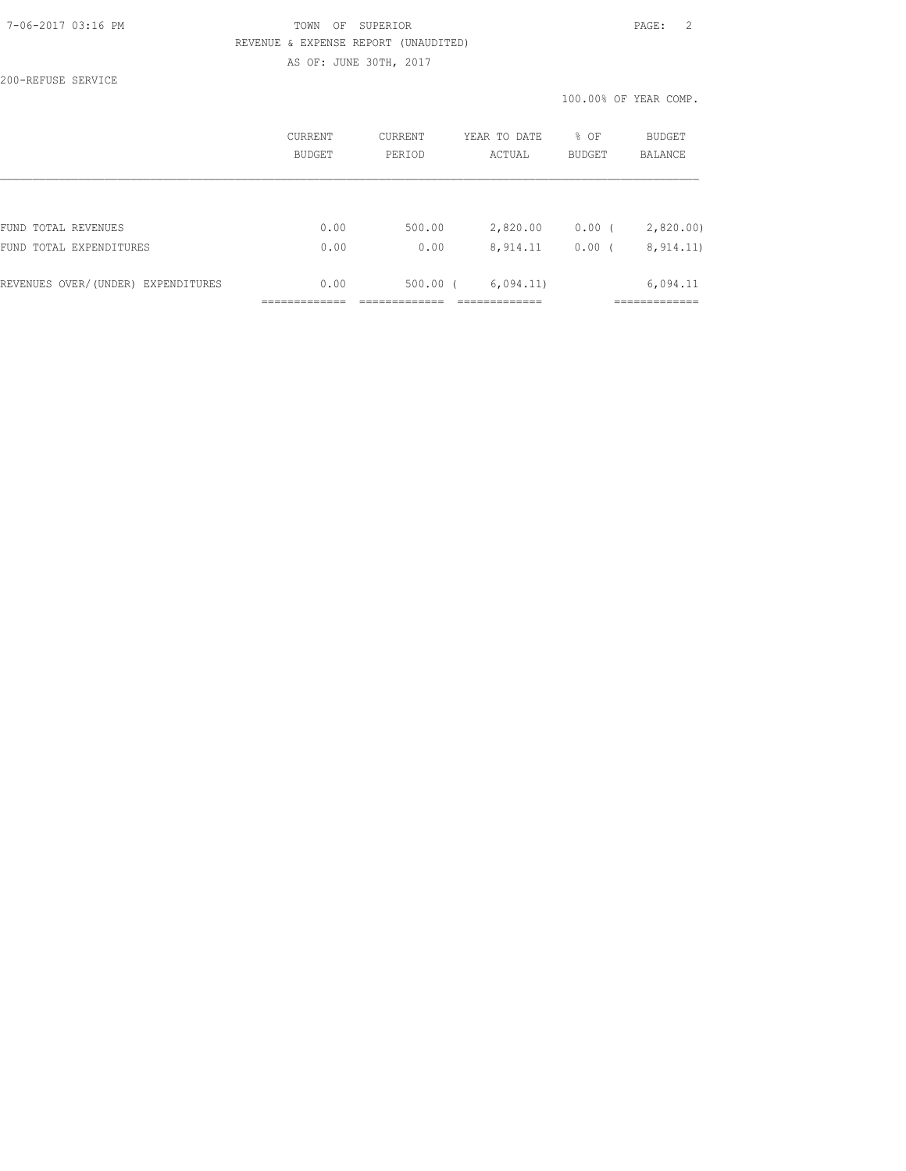#### 7-06-2017 03:16 PM TOWN OF SUPERIOR PAGE: 2 REVENUE & EXPENSE REPORT (UNAUDITED) AS OF: JUNE 30TH, 2017

200-REFUSE SERVICE

100.00% OF YEAR COMP.

|                                    | CURRENT<br><b>BUDGET</b> | <b>CURRENT</b><br>PERTOD | YEAR TO DATE<br>ACTUAL | % OF<br><b>BUDGET</b> | BUDGET<br><b>BALANCE</b> |
|------------------------------------|--------------------------|--------------------------|------------------------|-----------------------|--------------------------|
|                                    |                          |                          |                        |                       |                          |
| FUND TOTAL REVENUES                | 0.00                     | 500.00                   | 2,820.00               | $0.00$ (              | 2,820.00                 |
| FUND TOTAL EXPENDITURES            | 0.00                     | 0.00                     | 8,914.11               | 0.00(                 | 8, 914.11)               |
| REVENUES OVER/(UNDER) EXPENDITURES | 0.00                     | $500.00$ $($             | 6,094.11)              |                       | 6,094.11                 |
|                                    |                          |                          |                        |                       |                          |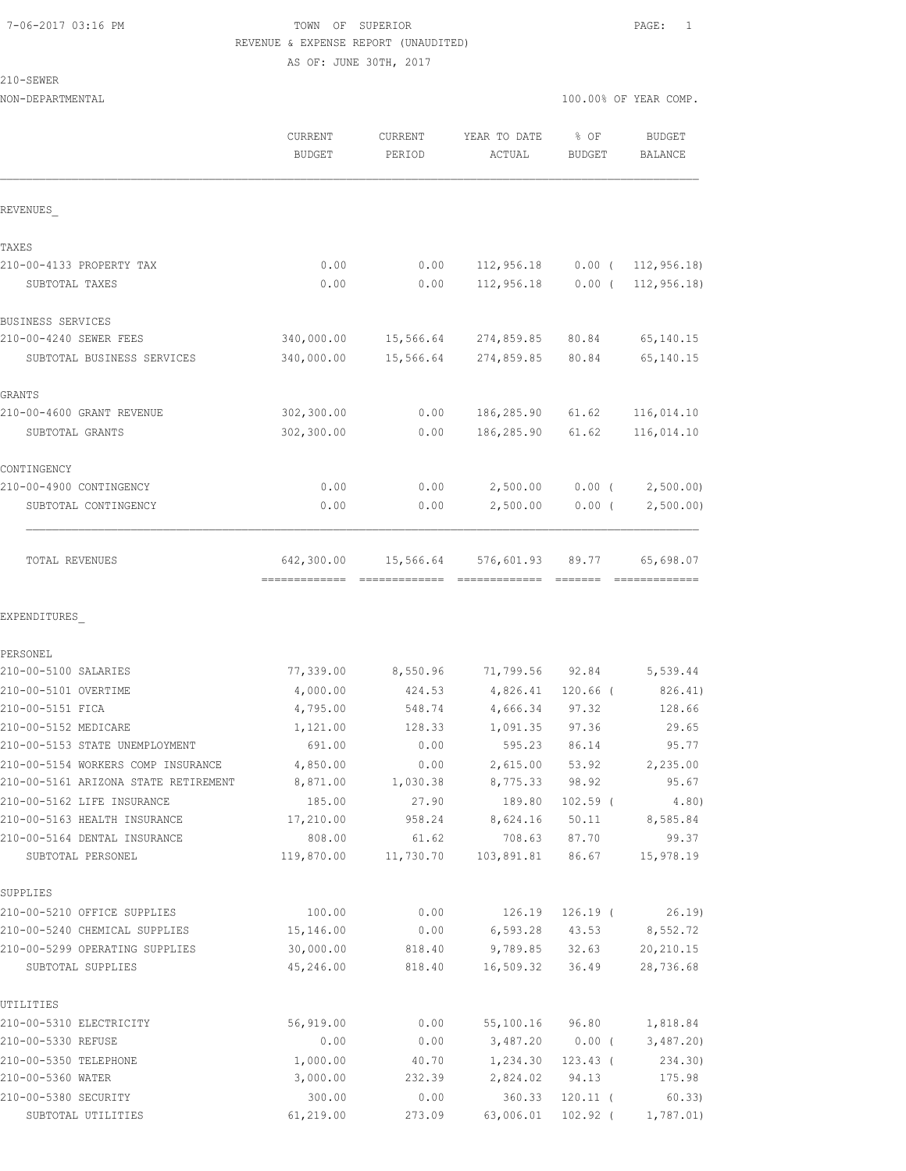#### 7-06-2017 03:16 PM TOWN OF SUPERIOR PAGE: 1 REVENUE & EXPENSE REPORT (UNAUDITED) AS OF: JUNE 30TH, 2017

210-SEWER

|                                                                    | CURRENT<br><b>BUDGET</b> | <b>CURRENT</b><br>PERIOD | YEAR TO DATE<br>ACTUAL | % OF<br>BUDGET      | <b>BUDGET</b><br>BALANCE |
|--------------------------------------------------------------------|--------------------------|--------------------------|------------------------|---------------------|--------------------------|
| REVENUES                                                           |                          |                          |                        |                     |                          |
| TAXES                                                              |                          |                          |                        |                     |                          |
| 210-00-4133 PROPERTY TAX                                           | 0.00                     | 0.00                     | 112,956.18             |                     | $0.00$ ( 112, 956.18)    |
| SUBTOTAL TAXES                                                     | 0.00                     | 0.00                     | 112,956.18             | $0.00$ (            | 112, 956, 18             |
| BUSINESS SERVICES                                                  |                          |                          |                        |                     |                          |
| 210-00-4240 SEWER FEES                                             | 340,000.00               | 15,566.64                | 274,859.85             | 80.84               | 65,140.15                |
| SUBTOTAL BUSINESS SERVICES                                         | 340,000.00               | 15,566.64                | 274,859.85             | 80.84               | 65, 140. 15              |
| GRANTS                                                             |                          |                          |                        |                     |                          |
| 210-00-4600 GRANT REVENUE                                          | 302, 300.00              | 0.00                     | 186,285.90             | 61.62               | 116,014.10               |
| SUBTOTAL GRANTS                                                    | 302,300.00               | 0.00                     | 186,285.90             | 61.62               | 116,014.10               |
| CONTINGENCY                                                        |                          |                          |                        |                     |                          |
| 210-00-4900 CONTINGENCY                                            | 0.00                     | 0.00                     | 2,500.00               | $0.00$ (            | 2,500.00                 |
| SUBTOTAL CONTINGENCY                                               | 0.00                     | 0.00                     | 2,500.00               | 0.00(               | 2,500.00)                |
| TOTAL REVENUES                                                     | 642,300.00               | 15,566.64                | 576,601.93             | 89.77               | 65,698.07                |
| EXPENDITURES                                                       |                          |                          |                        |                     |                          |
| PERSONEL                                                           |                          |                          |                        |                     |                          |
| 210-00-5100 SALARIES                                               | 77,339.00                | 8,550.96                 | 71,799.56 92.84        |                     | 5,539.44                 |
| 210-00-5101 OVERTIME                                               | 4,000.00                 | 424.53                   | 4,826.41               | $120.66$ (          | 826.41)                  |
| 210-00-5151 FICA                                                   | 4,795.00                 | 548.74                   | 4,666.34               | 97.32               | 128.66                   |
| 210-00-5152 MEDICARE                                               | 1,121.00                 | 128.33                   | 1,091.35               | 97.36               | 29.65                    |
| 210-00-5153 STATE UNEMPLOYMENT                                     | 691.00                   | 0.00                     | 595.23                 | 86.14               | 95.77                    |
| 210-00-5154 WORKERS COMP INSURANCE                                 | 4,850.00                 | 0.00                     | 2,615.00               | 53.92               | 2,235.00                 |
| 210-00-5161 ARIZONA STATE RETIREMENT<br>210-00-5162 LIFE INSURANCE | 8,871.00<br>185.00       | 1,030.38<br>27.90        | 8,775.33<br>189.80     | 98.92<br>$102.59$ ( | 95.67<br>4.80)           |
| 210-00-5163 HEALTH INSURANCE                                       | 17,210.00                | 958.24                   | 8,624.16               | 50.11               | 8,585.84                 |
| 210-00-5164 DENTAL INSURANCE                                       | 808.00                   | 61.62                    | 708.63                 | 87.70               | 99.37                    |
| SUBTOTAL PERSONEL                                                  | 119,870.00               | 11,730.70                | 103,891.81             | 86.67               | 15,978.19                |
| SUPPLIES                                                           |                          |                          |                        |                     |                          |
| 210-00-5210 OFFICE SUPPLIES                                        | 100.00                   | 0.00                     | 126.19                 | $126.19$ (          | 26.19                    |
| 210-00-5240 CHEMICAL SUPPLIES                                      | 15,146.00                | 0.00                     | 6,593.28               | 43.53               | 8,552.72                 |
| 210-00-5299 OPERATING SUPPLIES                                     | 30,000.00                | 818.40                   | 9,789.85               | 32.63               | 20, 210.15               |
| SUBTOTAL SUPPLIES                                                  | 45,246.00                | 818.40                   | 16,509.32              | 36.49               | 28,736.68                |
| UTILITIES                                                          |                          |                          |                        |                     |                          |
| 210-00-5310 ELECTRICITY                                            | 56,919.00                | 0.00                     | 55,100.16              | 96.80               | 1,818.84                 |
| 210-00-5330 REFUSE                                                 | 0.00                     | 0.00                     | 3,487.20               | $0.00$ (            | 3,487.20                 |
| 210-00-5350 TELEPHONE                                              | 1,000.00                 | 40.70                    | 1,234.30               | $123.43$ (          | 234.30)                  |
| 210-00-5360 WATER                                                  | 3,000.00                 | 232.39                   | 2,824.02               | 94.13               | 175.98                   |
| 210-00-5380 SECURITY                                               | 300.00                   | 0.00                     | 360.33                 | $120.11$ (          | 60.33                    |
| SUBTOTAL UTILITIES                                                 | 61, 219.00               | 273.09                   | 63,006.01              | 102.92 (            | 1,787.01)                |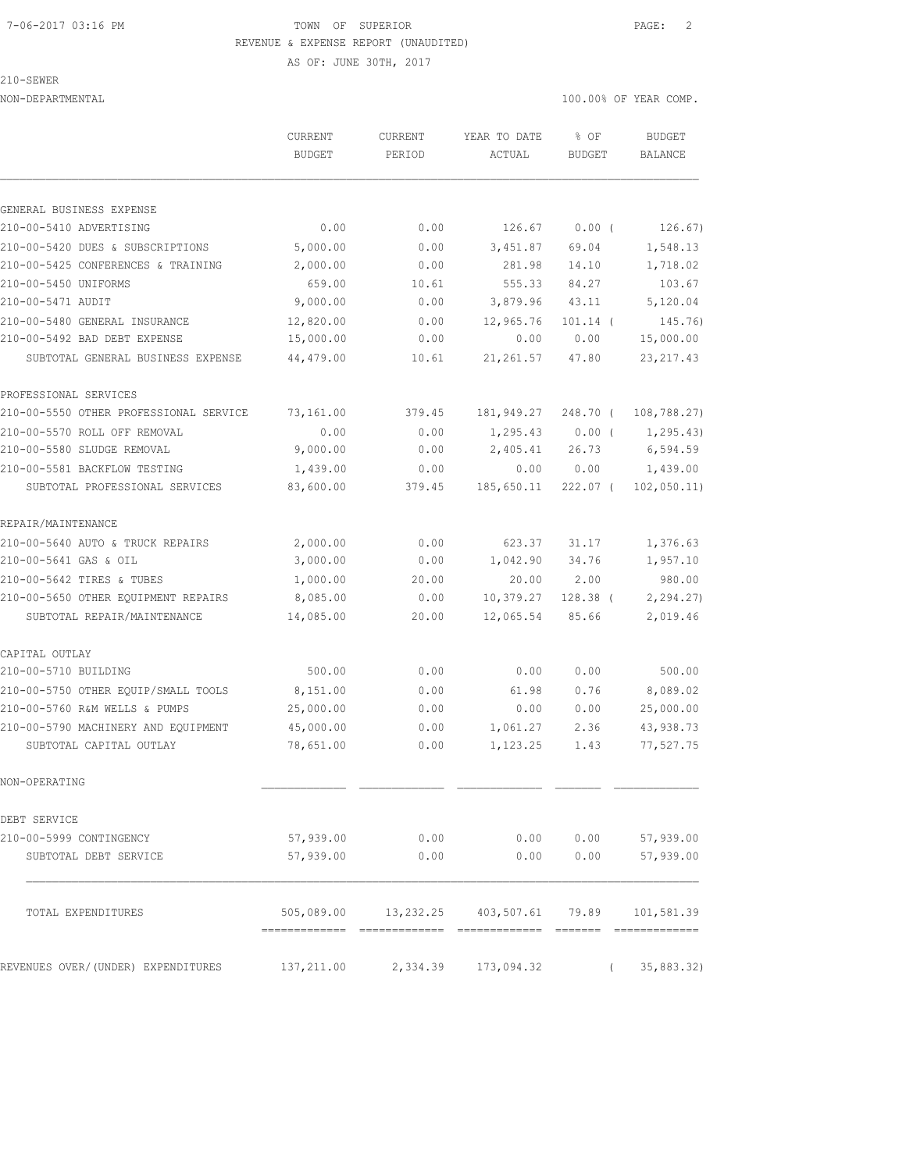#### 7-06-2017 03:16 PM TOWN OF SUPERIOR PAGE: 2 REVENUE & EXPENSE REPORT (UNAUDITED)

AS OF: JUNE 30TH, 2017

210-SEWER

NON-DEPARTMENTAL 100.00% OF YEAR COMP.

|                                        | <b>CURRENT</b><br><b>BUDGET</b> | <b>CURRENT</b><br>PERIOD | YEAR TO DATE<br>ACTUAL                         | % OF<br>BUDGET | <b>BUDGET</b><br><b>BALANCE</b> |
|----------------------------------------|---------------------------------|--------------------------|------------------------------------------------|----------------|---------------------------------|
| GENERAL BUSINESS EXPENSE               |                                 |                          |                                                |                |                                 |
| 210-00-5410 ADVERTISING                | 0.00                            | 0.00                     | 126.67                                         | $0.00$ (       | 126.67)                         |
| 210-00-5420 DUES & SUBSCRIPTIONS       | 5,000.00                        | 0.00                     | 3,451.87                                       | 69.04          | 1,548.13                        |
| 210-00-5425 CONFERENCES & TRAINING     | 2,000.00                        | 0.00                     | 281.98                                         | 14.10          | 1,718.02                        |
| 210-00-5450 UNIFORMS                   | 659.00                          | 10.61                    | 555.33                                         | 84.27          | 103.67                          |
| 210-00-5471 AUDIT                      | 9,000.00                        | 0.00                     | 3,879.96                                       | 43.11          | 5,120.04                        |
| 210-00-5480 GENERAL INSURANCE          | 12,820.00                       | 0.00                     | 12,965.76                                      | $101.14$ (     | 145.76)                         |
| 210-00-5492 BAD DEBT EXPENSE           | 15,000.00                       | 0.00                     | 0.00                                           | 0.00           | 15,000.00                       |
| SUBTOTAL GENERAL BUSINESS EXPENSE      | 44,479.00                       | 10.61                    | 21, 261.57                                     | 47.80          | 23, 217.43                      |
| PROFESSIONAL SERVICES                  |                                 |                          |                                                |                |                                 |
| 210-00-5550 OTHER PROFESSIONAL SERVICE | 73,161.00                       | 379.45                   | 181,949.27                                     | 248.70 (       | 108,788.27)                     |
| 210-00-5570 ROLL OFF REMOVAL           | 0.00                            | 0.00                     | 1,295.43                                       | $0.00$ (       | 1,295.43)                       |
| 210-00-5580 SLUDGE REMOVAL             | 9,000.00                        | 0.00                     | 2,405.41                                       | 26.73          | 6, 594.59                       |
| 210-00-5581 BACKFLOW TESTING           | 1,439.00                        | 0.00                     | 0.00                                           | 0.00           | 1,439.00                        |
| SUBTOTAL PROFESSIONAL SERVICES         | 83,600.00                       | 379.45                   | 185,650.11                                     | $222.07$ (     | 102,050.11)                     |
| REPAIR/MAINTENANCE                     |                                 |                          |                                                |                |                                 |
| 210-00-5640 AUTO & TRUCK REPAIRS       | 2,000.00                        | 0.00                     | 623.37                                         | 31.17          | 1,376.63                        |
| 210-00-5641 GAS & OIL                  | 3,000.00                        | 0.00                     | 1,042.90                                       | 34.76          | 1,957.10                        |
| 210-00-5642 TIRES & TUBES              | 1,000.00                        | 20.00                    | 20.00                                          | 2.00           | 980.00                          |
| 210-00-5650 OTHER EQUIPMENT REPAIRS    | 8,085.00                        | 0.00                     | 10,379.27                                      | $128.38$ (     | 2, 294.27                       |
| SUBTOTAL REPAIR/MAINTENANCE            | 14,085.00                       | 20.00                    | 12,065.54                                      | 85.66          | 2,019.46                        |
| CAPITAL OUTLAY                         |                                 |                          |                                                |                |                                 |
| 210-00-5710 BUILDING                   | 500.00                          | 0.00                     | 0.00                                           | 0.00           | 500.00                          |
| 210-00-5750 OTHER EQUIP/SMALL TOOLS    | 8,151.00                        | 0.00                     | 61.98                                          | 0.76           | 8,089.02                        |
| 210-00-5760 R&M WELLS & PUMPS          | 25,000.00                       | 0.00                     | 0.00                                           | 0.00           | 25,000.00                       |
| 210-00-5790 MACHINERY AND EQUIPMENT    | 45,000.00                       | 0.00                     | 1,061.27                                       | 2.36           | 43,938.73                       |
| SUBTOTAL CAPITAL OUTLAY                | 78,651.00                       | 0.00                     | 1,123.25                                       | 1.43           | 77,527.75                       |
| NON-OPERATING                          |                                 |                          |                                                |                |                                 |
| DEBT SERVICE                           |                                 |                          |                                                |                |                                 |
| 210-00-5999 CONTINGENCY                | 57,939.00                       | 0.00                     | 0.00                                           | 0.00           | 57,939.00                       |
| SUBTOTAL DEBT SERVICE                  | 57,939.00                       | 0.00                     | 0.00                                           | 0.00           | 57,939.00                       |
| TOTAL EXPENDITURES                     | ============================    |                          | 505,089.00    13,232.25    403,507.61    79.89 |                | 101,581.39                      |
| REVENUES OVER/(UNDER) EXPENDITURES     | 137,211.00                      | 2,334.39                 | 173,094.32                                     | $\left($       | 35,883.32)                      |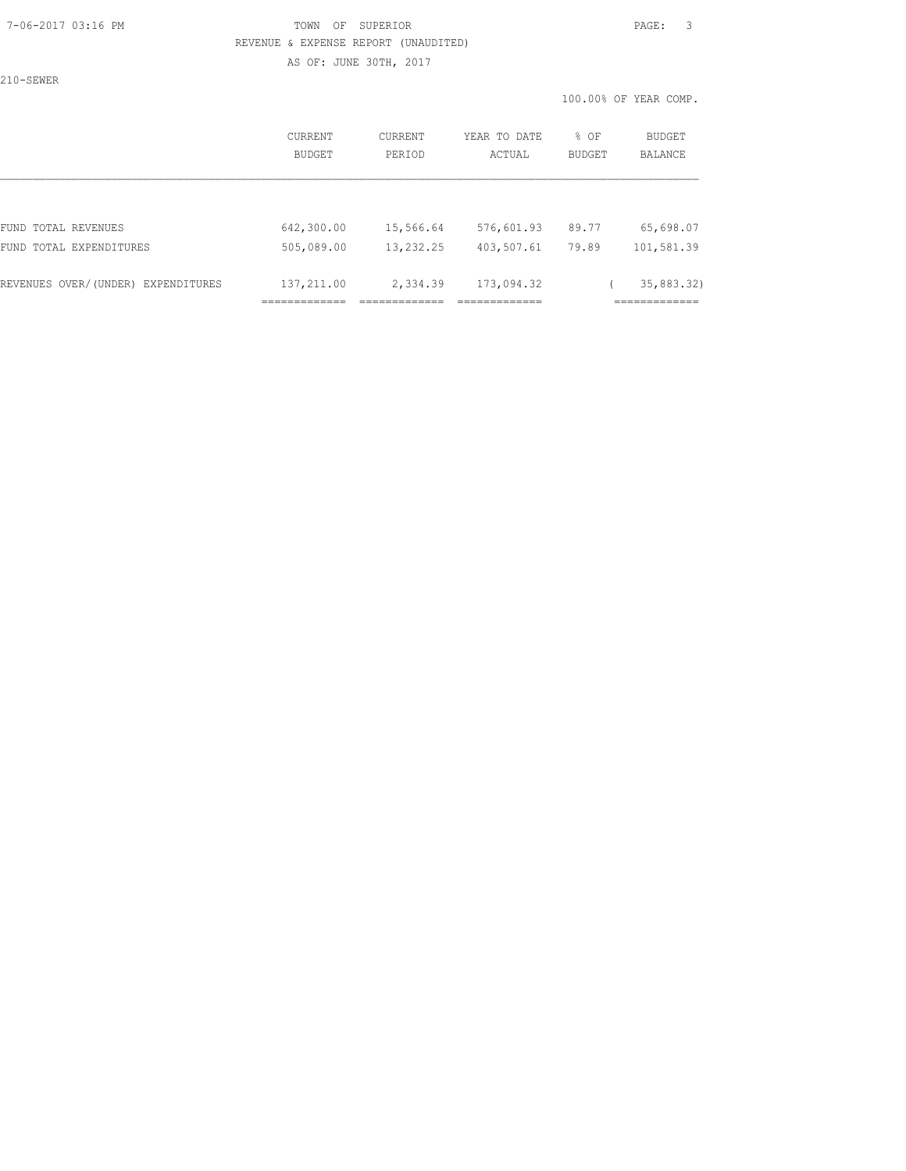#### 7-06-2017 03:16 PM TOWN OF SUPERIOR PAGE: 3 REVENUE & EXPENSE REPORT (UNAUDITED)

AS OF: JUNE 30TH, 2017

210-SEWER

100.00% OF YEAR COMP.

|                                       | CURRENT<br><b>BUDGET</b>          | <b>CURRENT</b><br>PERIOD           | YEAR TO DATE<br>ACTUAL                     | % OF<br><b>BUDGET</b> | BUDGET<br><b>BALANCE</b>        |
|---------------------------------------|-----------------------------------|------------------------------------|--------------------------------------------|-----------------------|---------------------------------|
|                                       |                                   |                                    |                                            |                       |                                 |
| FUND TOTAL REVENUES                   | 642,300.00                        | 15,566.64                          | 576,601.93                                 | 89.77                 | 65,698.07                       |
| FUND TOTAL EXPENDITURES               | 505,089.00                        | 13, 232.25                         | 403,507.61                                 | 79.89                 | 101,581.39                      |
| REVENUES OVER/(UNDER)<br>EXPENDITURES | 137,211.00<br>--------------<br>. | 2,334.39<br>__________<br>________ | 173,094.32<br>____________<br>------------ |                       | 35,883.32)<br>____________<br>. |
|                                       |                                   |                                    |                                            |                       |                                 |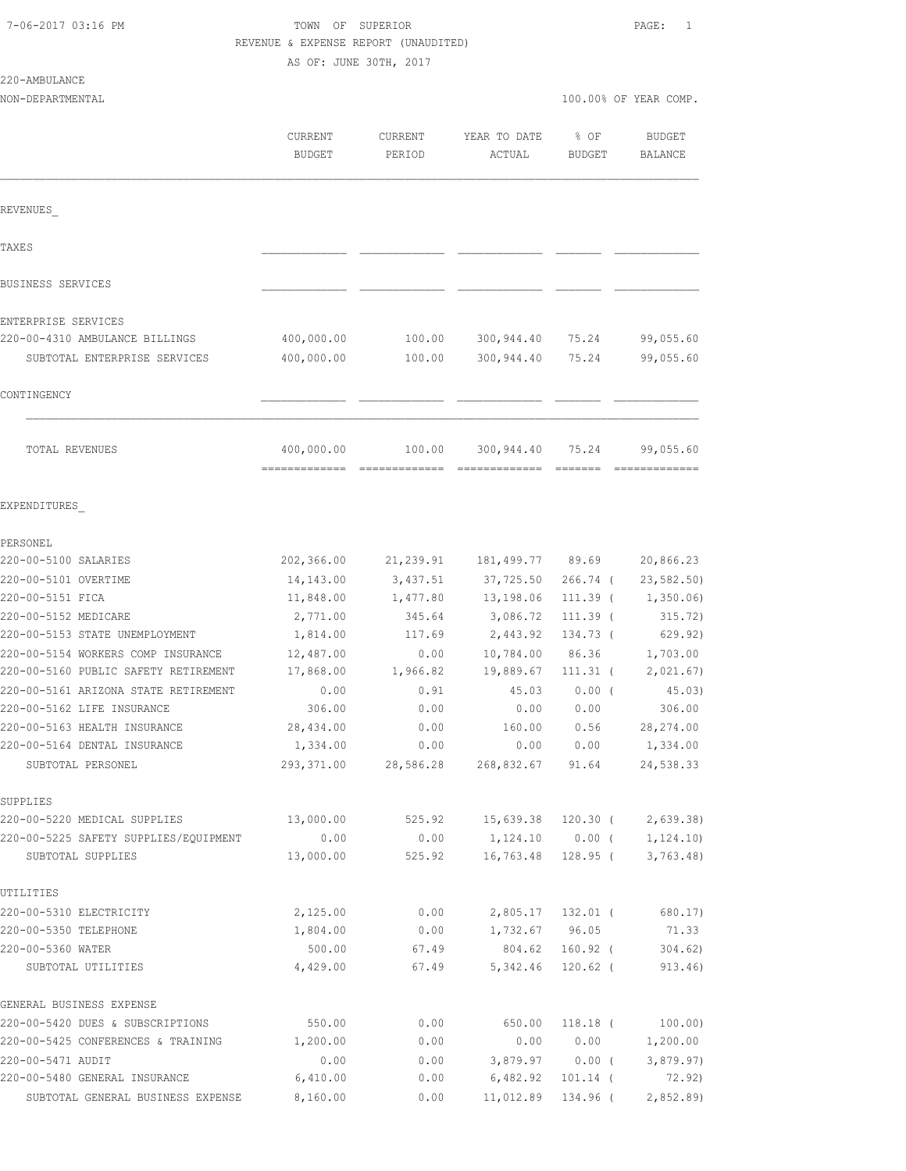# TOWN OF SUPERIOR **PAGE:** 1 REVENUE & EXPENSE REPORT (UNAUDITED)

GENERAL BUSINESS EXPENSE

|                                                                            | AS OF: JUNE 30TH, 2017 |                      |                         |                      |                          |
|----------------------------------------------------------------------------|------------------------|----------------------|-------------------------|----------------------|--------------------------|
| 220-AMBULANCE<br>NON-DEPARTMENTAL                                          |                        |                      |                         |                      | 100.00% OF YEAR COMP.    |
|                                                                            | CURRENT<br>BUDGET      | CURRENT<br>PERIOD    | YEAR TO DATE<br>ACTUAL  | % OF<br>BUDGET       | <b>BUDGET</b><br>BALANCE |
| REVENUES                                                                   |                        |                      |                         |                      |                          |
| TAXE S                                                                     |                        |                      |                         |                      |                          |
| BUSINESS SERVICES                                                          |                        |                      |                         |                      |                          |
| ENTERPRISE SERVICES                                                        |                        |                      |                         |                      |                          |
| 220-00-4310 AMBULANCE BILLINGS                                             | 400,000.00             | 100.00               | 300,944.40 75.24        |                      | 99,055.60                |
| SUBTOTAL ENTERPRISE SERVICES                                               | 400,000.00             | 100.00               | 300,944.40              | 75.24                | 99,055.60                |
| CONTINGENCY                                                                |                        |                      |                         |                      |                          |
| TOTAL REVENUES                                                             | 400,000.00             |                      | 100.00 300,944.40 75.24 |                      | 99,055.60                |
| EXPENDITURES                                                               |                        |                      |                         |                      |                          |
| PERSONEL                                                                   |                        |                      |                         |                      |                          |
| 220-00-5100 SALARIES                                                       |                        | 202,366.00 21,239.91 | 181,499.77 89.69        |                      | 20,866.23                |
| 220-00-5101 OVERTIME                                                       | 14,143.00              | 3,437.51             | 37,725.50               | 266.74 (             | 23, 582.50               |
| 220-00-5151 FICA                                                           | 11,848.00              | 1,477.80             | 13,198.06               | 111.39 (             | 1,350.06)                |
| 220-00-5152 MEDICARE                                                       | 2,771.00               | 345.64               | 3,086.72                | $111.39$ (           | 315.72)                  |
| 220-00-5153 STATE UNEMPLOYMENT                                             | 1,814.00               | 117.69               | 2,443.92                | 134.73 (             | 629.92)                  |
| 220-00-5154 WORKERS COMP INSURANCE<br>220-00-5160 PUBLIC SAFETY RETIREMENT | 12,487.00<br>17,868.00 | 0.00<br>1,966.82     | 10,784.00<br>19,889.67  | 86.36                | 1,703.00<br>2,021.67)    |
| 220-00-5161 ARIZONA STATE RETIREMENT                                       | 0.00                   | 0.91                 | 45.03                   | $111.31$ (<br>0.00(  | 45.03)                   |
| 220-00-5162 LIFE INSURANCE                                                 | 306.00                 | 0.00                 | 0.00                    | 0.00                 | 306.00                   |
| 220-00-5163 HEALTH INSURANCE                                               | 28,434.00              | 0.00                 | 160.00                  | 0.56                 | 28, 274.00               |
| 220-00-5164 DENTAL INSURANCE                                               | 1,334.00               | 0.00                 | 0.00                    | 0.00                 | 1,334.00                 |
| SUBTOTAL PERSONEL                                                          | 293,371.00             | 28,586.28            | 268,832.67              | 91.64                | 24,538.33                |
| SUPPLIES                                                                   |                        |                      |                         |                      |                          |
| 220-00-5220 MEDICAL SUPPLIES                                               | 13,000.00              | 525.92               | 15,639.38               | 120.30 (             | 2,639.38)                |
| 220-00-5225 SAFETY SUPPLIES/EQUIPMENT<br>SUBTOTAL SUPPLIES                 | 0.00<br>13,000.00      | 0.00<br>525.92       | 1,124.10<br>16,763.48   | $0.00$ (<br>128.95 ( | 1, 124.10<br>3,763.48    |
| UTILITIES                                                                  |                        |                      |                         |                      |                          |
| 220-00-5310 ELECTRICITY                                                    | 2,125.00               | 0.00                 | 2,805.17                | 132.01 (             | 680.17)                  |
| 220-00-5350 TELEPHONE                                                      | 1,804.00               | 0.00                 | 1,732.67                | 96.05                | 71.33                    |
| 220-00-5360 WATER                                                          | 500.00                 | 67.49                | 804.62                  | $160.92$ (           | 304.62)                  |
| SUBTOTAL UTILITIES                                                         | 4,429.00               | 67.49                | 5,342.46                | $120.62$ (           | 913.46)                  |
|                                                                            |                        |                      |                         |                      |                          |

220-00-5420 DUES & SUBSCRIPTIONS 550.00 0.00 650.00 118.18 ( 100.00) 220-00-5425 CONFERENCES & TRAINING 1,200.00 0.00 0.00 0.00 1,200.00 220-00-5471 AUDIT<br>220-00-5480 GENERAL INSURANCE 6,410.00 0.00 0.00 6,482.92 101.14 (20.92) 220-00-5480 GENERAL INSURANCE 6,410.00 0.00 6,482.92 101.14 ( 72.92) SUBTOTAL GENERAL BUSINESS EXPENSE 8,160.00 0.00 11,012.89 134.96 ( 2,852.89)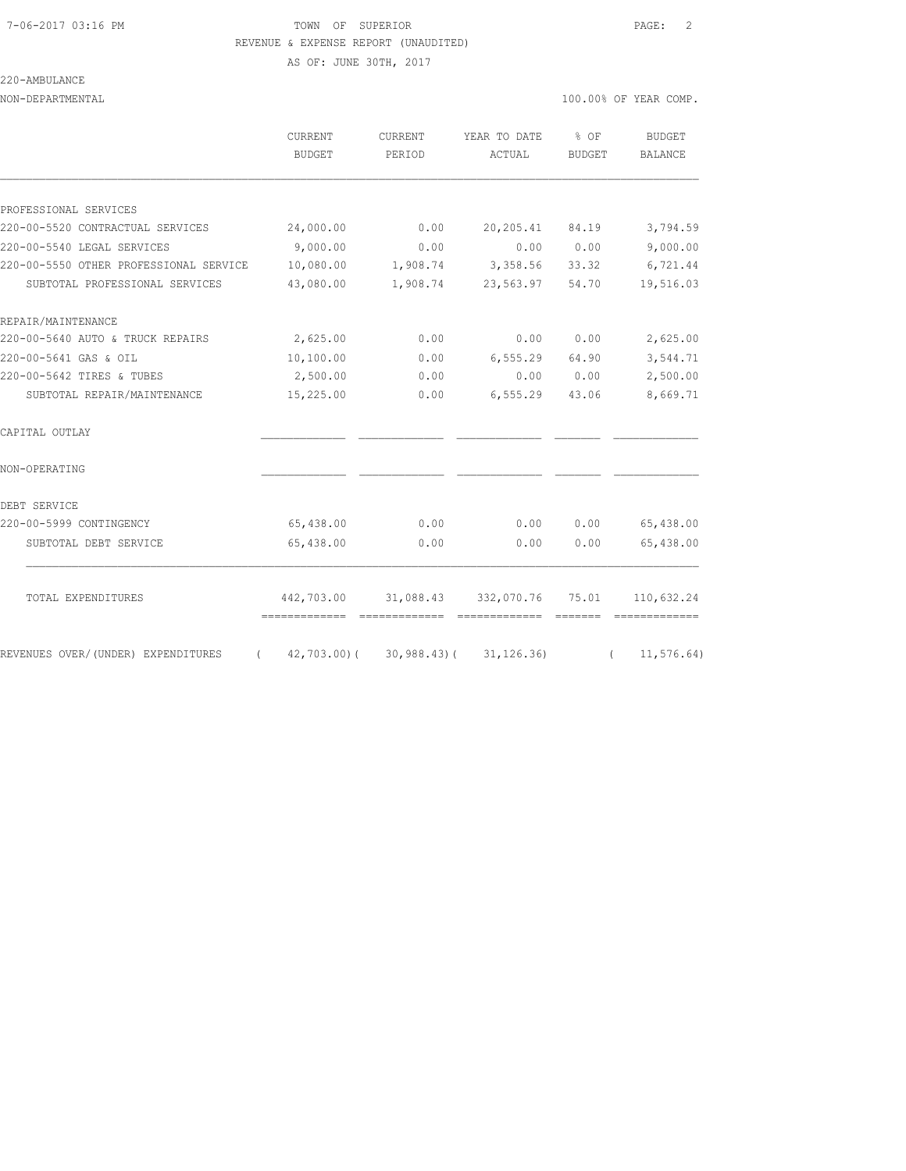## 7-06-2017 03:16 PM TOWN OF SUPERIOR PAGE: 2 REVENUE & EXPENSE REPORT (UNAUDITED)

AS OF: JUNE 30TH, 2017

220-AMBULANCE

| NON-DEPARTMENTAL                       |                                             |                          |                                                   |                | 100.00% OF YEAR COMP.    |
|----------------------------------------|---------------------------------------------|--------------------------|---------------------------------------------------|----------------|--------------------------|
|                                        | CURRENT<br><b>BUDGET</b>                    | <b>CURRENT</b><br>PERIOD | YEAR TO DATE<br>ACTUAL                            | % OF<br>BUDGET | <b>BUDGET</b><br>BALANCE |
|                                        |                                             |                          |                                                   |                |                          |
| PROFESSIONAL SERVICES                  |                                             |                          |                                                   |                |                          |
| 220-00-5520 CONTRACTUAL SERVICES       | 24,000.00                                   | 0.00                     | 20,205.41                                         | 84.19          | 3,794.59                 |
| 220-00-5540 LEGAL SERVICES             | 9,000.00                                    | 0.00                     | 0.00                                              | 0.00           | 9,000.00                 |
| 220-00-5550 OTHER PROFESSIONAL SERVICE | 10,080.00                                   | 1,908.74                 | 3,358.56                                          | 33.32          | 6,721.44                 |
| SUBTOTAL PROFESSIONAL SERVICES         | 43,080.00                                   | 1,908.74                 | 23,563.97                                         | 54.70          | 19,516.03                |
| REPAIR/MAINTENANCE                     |                                             |                          |                                                   |                |                          |
| 220-00-5640 AUTO & TRUCK REPAIRS       | 2,625.00                                    | 0.00                     | 0.00                                              | 0.00           | 2,625.00                 |
| 220-00-5641 GAS & OIL                  | 10,100.00                                   | 0.00                     | 6, 555.29                                         | 64.90          | 3,544.71                 |
| 220-00-5642 TIRES & TUBES              | 2,500.00                                    | 0.00                     | 0.00                                              | 0.00           | 2,500.00                 |
| SUBTOTAL REPAIR/MAINTENANCE            | 15,225.00                                   | 0.00                     | 6, 555.29                                         | 43.06          | 8,669.71                 |
| CAPITAL OUTLAY                         |                                             |                          |                                                   |                |                          |
| NON-OPERATING                          |                                             |                          |                                                   |                |                          |
| DEBT SERVICE                           |                                             |                          |                                                   |                |                          |
| 220-00-5999 CONTINGENCY                | 65,438.00                                   | 0.00                     | 0.00                                              | 0.00           | 65,438.00                |
| SUBTOTAL DEBT SERVICE                  | 65,438.00                                   | 0.00                     | 0.00                                              | 0.00           | 65,438.00                |
|                                        |                                             |                          |                                                   |                |                          |
| TOTAL EXPENDITURES                     | 442,703.00<br>-------------- -------------- |                          | 31,088.43 332,070.76 75.01<br>eccessessess eccess |                | 110,632.24               |
| REVENUES OVER/(UNDER) EXPENDITURES     | $(42, 703.00) (30, 988.43) (31, 126.36)$    |                          |                                                   | $\sqrt{2}$     | 11, 576.64)              |
|                                        |                                             |                          |                                                   |                |                          |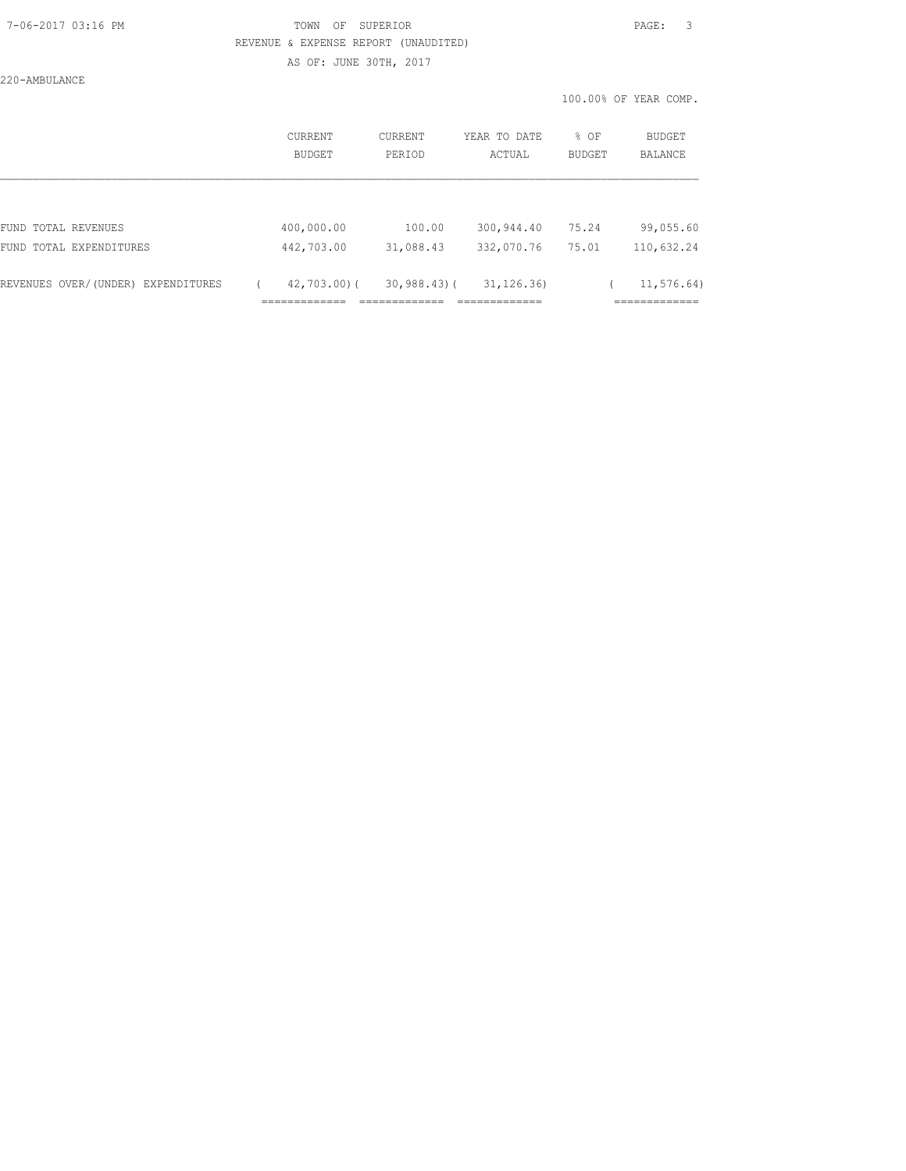#### 7-06-2017 03:16 PM TOWN OF SUPERIOR PAGE: 3 REVENUE & EXPENSE REPORT (UNAUDITED)

AS OF: JUNE 30TH, 2017

220-AMBULANCE

|                                    | <b>CURRENT</b><br>BUDGET                       | CURRENT<br>PERIOD                           | YEAR TO DATE<br>ACTUAL                        | % OF<br><b>BUDGET</b> | <b>BUDGET</b><br>BALANCE          |
|------------------------------------|------------------------------------------------|---------------------------------------------|-----------------------------------------------|-----------------------|-----------------------------------|
|                                    |                                                |                                             |                                               |                       |                                   |
| FUND TOTAL REVENUES                | 400,000.00                                     | 100.00                                      | 300,944.40                                    | 75.24                 | 99,055.60                         |
| FUND TOTAL EXPENDITURES            | 442,703.00                                     | 31,088.43                                   | 332,070.76                                    | 75.01                 | 110,632.24                        |
| REVENUES OVER/(UNDER) EXPENDITURES | $42,703,00$ (<br>_____________<br>------------ | $30,988.43$ (<br>__________<br>------------ | 31, 126, 36)<br>_____________<br>------------ |                       | 11, 576, 64)<br>____________<br>. |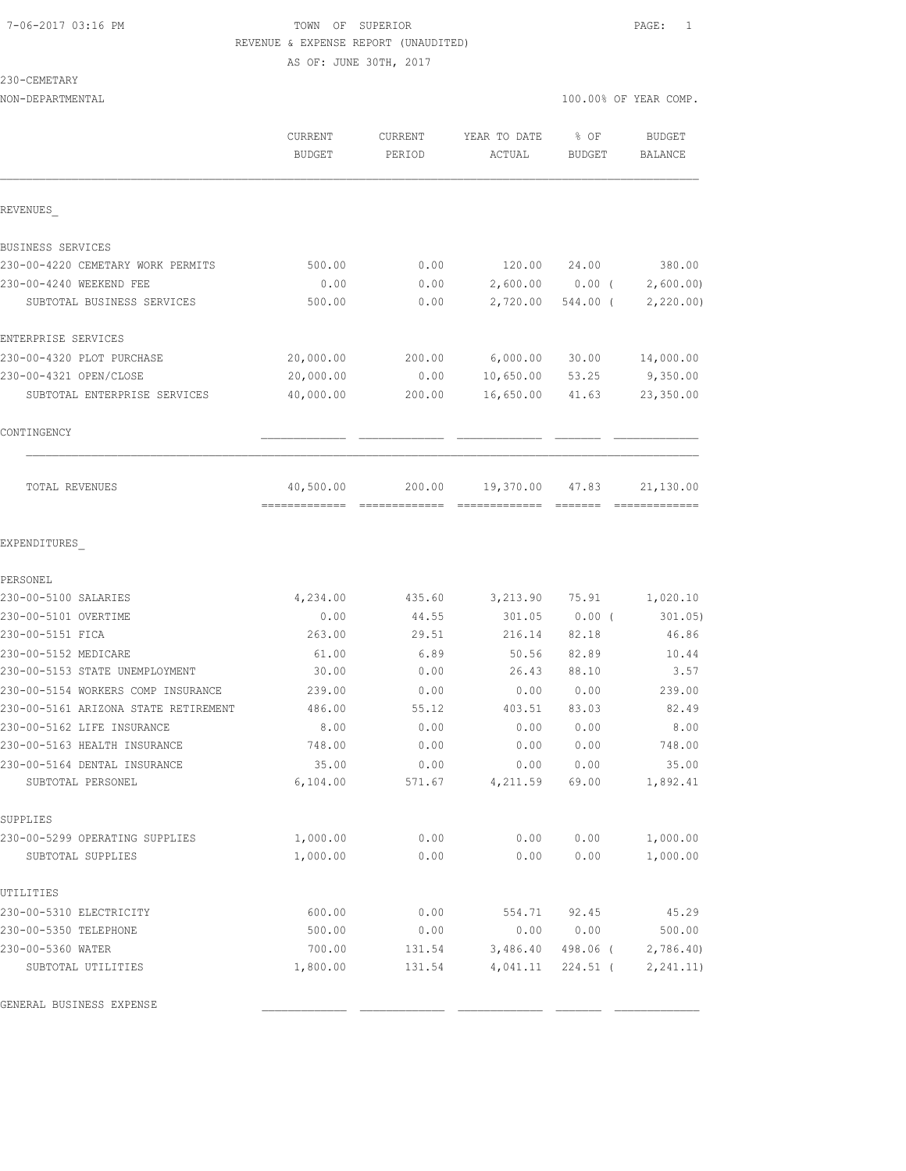## 7-06-2017 03:16 PM TOWN OF SUPERIOR PAGE: 1 REVENUE & EXPENSE REPORT (UNAUDITED) AS OF: JUNE 30TH, 2017

230-CEMETARY

|                                                                            | CURRENT<br><b>BUDGET</b> | CURRENT<br>PERIOD | YEAR TO DATE<br>ACTUAL | % OF<br><b>BUDGET</b> | <b>BUDGET</b><br><b>BALANCE</b> |
|----------------------------------------------------------------------------|--------------------------|-------------------|------------------------|-----------------------|---------------------------------|
| REVENUES                                                                   |                          |                   |                        |                       |                                 |
| BUSINESS SERVICES                                                          |                          |                   |                        |                       |                                 |
| 230-00-4220 CEMETARY WORK PERMITS                                          | 500.00                   | 0.00              | 120.00                 | 24.00                 | 380.00                          |
| 230-00-4240 WEEKEND FEE                                                    | 0.00                     | 0.00              | 2,600.00               | $0.00$ (              | 2,600.00                        |
| SUBTOTAL BUSINESS SERVICES                                                 | 500.00                   | 0.00              | 2,720.00               | 544.00 (              | 2,220.00                        |
| ENTERPRISE SERVICES                                                        |                          |                   |                        |                       |                                 |
| 230-00-4320 PLOT PURCHASE                                                  | 20,000.00                | 200.00            | 6,000.00               | 30.00                 | 14,000.00                       |
| 230-00-4321 OPEN/CLOSE                                                     | 20,000.00                | 0.00              | 10,650.00              | 53.25                 | 9,350.00                        |
| SUBTOTAL ENTERPRISE SERVICES                                               | 40,000.00                | 200.00            | 16,650.00              | 41.63                 | 23,350.00                       |
| CONTINGENCY                                                                |                          |                   |                        |                       |                                 |
| TOTAL REVENUES                                                             | 40,500.00                | 200.00            | 19,370.00              | 47.83                 | 21,130.00                       |
| EXPENDITURES                                                               |                          |                   |                        |                       |                                 |
| PERSONEL                                                                   |                          |                   |                        |                       |                                 |
| 230-00-5100 SALARIES                                                       | 4,234.00                 | 435.60            | 3,213.90               | 75.91                 | 1,020.10                        |
| 230-00-5101 OVERTIME                                                       | 0.00                     | 44.55             | 301.05                 | 0.00(                 | 301.05)                         |
| 230-00-5151 FICA                                                           | 263.00                   | 29.51             | 216.14                 | 82.18                 | 46.86                           |
| 230-00-5152 MEDICARE                                                       | 61.00                    | 6.89              | 50.56                  | 82.89                 | 10.44                           |
| 230-00-5153 STATE UNEMPLOYMENT                                             | 30.00                    | 0.00              | 26.43                  | 88.10                 | 3.57                            |
| 230-00-5154 WORKERS COMP INSURANCE<br>230-00-5161 ARIZONA STATE RETIREMENT | 239.00<br>486.00         | 0.00<br>55.12     | 0.00<br>403.51         | 0.00<br>83.03         | 239.00<br>82.49                 |
| 230-00-5162 LIFE INSURANCE                                                 | 8.00                     | 0.00              | 0.00                   | 0.00                  | 8.00                            |
| 230-00-5163 HEALTH INSURANCE                                               | 748.00                   | 0.00              | 0.00                   | 0.00                  | 748.00                          |
| 230-00-5164 DENTAL INSURANCE                                               | 35.00                    | 0.00              | 0.00                   | 0.00                  | 35.00                           |
| SUBTOTAL PERSONEL                                                          | 6,104.00                 | 571.67            | 4,211.59               | 69.00                 | 1,892.41                        |
| SUPPLIES                                                                   |                          |                   |                        |                       |                                 |
| 230-00-5299 OPERATING SUPPLIES                                             | 1,000.00                 | 0.00              | 0.00                   | 0.00                  | 1,000.00                        |
| SUBTOTAL SUPPLIES                                                          | 1,000.00                 | 0.00              | 0.00                   | 0.00                  | 1,000.00                        |
| UTILITIES                                                                  |                          |                   |                        |                       |                                 |
| 230-00-5310 ELECTRICITY                                                    | 600.00                   | 0.00              | 554.71                 | 92.45                 | 45.29                           |
| 230-00-5350 TELEPHONE                                                      | 500.00                   | 0.00              | 0.00                   | 0.00                  | 500.00                          |
| 230-00-5360 WATER                                                          | 700.00                   | 131.54            | 3,486.40               | 498.06 (              | 2,786.40                        |
| SUBTOTAL UTILITIES                                                         | 1,800.00                 | 131.54            | 4,041.11               | $224.51$ (            | 2, 241.11)                      |

GENERAL BUSINESS EXPENSE \_\_\_\_\_\_\_\_\_\_\_\_\_ \_\_\_\_\_\_\_\_\_\_\_\_\_ \_\_\_\_\_\_\_\_\_\_\_\_\_ \_\_\_\_\_\_\_ \_\_\_\_\_\_\_\_\_\_\_\_\_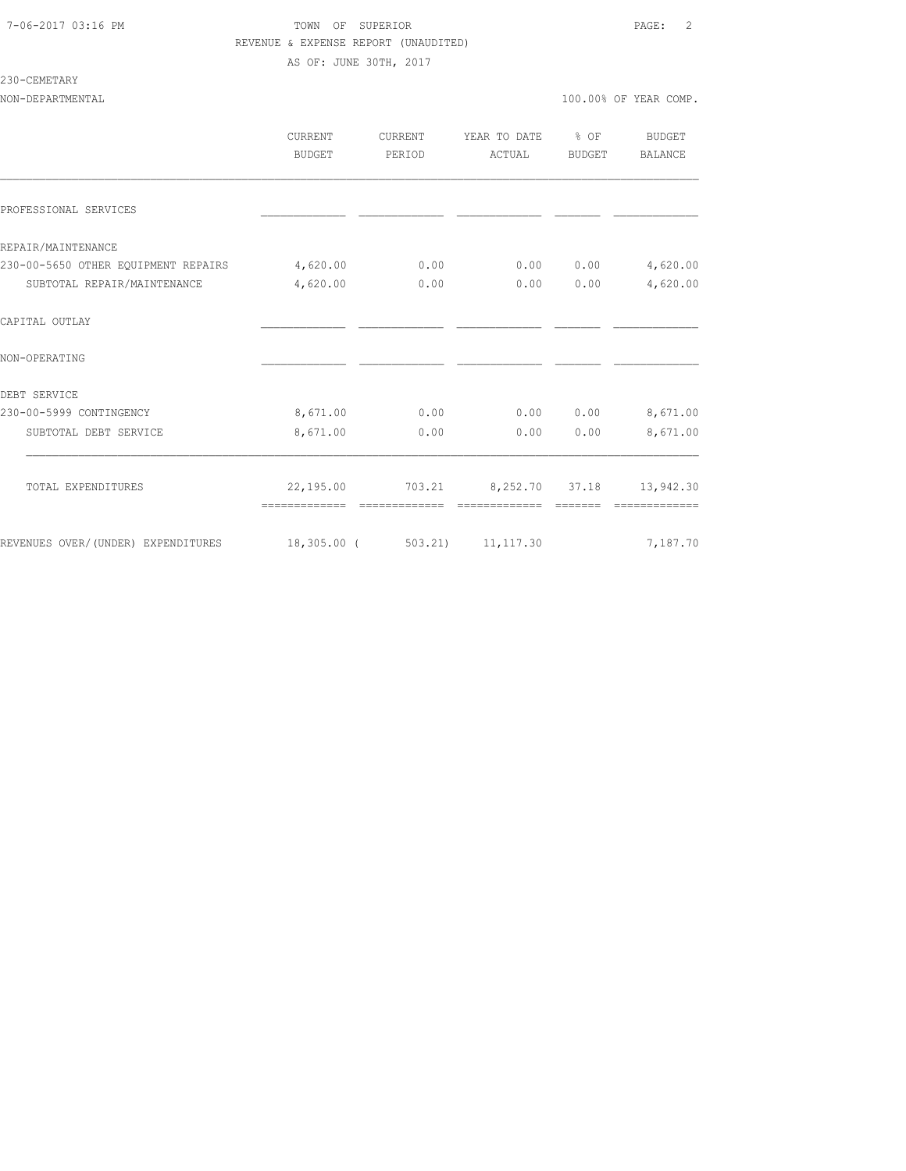## 7-06-2017 03:16 PM TOWN OF SUPERIOR PAGE: 2 REVENUE & EXPENSE REPORT (UNAUDITED) AS OF: JUNE 30TH, 2017

## 230-CEMETARY

|                                                                                             | CURRENT<br><b>BUDGET</b> | CURRENT<br>PERIOD | YEAR TO DATE % OF<br>ACTUAL               | BUDGET   | <b>BUDGET</b><br><b>BALANCE</b> |
|---------------------------------------------------------------------------------------------|--------------------------|-------------------|-------------------------------------------|----------|---------------------------------|
| PROFESSIONAL SERVICES                                                                       |                          |                   |                                           |          |                                 |
| REPAIR/MAINTENANCE                                                                          |                          |                   |                                           |          |                                 |
| 230-00-5650 OTHER EQUIPMENT REPAIRS                                                         | 4,620.00                 | 0.00              | 0.00                                      | 0.00     | 4,620.00                        |
| SUBTOTAL REPAIR/MAINTENANCE                                                                 | 4,620.00                 | 0.00              | 0.00                                      | 0.00     | 4,620.00                        |
| CAPITAL OUTLAY                                                                              |                          |                   |                                           |          |                                 |
| NON-OPERATING                                                                               |                          |                   |                                           |          |                                 |
| DEBT SERVICE                                                                                |                          |                   |                                           |          |                                 |
| 230-00-5999 CONTINGENCY                                                                     | 8,671.00                 | 0.00              | 0.00                                      |          | $0.00$ 8,671.00                 |
| SUBTOTAL DEBT SERVICE                                                                       | 8,671.00                 | 0.00              | 0.00                                      | 0.00     | 8,671.00                        |
| TOTAL EXPENDITURES                                                                          |                          |                   | 22,195.00 703.21 8,252.70 37.18 13,942.30 |          |                                 |
|                                                                                             | =============            | =============     | =============                             | -------- | =============                   |
| REVENUES OVER/(UNDER) EXPENDITURES      18,305.00 (    503.21)   11,117.30         7,187.70 |                          |                   |                                           |          |                                 |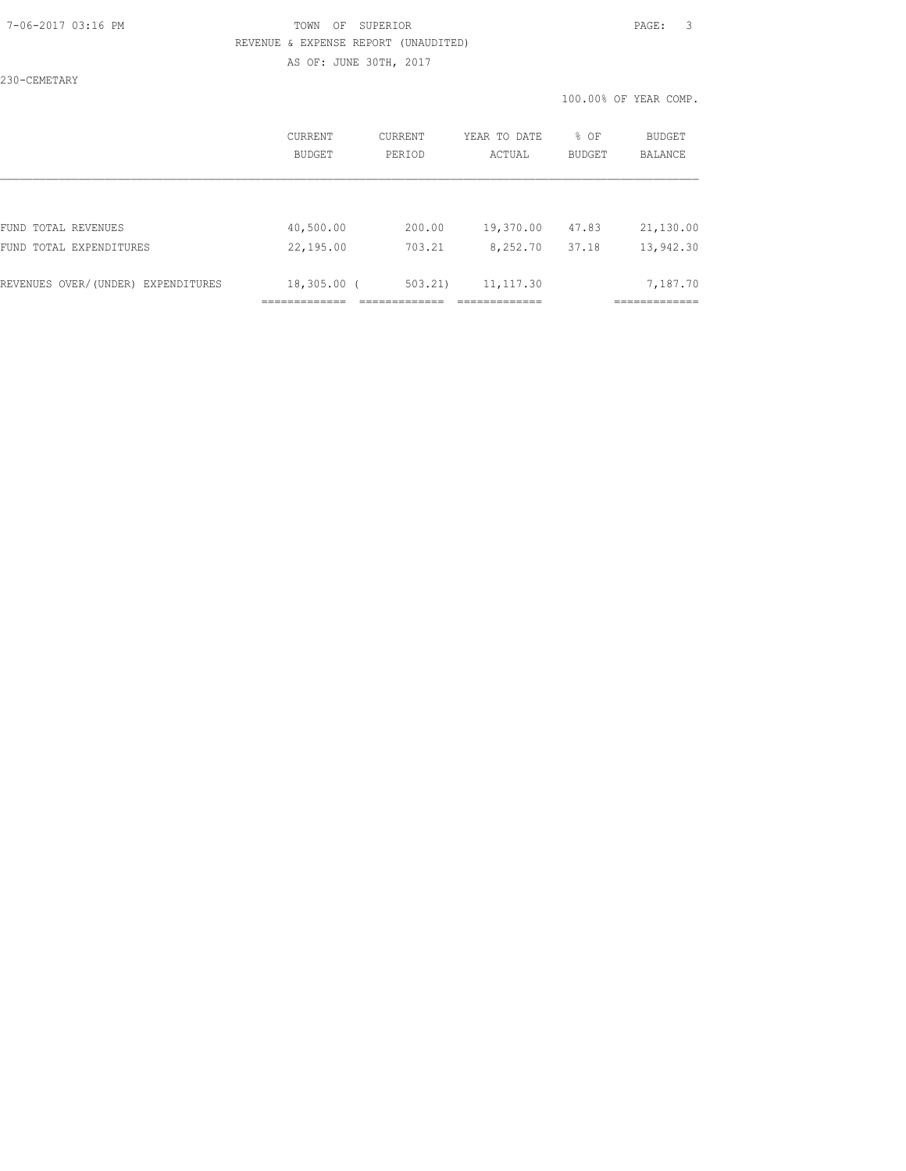## 7-06-2017 03:16 PM TOWN OF SUPERIOR PAGE: 3 REVENUE & EXPENSE REPORT (UNAUDITED) AS OF: JUNE 30TH, 2017

230-CEMETARY

|                                    | CURRENT     | CURRENT | YEAR TO DATE | % OF   | <b>BUDGET</b> |
|------------------------------------|-------------|---------|--------------|--------|---------------|
|                                    | BUDGET      | PERIOD  | ACTUAL       | BUDGET | BALANCE       |
| FUND TOTAL REVENUES                | 40,500.00   | 200.00  | 19,370.00    | 47.83  | 21,130.00     |
| FUND TOTAL EXPENDITURES            | 22,195.00   | 703.21  | 8,252.70     | 37.18  | 13,942.30     |
| REVENUES OVER/(UNDER) EXPENDITURES | 18,305.00 ( | 503.21) | 11, 117.30   |        | 7,187.70      |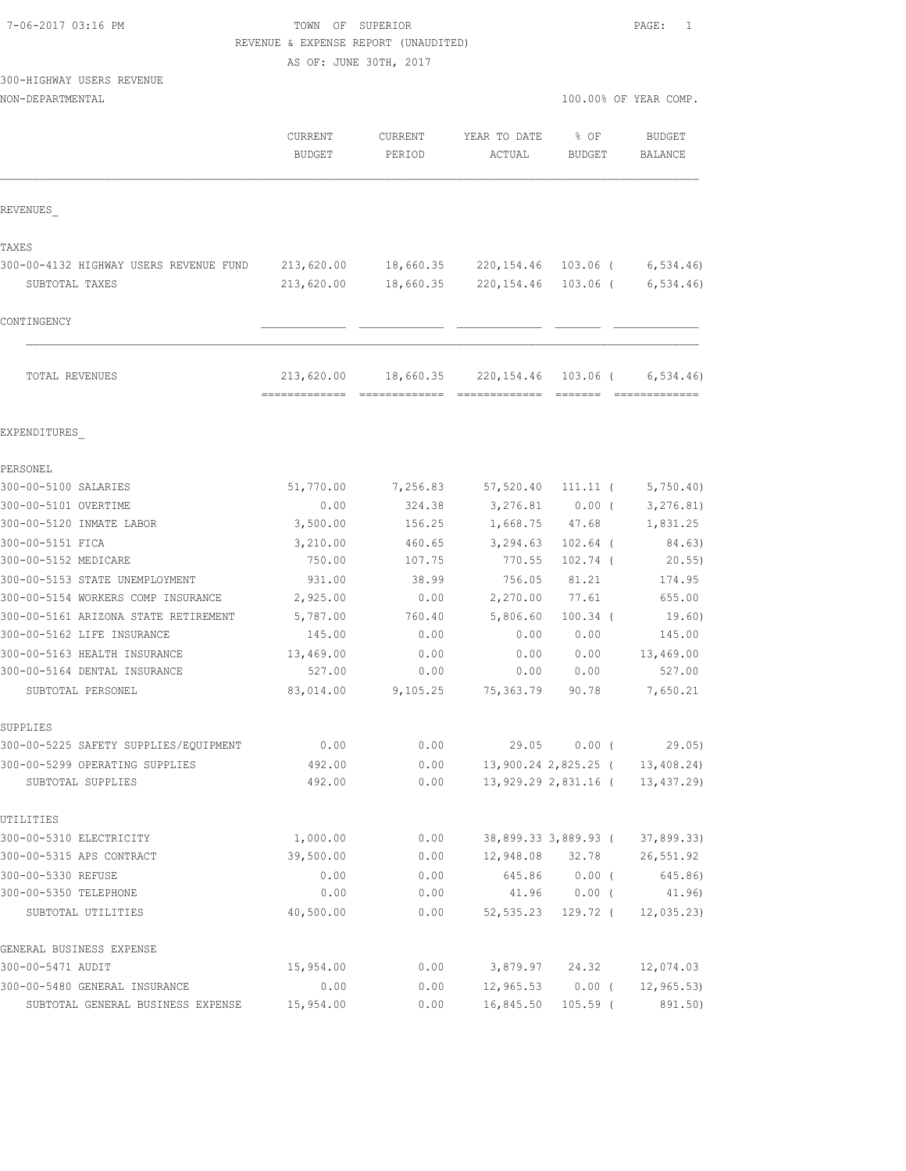|  | 7-06-2017 03:16 PM |  |
|--|--------------------|--|
|  |                    |  |

TOWN OF SUPERIOR **PAGE:** 1 REVENUE & EXPENSE REPORT (UNAUDITED)

AS OF: JUNE 30TH, 2017

300-HIGHWAY USERS REVENUE

| NON-DEPARTMENTAL                       |                                             |                   |                              |                              | 100.00% OF YEAR COMP.             |
|----------------------------------------|---------------------------------------------|-------------------|------------------------------|------------------------------|-----------------------------------|
|                                        | <b>CURRENT</b><br><b>BUDGET</b>             | CURRENT<br>PERIOD | YEAR TO DATE<br>ACTUAL       | % OF<br><b>BUDGET</b>        | <b>BUDGET</b><br>BALANCE          |
| REVENUES                               |                                             |                   |                              |                              |                                   |
| TAXES                                  |                                             |                   |                              |                              |                                   |
| 300-00-4132 HIGHWAY USERS REVENUE FUND | 213,620.00                                  | 18,660.35         | 220, 154.46                  | 103.06 (                     | 6,534.46                          |
| SUBTOTAL TAXES                         | 213,620.00                                  | 18,660.35         | 220,154.46                   | $103.06$ (                   | 6, 534.46                         |
| CONTINGENCY                            |                                             |                   |                              |                              |                                   |
| TOTAL REVENUES                         | 213,620.00<br>-------------- -------------- | 18,660.35         | 220,154.46<br>- cooccooccooc | $103.06$ (<br><b>COSSESS</b> | 6, 534.46<br><b>COOSSESSESSES</b> |
| EXPENDITURES                           |                                             |                   |                              |                              |                                   |
| PERSONEL                               |                                             |                   |                              |                              |                                   |
| 300-00-5100 SALARIES                   | 51,770.00                                   | 7,256.83          | 57,520.40                    | $111.11$ (                   | 5,750.40                          |
| 300-00-5101 OVERTIME                   | 0.00                                        | 324.38            | 3,276.81                     | $0.00$ (                     | 3, 276.81)                        |
| 300-00-5120 INMATE LABOR               | 3,500.00                                    | 156.25            | 1,668.75                     | 47.68                        | 1,831.25                          |
| 300-00-5151 FICA                       | 3,210.00                                    | 460.65            | 3,294.63                     | $102.64$ (                   | 84.63)                            |
| 300-00-5152 MEDICARE                   | 750.00                                      | 107.75            | 770.55                       | $102.74$ (                   | $20.55$ )                         |
| 300-00-5153 STATE UNEMPLOYMENT         | 931.00                                      | 38.99             | 756.05                       | 81.21                        | 174.95                            |
| 300-00-5154 WORKERS COMP INSURANCE     | 2,925.00                                    | 0.00              | 2,270.00                     | 77.61                        | 655.00                            |
| 300-00-5161 ARIZONA STATE RETIREMENT   | 5,787.00                                    | 760.40            | 5,806.60                     | $100.34$ (                   | 19.60)                            |
| 300-00-5162 LIFE INSURANCE             | 145.00                                      | 0.00              | 0.00                         | 0.00                         | 145.00                            |
| 300-00-5163 HEALTH INSURANCE           | 13,469.00                                   | 0.00              | 0.00                         | 0.00                         | 13,469.00                         |
| 300-00-5164 DENTAL INSURANCE           | 527.00                                      | 0.00              | 0.00                         | 0.00                         | 527.00                            |
| SUBTOTAL PERSONEL                      | 83,014.00                                   | 9,105.25          | 75,363.79                    | 90.78                        | 7,650.21                          |
| SUPPLIES                               |                                             |                   |                              |                              |                                   |
| 300-00-5225 SAFETY SUPPLIES/EQUIPMENT  | 0.00                                        | 0.00              | 29.05                        | $0.00$ (                     | 29.05)                            |
| 300-00-5299 OPERATING SUPPLIES         | 492.00                                      | 0.00              |                              | 13,900.24 2,825.25 (         | 13,408.24)                        |
| SUBTOTAL SUPPLIES                      | 492.00                                      | 0.00              |                              | 13,929.29 2,831.16 (         | 13, 437.29)                       |
| UTILITIES                              |                                             |                   |                              |                              |                                   |
| 300-00-5310 ELECTRICITY                | 1,000.00                                    | 0.00              |                              | 38,899.33 3,889.93 (         | 37,899.33)                        |
| 300-00-5315 APS CONTRACT               | 39,500.00                                   | 0.00              | 12,948.08                    | 32.78                        | 26,551.92                         |
| 300-00-5330 REFUSE                     | 0.00                                        | 0.00              | 645.86                       | $0.00$ (                     | 645.86)                           |
| 300-00-5350 TELEPHONE                  | 0.00                                        | 0.00              | 41.96                        | $0.00$ (                     | 41.96)                            |
| SUBTOTAL UTILITIES                     | 40,500.00                                   | 0.00              | 52,535.23                    | 129.72 (                     | 12,035.23                         |

| GENERAL BUSINESS EXPENSE          |           |      |                    |                               |
|-----------------------------------|-----------|------|--------------------|-------------------------------|
| 300-00-5471 AUDIT                 | 15,954.00 | 0.00 | 3,879.97 24.32     | 12,074.03                     |
| 300-00-5480 GENERAL INSURANCE     | 0.00      | 0.00 |                    | $12,965.53$ 0.00 ( 12,965.53) |
| SUBTOTAL GENERAL BUSINESS EXPENSE | 15,954.00 | 0.00 | 16,845.50 105.59 ( | 891.50)                       |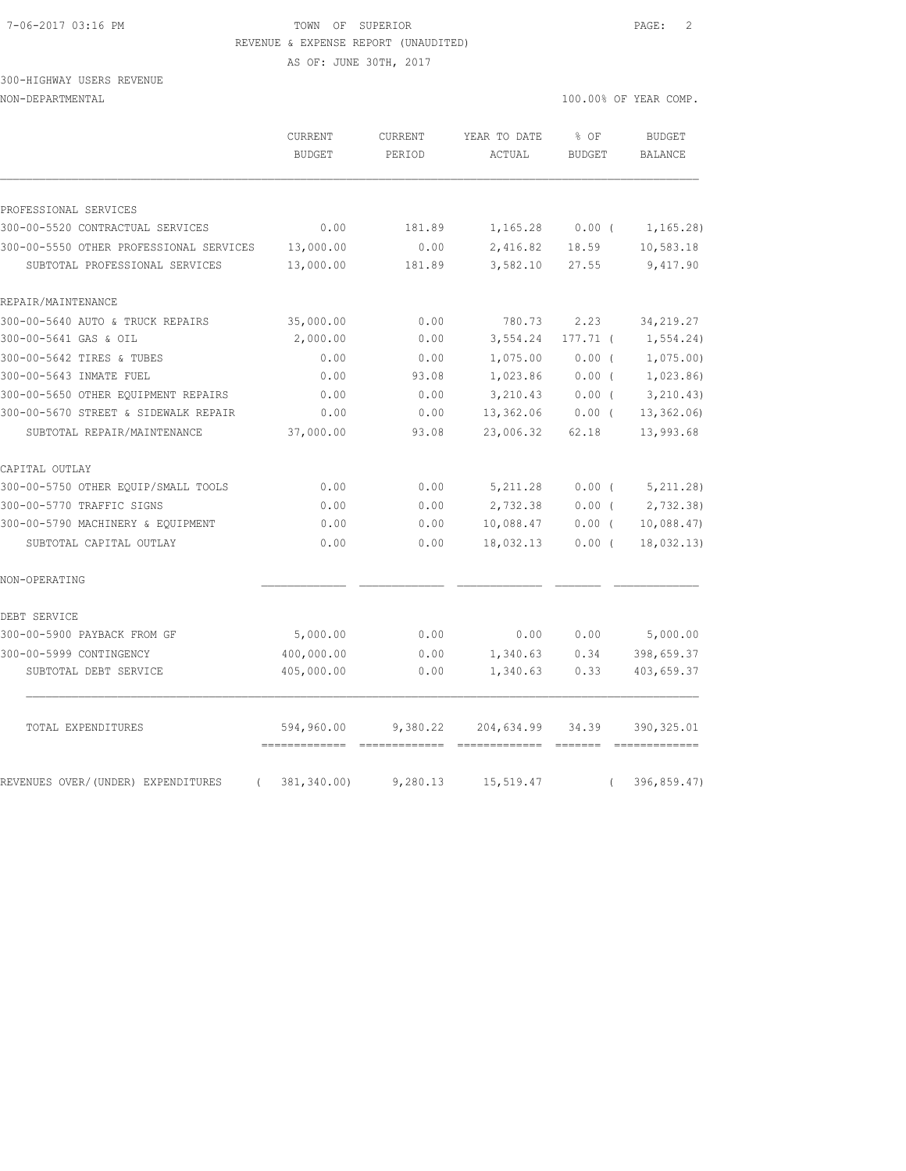## 7-06-2017 03:16 PM TOWN OF SUPERIOR PAGE: 2 REVENUE & EXPENSE REPORT (UNAUDITED)

AS OF: JUNE 30TH, 2017

300-HIGHWAY USERS REVENUE

|                                                | <b>CURRENT</b><br><b>BUDGET</b> | <b>CURRENT</b><br>PERIOD | YEAR TO DATE<br>ACTUAL | % OF<br><b>BUDGET</b> | <b>BUDGET</b><br><b>BALANCE</b> |
|------------------------------------------------|---------------------------------|--------------------------|------------------------|-----------------------|---------------------------------|
|                                                |                                 |                          |                        |                       |                                 |
| PROFESSIONAL SERVICES                          |                                 |                          |                        |                       |                                 |
| 300-00-5520 CONTRACTUAL SERVICES               | 0.00                            | 181.89                   | 1,165.28               | $0.00$ (              | 1, 165.28                       |
| 300-00-5550 OTHER PROFESSIONAL SERVICES        | 13,000.00                       | 0.00                     | 2,416.82               | 18.59                 | 10,583.18                       |
| SUBTOTAL PROFESSIONAL SERVICES                 | 13,000.00                       | 181.89                   | 3,582.10               | 27.55                 | 9,417.90                        |
| REPAIR/MAINTENANCE                             |                                 |                          |                        |                       |                                 |
| 300-00-5640 AUTO & TRUCK REPAIRS               | 35,000.00                       | 0.00                     | 780.73                 | 2.23                  | 34, 219.27                      |
| 300-00-5641 GAS & OIL                          | 2,000.00                        | 0.00                     | 3,554.24               | $177.71$ (            | 1, 554.24)                      |
| 300-00-5642 TIRES & TUBES                      | 0.00                            | 0.00                     | 1,075.00               | 0.00(                 | 1,075.00                        |
| 300-00-5643 INMATE FUEL                        | 0.00                            | 93.08                    | 1,023.86               | 0.00(                 | 1,023.86                        |
| 300-00-5650 OTHER EQUIPMENT REPAIRS            | 0.00                            | 0.00                     | 3,210.43               | 0.00(                 | 3, 210.43)                      |
| 300-00-5670 STREET & SIDEWALK REPAIR           | 0.00                            | 0.00                     | 13,362.06              | $0.00$ (              | 13, 362.06                      |
| SUBTOTAL REPAIR/MAINTENANCE                    | 37,000.00                       | 93.08                    | 23,006.32              | 62.18                 | 13,993.68                       |
| CAPITAL OUTLAY                                 |                                 |                          |                        |                       |                                 |
| 300-00-5750 OTHER EQUIP/SMALL TOOLS            | 0.00                            | 0.00                     | 5, 211.28              | 0.00(                 | 5, 211.28)                      |
| 300-00-5770 TRAFFIC SIGNS                      | 0.00                            | 0.00                     | 2,732.38               | 0.00(                 | 2,732.38                        |
| 300-00-5790 MACHINERY & EQUIPMENT              | 0.00                            | 0.00                     | 10,088.47              | 0.00(                 | 10,088.47                       |
| SUBTOTAL CAPITAL OUTLAY                        | 0.00                            | 0.00                     | 18,032.13              | 0.00(                 | 18,032.13)                      |
| NON-OPERATING                                  |                                 |                          |                        |                       |                                 |
| DEBT SERVICE                                   |                                 |                          |                        |                       |                                 |
| 300-00-5900 PAYBACK FROM GF                    | 5,000.00                        | 0.00                     | 0.00                   | 0.00                  | 5,000.00                        |
| 300-00-5999 CONTINGENCY                        | 400,000.00                      | 0.00                     | 1,340.63               | 0.34                  | 398,659.37                      |
| SUBTOTAL DEBT SERVICE                          | 405,000.00                      | 0.00                     | 1,340.63               | 0.33                  | 403,659.37                      |
| TOTAL EXPENDITURES                             | 594,960.00                      | 9,380.22                 | 204,634.99             | 34.39                 | 390, 325.01                     |
| REVENUES OVER/(UNDER) EXPENDITURES<br>$\left($ | 381,340.00)                     | 9,280.13                 | 15,519.47              | $\left($              | 396,859.47)                     |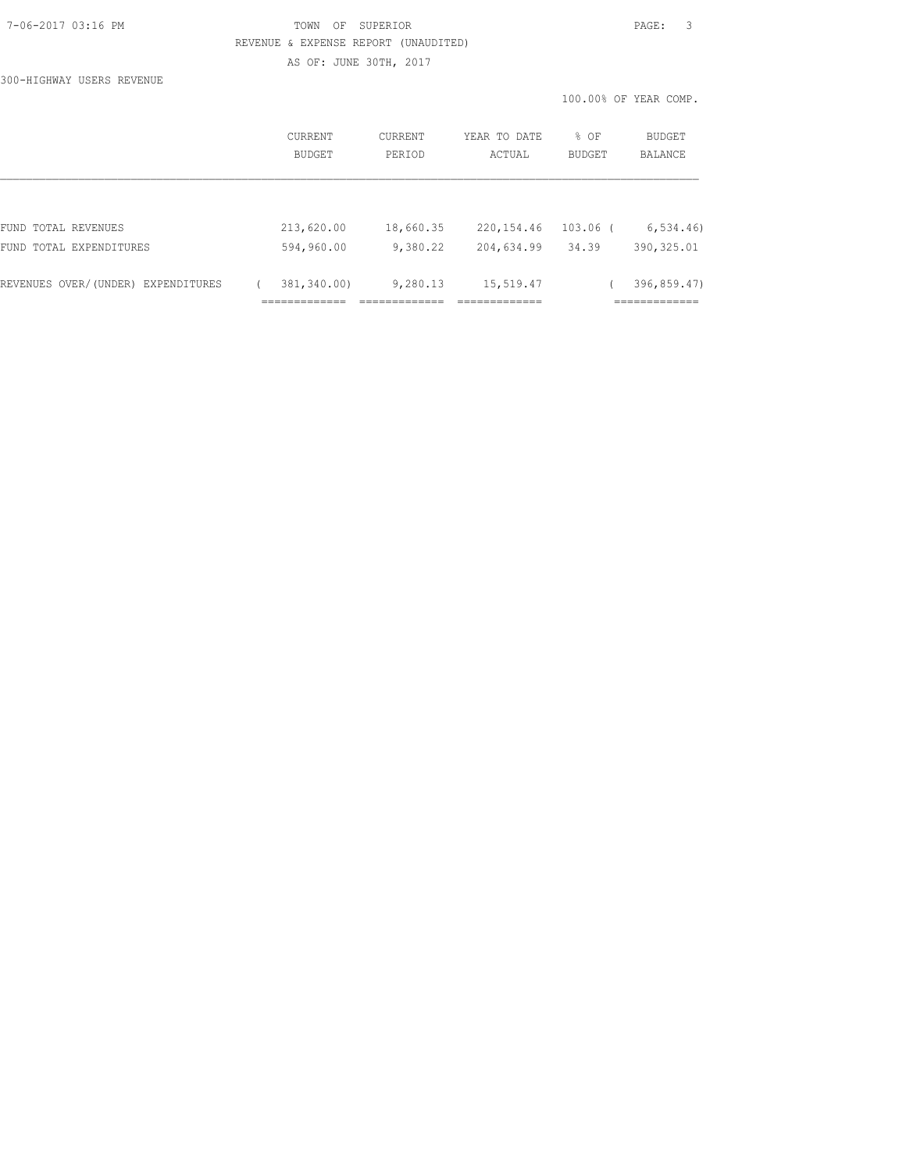# 7-06-2017 03:16 PM TOWN OF SUPERIOR PAGE: 3 REVENUE & EXPENSE REPORT (UNAUDITED) AS OF: JUNE 30TH, 2017

100.00% OF YEAR COMP.

300-HIGHWAY USERS REVENUE

|                                    | CURRENT<br>BUDGET           | CURRENT<br>PERIOD | YEAR TO DATE<br>ACTUAL     | % OF<br>BUDGET | BUDGET<br><b>BALANCE</b>     |
|------------------------------------|-----------------------------|-------------------|----------------------------|----------------|------------------------------|
| FUND TOTAL REVENUES                | 213,620.00                  | 18,660.35         | 220, 154.46                | $103.06$ (     | 6, 534.46                    |
| FUND TOTAL EXPENDITURES            | 594,960.00                  | 9,380.22          | 204,634.99                 | 34.39          | 390, 325.01                  |
| REVENUES OVER/(UNDER) EXPENDITURES | 381,340.00)<br>============ | 9,280.13          | 15,519.47<br>------------- |                | 396,859.47)<br>============= |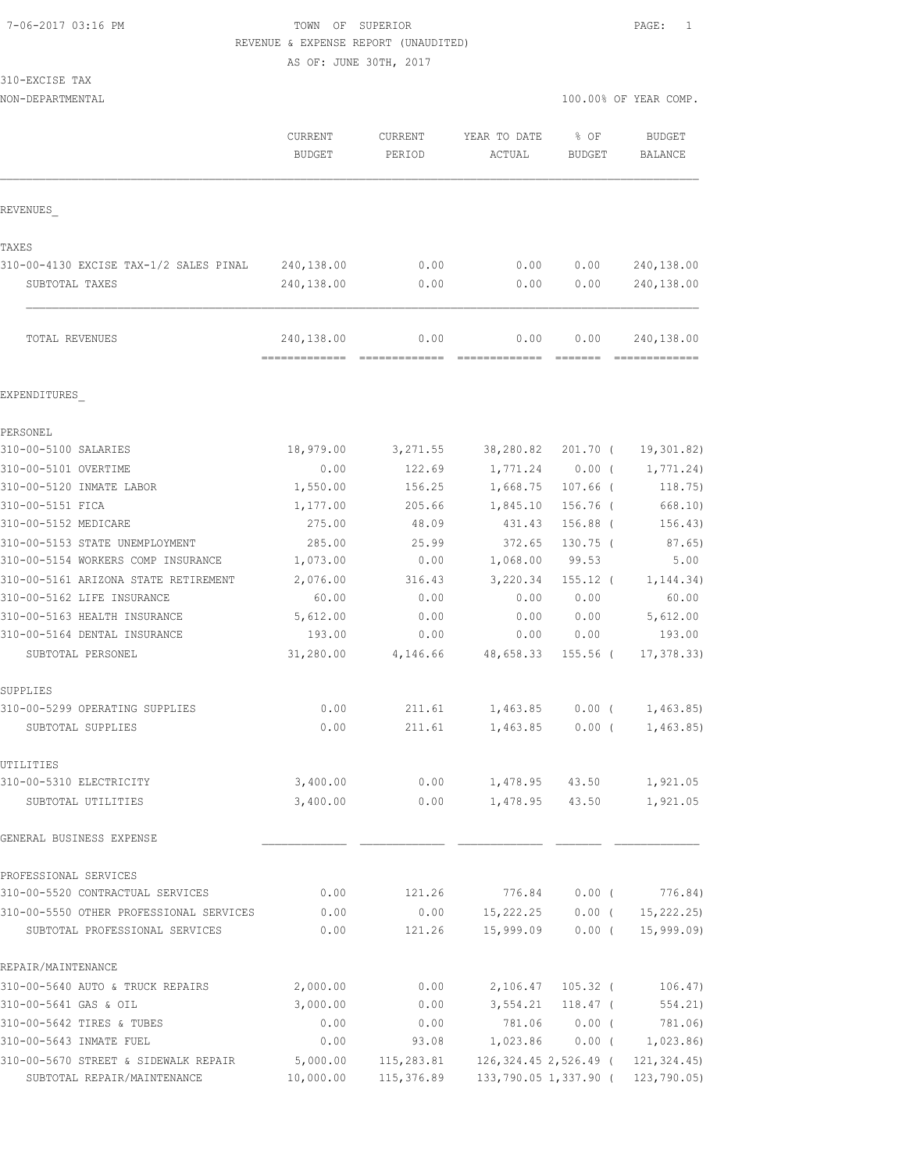#### 7-06-2017 03:16 PM TOWN OF SUPERIOR PAGE: 1 REVENUE & EXPENSE REPORT (UNAUDITED)

AS OF: JUNE 30TH, 2017

310-EXCISE TAX

|                                         | <b>CURRENT</b><br><b>BUDGET</b> | CURRENT<br>PERIOD | YEAR TO DATE<br>ACTUAL  | % OF<br><b>BUDGET</b> | <b>BUDGET</b><br>BALANCE |
|-----------------------------------------|---------------------------------|-------------------|-------------------------|-----------------------|--------------------------|
| REVENUES                                |                                 |                   |                         |                       |                          |
| TAXES                                   |                                 |                   |                         |                       |                          |
| 310-00-4130 EXCISE TAX-1/2 SALES PINAL  | 240,138.00                      | 0.00              | 0.00                    | 0.00                  | 240,138.00               |
| SUBTOTAL TAXES                          | 240,138.00                      | 0.00              | 0.00                    | 0.00                  | 240,138.00               |
| TOTAL REVENUES                          | 240,138.00                      | 0.00              | 0.00                    | 0.00                  | 240,138.00               |
| EXPENDITURES                            |                                 |                   |                         |                       |                          |
| PERSONEL                                |                                 |                   |                         |                       |                          |
| 310-00-5100 SALARIES                    | 18,979.00                       | 3,271.55          | 38,280.82               | $201.70$ (            | 19,301.82)               |
| 310-00-5101 OVERTIME                    | 0.00                            | 122.69            | 1,771.24                | 0.00(                 | 1,771.24)                |
| 310-00-5120 INMATE LABOR                | 1,550.00                        | 156.25            | 1,668.75                | $107.66$ (            | 118.75)                  |
| 310-00-5151 FICA                        | 1,177.00                        | 205.66            | 1,845.10                | 156.76 (              | 668.10)                  |
| 310-00-5152 MEDICARE                    | 275.00                          | 48.09             | 431.43                  | 156.88 (              | 156.43)                  |
| 310-00-5153 STATE UNEMPLOYMENT          | 285.00                          | 25.99             | 372.65                  | $130.75$ (            | 87.65)                   |
| 310-00-5154 WORKERS COMP INSURANCE      | 1,073.00                        | 0.00              | 1,068.00                | 99.53                 | 5.00                     |
| 310-00-5161 ARIZONA STATE RETIREMENT    | 2,076.00                        | 316.43            | 3,220.34                | $155.12$ (            | 1, 144.34)               |
| 310-00-5162 LIFE INSURANCE              | 60.00                           | 0.00              | 0.00                    | 0.00                  | 60.00                    |
| 310-00-5163 HEALTH INSURANCE            | 5,612.00                        | 0.00              | 0.00                    | 0.00                  | 5,612.00                 |
| 310-00-5164 DENTAL INSURANCE            | 193.00                          | 0.00              | 0.00                    | 0.00                  | 193.00                   |
| SUBTOTAL PERSONEL                       | 31,280.00                       | 4,146.66          | 48,658.33               | $155.56$ (            | 17, 378.33               |
| SUPPLIES                                |                                 |                   |                         |                       |                          |
| 310-00-5299 OPERATING SUPPLIES          | 0.00                            | 211.61            | 1,463.85                | $0.00$ (              | 1,463.85)                |
| SUBTOTAL SUPPLIES                       | 0.00                            | 211.61            | 1,463.85                | 0.00(                 | 1,463.85)                |
| UTILITIES                               |                                 |                   |                         |                       |                          |
| 310-00-5310 ELECTRICITY                 | 3,400.00                        | 0.00              | 1,478.95                | 43.50                 | 1,921.05                 |
| SUBTOTAL UTILITIES                      | 3,400.00                        | 0.00              | 1,478.95                | 43.50                 | 1,921.05                 |
| GENERAL BUSINESS EXPENSE                |                                 |                   |                         |                       |                          |
| PROFESSIONAL SERVICES                   |                                 |                   |                         |                       |                          |
| 310-00-5520 CONTRACTUAL SERVICES        | 0.00                            | 121.26            | 776.84                  | $0.00$ (              | 776.84)                  |
| 310-00-5550 OTHER PROFESSIONAL SERVICES | 0.00                            | 0.00              | 15,222.25               | $0.00$ (              | 15, 222.25               |
| SUBTOTAL PROFESSIONAL SERVICES          | 0.00                            | 121.26            | 15,999.09               | $0.00$ (              | 15, 999.09               |
| REPAIR/MAINTENANCE                      |                                 |                   |                         |                       |                          |
| 310-00-5640 AUTO & TRUCK REPAIRS        | 2,000.00                        | 0.00              | 2,106.47                | $105.32$ (            | 106.47)                  |
| 310-00-5641 GAS & OIL                   | 3,000.00                        | 0.00              | 3,554.21                | $118.47$ (            | 554.21)                  |
| 310-00-5642 TIRES & TUBES               | 0.00                            | 0.00              | 781.06                  | $0.00$ (              | 781.06)                  |
| 310-00-5643 INMATE FUEL                 | 0.00                            | 93.08             | 1,023.86                | $0.00$ (              | 1,023.86                 |
| 310-00-5670 STREET & SIDEWALK REPAIR    | 5,000.00                        | 115,283.81        | 126, 324.45 2, 526.49 ( |                       | 121, 324.45              |
| SUBTOTAL REPAIR/MAINTENANCE             | 10,000.00                       | 115,376.89        | 133,790.05 1,337.90 (   |                       | 123,790.05)              |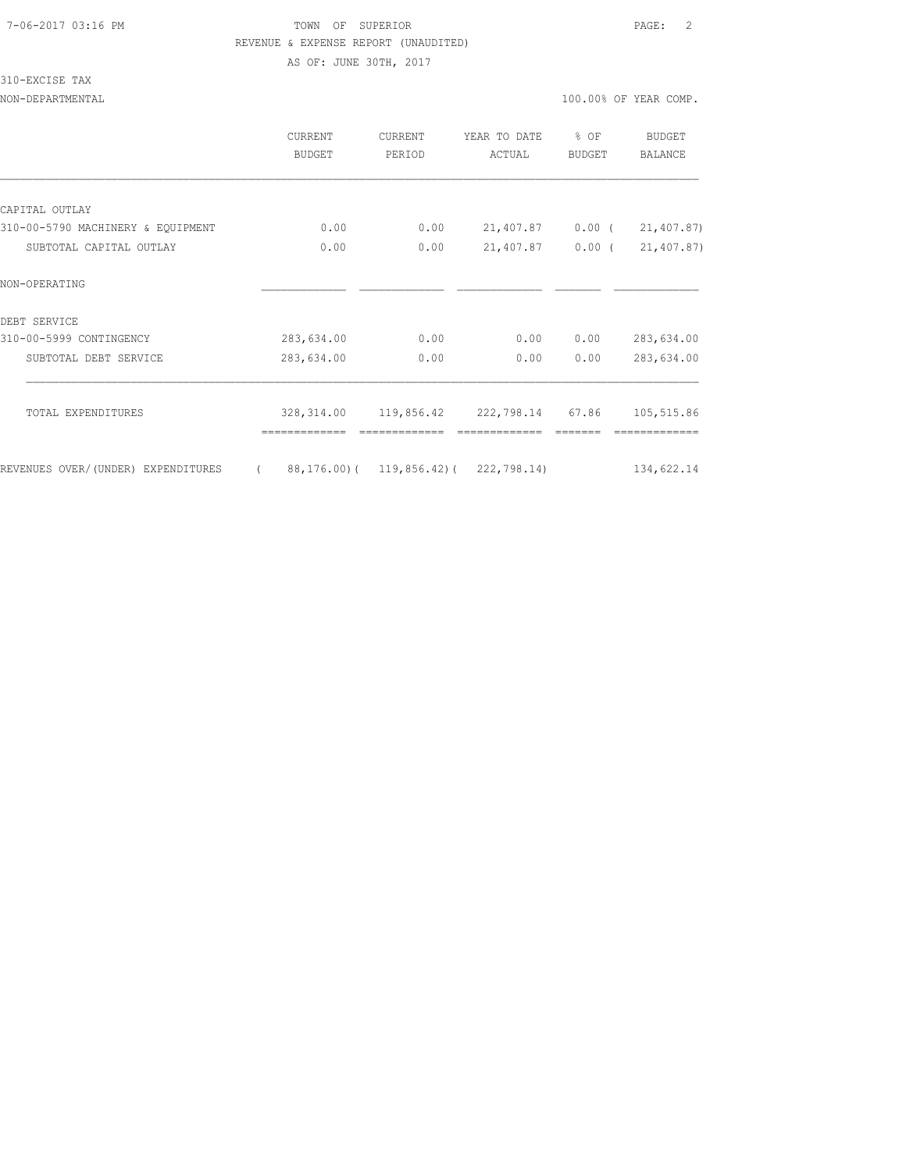#### 7-06-2017 03:16 PM TOWN OF SUPERIOR PAGE: 2 REVENUE & EXPENSE REPORT (UNAUDITED)

AS OF: JUNE 30TH, 2017

# 310-EXCISE TAX

|                                    | CURRENT<br>BUDGET                          | <b>CURRENT</b><br>PERIOD | YEAR TO DATE<br>ACTUAL                    | % OF<br>BUDGET | BUDGET<br><b>BALANCE</b>   |
|------------------------------------|--------------------------------------------|--------------------------|-------------------------------------------|----------------|----------------------------|
|                                    |                                            |                          |                                           |                |                            |
| CAPITAL OUTLAY                     |                                            |                          |                                           |                |                            |
| 310-00-5790 MACHINERY & EQUIPMENT  | 0.00                                       | 0.00                     |                                           |                | 21,407.87 0.00 (21,407.87) |
| SUBTOTAL CAPITAL OUTLAY            | 0.00                                       | 0.00                     | $21,407.87$ 0.00 (                        |                | 21,407.87)                 |
| NON-OPERATING                      |                                            |                          |                                           |                |                            |
| DEBT SERVICE                       |                                            |                          |                                           |                |                            |
| 310-00-5999 CONTINGENCY            | 283,634.00                                 | 0.00                     | 0.00                                      | 0.00           | 283,634.00                 |
| SUBTOTAL DEBT SERVICE              | 283,634.00                                 | 0.00                     | 0.00                                      | 0.00           | 283,634.00                 |
| TOTAL EXPENDITURES                 |                                            |                          | 328, 314.00 119, 856.42 222, 798.14 67.86 |                | 105,515.86                 |
| REVENUES OVER/(UNDER) EXPENDITURES | $(88, 176.00) (119, 856.42) (222, 798.14)$ |                          |                                           |                | 134,622.14                 |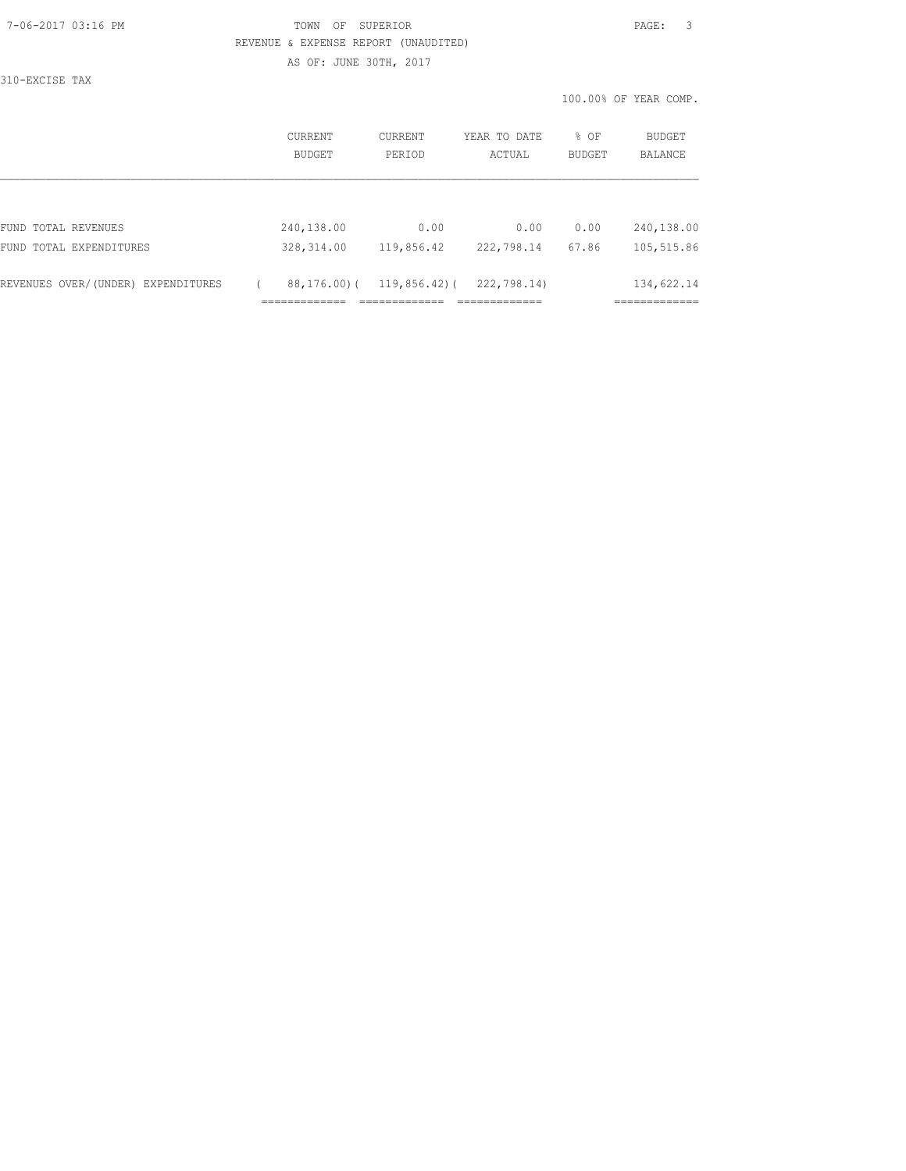#### 7-06-2017 03:16 PM TOWN OF SUPERIOR PAGE: 3 REVENUE & EXPENSE REPORT (UNAUDITED)

AS OF: JUNE 30TH, 2017 310-EXCISE TAX

|                                    | CURRENT<br><b>BUDGET</b> | <b>CURRENT</b><br>PERIOD | YEAR TO DATE<br>ACTUAL | % OF<br>BUDGET | <b>BUDGET</b><br><b>BALANCE</b> |
|------------------------------------|--------------------------|--------------------------|------------------------|----------------|---------------------------------|
|                                    |                          |                          |                        |                |                                 |
| FUND TOTAL REVENUES                | 240,138.00               | 0.00                     | 0.00                   | 0.00           | 240,138.00                      |
| FUND TOTAL EXPENDITURES            | 328, 314.00              | 119,856.42               | 222,798.14             | 67.86          | 105,515.86                      |
| REVENUES OVER/(UNDER) EXPENDITURES | 88,176.00)(              | $119,856.42$ ) (         | 222,798.14)            |                | 134,622.14                      |
|                                    |                          |                          |                        |                |                                 |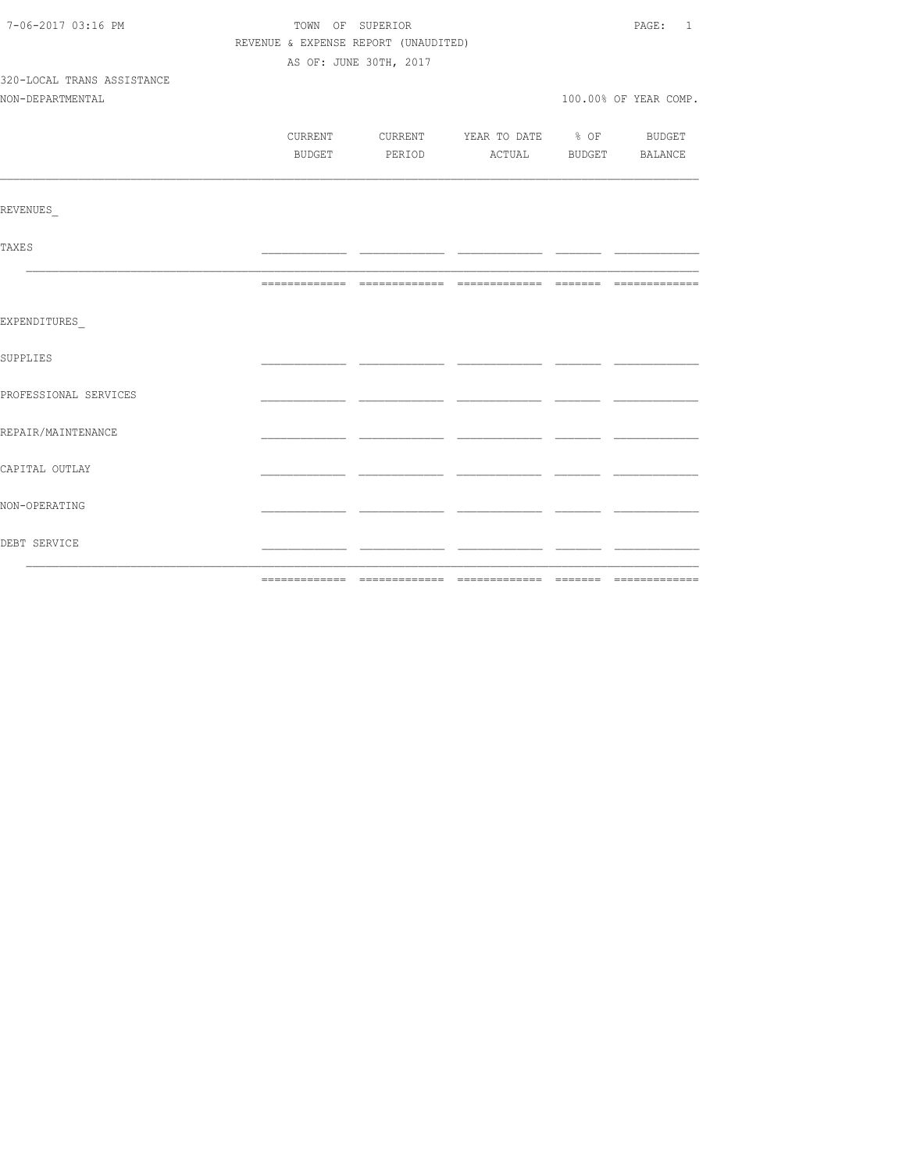| 7-06-2017 03:16 PM         | TOWN OF SUPERIOR                     |  |                                          |  |                       |  |  |  |
|----------------------------|--------------------------------------|--|------------------------------------------|--|-----------------------|--|--|--|
|                            | REVENUE & EXPENSE REPORT (UNAUDITED) |  |                                          |  |                       |  |  |  |
|                            | AS OF: JUNE 30TH, 2017               |  |                                          |  |                       |  |  |  |
| 320-LOCAL TRANS ASSISTANCE |                                      |  |                                          |  |                       |  |  |  |
| NON-DEPARTMENTAL           |                                      |  |                                          |  | 100.00% OF YEAR COMP. |  |  |  |
|                            |                                      |  |                                          |  |                       |  |  |  |
|                            |                                      |  | CURRENT CURRENT YEAR TO DATE % OF BUDGET |  |                       |  |  |  |
|                            |                                      |  | BUDGET PERIOD ACTUAL BUDGET BALANCE      |  |                       |  |  |  |
| REVENUES                   |                                      |  |                                          |  |                       |  |  |  |
|                            |                                      |  |                                          |  |                       |  |  |  |
| <b>TAXES</b>               |                                      |  |                                          |  |                       |  |  |  |
|                            |                                      |  |                                          |  |                       |  |  |  |
| EXPENDITURES               |                                      |  |                                          |  |                       |  |  |  |
| <b>SUPPLIES</b>            |                                      |  |                                          |  |                       |  |  |  |
| PROFESSIONAL SERVICES      |                                      |  |                                          |  |                       |  |  |  |
| REPAIR/MAINTENANCE         |                                      |  |                                          |  |                       |  |  |  |
| CAPITAL OUTLAY             |                                      |  |                                          |  |                       |  |  |  |
| NON-OPERATING              |                                      |  |                                          |  |                       |  |  |  |
| DEBT SERVICE               |                                      |  |                                          |  |                       |  |  |  |
|                            |                                      |  |                                          |  |                       |  |  |  |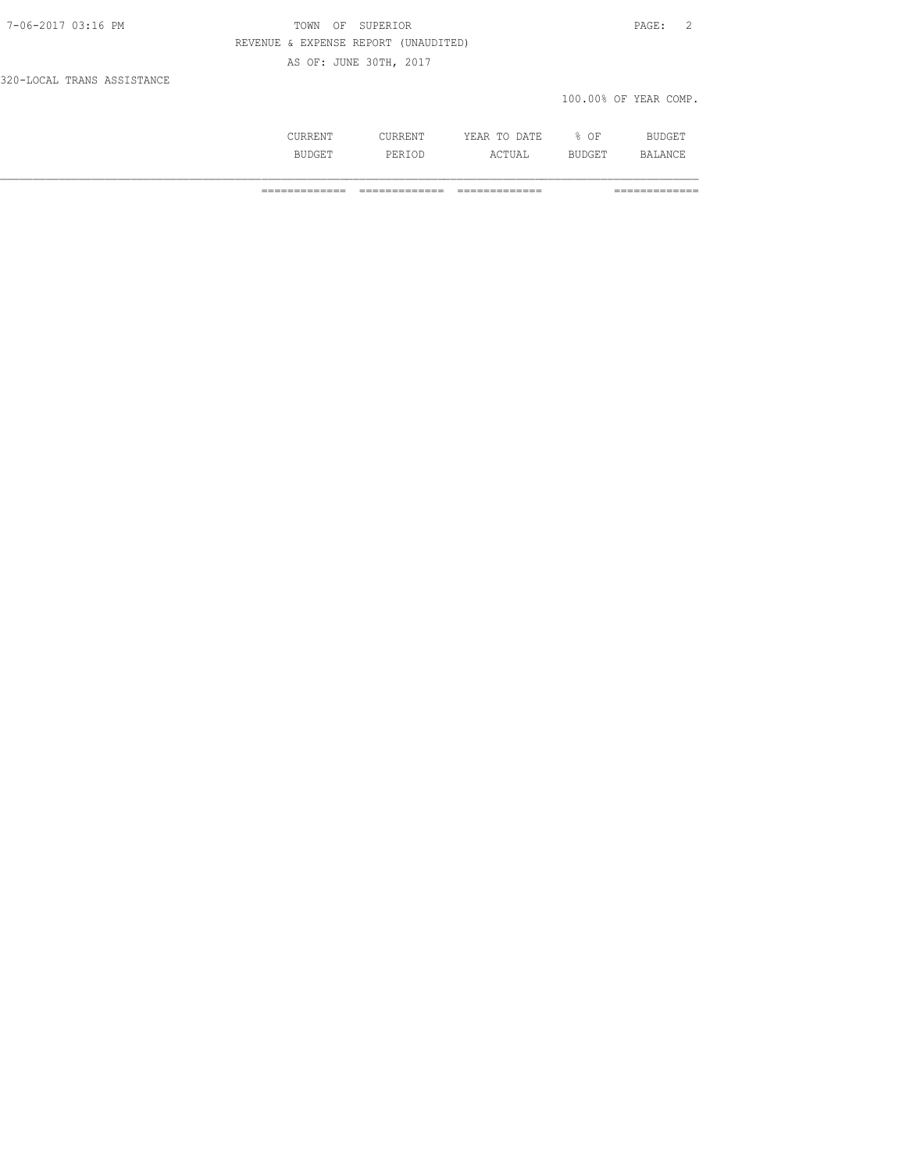# TOWN OF SUPERIOR **PAGE:** 2 REVENUE & EXPENSE REPORT (UNAUDITED)

AS OF: JUNE 30TH, 2017

320-LOCAL TRANS ASSISTANCE

#### 100.00% OF YEAR COMP.

| <b>ATIT</b> | DATE.<br>$- - -$<br>m <sub>c</sub><br>$\sim$<br>--- | ΟF |  |
|-------------|-----------------------------------------------------|----|--|
|             | .                                                   |    |  |

============= ============= ============= =============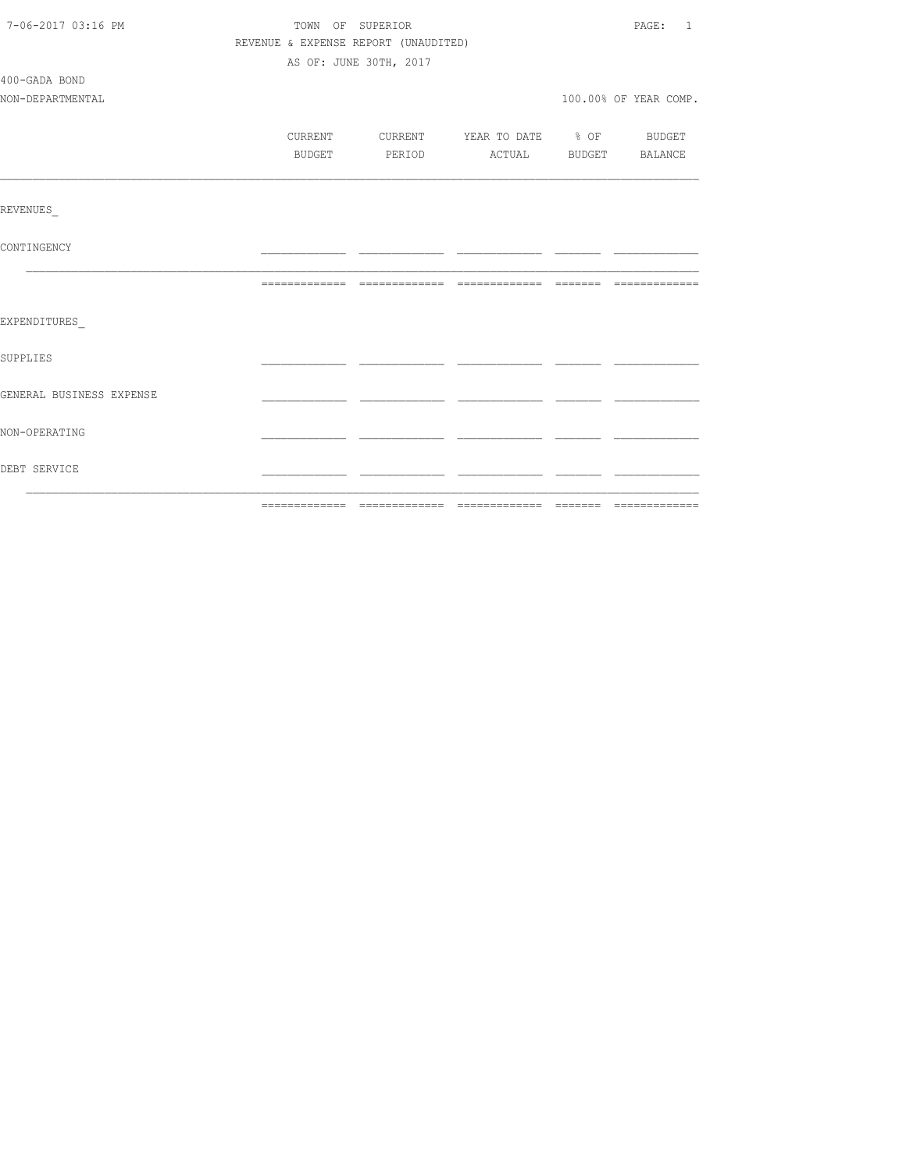| 7-06-2017 03:16 PM       | TOWN OF SUPERIOR                     | PAGE: 1                |                                          |  |                       |  |  |
|--------------------------|--------------------------------------|------------------------|------------------------------------------|--|-----------------------|--|--|
|                          | REVENUE & EXPENSE REPORT (UNAUDITED) |                        |                                          |  |                       |  |  |
|                          |                                      | AS OF: JUNE 30TH, 2017 |                                          |  |                       |  |  |
| 400-GADA BOND            |                                      |                        |                                          |  |                       |  |  |
| NON-DEPARTMENTAL         |                                      |                        |                                          |  | 100.00% OF YEAR COMP. |  |  |
|                          |                                      |                        |                                          |  |                       |  |  |
|                          |                                      |                        | CURRENT CURRENT YEAR TO DATE % OF BUDGET |  |                       |  |  |
|                          | BUDGET                               |                        |                                          |  |                       |  |  |
|                          |                                      |                        |                                          |  |                       |  |  |
|                          |                                      |                        |                                          |  |                       |  |  |
| REVENUES                 |                                      |                        |                                          |  |                       |  |  |
|                          |                                      |                        |                                          |  |                       |  |  |
| CONTINGENCY              |                                      |                        |                                          |  |                       |  |  |
|                          |                                      |                        |                                          |  |                       |  |  |
|                          |                                      |                        |                                          |  |                       |  |  |
|                          |                                      |                        |                                          |  |                       |  |  |
| EXPENDITURES             |                                      |                        |                                          |  |                       |  |  |
|                          |                                      |                        |                                          |  |                       |  |  |
| <b>SUPPLIES</b>          |                                      |                        |                                          |  |                       |  |  |
|                          |                                      |                        |                                          |  |                       |  |  |
| GENERAL BUSINESS EXPENSE |                                      |                        |                                          |  |                       |  |  |
|                          |                                      |                        |                                          |  |                       |  |  |
| NON-OPERATING            |                                      |                        |                                          |  |                       |  |  |
|                          |                                      |                        |                                          |  |                       |  |  |
| DEBT SERVICE             |                                      |                        |                                          |  |                       |  |  |
|                          |                                      |                        |                                          |  |                       |  |  |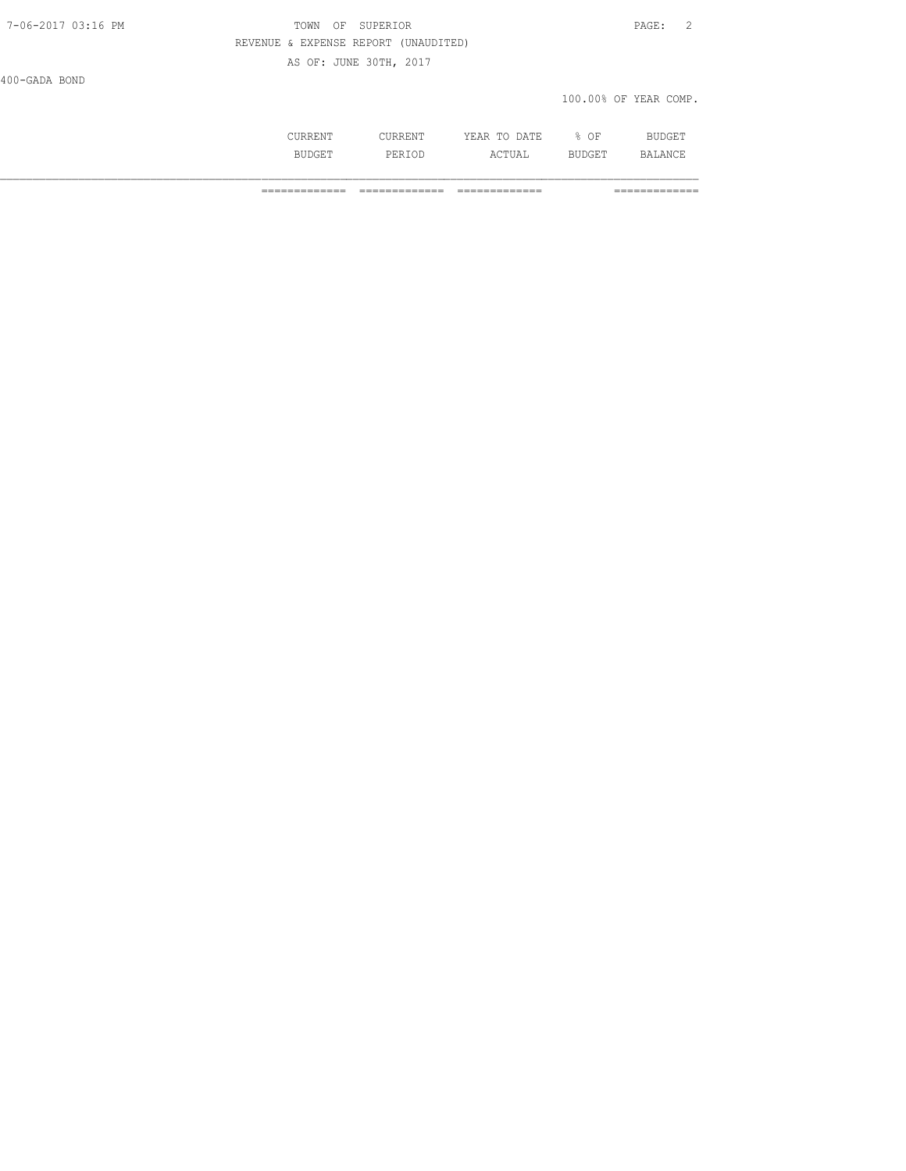AS OF: JUNE 30TH, 2017

400-GADA BOND

# 100.00% OF YEAR COMP.

|         | DATE.<br>---<br>m <sub>c</sub><br>. | ΟF<br>$\sim$ $\sim$ |  |
|---------|-------------------------------------|---------------------|--|
| التالان | ۰д.<br>.                            | ◡∸                  |  |

============= ============= ============= =============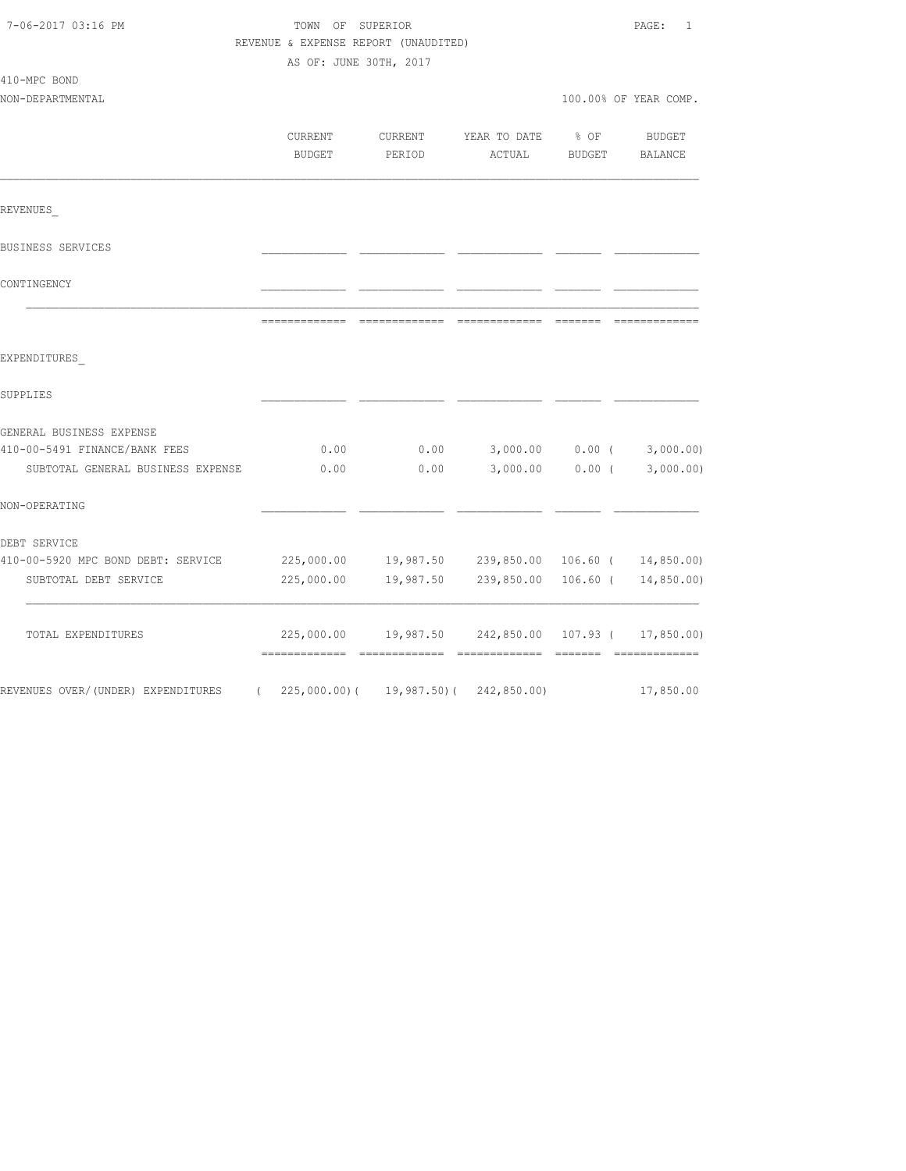| 7-06-2017 03:16 PM                                                 | TOWN OF SUPERIOR<br>REVENUE & EXPENSE REPORT (UNAUDITED)<br>AS OF: JUNE 30TH, 2017 |                   |                                |                | $\texttt{PAGE}$ :<br>$\overline{1}$ |
|--------------------------------------------------------------------|------------------------------------------------------------------------------------|-------------------|--------------------------------|----------------|-------------------------------------|
| 410-MPC BOND<br>NON-DEPARTMENTAL                                   |                                                                                    |                   |                                |                | 100.00% OF YEAR COMP.               |
|                                                                    | CURRENT<br>BUDGET                                                                  | CURRENT<br>PERIOD | YEAR TO DATE<br>ACTUAL         | % OF<br>BUDGET | BUDGET<br>BALANCE                   |
| REVENUES                                                           |                                                                                    |                   |                                |                |                                     |
| BUSINESS SERVICES                                                  |                                                                                    |                   |                                |                |                                     |
| CONTINGENCY                                                        |                                                                                    |                   |                                |                |                                     |
|                                                                    |                                                                                    |                   |                                |                | _______________                     |
| EXPENDITURES                                                       |                                                                                    |                   |                                |                |                                     |
| SUPPLIES                                                           |                                                                                    |                   |                                |                |                                     |
| GENERAL BUSINESS EXPENSE                                           |                                                                                    |                   |                                |                |                                     |
| 410-00-5491 FINANCE/BANK FEES<br>SUBTOTAL GENERAL BUSINESS EXPENSE | 0.00<br>0.00                                                                       | 0.00<br>0.00      | 3,000.00<br>3,000.00           | $0.00$ (       | $0.00$ ( $3,000.00$ )<br>3,000.00)  |
| NON-OPERATING                                                      |                                                                                    |                   |                                |                |                                     |
| DEBT SERVICE                                                       |                                                                                    |                   |                                |                |                                     |
| 410-00-5920 MPC BOND DEBT: SERVICE                                 | 225,000.00                                                                         | 19,987.50         | 239,850.00 106.60 ( 14,850.00) |                |                                     |
| SUBTOTAL DEBT SERVICE                                              | 225,000.00                                                                         | 19,987.50         | 239,850.00                     |                | $106.60$ ( $14,850.00$ )            |
| TOTAL EXPENDITURES                                                 | 225,000.00<br>=============                                                        | 19,987.50         |                                |                | 242,850.00 107.93 ( 17,850.00)      |
| REVENUES OVER/(UNDER) EXPENDITURES                                 | $(225,000.00)$ (                                                                   | 19,987.50)(       | 242,850.00)                    |                | 17,850.00                           |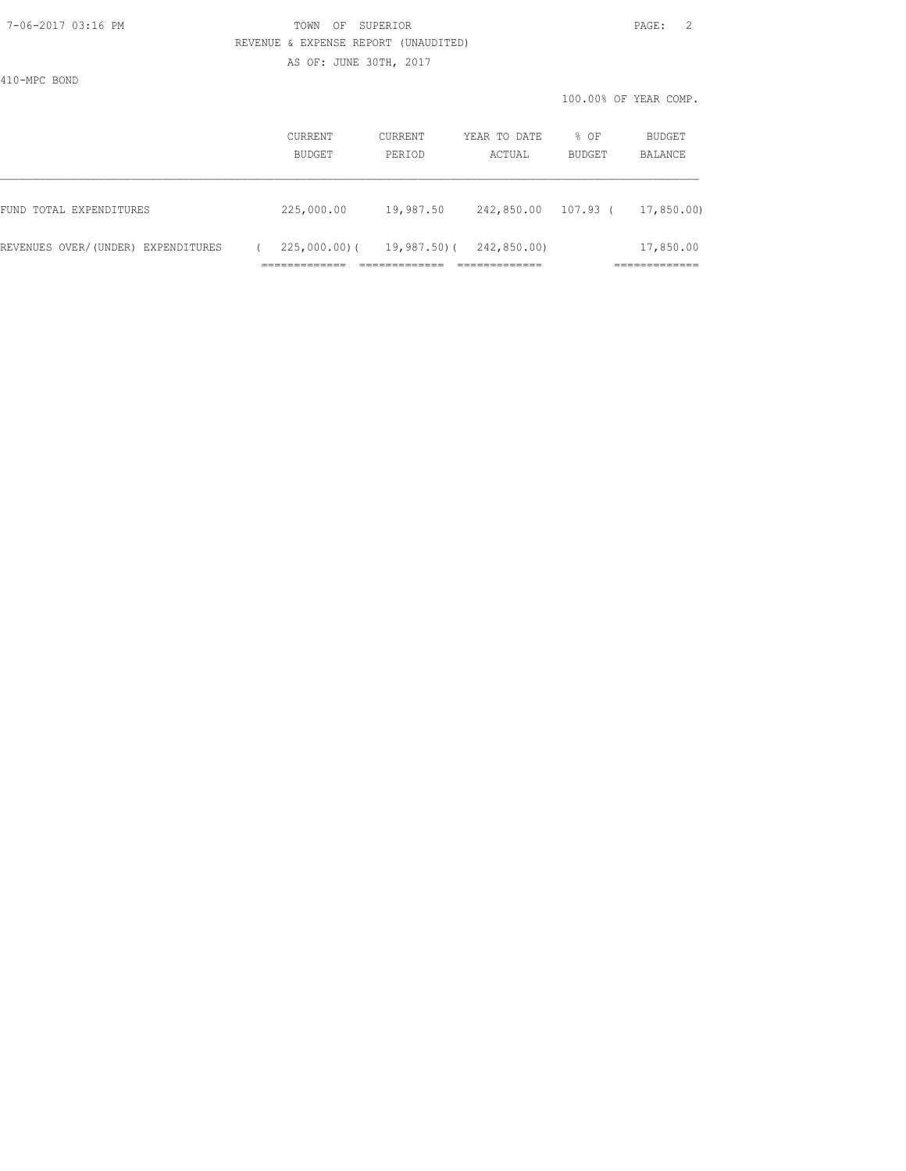#### 7-06-2017 03:16 PM TOWN OF SUPERIOR PAGE: 2 REVENUE & EXPENSE REPORT (UNAUDITED)

AS OF: JUNE 30TH, 2017

410-MPC BOND

|                                    | <b>CURRENT</b><br>BUDGET | CURRENT<br>PERIOD | YEAR TO DATE<br>ACTUAL | % OF<br>BUDGET | BUDGET<br>BALANCE         |
|------------------------------------|--------------------------|-------------------|------------------------|----------------|---------------------------|
| FUND TOTAL EXPENDITURES            | 225,000.00               | 19,987.50         | 242,850.00             | 107.93 (       | 17,850.00)                |
| REVENUES OVER/(UNDER) EXPENDITURES | $225,000.00)$ (          | $19,987.50$ (     | 242,850.00)            |                | 17,850.00                 |
|                                    |                          |                   |                        |                | . _ _ _ _ _ _ _ _ _ _ _ _ |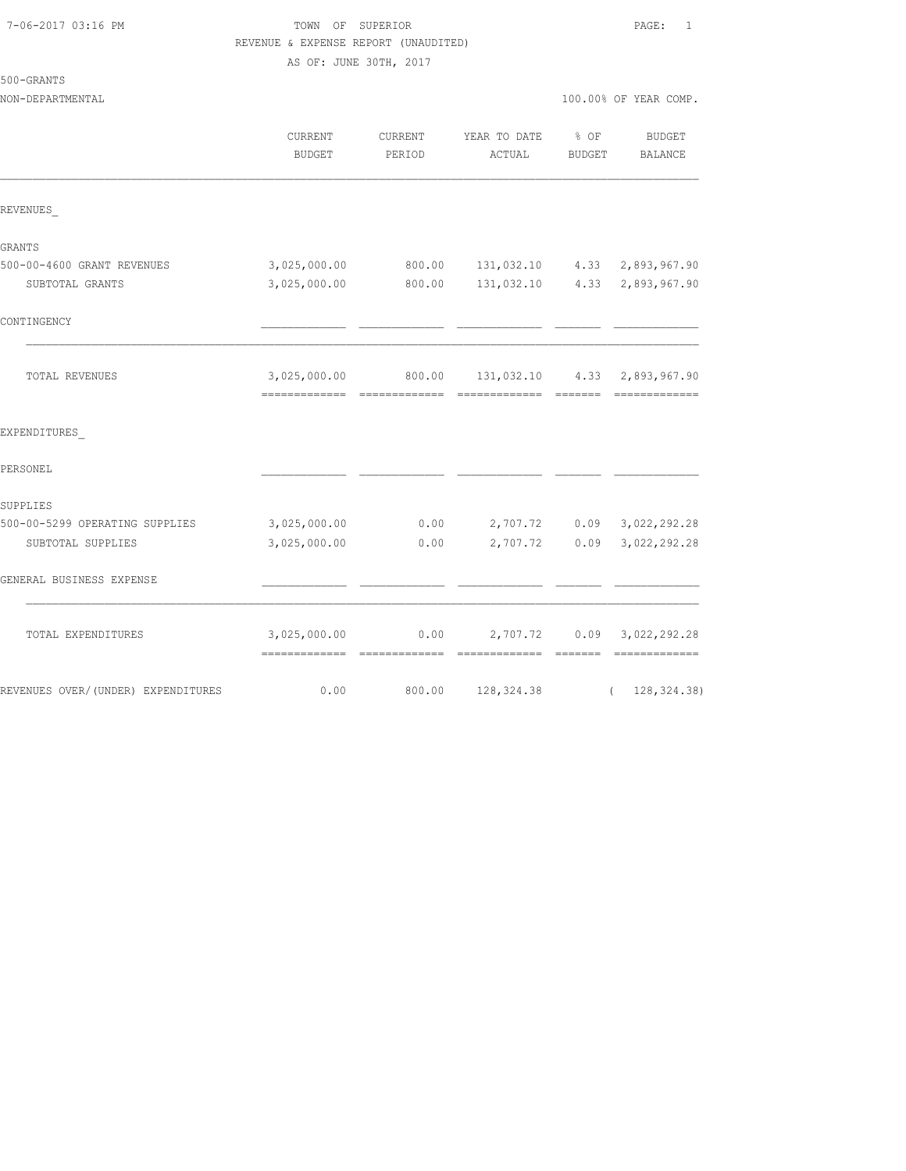| 7-06-2017 03:16 PM |  |
|--------------------|--|
|                    |  |

TOWN OF SUPERIOR **PAGE:** 1 REVENUE & EXPENSE REPORT (UNAUDITED)

AS OF: JUNE 30TH, 2017

| 500-GRANTS |  |
|------------|--|
|------------|--|

| NON-DEPARTMENTAL | 100.00% OF YEAR COMP. |
|------------------|-----------------------|

|                                    | <b>CURRENT</b><br><b>BUDGET</b>                | <b>CURRENT</b><br>PERIOD | YEAR TO DATE<br>ACTUAL    | % OF<br><b>BUDGET</b>   | <b>BUDGET</b><br>BALANCE     |
|------------------------------------|------------------------------------------------|--------------------------|---------------------------|-------------------------|------------------------------|
| REVENUES                           |                                                |                          |                           |                         |                              |
| GRANTS                             |                                                |                          |                           |                         |                              |
| 500-00-4600 GRANT REVENUES         | 3,025,000.00                                   | 800.00                   |                           |                         | 131,032.10 4.33 2,893,967.90 |
| SUBTOTAL GRANTS                    | 3,025,000.00                                   | 800.00                   | 131,032.10 4.33           |                         | 2,893,967.90                 |
| CONTINGENCY                        |                                                |                          |                           |                         |                              |
| TOTAL REVENUES                     | 3,025,000.00<br>-------------- --------------  | 800.00                   | 131,032.10 4.33           |                         | 2,893,967.90                 |
| EXPENDITURES                       |                                                |                          |                           |                         |                              |
| PERSONEL                           |                                                |                          |                           |                         |                              |
| SUPPLIES                           |                                                |                          |                           |                         |                              |
| 500-00-5299 OPERATING SUPPLIES     | 3,025,000.00                                   | 0.00                     | 2,707.72                  | 0.09                    | 3,022,292.28                 |
| SUBTOTAL SUPPLIES                  | 3,025,000.00                                   | 0.00                     | 2,707.72                  | 0.09                    | 3,022,292.28                 |
| GENERAL BUSINESS EXPENSE           |                                                |                          |                           |                         |                              |
| TOTAL EXPENDITURES                 | 3,025,000.00<br>============================== | 0.00                     | 2,707.72<br>============= | 0.09<br><b>COOSSESS</b> | 3,022,292.28                 |
| REVENUES OVER/(UNDER) EXPENDITURES | 0.00                                           | 800.00                   | 128, 324.38               |                         | (128, 324.38)                |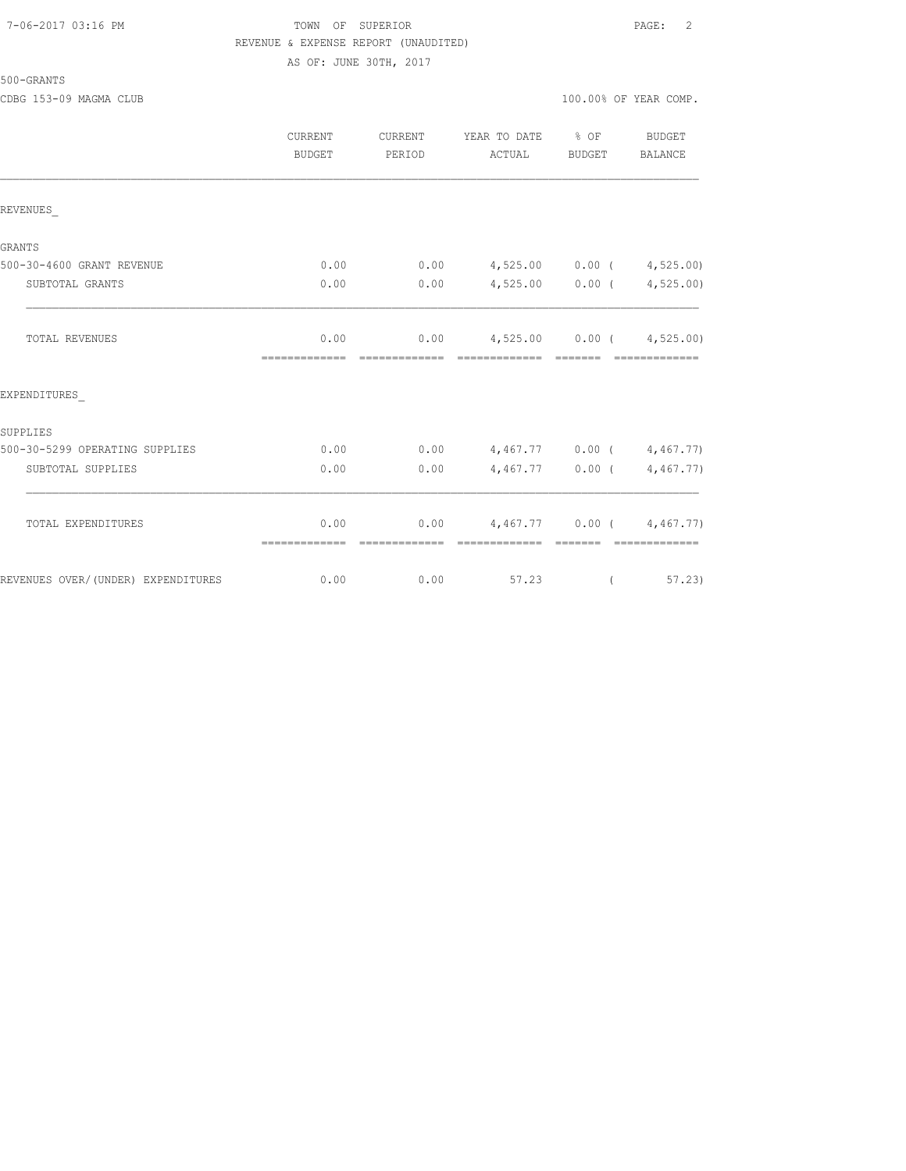## 7-06-2017 03:16 PM TOWN OF SUPERIOR PAGE: 2 REVENUE & EXPENSE REPORT (UNAUDITED) AS OF: JUNE 30TH, 2017

|                                    | CURRENT<br>BUDGET     | CURRENT<br>PERIOD      | YEAR TO DATE<br>ACTUAL                          | $\frac{6}{6}$ OF<br><b>BUDGET</b>                                                                                                                                                                                                                                                                                                                                                                                                                                                      | <b>BUDGET</b><br>BALANCE |
|------------------------------------|-----------------------|------------------------|-------------------------------------------------|----------------------------------------------------------------------------------------------------------------------------------------------------------------------------------------------------------------------------------------------------------------------------------------------------------------------------------------------------------------------------------------------------------------------------------------------------------------------------------------|--------------------------|
| REVENUES                           |                       |                        |                                                 |                                                                                                                                                                                                                                                                                                                                                                                                                                                                                        |                          |
| GRANTS                             |                       |                        |                                                 |                                                                                                                                                                                                                                                                                                                                                                                                                                                                                        |                          |
| 500-30-4600 GRANT REVENUE          | 0.00                  | 0.00                   | $4,525.00$ 0.00 ( $4,525.00$ )                  |                                                                                                                                                                                                                                                                                                                                                                                                                                                                                        |                          |
| SUBTOTAL GRANTS                    | 0.00                  | 0.00                   |                                                 | $4,525.00$ 0.00 (                                                                                                                                                                                                                                                                                                                                                                                                                                                                      | 4,525.00)                |
| <b>TOTAL REVENUES</b>              | 0.00<br>============= | 0.00                   | $4,525.00$ 0.00 ( $4,525.00$ )<br>============= | $\begin{array}{cccccccccc} \multicolumn{2}{c}{} & \multicolumn{2}{c}{} & \multicolumn{2}{c}{} & \multicolumn{2}{c}{} & \multicolumn{2}{c}{} & \multicolumn{2}{c}{} & \multicolumn{2}{c}{} & \multicolumn{2}{c}{} & \multicolumn{2}{c}{} & \multicolumn{2}{c}{} & \multicolumn{2}{c}{} & \multicolumn{2}{c}{} & \multicolumn{2}{c}{} & \multicolumn{2}{c}{} & \multicolumn{2}{c}{} & \multicolumn{2}{c}{} & \multicolumn{2}{c}{} & \multicolumn{2}{c}{} & \multicolumn{2}{c}{} & \mult$ | =============            |
| EXPENDITURES                       |                       |                        |                                                 |                                                                                                                                                                                                                                                                                                                                                                                                                                                                                        |                          |
| SUPPLIES                           |                       |                        |                                                 |                                                                                                                                                                                                                                                                                                                                                                                                                                                                                        |                          |
| 500-30-5299 OPERATING SUPPLIES     | 0.00                  | 0.00                   | $4,467.77$ 0.00 (4,467.77)                      |                                                                                                                                                                                                                                                                                                                                                                                                                                                                                        |                          |
| SUBTOTAL SUPPLIES                  | 0.00                  | 0.00                   |                                                 | $4,467.77$ 0.00 (                                                                                                                                                                                                                                                                                                                                                                                                                                                                      | 4,467.77)                |
| TOTAL EXPENDITURES                 | 0.00<br>============= | 0.00<br>-------------- | $4,467,77$ 0.00 (4,467.77)<br>--------------    | --------                                                                                                                                                                                                                                                                                                                                                                                                                                                                               | =============            |
| REVENUES OVER/(UNDER) EXPENDITURES | 0.00                  | 0.00                   | 57.23                                           | $\left($                                                                                                                                                                                                                                                                                                                                                                                                                                                                               | 57, 23                   |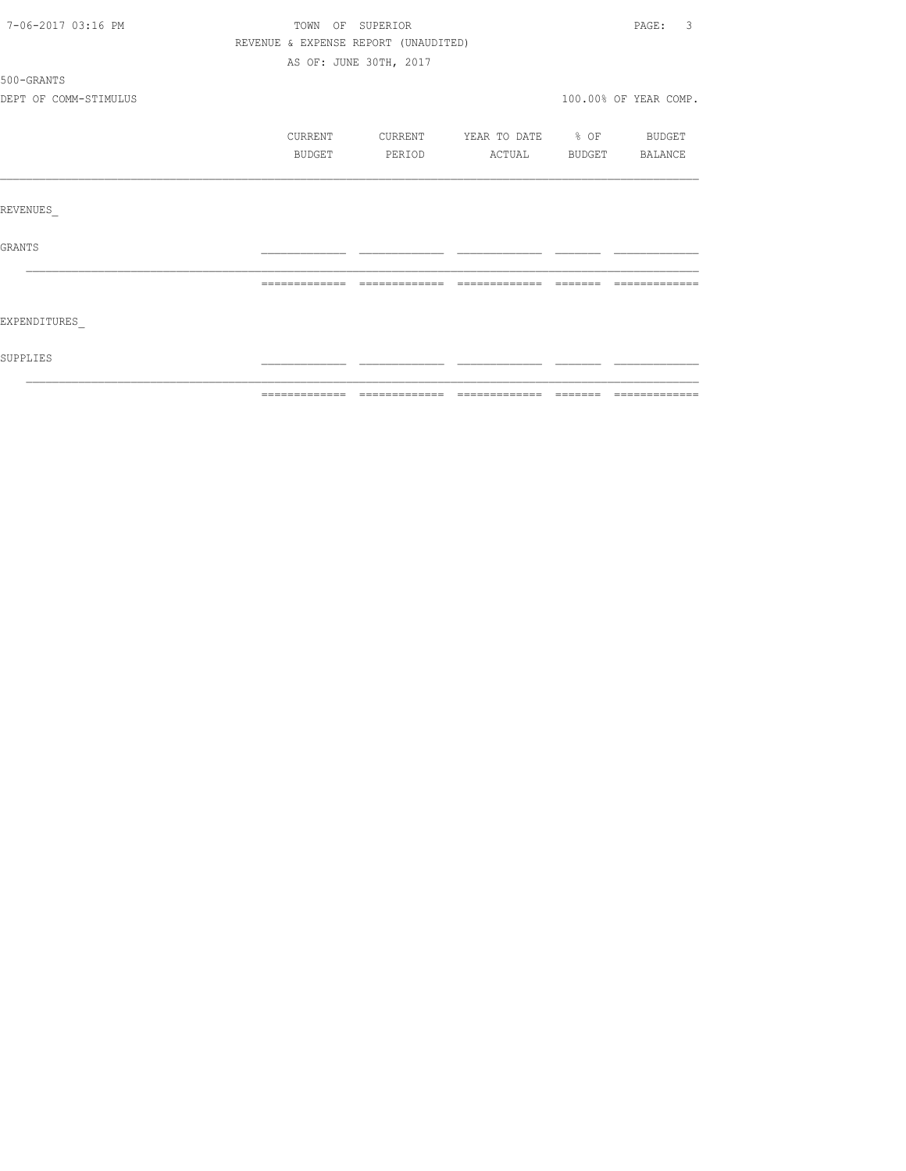| 7-06-2017 03:16 PM    |                                      | TOWN OF SUPERIOR       |                          | $\overline{3}$<br>PAGE: |
|-----------------------|--------------------------------------|------------------------|--------------------------|-------------------------|
|                       | REVENUE & EXPENSE REPORT (UNAUDITED) |                        |                          |                         |
|                       |                                      | AS OF: JUNE 30TH, 2017 |                          |                         |
| 500-GRANTS            |                                      |                        |                          |                         |
| DEPT OF COMM-STIMULUS |                                      |                        |                          | 100.00% OF YEAR COMP.   |
|                       | CURRENT                              | CURRENT                | YEAR TO DATE % OF BUDGET |                         |
|                       | BUDGET                               | PERIOD                 | ACTUAL BUDGET BALANCE    |                         |
| REVENUES              |                                      |                        |                          |                         |
|                       |                                      |                        |                          |                         |
| <b>GRANTS</b>         |                                      |                        |                          |                         |
|                       |                                      |                        |                          |                         |
| EXPENDITURES          |                                      |                        |                          |                         |
| SUPPLIES              |                                      |                        |                          |                         |
|                       |                                      |                        |                          |                         |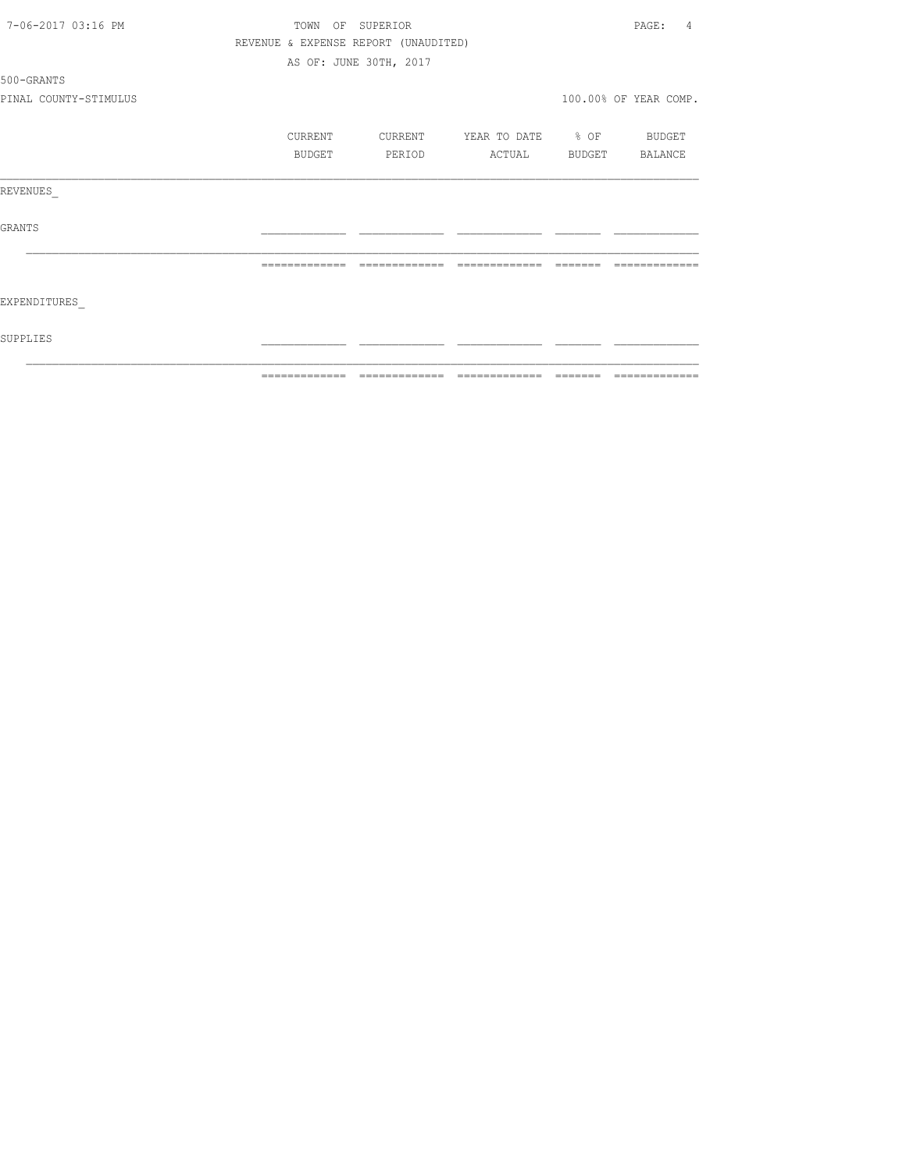| 7-06-2017 03:16 PM    | TOWN          |         | OF SUPERIOR                          |                                                                                                                                                                                                                                                                                                                                                                                                                                                                  |         | PAGE:<br>4            |
|-----------------------|---------------|---------|--------------------------------------|------------------------------------------------------------------------------------------------------------------------------------------------------------------------------------------------------------------------------------------------------------------------------------------------------------------------------------------------------------------------------------------------------------------------------------------------------------------|---------|-----------------------|
|                       |               |         | REVENUE & EXPENSE REPORT (UNAUDITED) |                                                                                                                                                                                                                                                                                                                                                                                                                                                                  |         |                       |
|                       |               |         | AS OF: JUNE 30TH, 2017               |                                                                                                                                                                                                                                                                                                                                                                                                                                                                  |         |                       |
| 500-GRANTS            |               |         |                                      |                                                                                                                                                                                                                                                                                                                                                                                                                                                                  |         |                       |
| PINAL COUNTY-STIMULUS |               |         |                                      |                                                                                                                                                                                                                                                                                                                                                                                                                                                                  |         | 100.00% OF YEAR COMP. |
|                       |               | CURRENT | CURRENT                              | YEAR TO DATE % OF                                                                                                                                                                                                                                                                                                                                                                                                                                                |         | BUDGET                |
|                       |               | BUDGET  | PERIOD                               | ACTUAL                                                                                                                                                                                                                                                                                                                                                                                                                                                           | BUDGET  | BALANCE               |
| REVENUES              |               |         |                                      |                                                                                                                                                                                                                                                                                                                                                                                                                                                                  |         |                       |
| <b>GRANTS</b>         |               |         |                                      |                                                                                                                                                                                                                                                                                                                                                                                                                                                                  |         |                       |
|                       |               |         |                                      |                                                                                                                                                                                                                                                                                                                                                                                                                                                                  |         |                       |
| EXPENDITURES          |               |         |                                      |                                                                                                                                                                                                                                                                                                                                                                                                                                                                  |         |                       |
| SUPPLIES              |               |         |                                      |                                                                                                                                                                                                                                                                                                                                                                                                                                                                  |         |                       |
|                       | ------------- |         | =============                        | $\begin{array}{c} \multicolumn{2}{c} {\textbf{2.4}} & \multicolumn{2}{c} {\textbf{2.5}} & \multicolumn{2}{c} {\textbf{2.6}} \\ \multicolumn{2}{c} {\textbf{2.6}} & \multicolumn{2}{c} {\textbf{2.6}} & \multicolumn{2}{c} {\textbf{2.6}} \\ \multicolumn{2}{c} {\textbf{2.6}} & \multicolumn{2}{c} {\textbf{2.6}} & \multicolumn{2}{c} {\textbf{2.6}} \\ \multicolumn{2}{c} {\textbf{2.6}} & \multicolumn{2}{c} {\textbf{2.6}} & \multicolumn{2}{c} {\textbf{2.$ | ======= | -------------         |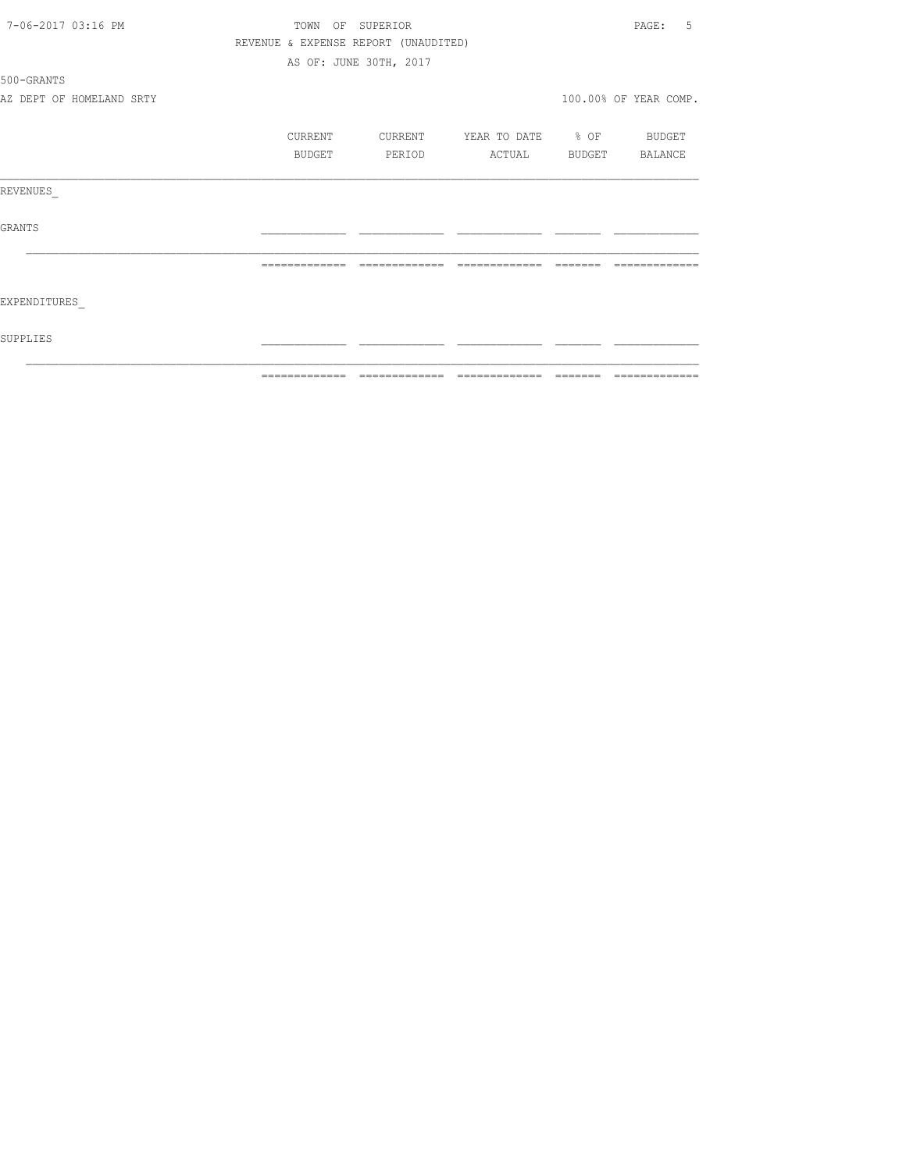| 7-06-2017 03:16 PM       |         | TOWN OF SUPERIOR                     |                   | .5<br>PAGE:           |
|--------------------------|---------|--------------------------------------|-------------------|-----------------------|
|                          |         | REVENUE & EXPENSE REPORT (UNAUDITED) |                   |                       |
|                          |         | AS OF: JUNE 30TH, 2017               |                   |                       |
| 500-GRANTS               |         |                                      |                   |                       |
| AZ DEPT OF HOMELAND SRTY |         |                                      |                   | 100.00% OF YEAR COMP. |
|                          | CURRENT | CURRENT                              | YEAR TO DATE % OF | <b>BUDGET</b>         |
|                          | BUDGET  | PERIOD                               | ACTUAL            | BUDGET BALANCE        |
| REVENUES                 |         |                                      |                   |                       |
| <b>GRANTS</b>            |         |                                      |                   |                       |
|                          |         | -------------                        | -------------     |                       |
| EXPENDITURES             |         |                                      |                   |                       |
| SUPPLIES                 |         |                                      |                   |                       |
|                          |         |                                      |                   | =============         |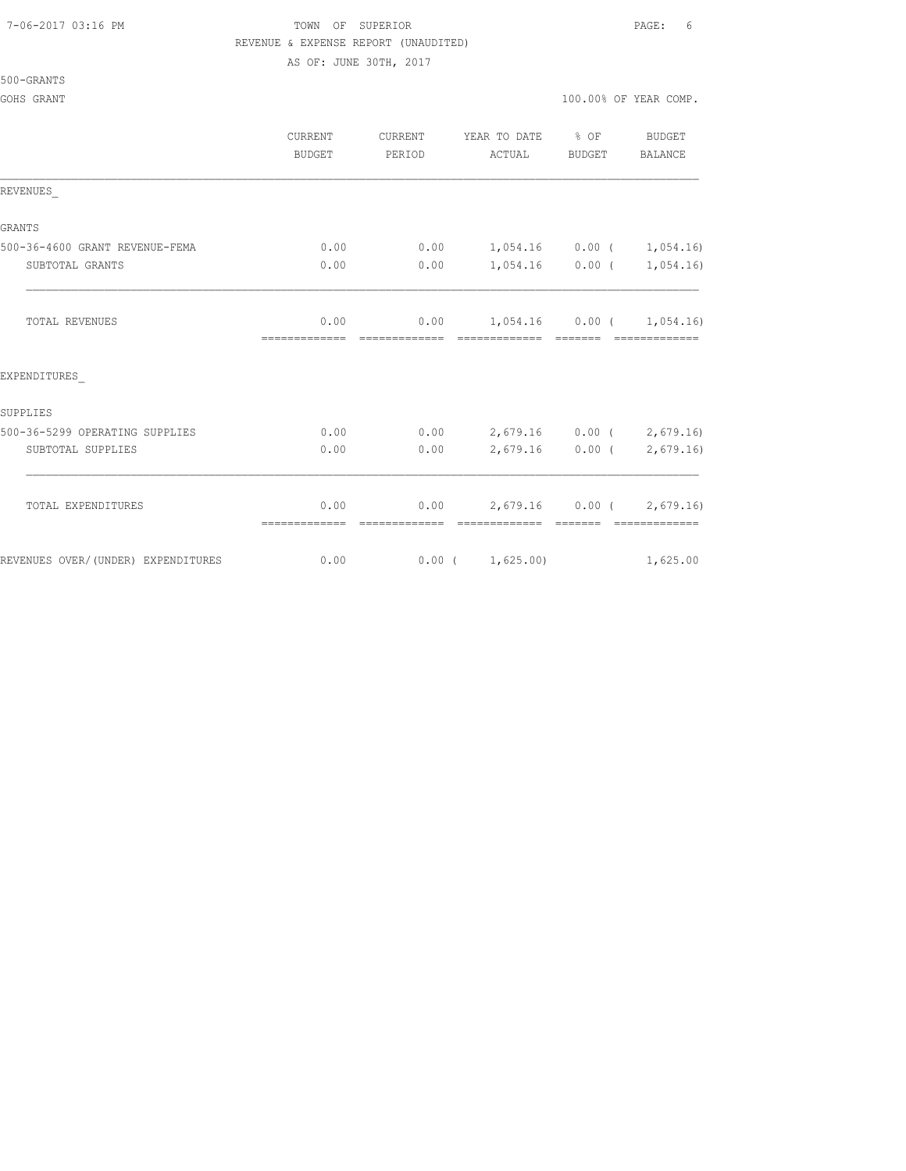#### 7-06-2017 03:16 PM TOWN OF SUPERIOR PAGE: 6 REVENUE & EXPENSE REPORT (UNAUDITED)

AS OF: JUNE 30TH, 2017

#### 500-GRANTS

|                                    | CURRENT<br><b>BUDGET</b> | CURRENT<br>PERIOD     | YEAR TO DATE % OF BUDGET<br>ACTUAL                                         | BUDGET | BALANCE                                                  |
|------------------------------------|--------------------------|-----------------------|----------------------------------------------------------------------------|--------|----------------------------------------------------------|
| REVENUES                           |                          |                       |                                                                            |        |                                                          |
| <b>GRANTS</b>                      |                          |                       |                                                                            |        |                                                          |
| 500-36-4600 GRANT REVENUE-FEMA     | 0.00                     |                       | $0.00$ 1,054.16 0.00 ( 1,054.16)                                           |        |                                                          |
| SUBTOTAL GRANTS                    | 0.00                     | 0.00                  | $1,054.16$ 0.00 ( 1,054.16)                                                |        |                                                          |
| TOTAL REVENUES                     | 0.00<br>=============    | =============         | $0.00$ 1,054.16 0.00 ( 1,054.16)<br>====================================== |        |                                                          |
| EXPENDITURES                       |                          |                       |                                                                            |        |                                                          |
| SUPPLIES                           |                          |                       |                                                                            |        |                                                          |
| 500-36-5299 OPERATING SUPPLIES     | 0.00                     |                       | $0.00$ 2,679.16 0.00 ( 2,679.16)                                           |        |                                                          |
| SUBTOTAL SUPPLIES                  | 0.00                     | 0.00                  |                                                                            |        | $2,679.16$ 0.00 ( 2,679.16)                              |
| TOTAL EXPENDITURES                 | 0.00<br>=============    | 0.00<br>------------- | =============                                                              |        | $2,679.16$ 0.00 ( 2,679.16)<br>- coccoco - coccococococo |
| REVENUES OVER/(UNDER) EXPENDITURES | 0.00                     | 0.00(1,625.00)        |                                                                            |        | 1,625.00                                                 |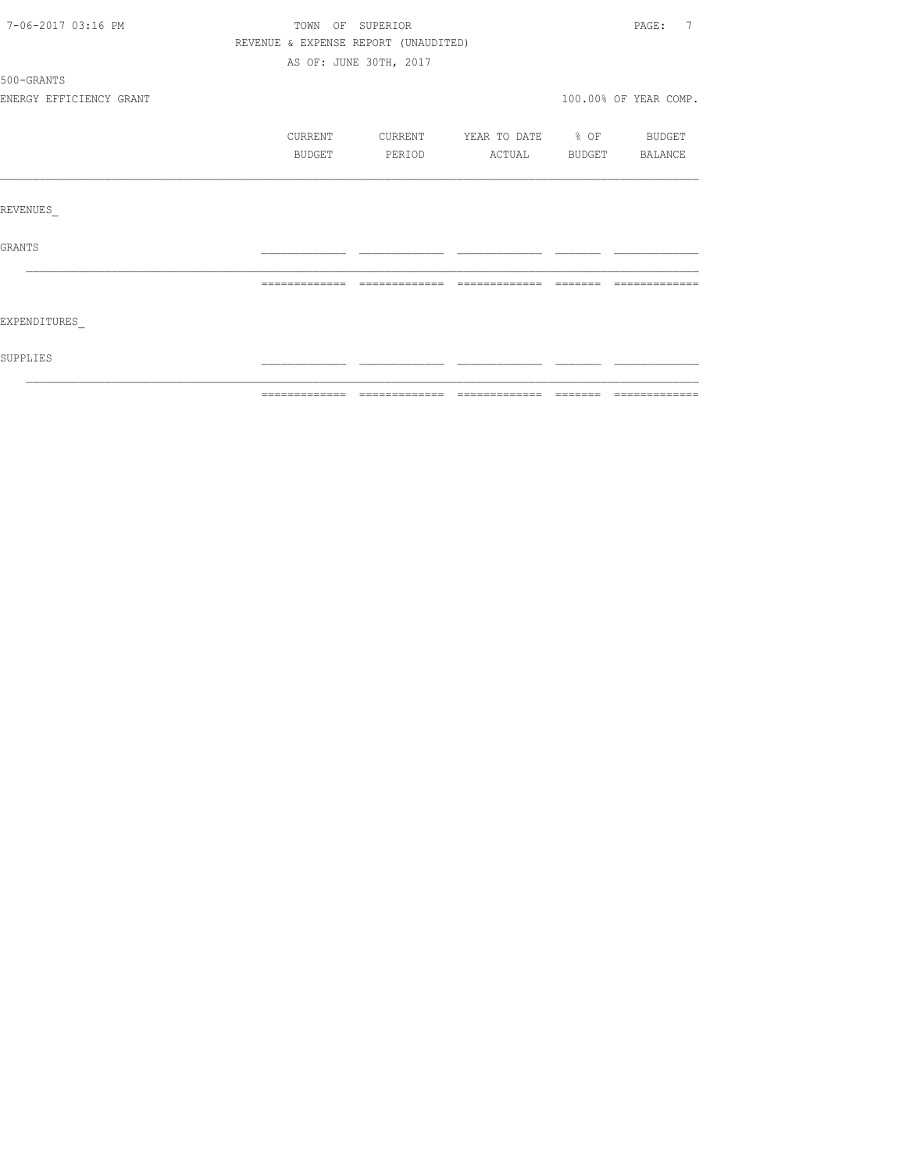| 7-06-2017 03:16 PM      |                                      | TOWN OF SUPERIOR       |                          |        | 7<br>PAGE:            |
|-------------------------|--------------------------------------|------------------------|--------------------------|--------|-----------------------|
|                         | REVENUE & EXPENSE REPORT (UNAUDITED) |                        |                          |        |                       |
|                         |                                      | AS OF: JUNE 30TH, 2017 |                          |        |                       |
| 500-GRANTS              |                                      |                        |                          |        |                       |
| ENERGY EFFICIENCY GRANT |                                      |                        |                          |        | 100.00% OF YEAR COMP. |
|                         | CURRENT                              | CURRENT                | YEAR TO DATE % OF BUDGET |        |                       |
|                         | BUDGET                               | PERIOD                 | ACTUAL                   | BUDGET | BALANCE               |
|                         |                                      |                        |                          |        |                       |
| REVENUES                |                                      |                        |                          |        |                       |
| GRANTS                  |                                      |                        |                          |        |                       |
|                         |                                      |                        |                          |        |                       |
| EXPENDITURES            |                                      |                        |                          |        |                       |
|                         |                                      |                        |                          |        |                       |
| <b>SUPPLIES</b>         |                                      |                        |                          |        |                       |
|                         |                                      |                        |                          |        |                       |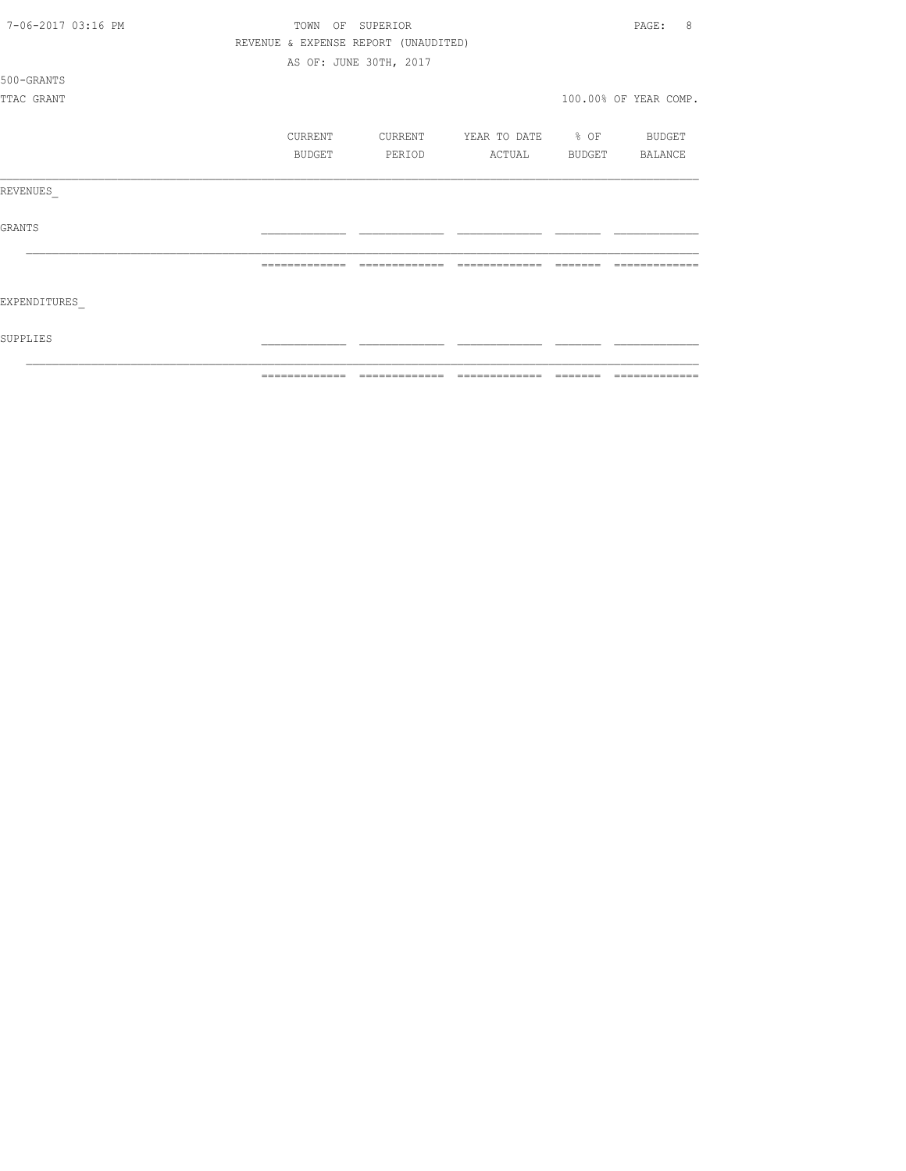| 7-06-2017 03:16 PM | TOWN          | OF SUPERIOR                          |                   |          | 8<br>PAGE:            |
|--------------------|---------------|--------------------------------------|-------------------|----------|-----------------------|
|                    |               | REVENUE & EXPENSE REPORT (UNAUDITED) |                   |          |                       |
|                    |               | AS OF: JUNE 30TH, 2017               |                   |          |                       |
| 500-GRANTS         |               |                                      |                   |          |                       |
| TTAC GRANT         |               |                                      |                   |          | 100.00% OF YEAR COMP. |
|                    |               |                                      |                   |          |                       |
|                    | CURRENT       | CURRENT                              | YEAR TO DATE % OF |          | BUDGET                |
|                    | BUDGET        | PERIOD                               | ACTUAL            | BUDGET   | BALANCE               |
|                    |               |                                      |                   |          |                       |
| REVENUES           |               |                                      |                   |          |                       |
|                    |               |                                      |                   |          |                       |
| <b>GRANTS</b>      |               |                                      |                   |          |                       |
|                    |               |                                      |                   |          |                       |
|                    | ============= | -------------                        | -------------     |          |                       |
|                    |               |                                      |                   |          |                       |
| EXPENDITURES       |               |                                      |                   |          |                       |
|                    |               |                                      |                   |          |                       |
| SUPPLIES           |               |                                      |                   |          |                       |
|                    |               |                                      |                   |          |                       |
|                    | ------------- |                                      | -------------     | -------- | -------------         |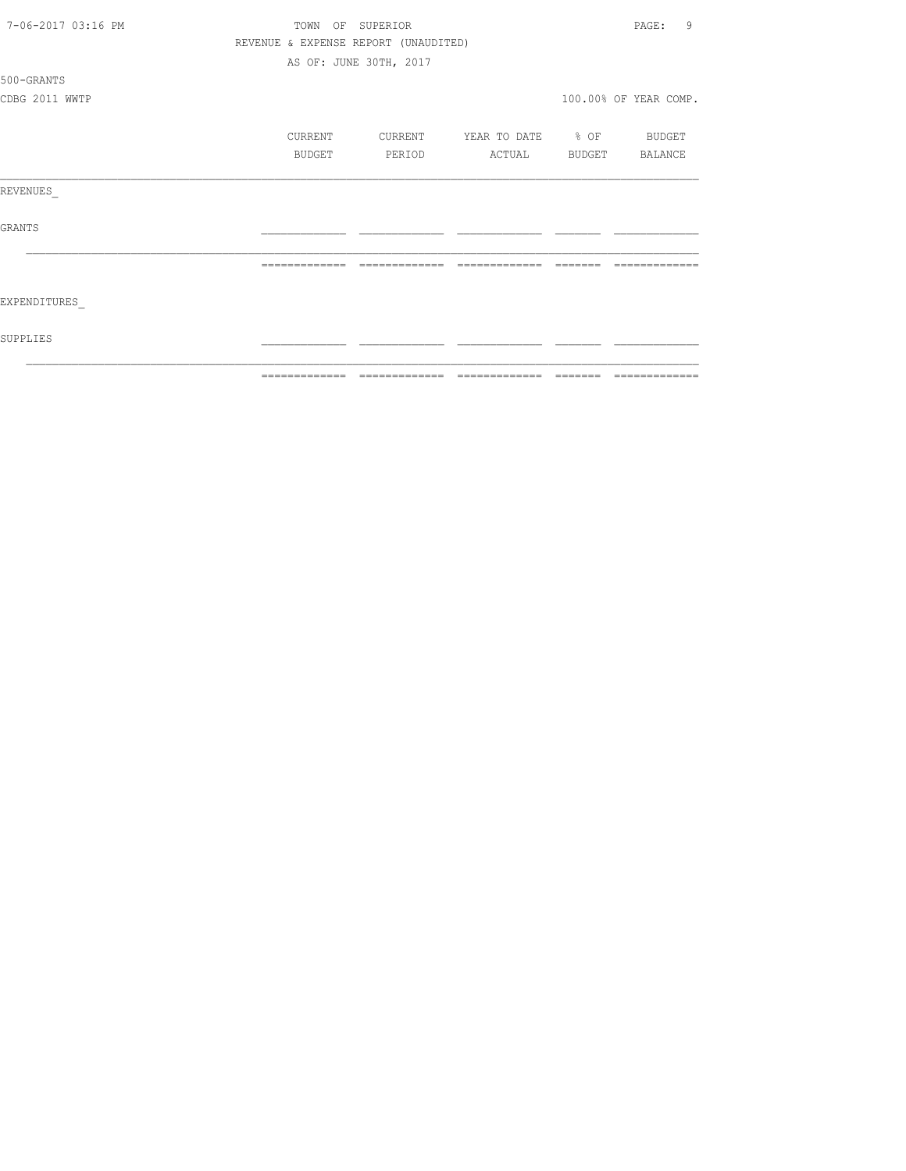| 7-06-2017 03:16 PM | TOWN OF SUPERIOR |                                      |                          |          | 9<br>PAGE:            |
|--------------------|------------------|--------------------------------------|--------------------------|----------|-----------------------|
|                    |                  | REVENUE & EXPENSE REPORT (UNAUDITED) |                          |          |                       |
|                    |                  | AS OF: JUNE 30TH, 2017               |                          |          |                       |
| 500-GRANTS         |                  |                                      |                          |          |                       |
| CDBG 2011 WWTP     |                  |                                      |                          |          | 100.00% OF YEAR COMP. |
|                    |                  |                                      |                          |          |                       |
|                    | CURRENT          | CURRENT                              | YEAR TO DATE % OF BUDGET |          |                       |
|                    | BUDGET           | PERIOD                               | ACTUAL                   |          | BUDGET BALANCE        |
| REVENUES           |                  |                                      |                          |          |                       |
| GRANTS             |                  |                                      |                          |          |                       |
|                    | =============    | =============                        | =============            | -------- |                       |
| EXPENDITURES       |                  |                                      |                          |          |                       |
| SUPPLIES           |                  |                                      |                          |          |                       |
|                    | =============    | =============                        | =============            | =======  | =============         |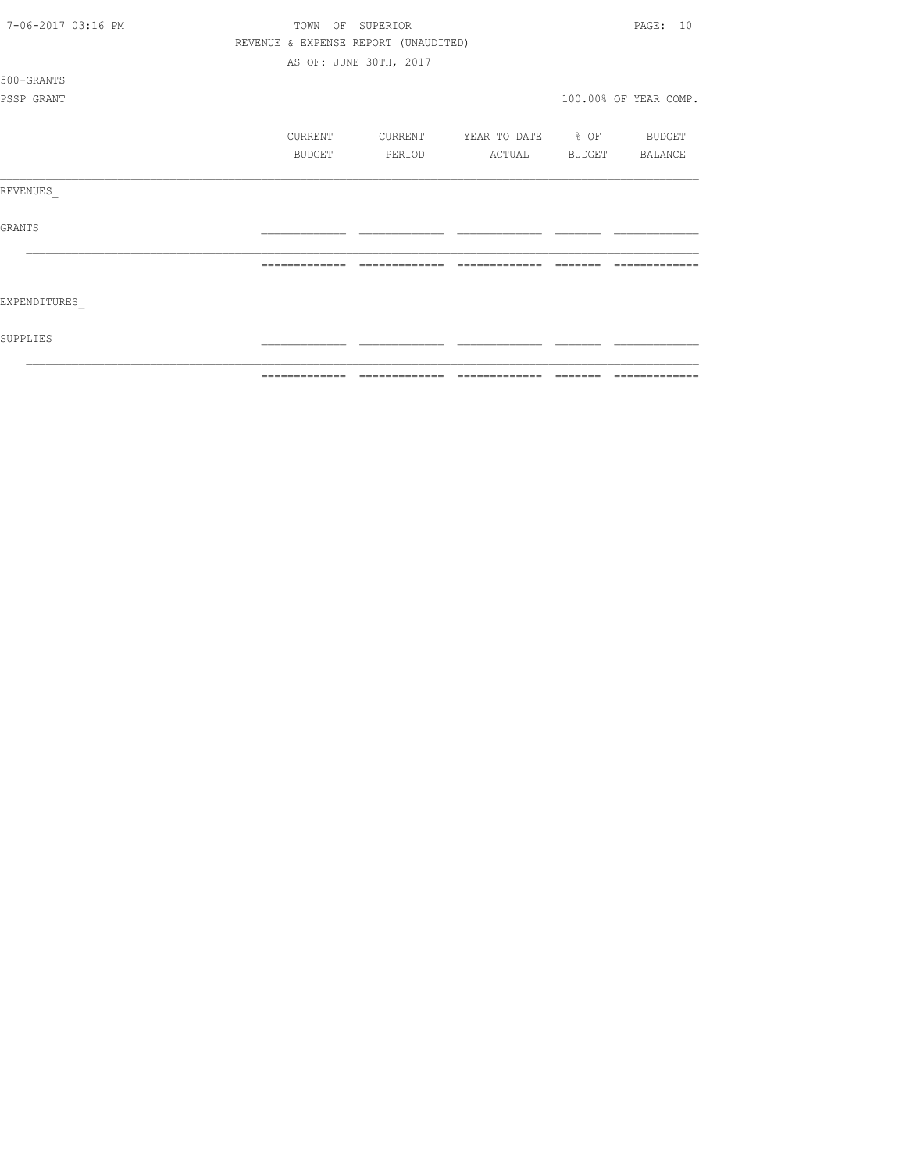| 7-06-2017 03:16 PM | TOWN<br>OF     | SUPERIOR                             |                   |          | PAGE: 10              |
|--------------------|----------------|--------------------------------------|-------------------|----------|-----------------------|
|                    |                | REVENUE & EXPENSE REPORT (UNAUDITED) |                   |          |                       |
|                    |                | AS OF: JUNE 30TH, 2017               |                   |          |                       |
| 500-GRANTS         |                |                                      |                   |          |                       |
| PSSP GRANT         |                |                                      |                   |          | 100.00% OF YEAR COMP. |
|                    |                |                                      |                   |          |                       |
|                    | CURRENT        | CURRENT                              | YEAR TO DATE % OF |          | BUDGET                |
|                    | BUDGET         | PERIOD                               | ACTUAL            | BUDGET   | BALANCE               |
| REVENUES           |                |                                      |                   |          |                       |
| GRANTS             |                |                                      |                   |          |                       |
|                    | =============  | -------------                        | =============     |          |                       |
| EXPENDITURES       |                |                                      |                   |          |                       |
| SUPPLIES           |                |                                      |                   |          |                       |
|                    | -------------- |                                      | -------------     | -------- | --------------        |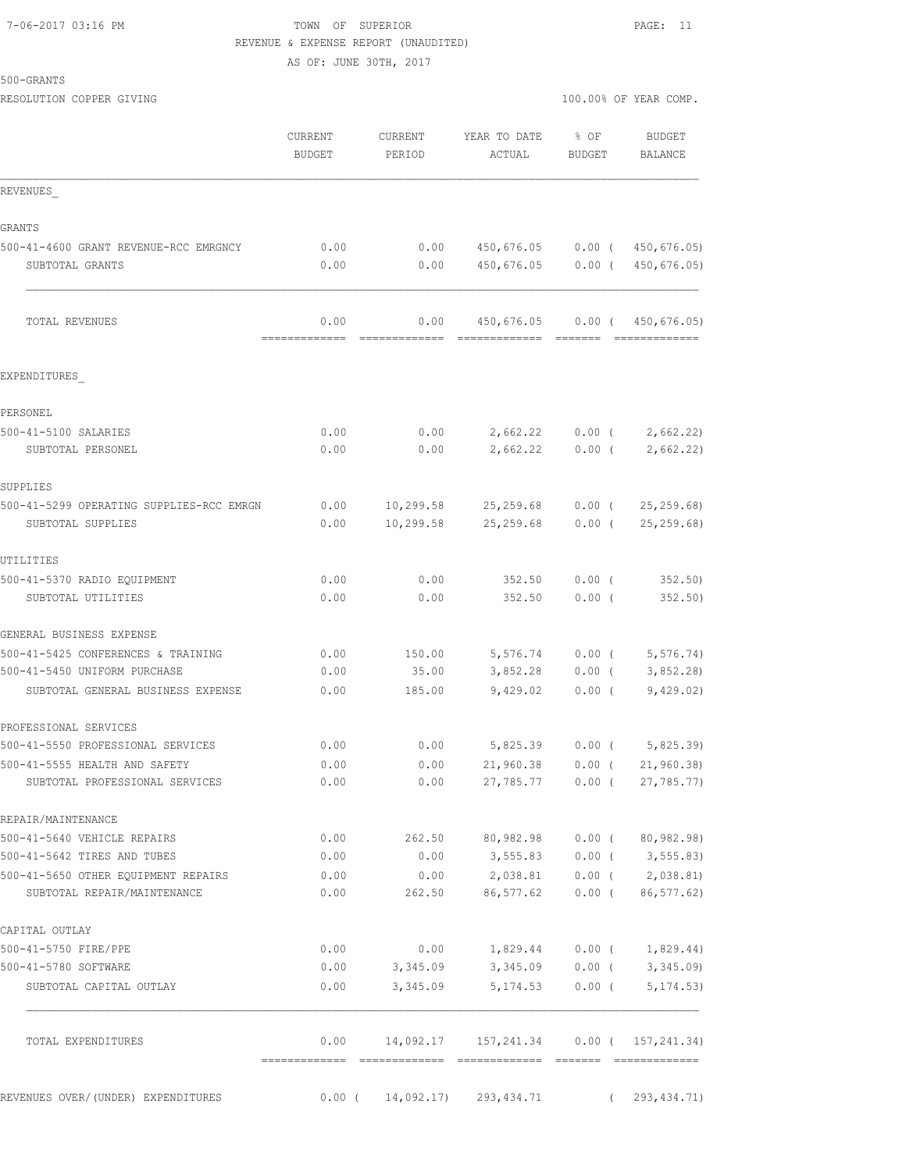# 7-06-2017 03:16 PM TOWN OF SUPERIOR PAGE: 11 REVENUE & EXPENSE REPORT (UNAUDITED)

AS OF: JUNE 30TH, 2017

| 500-GRANTS |  |
|------------|--|
|------------|--|

RESOLUTION COPPER GIVING  $100.00\%$  OF YEAR COMP.

|                                                                 | CURRENT<br><b>BUDGET</b>              | CURRENT<br>PERIOD | YEAR TO DATE<br>ACTUAL                                            | % OF<br>BUDGET    | BUDGET<br>BALANCE             |
|-----------------------------------------------------------------|---------------------------------------|-------------------|-------------------------------------------------------------------|-------------------|-------------------------------|
| REVENUES                                                        |                                       |                   |                                                                   |                   |                               |
| GRANTS                                                          |                                       |                   |                                                                   |                   |                               |
| 500-41-4600 GRANT REVENUE-RCC EMRGNCY                           | 0.00                                  | 0.00              | 450,676.05                                                        | $0.00$ (          | 450,676.05)                   |
| SUBTOTAL GRANTS                                                 | 0.00                                  | 0.00              | 450,676.05                                                        | $0.00$ (          | 450,676.05)                   |
| <b>TOTAL REVENUES</b>                                           | 0.00<br>--------------                | 0.00              | 450,676.05<br>-------------- ------                               | $0.00$ (          | 450,676.05)<br>-------------- |
| EXPENDITURES                                                    |                                       |                   |                                                                   |                   |                               |
| PERSONEL                                                        |                                       |                   |                                                                   |                   |                               |
| 500-41-5100 SALARIES                                            | 0.00                                  | 0.00              | 2,662.22                                                          | $0.00$ (          | 2,662.22                      |
| SUBTOTAL PERSONEL                                               | 0.00                                  | 0.00              | 2,662.22                                                          | $0.00$ (          | 2,662.22)                     |
| SUPPLIES                                                        |                                       |                   |                                                                   |                   |                               |
| 500-41-5299 OPERATING SUPPLIES-RCC EMRGN                        | 0.00                                  | 10,299.58         | 25, 259.68                                                        | $0.00$ (          | 25, 259.68                    |
| SUBTOTAL SUPPLIES                                               | 0.00                                  | 10,299.58         | 25, 259.68                                                        | $0.00$ (          | 25, 259.68                    |
| UTILITIES                                                       |                                       |                   |                                                                   |                   |                               |
| 500-41-5370 RADIO EQUIPMENT                                     | 0.00                                  | 0.00              | 352.50                                                            | $0.00$ (          | 352.50                        |
| SUBTOTAL UTILITIES                                              | 0.00                                  | 0.00              | 352.50                                                            | 0.00(             | $352.50$ )                    |
| GENERAL BUSINESS EXPENSE                                        |                                       |                   |                                                                   |                   |                               |
| 500-41-5425 CONFERENCES & TRAINING                              | 0.00                                  | 150.00            | 5,576.74                                                          | $0.00$ (          | 5,576.74)                     |
| 500-41-5450 UNIFORM PURCHASE                                    | 0.00                                  | 35.00             | 3,852.28                                                          | $0.00$ (          | 3,852.28                      |
| SUBTOTAL GENERAL BUSINESS EXPENSE                               | 0.00                                  | 185.00            | 9,429.02                                                          | 0.00(             | 9,429.02)                     |
| PROFESSIONAL SERVICES                                           |                                       |                   |                                                                   |                   |                               |
| 500-41-5550 PROFESSIONAL SERVICES                               | 0.00                                  | 0.00              | 5,825.39                                                          | $0.00$ (          | 5,825.39                      |
| 500-41-5555 HEALTH AND SAFETY<br>SUBTOTAL PROFESSIONAL SERVICES | 0.00<br>0.00                          | 0.00<br>0.00      | 21,960.38<br>27,785.77 0.00 (                                     | $0.00$ (          | 21, 960.38<br>27,785.77)      |
| REPAIR/MAINTENANCE                                              |                                       |                   |                                                                   |                   |                               |
| 500-41-5640 VEHICLE REPAIRS                                     | 0.00                                  | 262.50            | 80,982.98                                                         | $0.00$ (          | 80,982.98)                    |
| 500-41-5642 TIRES AND TUBES                                     | 0.00                                  | 0.00              | 3,555.83                                                          | $0.00$ (          | 3, 555.83                     |
| 500-41-5650 OTHER EOUIPMENT REPAIRS                             | 0.00                                  | 0.00              | 2,038.81                                                          | $0.00$ (          | 2,038.81)                     |
| SUBTOTAL REPAIR/MAINTENANCE                                     | 0.00                                  | 262.50            | 86,577.62                                                         | $0.00$ (          | 86,577.62)                    |
| CAPITAL OUTLAY                                                  |                                       |                   |                                                                   |                   |                               |
| 500-41-5750 FIRE/PPE                                            | 0.00                                  | 0.00              |                                                                   | $1,829.44$ 0.00 ( | 1,829.44)                     |
| 500-41-5780 SOFTWARE                                            | 0.00                                  | 3,345.09          | 3,345.09                                                          | $0.00$ (          | 3,345.09                      |
| SUBTOTAL CAPITAL OUTLAY                                         | 0.00                                  | 3,345.09          | 5, 174.53                                                         | $0.00$ (          | 5, 174.53)                    |
| TOTAL EXPENDITURES                                              | 0.00<br>-------------- -------------- |                   | 14,092.17  157,241.34  0.00  ( 157,241.34)<br>eccessessess essess |                   | <b>CONSECTIONS</b>            |
|                                                                 |                                       |                   |                                                                   |                   |                               |
| REVENUES OVER/(UNDER) EXPENDITURES                              | $0.00$ (                              |                   | 14,092.17) 293,434.71                                             | $\sqrt{2}$        | 293, 434.71)                  |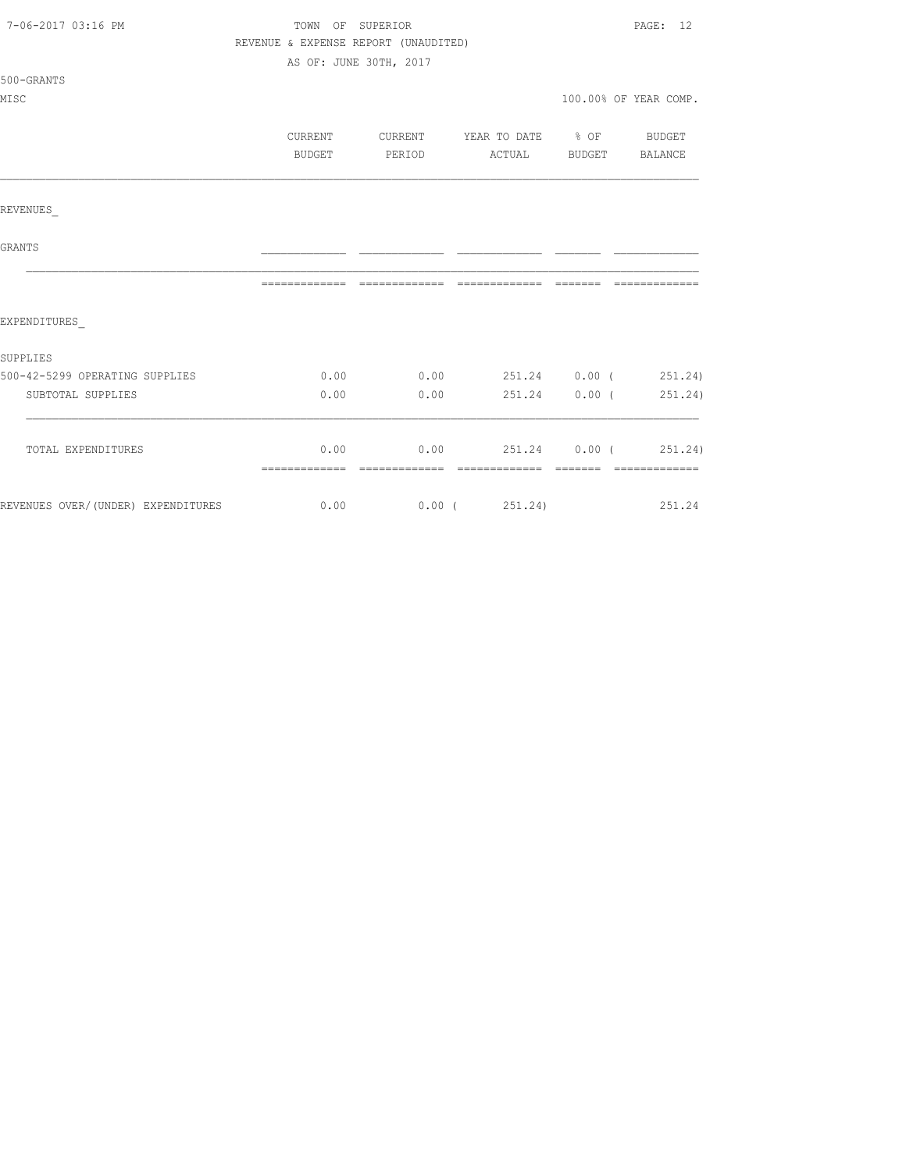| 7-06-2017 03:16 PM                 | REVENUE & EXPENSE REPORT (UNAUDITED) | TOWN OF SUPERIOR<br>AS OF: JUNE 30TH, 2017 |                                                           | PAGE: 12              |
|------------------------------------|--------------------------------------|--------------------------------------------|-----------------------------------------------------------|-----------------------|
| 500-GRANTS<br>MISC                 |                                      |                                            |                                                           | 100.00% OF YEAR COMP. |
|                                    | CURRENT<br>BUDGET                    | PERIOD                                     | CURRENT YEAR TO DATE % OF BUDGET<br>ACTUAL BUDGET BALANCE |                       |
| REVENUES                           |                                      |                                            |                                                           |                       |
| GRANTS                             |                                      |                                            |                                                           |                       |
|                                    |                                      |                                            |                                                           |                       |
| EXPENDITURES                       |                                      |                                            |                                                           |                       |
| SUPPLIES                           |                                      |                                            |                                                           |                       |
| 500-42-5299 OPERATING SUPPLIES     | 0.00                                 | 0.00                                       | 251.24 0.00 (251.24)                                      |                       |
| SUBTOTAL SUPPLIES                  | 0.00                                 | 0.00                                       | 251.24                                                    | $0.00$ ( $251.24$ )   |
| TOTAL EXPENDITURES                 |                                      |                                            | $0.00$ 0.00 251.24 0.00 (251.24)                          |                       |
| REVENUES OVER/(UNDER) EXPENDITURES | $0.00$ $0.00$ $0.00$ $251.24$ )      |                                            |                                                           | 251.24                |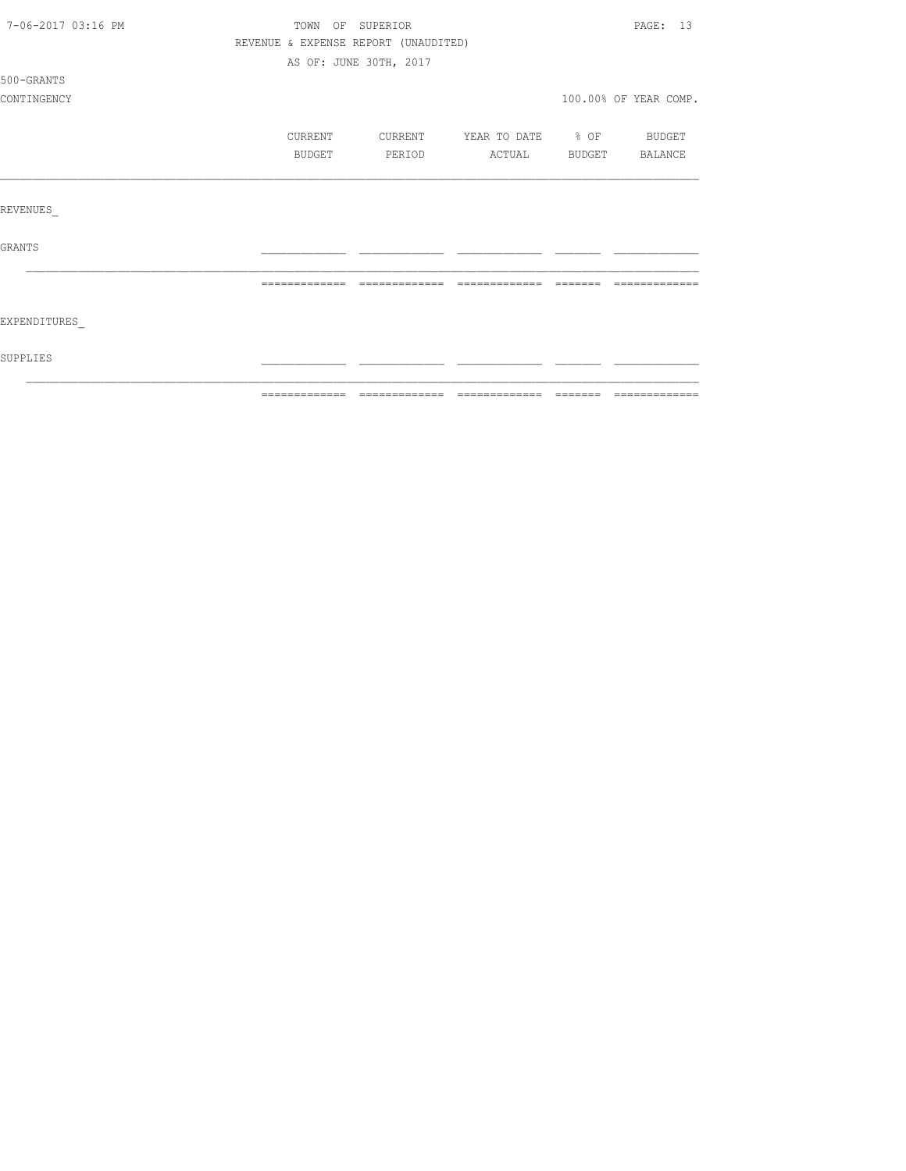| 7-06-2017 03:16 PM |                                      | TOWN OF SUPERIOR       |                          |         | PAGE: 13              |
|--------------------|--------------------------------------|------------------------|--------------------------|---------|-----------------------|
|                    | REVENUE & EXPENSE REPORT (UNAUDITED) |                        |                          |         |                       |
|                    |                                      | AS OF: JUNE 30TH, 2017 |                          |         |                       |
| 500-GRANTS         |                                      |                        |                          |         |                       |
| CONTINGENCY        |                                      |                        |                          |         | 100.00% OF YEAR COMP. |
|                    | CURRENT                              | CURRENT                | YEAR TO DATE % OF BUDGET |         |                       |
|                    | BUDGET                               | PERIOD                 | ACTUAL                   |         | BUDGET BALANCE        |
|                    |                                      |                        |                          |         |                       |
| REVENUES           |                                      |                        |                          |         |                       |
| <b>GRANTS</b>      |                                      |                        |                          |         |                       |
|                    | =============                        | --------------         | --------------           | ======= |                       |
| EXPENDITURES       |                                      |                        |                          |         |                       |
| SUPPLIES           |                                      |                        |                          |         |                       |
|                    |                                      |                        |                          |         |                       |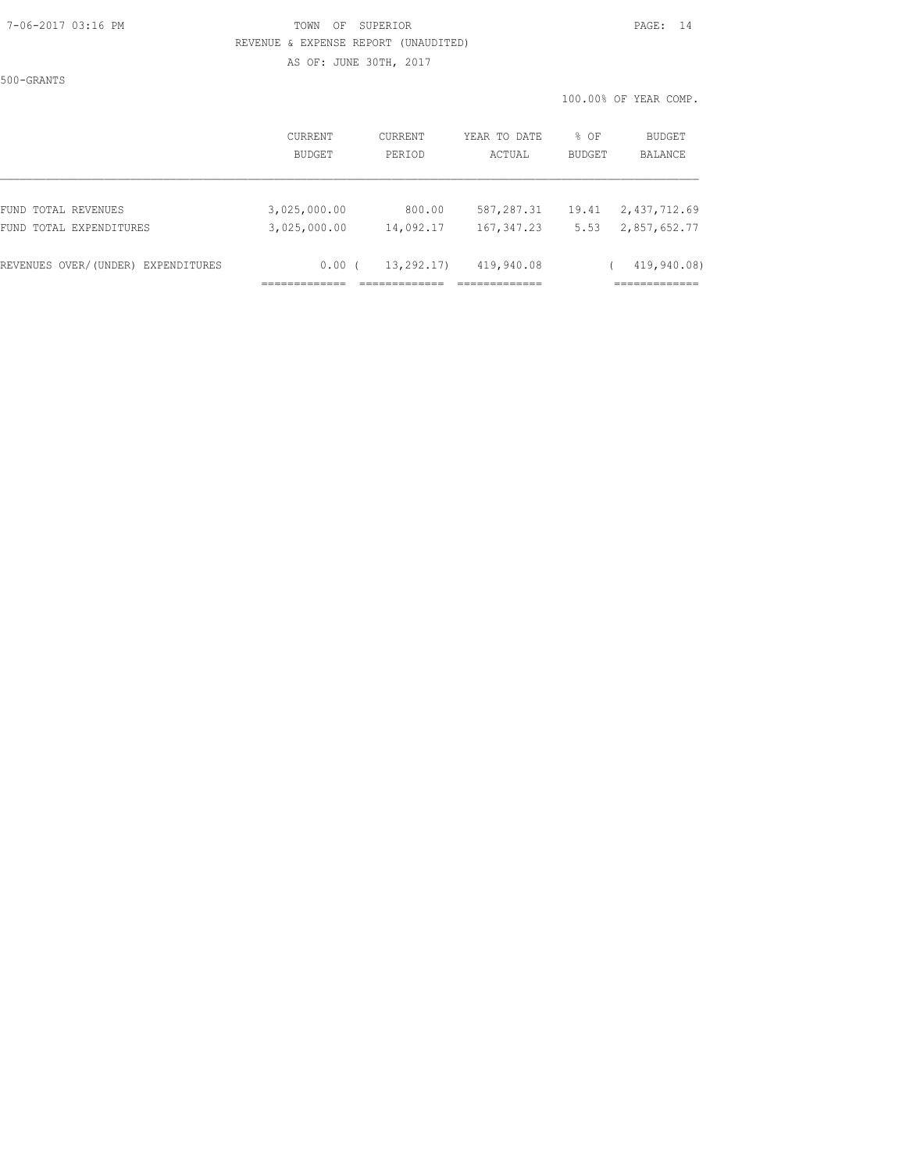#### 7-06-2017 03:16 PM TOWN OF SUPERIOR PAGE: 14 REVENUE & EXPENSE REPORT (UNAUDITED)

500-GRANTS

AS OF: JUNE 30TH, 2017

|                                    | CURRENT<br>BUDGET | <b>CURRENT</b><br>PERIOD | YEAR TO DATE<br>ACTUAL | $8$ OF<br><b>BUDGET</b> | BUDGET<br>BALANCE |
|------------------------------------|-------------------|--------------------------|------------------------|-------------------------|-------------------|
| FUND TOTAL REVENUES                | 3,025,000.00      | 800.00                   | 587,287.31             | 19.41                   | 2,437,712.69      |
| FUND TOTAL EXPENDITURES            | 3,025,000.00      | 14,092.17                | 167, 347.23            | 5.53                    | 2,857,652.77      |
| REVENUES OVER/(UNDER) EXPENDITURES | 0.00(             | 13, 292, 17)             | 419,940.08             |                         | 419,940.08)       |
|                                    |                   |                          |                        |                         |                   |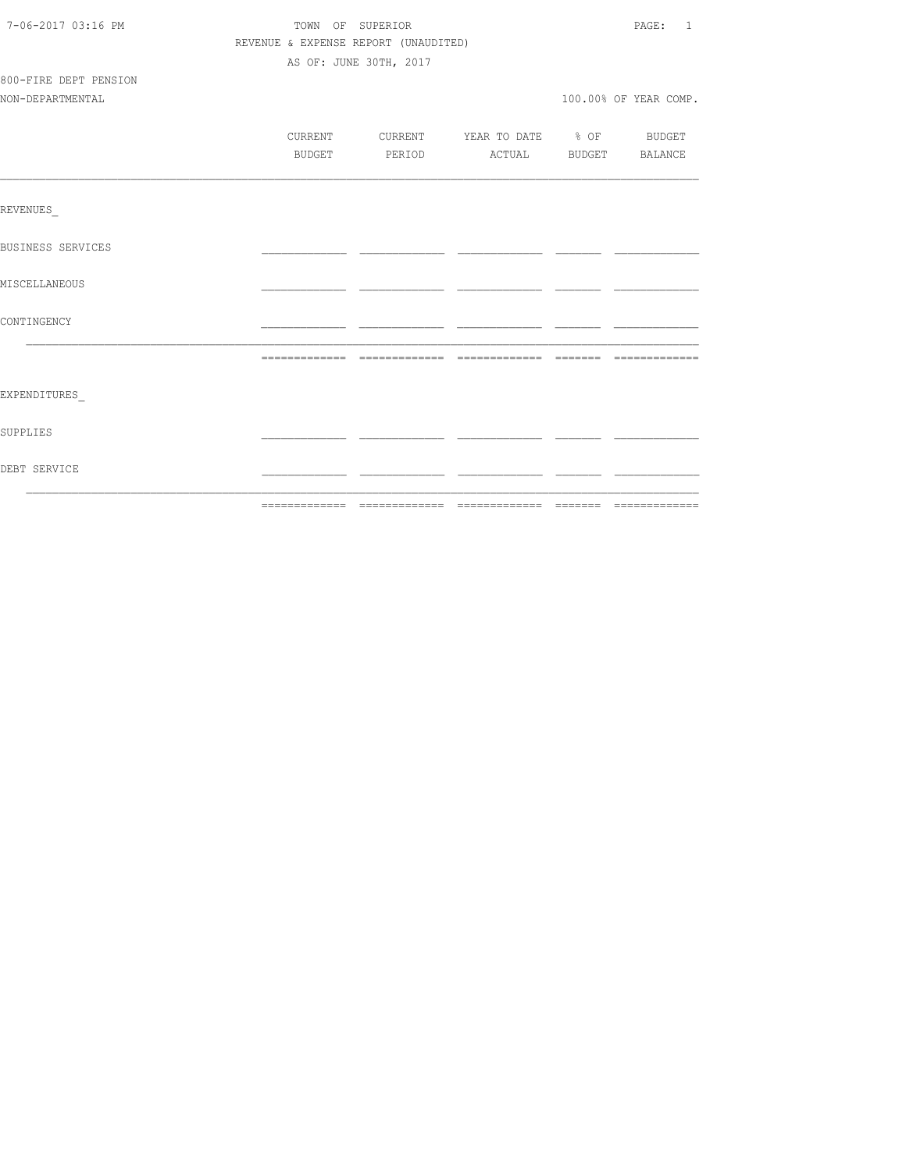| 7-06-2017 03:16 PM       | TOWN OF SUPERIOR                     | PAGE: 1                                  |  |                       |
|--------------------------|--------------------------------------|------------------------------------------|--|-----------------------|
|                          | REVENUE & EXPENSE REPORT (UNAUDITED) |                                          |  |                       |
|                          |                                      | AS OF: JUNE 30TH, 2017                   |  |                       |
| 800-FIRE DEPT PENSION    |                                      |                                          |  |                       |
| NON-DEPARTMENTAL         |                                      |                                          |  | 100.00% OF YEAR COMP. |
|                          |                                      |                                          |  |                       |
|                          |                                      | CURRENT CURRENT YEAR TO DATE % OF BUDGET |  |                       |
|                          | BUDGET                               | PERIOD ACTUAL BUDGET BALANCE             |  |                       |
|                          |                                      |                                          |  |                       |
| <b>REVENUES</b>          |                                      |                                          |  |                       |
| <b>BUSINESS SERVICES</b> |                                      |                                          |  |                       |
| MISCELLANEOUS            |                                      |                                          |  |                       |
| CONTINGENCY              |                                      |                                          |  |                       |
|                          |                                      |                                          |  |                       |
|                          |                                      |                                          |  |                       |
| EXPENDITURES             |                                      |                                          |  |                       |
| SUPPLIES                 |                                      |                                          |  |                       |
| DEBT SERVICE             |                                      |                                          |  |                       |
|                          |                                      |                                          |  |                       |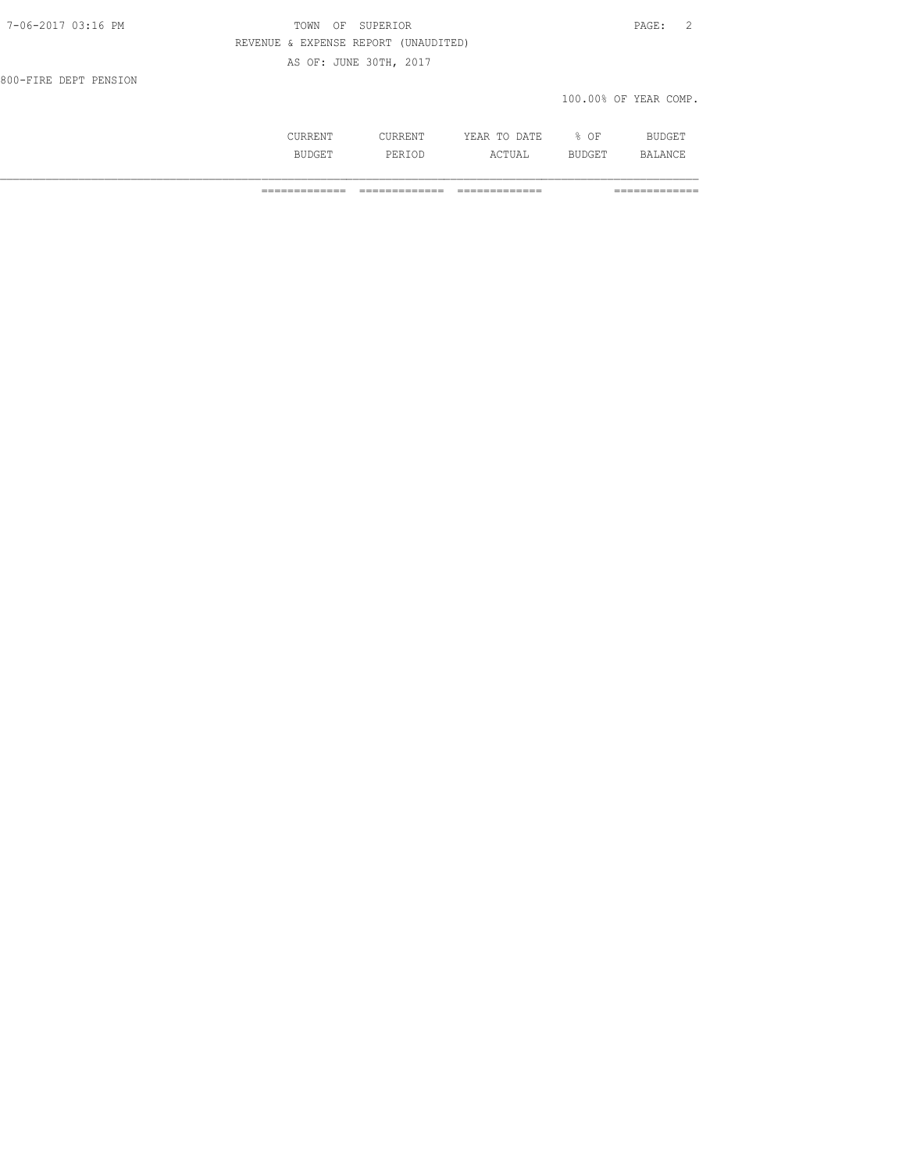| 7-06-2017 03:16 PM    | TOWN OF SUPERIOR                     | 2<br>PAGE: |
|-----------------------|--------------------------------------|------------|
|                       | REVENUE & EXPENSE REPORT (UNAUDITED) |            |
|                       | AS OF: JUNE 30TH, 2017               |            |
| 800-FIRE DEPT PENSION |                                      |            |

100.00% OF YEAR COMP.

|                          |   | 고 따고<br>.<br>----<br>the contract of the contract of the contract of the contract of the contract of the contract of the contract of | ΟF<br>$\sim$ $\sim$ |  |
|--------------------------|---|--------------------------------------------------------------------------------------------------------------------------------------|---------------------|--|
| <b>BIIDCET</b><br>------ | . | ιΔ<br>---                                                                                                                            | ---                 |  |

============= ============= ============= =============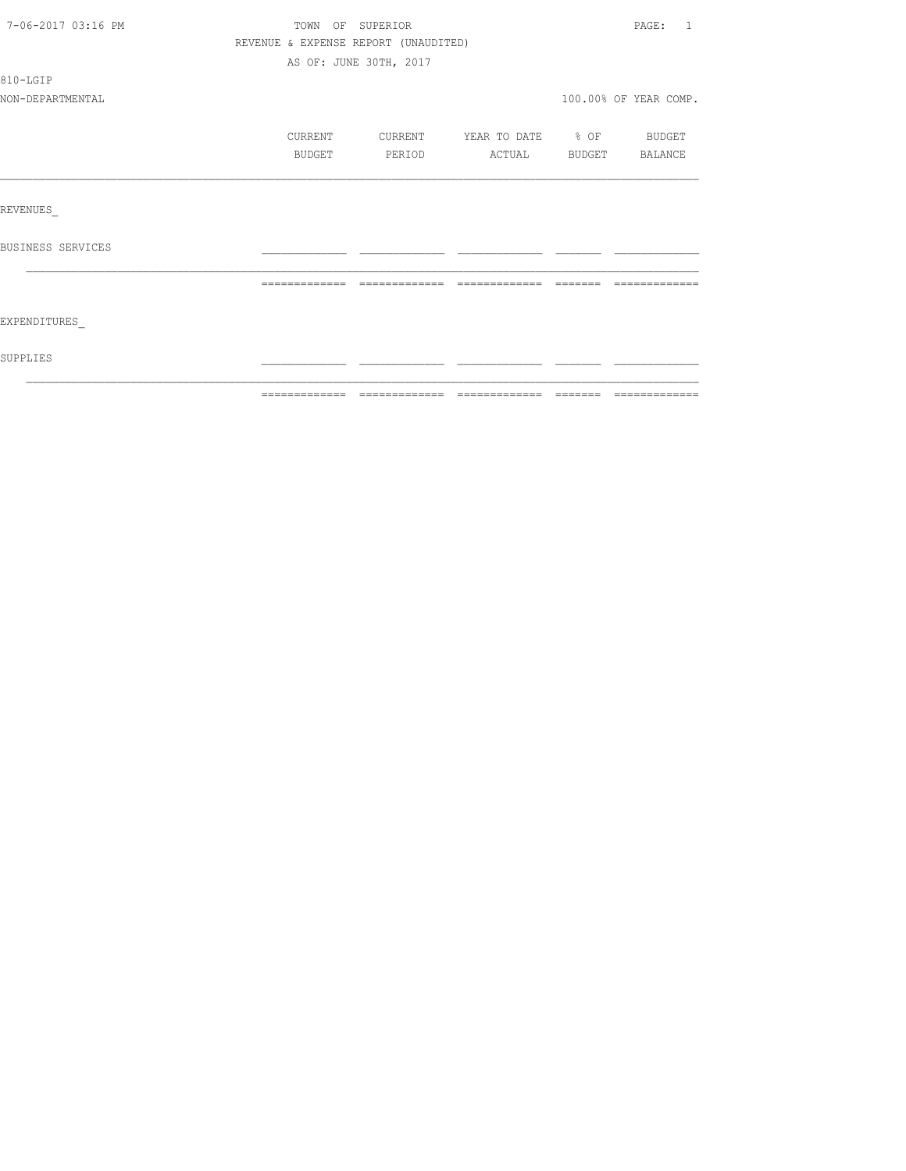| 7-06-2017 03:16 PM | TOWN OF SUPERIOR                     |                        |                          |         | PAGE: 1               |
|--------------------|--------------------------------------|------------------------|--------------------------|---------|-----------------------|
|                    | REVENUE & EXPENSE REPORT (UNAUDITED) |                        |                          |         |                       |
|                    |                                      | AS OF: JUNE 30TH, 2017 |                          |         |                       |
| 810-LGIP           |                                      |                        |                          |         |                       |
| NON-DEPARTMENTAL   |                                      |                        |                          |         | 100.00% OF YEAR COMP. |
|                    | CURRENT                              | CURRENT                | YEAR TO DATE % OF BUDGET |         |                       |
|                    | BUDGET                               | PERIOD                 | ACTUAL                   |         | BUDGET BALANCE        |
|                    |                                      |                        |                          |         |                       |
| REVENUES           |                                      |                        |                          |         |                       |
| BUSINESS SERVICES  |                                      |                        |                          |         |                       |
|                    |                                      | =============          | =============            | eessess |                       |
| EXPENDITURES       |                                      |                        |                          |         |                       |
| SUPPLIES           |                                      |                        |                          |         |                       |
|                    |                                      |                        |                          |         |                       |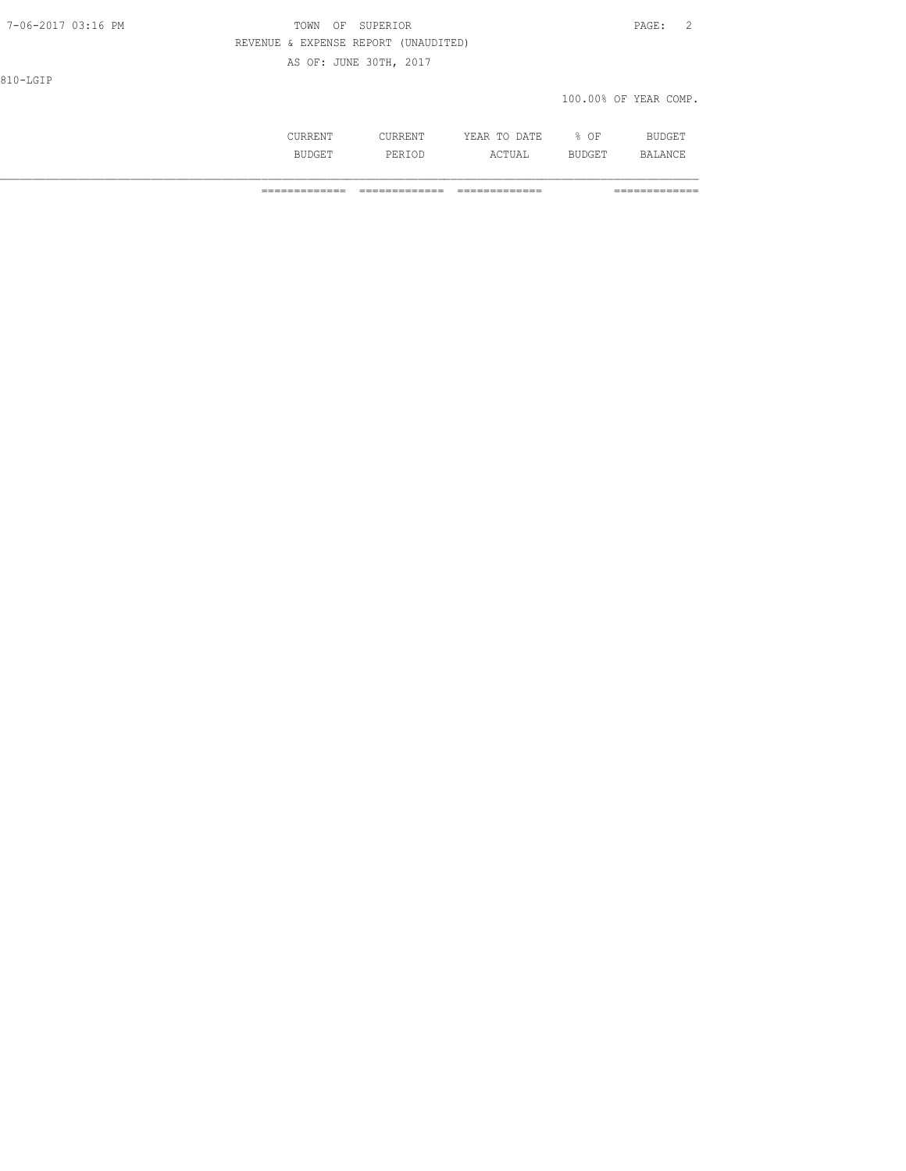| 7-06-2017 03:16 PM | OF SUPERIOR<br>TOWN                  | PAGE: | $\sim$<br>∼ |
|--------------------|--------------------------------------|-------|-------------|
|                    | REVENUE & EXPENSE REPORT (UNAUDITED) |       |             |

AS OF: JUNE 30TH, 2017

810-LGIP

## 100.00% OF YEAR COMP.

|  | the contract of the contract of the contract of the contract of the contract of the contract of the contract of | ١F<br>--<br>$\sim$ |  |
|--|-----------------------------------------------------------------------------------------------------------------|--------------------|--|
|  | .                                                                                                               |                    |  |

============= ============= ============= =============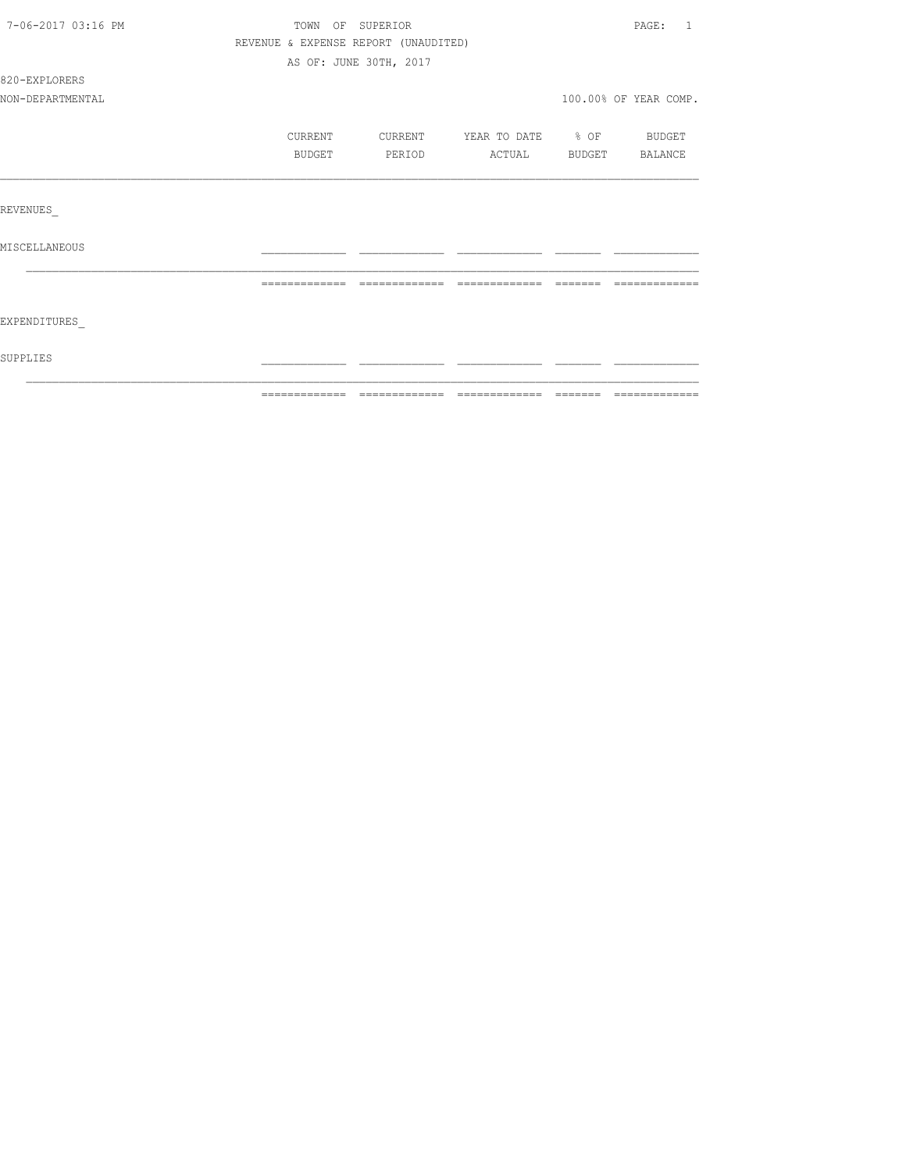| 7-06-2017 03:16 PM | TOWN OF SUPERIOR                     |                        |                          |          | PAGE: 1               |
|--------------------|--------------------------------------|------------------------|--------------------------|----------|-----------------------|
|                    | REVENUE & EXPENSE REPORT (UNAUDITED) |                        |                          |          |                       |
|                    |                                      | AS OF: JUNE 30TH, 2017 |                          |          |                       |
| 820-EXPLORERS      |                                      |                        |                          |          |                       |
| NON-DEPARTMENTAL   |                                      |                        |                          |          | 100.00% OF YEAR COMP. |
|                    | CURRENT                              | CURRENT                | YEAR TO DATE % OF BUDGET |          |                       |
|                    | BUDGET                               | PERIOD                 | ACTUAL BUDGET BALANCE    |          |                       |
|                    |                                      |                        |                          |          |                       |
| REVENUES           |                                      |                        |                          |          |                       |
| MISCELLANEOUS      |                                      |                        |                          |          |                       |
|                    | =============                        | =============          |                          | -------- |                       |
| EXPENDITURES       |                                      |                        |                          |          |                       |
| SUPPLIES           |                                      |                        |                          |          |                       |
|                    |                                      |                        |                          |          |                       |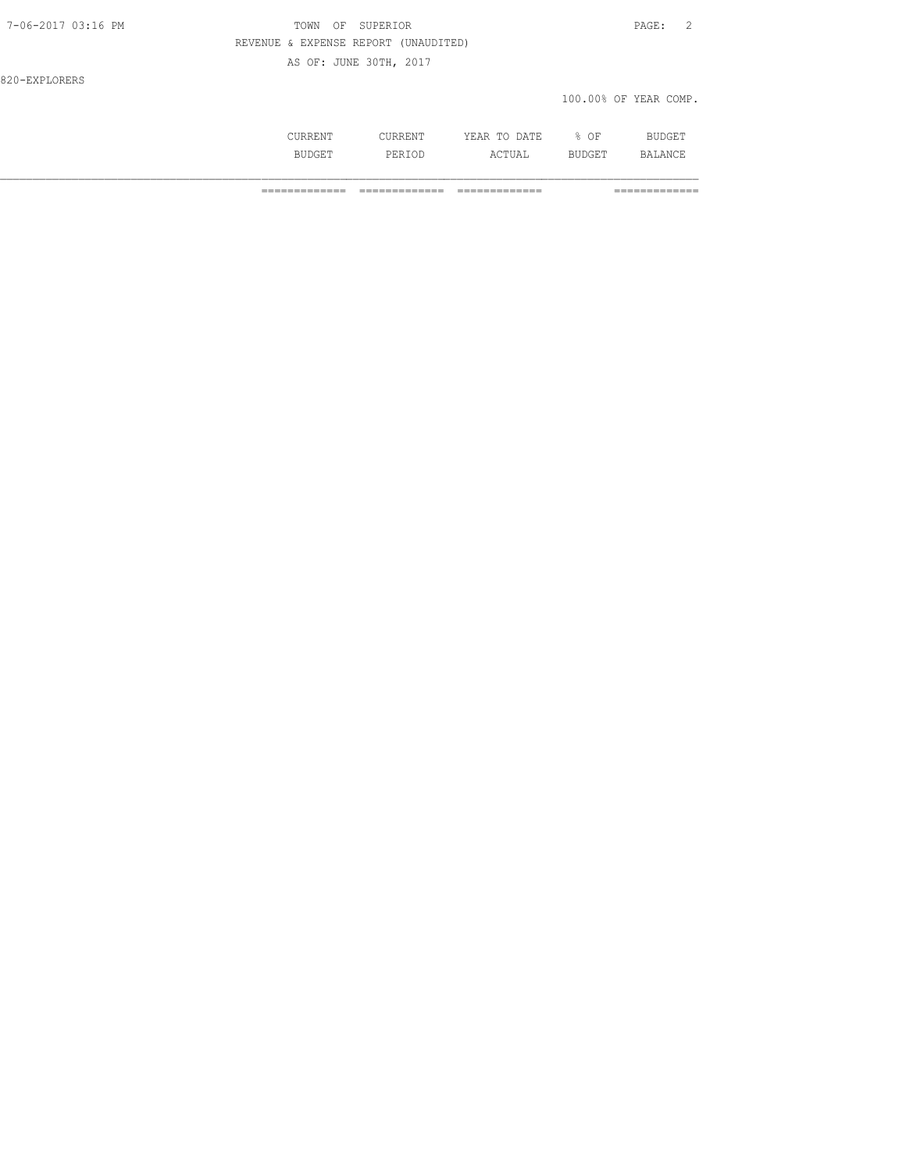# 7-06-2017 03:16 PM TOWN OF SUPERIOR PAGE: 2 REVENUE & EXPENSE REPORT (UNAUDITED)

AS OF: JUNE 30TH, 2017

820-EXPLORERS

### 100.00% OF YEAR COMP.

|           | the contract of the contract of the contract of the contract of the contract of the contract of the contract of | ΟF<br>$\sim$ $\sim$ |  |
|-----------|-----------------------------------------------------------------------------------------------------------------|---------------------|--|
| <b>DI</b> |                                                                                                                 |                     |  |

============= ============= ============= =============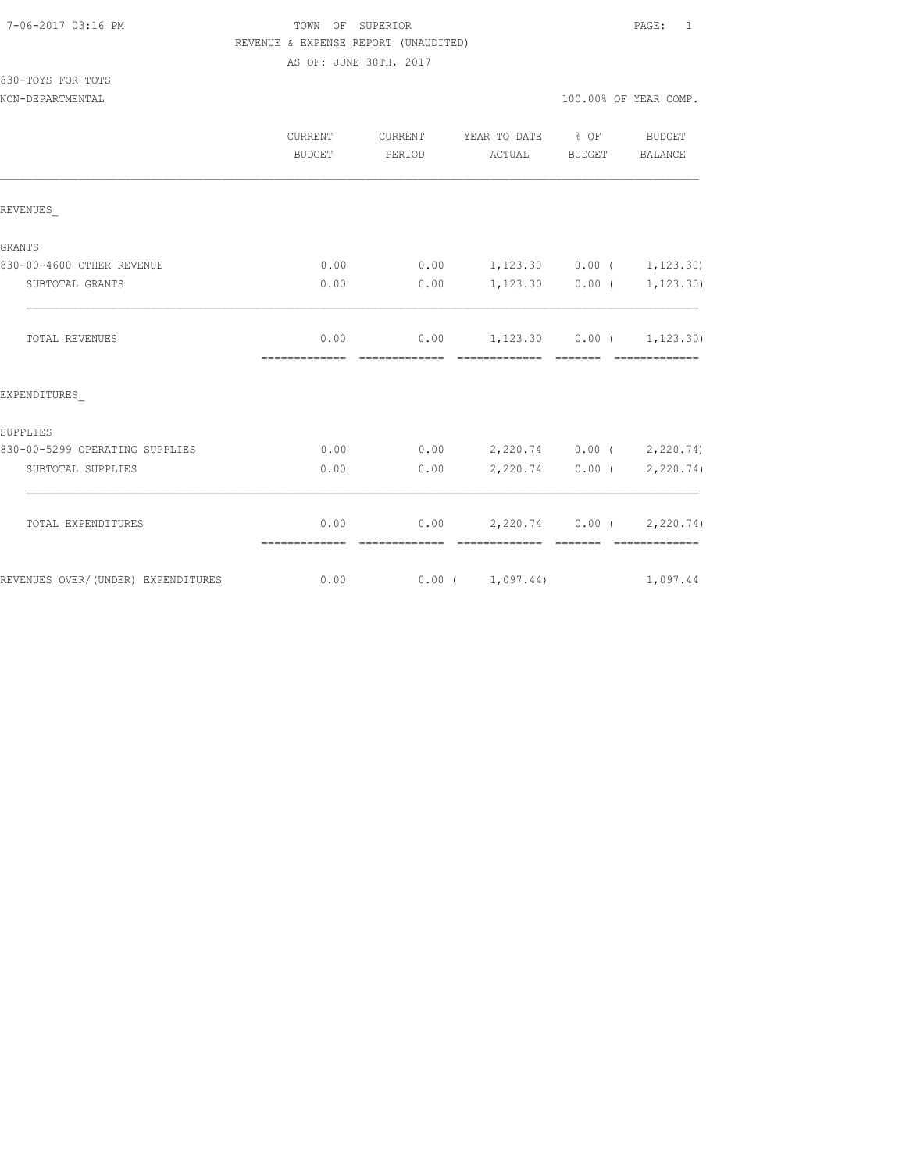### 7-06-2017 03:16 PM TOWN OF SUPERIOR PAGE: 1 REVENUE & EXPENSE REPORT (UNAUDITED)

AS OF: JUNE 30TH, 2017

| 830-TOYS FOR TOTS |  |  |
|-------------------|--|--|
|                   |  |  |

|                                    | CURRENT<br><b>BUDGET</b> | <b>CURRENT</b><br>PERIOD | YEAR TO DATE<br>ACTUAL                            | $8$ OF<br>BUDGET                                                                                                                                                                                                                                                                                                                                                                                                                                                                       | BUDGET<br><b>BALANCE</b> |
|------------------------------------|--------------------------|--------------------------|---------------------------------------------------|----------------------------------------------------------------------------------------------------------------------------------------------------------------------------------------------------------------------------------------------------------------------------------------------------------------------------------------------------------------------------------------------------------------------------------------------------------------------------------------|--------------------------|
| REVENUES                           |                          |                          |                                                   |                                                                                                                                                                                                                                                                                                                                                                                                                                                                                        |                          |
| GRANTS                             |                          |                          |                                                   |                                                                                                                                                                                                                                                                                                                                                                                                                                                                                        |                          |
| 830-00-4600 OTHER REVENUE          | 0.00                     | 0.00                     | $1, 123.30$ 0.00 ( 1, 123.30)                     |                                                                                                                                                                                                                                                                                                                                                                                                                                                                                        |                          |
| SUBTOTAL GRANTS                    | 0.00                     | 0.00                     |                                                   | $1,123.30$ 0.00 (                                                                                                                                                                                                                                                                                                                                                                                                                                                                      | 1, 123.30)               |
| TOTAL REVENUES                     | 0.00<br>-------------    | 0.00<br>-------------    | $1,123.30$ $0.00$ ( $1,123.30$ )<br>============= | $\begin{array}{cccccccccc} \multicolumn{2}{c}{} & \multicolumn{2}{c}{} & \multicolumn{2}{c}{} & \multicolumn{2}{c}{} & \multicolumn{2}{c}{} & \multicolumn{2}{c}{} & \multicolumn{2}{c}{} & \multicolumn{2}{c}{} & \multicolumn{2}{c}{} & \multicolumn{2}{c}{} & \multicolumn{2}{c}{} & \multicolumn{2}{c}{} & \multicolumn{2}{c}{} & \multicolumn{2}{c}{} & \multicolumn{2}{c}{} & \multicolumn{2}{c}{} & \multicolumn{2}{c}{} & \multicolumn{2}{c}{} & \multicolumn{2}{c}{} & \mult$ | =============            |
| EXPENDITURES                       |                          |                          |                                                   |                                                                                                                                                                                                                                                                                                                                                                                                                                                                                        |                          |
| SUPPLIES                           |                          |                          |                                                   |                                                                                                                                                                                                                                                                                                                                                                                                                                                                                        |                          |
| 830-00-5299 OPERATING SUPPLIES     | 0.00                     | 0.00                     | 2,220.74 0.00 ( 2,220.74)                         |                                                                                                                                                                                                                                                                                                                                                                                                                                                                                        |                          |
| SUBTOTAL SUPPLIES                  | 0.00                     | 0.00                     |                                                   | $2,220.74$ 0.00 (                                                                                                                                                                                                                                                                                                                                                                                                                                                                      | 2, 220.74)               |
| TOTAL EXPENDITURES                 | 0.00                     | 0.00                     | $2,220.74$ 0.00 ( 2,220.74)                       |                                                                                                                                                                                                                                                                                                                                                                                                                                                                                        |                          |
| REVENUES OVER/(UNDER) EXPENDITURES | 0.00                     |                          | $0.00$ ( $1,097.44$ )                             |                                                                                                                                                                                                                                                                                                                                                                                                                                                                                        | 1,097.44                 |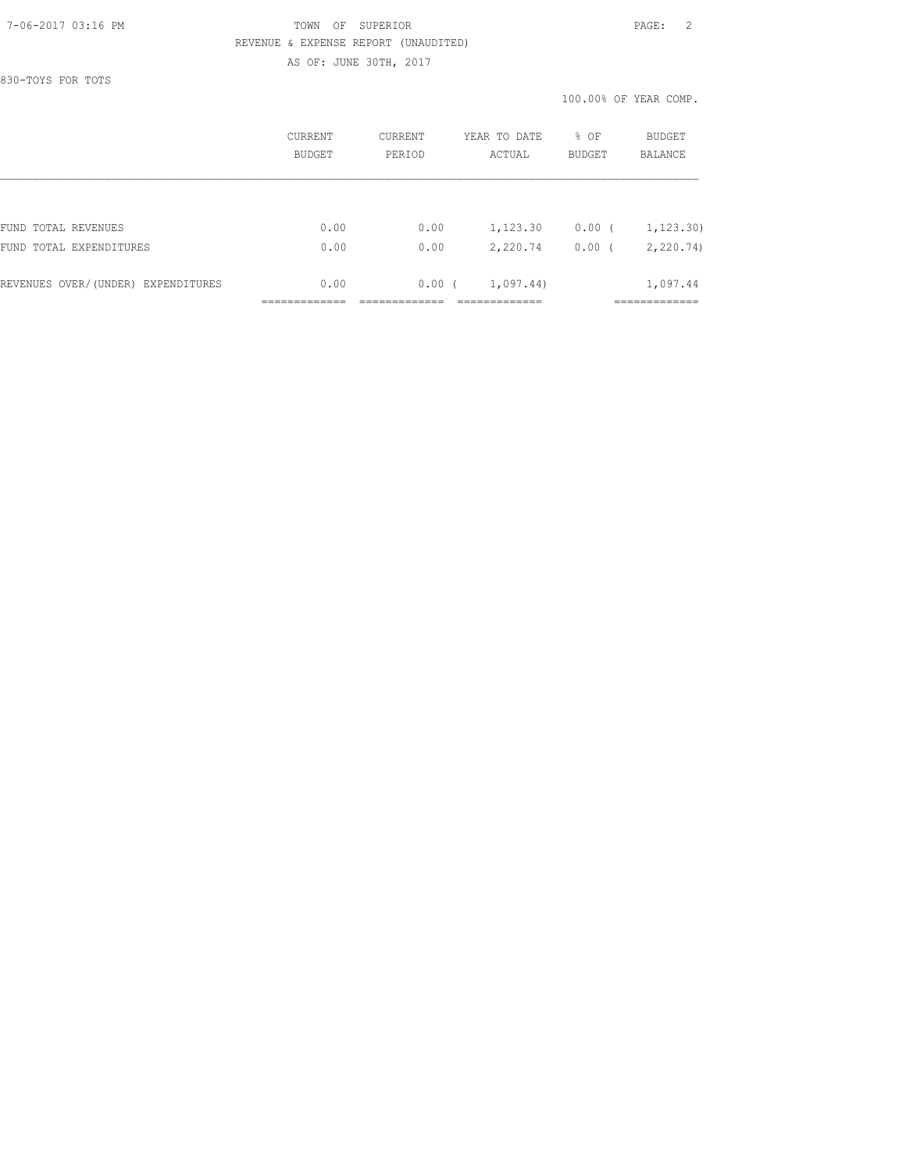### 7-06-2017 03:16 PM TOWN OF SUPERIOR PAGE: 2 REVENUE & EXPENSE REPORT (UNAUDITED) AS OF: JUNE 30TH, 2017

830-TOYS FOR TOTS

100.00% OF YEAR COMP.

|                                    | CURRENT<br>BUDGET | <b>CURRENT</b><br>PERTOD | YEAR TO DATE<br>ACTUAL | $8$ OF<br><b>BUDGET</b> | BUDGET<br><b>BALANCE</b> |
|------------------------------------|-------------------|--------------------------|------------------------|-------------------------|--------------------------|
|                                    |                   |                          |                        |                         |                          |
| FUND TOTAL REVENUES                | 0.00              | 0.00                     | 1,123.30               | $0.00$ (                | 1, 123.30)               |
| FUND TOTAL EXPENDITURES            | 0.00              | 0.00                     | 2,220.74               | 0.00(                   | 2, 220.74                |
| REVENUES OVER/(UNDER) EXPENDITURES | 0.00              | $0.00$ (                 | 1,097.44)              |                         | 1,097.44                 |
|                                    |                   |                          |                        |                         |                          |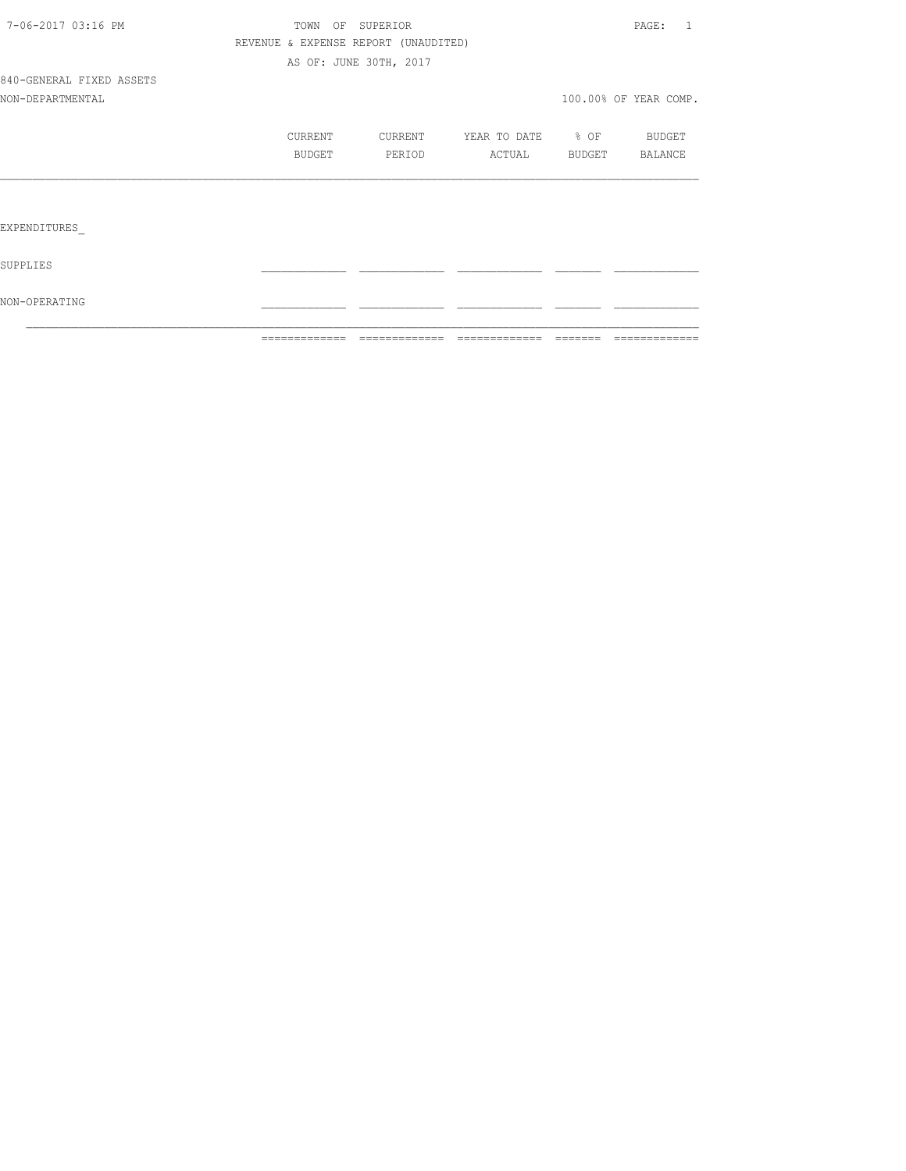|                          | ============= |         | =============                        | =============         | $\qquad \qquad \qquad =\qquad \qquad =\qquad \qquad =\qquad \qquad =\qquad \qquad =\qquad \qquad =\qquad \qquad =\qquad \qquad =\qquad \qquad =\qquad \qquad =\qquad \qquad =\qquad \qquad =\qquad \qquad =\qquad \qquad =\qquad \qquad =\qquad \qquad =\qquad \qquad =\qquad \qquad =\qquad \qquad =\qquad \qquad =\qquad \qquad =\qquad \qquad =\qquad \qquad =\qquad \qquad =\qquad \qquad =\qquad \qquad =\qquad \qquad =\qquad \qquad =\qquad \qquad =\qquad \qquad =\qquad \qquad =$ | =============         |
|--------------------------|---------------|---------|--------------------------------------|-----------------------|--------------------------------------------------------------------------------------------------------------------------------------------------------------------------------------------------------------------------------------------------------------------------------------------------------------------------------------------------------------------------------------------------------------------------------------------------------------------------------------------|-----------------------|
| NON-OPERATING            |               |         |                                      |                       |                                                                                                                                                                                                                                                                                                                                                                                                                                                                                            |                       |
| SUPPLIES                 |               |         |                                      |                       |                                                                                                                                                                                                                                                                                                                                                                                                                                                                                            |                       |
| EXPENDITURES             |               |         |                                      |                       |                                                                                                                                                                                                                                                                                                                                                                                                                                                                                            |                       |
|                          |               |         |                                      |                       |                                                                                                                                                                                                                                                                                                                                                                                                                                                                                            |                       |
|                          |               | BUDGET  | PERIOD                               | ACTUAL BUDGET BALANCE |                                                                                                                                                                                                                                                                                                                                                                                                                                                                                            |                       |
|                          |               | CURRENT | CURRENT                              | YEAR TO DATE % OF     |                                                                                                                                                                                                                                                                                                                                                                                                                                                                                            | <b>BUDGET</b>         |
| NON-DEPARTMENTAL         |               |         |                                      |                       |                                                                                                                                                                                                                                                                                                                                                                                                                                                                                            | 100.00% OF YEAR COMP. |
| 840-GENERAL FIXED ASSETS |               |         |                                      |                       |                                                                                                                                                                                                                                                                                                                                                                                                                                                                                            |                       |
|                          |               |         | AS OF: JUNE 30TH, 2017               |                       |                                                                                                                                                                                                                                                                                                                                                                                                                                                                                            |                       |
|                          |               |         | REVENUE & EXPENSE REPORT (UNAUDITED) |                       |                                                                                                                                                                                                                                                                                                                                                                                                                                                                                            |                       |
| 7-06-2017 03:16 PM       |               |         | TOWN OF SUPERIOR                     |                       |                                                                                                                                                                                                                                                                                                                                                                                                                                                                                            | PAGE: 1               |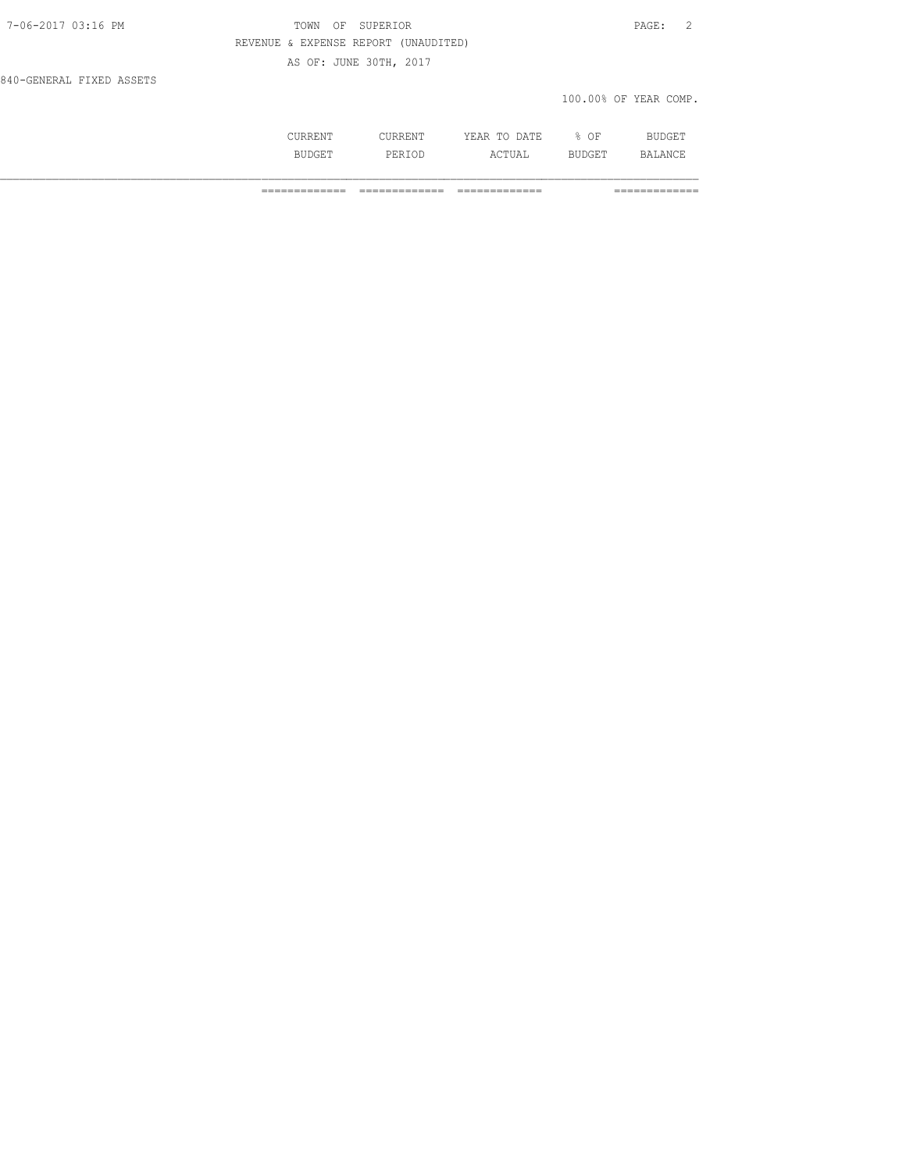## TOWN OF SUPERIOR **PAGE:** 2 REVENUE & EXPENSE REPORT (UNAUDITED) AS OF: JUNE 30TH, 2017

840-GENERAL FIXED ASSETS

### 100.00% OF YEAR COMP.

|   | mm                             | ΟF |  |
|---|--------------------------------|----|--|
| . | $\sim$ m.<br>$\sqrt{ }$<br>◡▵▴ | .  |  |

============= ============= ============= =============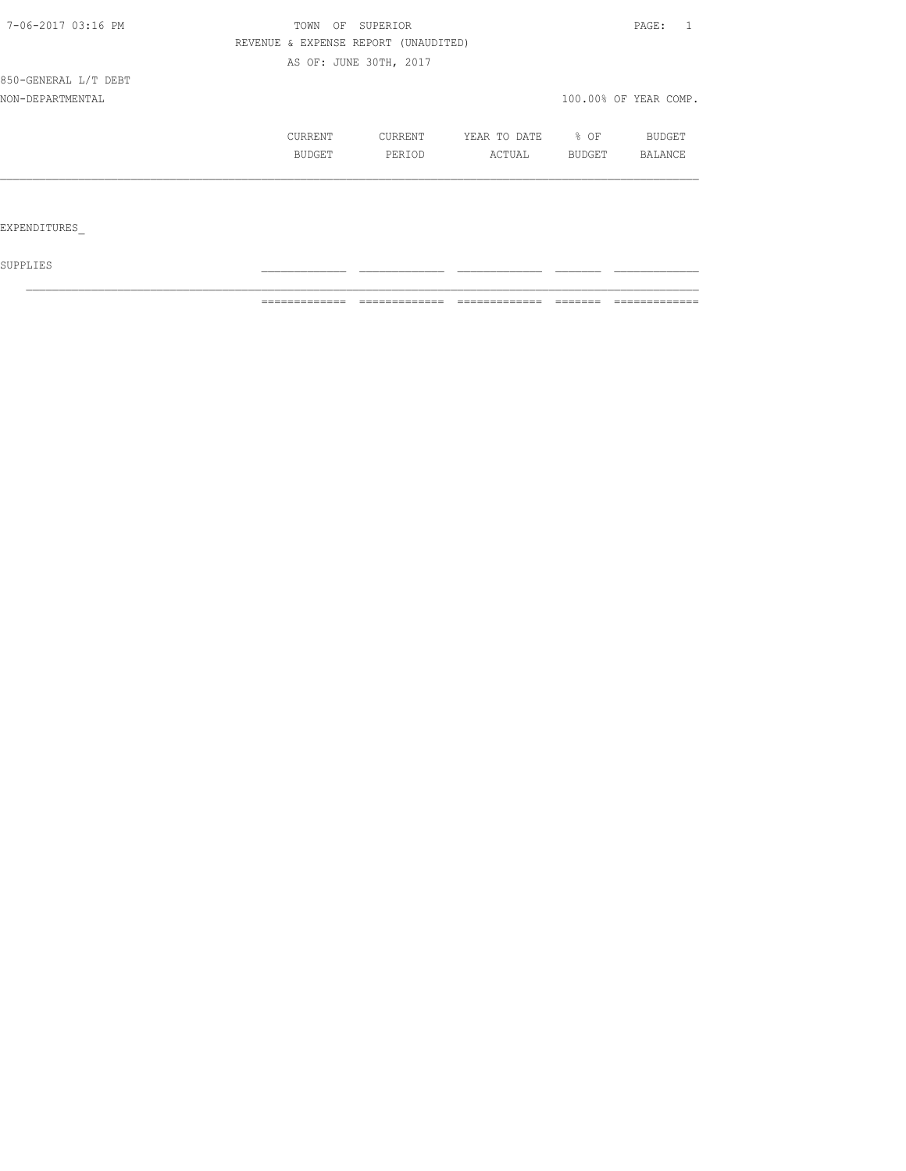| 7-06-2017 03:16 PM   | TOWN<br>OF                           | SUPERIOR               | PAGE:        |        |                       |
|----------------------|--------------------------------------|------------------------|--------------|--------|-----------------------|
|                      | REVENUE & EXPENSE REPORT (UNAUDITED) |                        |              |        |                       |
|                      |                                      | AS OF: JUNE 30TH, 2017 |              |        |                       |
| 850-GENERAL L/T DEBT |                                      |                        |              |        |                       |
| NON-DEPARTMENTAL     |                                      |                        |              |        | 100.00% OF YEAR COMP. |
|                      | CURRENT                              | CURRENT                | YEAR TO DATE | % OF   | BUDGET                |
|                      | BUDGET                               | PERIOD                 | ACTUAL       | BUDGET | BALANCE               |
|                      |                                      |                        |              |        |                       |
|                      |                                      |                        |              |        |                       |
| EXPENDITURES         |                                      |                        |              |        |                       |

 ${\tt SUPPLIES}$ 

============= ============= ============= ======= =============